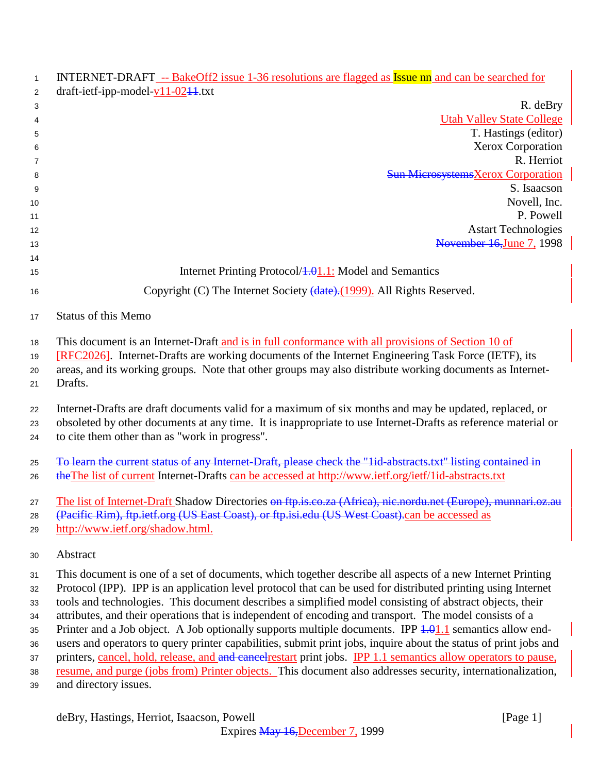| $\mathbf{1}$   | INTERNET-DRAFT -- BakeOff2 issue 1-36 resolutions are flagged as Issue nn and can be searched for                |  |
|----------------|------------------------------------------------------------------------------------------------------------------|--|
| $\overline{2}$ | draft-ietf-ipp-model- $v11-02$ <sup>11</sup> .txt                                                                |  |
| 3              | R. deBry                                                                                                         |  |
| 4              | <b>Utah Valley State College</b><br>T. Hastings (editor)                                                         |  |
| 5              | Xerox Corporation                                                                                                |  |
| 6<br>7         | R. Herriot                                                                                                       |  |
| 8              | <b>Sun MicrosystemsXerox Corporation</b>                                                                         |  |
| 9              | S. Isaacson                                                                                                      |  |
| 10             | Novell, Inc.                                                                                                     |  |
| 11             | P. Powell                                                                                                        |  |
| 12             | <b>Astart Technologies</b>                                                                                       |  |
| 13             | November 16, June 7, 1998                                                                                        |  |
| 14<br>15       | Internet Printing Protocol/4.01.1: Model and Semantics                                                           |  |
|                |                                                                                                                  |  |
| 16             | Copyright (C) The Internet Society (date). (1999). All Rights Reserved.                                          |  |
| 17             | <b>Status of this Memo</b>                                                                                       |  |
| 18             | This document is an Internet-Draft and is in full conformance with all provisions of Section 10 of               |  |
| 19             | [RFC2026]. Internet-Drafts are working documents of the Internet Engineering Task Force (IETF), its              |  |
| 20             | areas, and its working groups. Note that other groups may also distribute working documents as Internet-         |  |
| 21             | Drafts.                                                                                                          |  |
| 22             | Internet-Drafts are draft documents valid for a maximum of six months and may be updated, replaced, or           |  |
| 23             | obsoleted by other documents at any time. It is inappropriate to use Internet-Drafts as reference material or    |  |
| 24             | to cite them other than as "work in progress".                                                                   |  |
| 25             | To learn the current status of any Internet-Draft, please check the "1id-abstracts.txt" listing contained in     |  |
| 26             | the The list of current Internet-Drafts can be accessed at http://www.ietf.org/ietf/1id-abstracts.txt            |  |
| 27             | The list of Internet-Draft Shadow Directories on ftp.is.co.za (Africa), nic.nordu.net (Europe), munnari.oz.au    |  |
| 28             | (Pacific Rim), ftp.ietf.org (US East Coast), or ftp.isi.edu (US West Coast).can be accessed as                   |  |
| 29             | http://www.ietf.org/shadow.html.                                                                                 |  |
| 30             | Abstract                                                                                                         |  |
| 31             | This document is one of a set of documents, which together describe all aspects of a new Internet Printing       |  |
| 32             | Protocol (IPP). IPP is an application level protocol that can be used for distributed printing using Internet    |  |
| 33             | tools and technologies. This document describes a simplified model consisting of abstract objects, their         |  |
| 34             | attributes, and their operations that is independent of encoding and transport. The model consists of a          |  |
| 35             | Printer and a Job object. A Job optionally supports multiple documents. IPP $4.01.1$ semantics allow end-        |  |
| 36             | users and operators to query printer capabilities, submit print jobs, inquire about the status of print jobs and |  |
| 37             | printers, cancel, hold, release, and and cancel restart print jobs. IPP 1.1 semantics allow operators to pause,  |  |
| 38             | resume, and purge (jobs from) Printer objects. This document also addresses security, internationalization,      |  |
| 39             | and directory issues.                                                                                            |  |
|                | deBry, Hastings, Herriot, Isaacson, Powell<br>[Page 1]                                                           |  |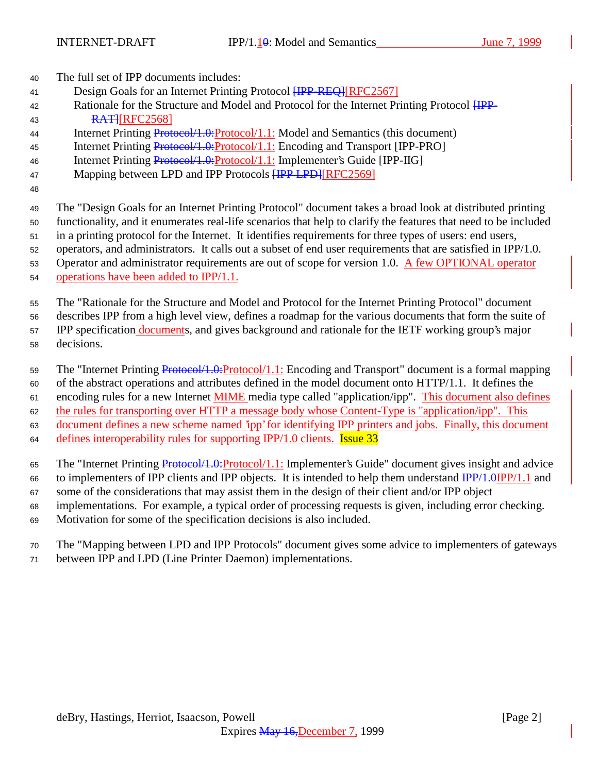- <sup>40</sup> The full set of IPP documents includes:
- 41 Design Goals for an Internet Printing Protocol **[IPP-REQ]**[RFC2567]
- 42 Rationale for the Structure and Model and Protocol for the Internet Printing Protocol  $HPP-$ 43 **RATHREC2568**
- 44 Internet Printing Protocol/1.0: Protocol/1.1: Model and Semantics (this document)
- 45 Internet Printing Protocol/1.0:Protocol/1.1: Encoding and Transport [IPP-PRO]
- 46 Internet Printing Protocol/1.0: Protocol/1.1: Implementer's Guide [IPP-IIG]
- 47 Mapping between LPD and IPP Protocols **[IPP LPD]**[RFC2569]
- 48

<sup>49</sup> The "Design Goals for an Internet Printing Protocol" document takes a broad look at distributed printing

<sup>50</sup> functionality, and it enumerates real-life scenarios that help to clarify the features that need to be included

<sup>51</sup> in a printing protocol for the Internet. It identifies requirements for three types of users: end users,

<sup>52</sup> operators, and administrators. It calls out a subset of end user requirements that are satisfied in IPP/1.0.

53 Operator and administrator requirements are out of scope for version 1.0. A few OPTIONAL operator

<sup>54</sup> operations have been added to IPP/1.1.

<sup>55</sup> The "Rationale for the Structure and Model and Protocol for the Internet Printing Protocol" document

<sup>56</sup> describes IPP from a high level view, defines a roadmap for the various documents that form the suite of

57 IPP specification documents, and gives background and rationale for the IETF working group's major <sup>58</sup> decisions.

59 The "Internet Printing Protocol/1.0: Protocol/1.1: Encoding and Transport" document is a formal mapping

<sup>60</sup> of the abstract operations and attributes defined in the model document onto HTTP/1.1. It defines the

61 encoding rules for a new Internet **MIME** media type called "application/ipp". This document also defines

<sup>62</sup> the rules for transporting over HTTP a message body whose Content-Type is "application/ipp". This

<sup>63</sup> document defines a new scheme named 'ipp' for identifying IPP printers and jobs. Finally, this document

64 defines interoperability rules for supporting IPP/1.0 clients. **Issue 33** 

65 The "Internet Printing Protocol/1.0:Protocol/1.1: Implementer's Guide" document gives insight and advice

- 66 to implementers of IPP clients and IPP objects. It is intended to help them understand  $\frac{IPP}{1.0}$  IPP/1.1 and
- <sup>67</sup> some of the considerations that may assist them in the design of their client and/or IPP object
- <sup>68</sup> implementations. For example, a typical order of processing requests is given, including error checking.
- <sup>69</sup> Motivation for some of the specification decisions is also included.

<sup>70</sup> The "Mapping between LPD and IPP Protocols" document gives some advice to implementers of gateways

<sup>71</sup> between IPP and LPD (Line Printer Daemon) implementations.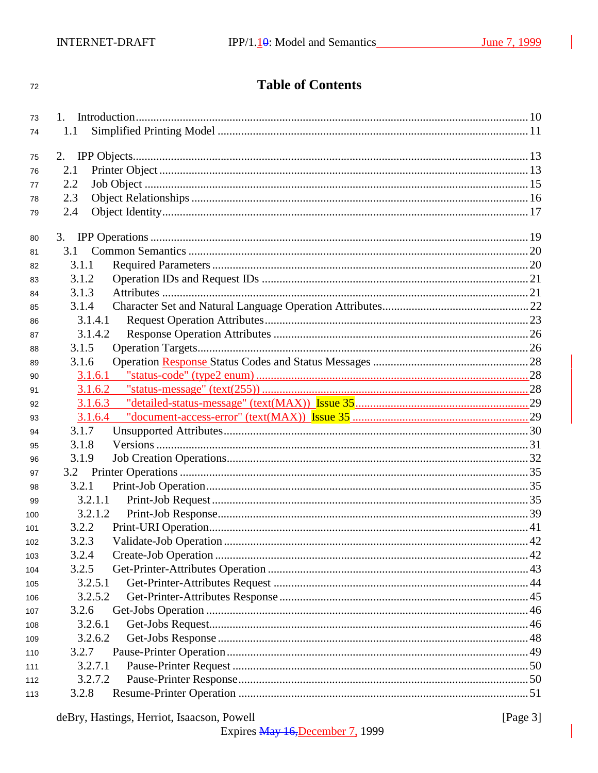#### $72\,$

# **Table of Contents**

| 73  |                                                                                                                                                                                                                                                                                                                                                                                                                                                                                                                                                                                        |  |
|-----|----------------------------------------------------------------------------------------------------------------------------------------------------------------------------------------------------------------------------------------------------------------------------------------------------------------------------------------------------------------------------------------------------------------------------------------------------------------------------------------------------------------------------------------------------------------------------------------|--|
| 74  | 1.1                                                                                                                                                                                                                                                                                                                                                                                                                                                                                                                                                                                    |  |
|     |                                                                                                                                                                                                                                                                                                                                                                                                                                                                                                                                                                                        |  |
| 75  | 2.                                                                                                                                                                                                                                                                                                                                                                                                                                                                                                                                                                                     |  |
| 76  | 2.1                                                                                                                                                                                                                                                                                                                                                                                                                                                                                                                                                                                    |  |
| 77  | 2.2                                                                                                                                                                                                                                                                                                                                                                                                                                                                                                                                                                                    |  |
| 78  | 2.3                                                                                                                                                                                                                                                                                                                                                                                                                                                                                                                                                                                    |  |
| 79  | 2.4                                                                                                                                                                                                                                                                                                                                                                                                                                                                                                                                                                                    |  |
| 80  |                                                                                                                                                                                                                                                                                                                                                                                                                                                                                                                                                                                        |  |
| 81  | 3.1                                                                                                                                                                                                                                                                                                                                                                                                                                                                                                                                                                                    |  |
| 82  | 3.1.1                                                                                                                                                                                                                                                                                                                                                                                                                                                                                                                                                                                  |  |
| 83  | 3.1.2                                                                                                                                                                                                                                                                                                                                                                                                                                                                                                                                                                                  |  |
| 84  | 3.1.3                                                                                                                                                                                                                                                                                                                                                                                                                                                                                                                                                                                  |  |
| 85  | 3.1.4                                                                                                                                                                                                                                                                                                                                                                                                                                                                                                                                                                                  |  |
| 86  | 3.1.4.1                                                                                                                                                                                                                                                                                                                                                                                                                                                                                                                                                                                |  |
| 87  | 3.1.4.2                                                                                                                                                                                                                                                                                                                                                                                                                                                                                                                                                                                |  |
| 88  | 3.1.5                                                                                                                                                                                                                                                                                                                                                                                                                                                                                                                                                                                  |  |
| 89  | 3.1.6                                                                                                                                                                                                                                                                                                                                                                                                                                                                                                                                                                                  |  |
| 90  | 3.1.6.1                                                                                                                                                                                                                                                                                                                                                                                                                                                                                                                                                                                |  |
| 91  | ${\textcolor{red}{\texttt{``status-message'' (text(255))}}}. {\textcolor{red}{\texttt{``status-message''}}}. {\textcolor{red}{\texttt{``text}}}. {\textcolor{red}{\texttt{``new}}}. {\textcolor{red}{\texttt{``new}}}. {\textcolor{red}{\texttt{``new}}}. {\textcolor{red}{\texttt{``new}}}. {\textcolor{red}{\texttt{``new}}}. {\textcolor{red}{\texttt{``new}}}. {\textcolor{red}{\texttt{``new}}}. {\textcolor{red}{\texttt{``new}}}. {\textcolor{red}{\texttt{``new}}}. {\textcolor{red}{\texttt{``new}}}. {\textcolor{red}{\texttt{``new}}}. {\textcolor{red}{\texttt$<br>3.1.6.2 |  |
| 92  |                                                                                                                                                                                                                                                                                                                                                                                                                                                                                                                                                                                        |  |
|     |                                                                                                                                                                                                                                                                                                                                                                                                                                                                                                                                                                                        |  |
| 93  | 3.1.6.4                                                                                                                                                                                                                                                                                                                                                                                                                                                                                                                                                                                |  |
| 94  | 3.1.7                                                                                                                                                                                                                                                                                                                                                                                                                                                                                                                                                                                  |  |
| 95  | 3.1.8                                                                                                                                                                                                                                                                                                                                                                                                                                                                                                                                                                                  |  |
| 96  | 3.1.9                                                                                                                                                                                                                                                                                                                                                                                                                                                                                                                                                                                  |  |
| 97  |                                                                                                                                                                                                                                                                                                                                                                                                                                                                                                                                                                                        |  |
| 98  | 3.2.1                                                                                                                                                                                                                                                                                                                                                                                                                                                                                                                                                                                  |  |
| 99  | 3.2.1.1                                                                                                                                                                                                                                                                                                                                                                                                                                                                                                                                                                                |  |
| 100 | 3.2.1.2                                                                                                                                                                                                                                                                                                                                                                                                                                                                                                                                                                                |  |
| 101 | 3.2.2                                                                                                                                                                                                                                                                                                                                                                                                                                                                                                                                                                                  |  |
| 102 | 3.2.3                                                                                                                                                                                                                                                                                                                                                                                                                                                                                                                                                                                  |  |
| 103 | 3.2.4                                                                                                                                                                                                                                                                                                                                                                                                                                                                                                                                                                                  |  |
| 104 | 3.2.5                                                                                                                                                                                                                                                                                                                                                                                                                                                                                                                                                                                  |  |
| 105 | 3.2.5.1                                                                                                                                                                                                                                                                                                                                                                                                                                                                                                                                                                                |  |
| 106 | 3.2.5.2                                                                                                                                                                                                                                                                                                                                                                                                                                                                                                                                                                                |  |
| 107 | 3.2.6                                                                                                                                                                                                                                                                                                                                                                                                                                                                                                                                                                                  |  |
| 108 | 3.2.6.1                                                                                                                                                                                                                                                                                                                                                                                                                                                                                                                                                                                |  |
| 109 | 3.2.6.2                                                                                                                                                                                                                                                                                                                                                                                                                                                                                                                                                                                |  |
| 110 | 3.2.7                                                                                                                                                                                                                                                                                                                                                                                                                                                                                                                                                                                  |  |
| 111 | 3.2.7.1                                                                                                                                                                                                                                                                                                                                                                                                                                                                                                                                                                                |  |
| 112 | 3.2.7.2                                                                                                                                                                                                                                                                                                                                                                                                                                                                                                                                                                                |  |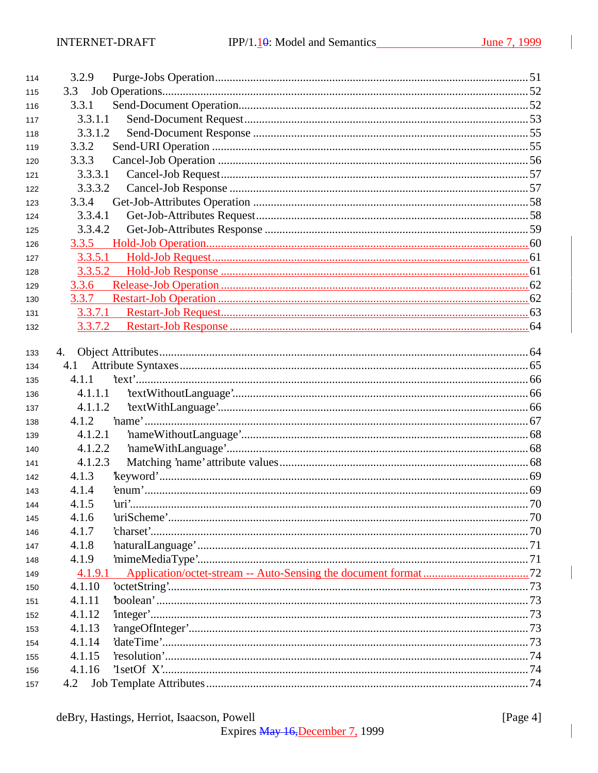| 114 | 3.2.9   |  |
|-----|---------|--|
| 115 | 3.3     |  |
| 116 | 3.3.1   |  |
| 117 | 3.3.1.1 |  |
| 118 | 3.3.1.2 |  |
| 119 | 3.3.2   |  |
| 120 | 3.3.3   |  |
| 121 | 3.3.3.1 |  |
| 122 | 3.3.3.2 |  |
| 123 | 3.3.4   |  |
| 124 | 3.3.4.1 |  |
| 125 | 3.3.4.2 |  |
| 126 |         |  |
| 127 | 3.3.5.1 |  |
| 128 | 3.3.5.2 |  |
| 129 | 3.3.6   |  |
| 130 | 3.3.7   |  |
| 131 | 3.3.7.1 |  |
| 132 |         |  |
|     |         |  |
| 133 | 4.      |  |
| 134 | 4.1     |  |
| 135 | 4.1.1   |  |
| 136 | 4.1.1.1 |  |
| 137 | 4.1.1.2 |  |
| 138 | 4.1.2   |  |
| 139 | 4.1.2.1 |  |
| 140 | 4.1.2.2 |  |
| 141 | 4.1.2.3 |  |
| 142 | 4.1.3   |  |
| 143 | 4.1.4   |  |
| 144 | 4.1.5   |  |
| 145 | 4.1.6   |  |
| 146 | 4.1.7   |  |
| 147 | 4.1.8   |  |
| 148 | 4.1.9   |  |
| 149 | 4.1.9.1 |  |
| 150 | 4.1.10  |  |
| 151 | 4.1.11  |  |
| 152 | 4.1.12  |  |
| 153 | 4.1.13  |  |
| 154 | 4.1.14  |  |
| 155 | 4.1.15  |  |
| 156 | 4.1.16  |  |
| 157 | 4.2     |  |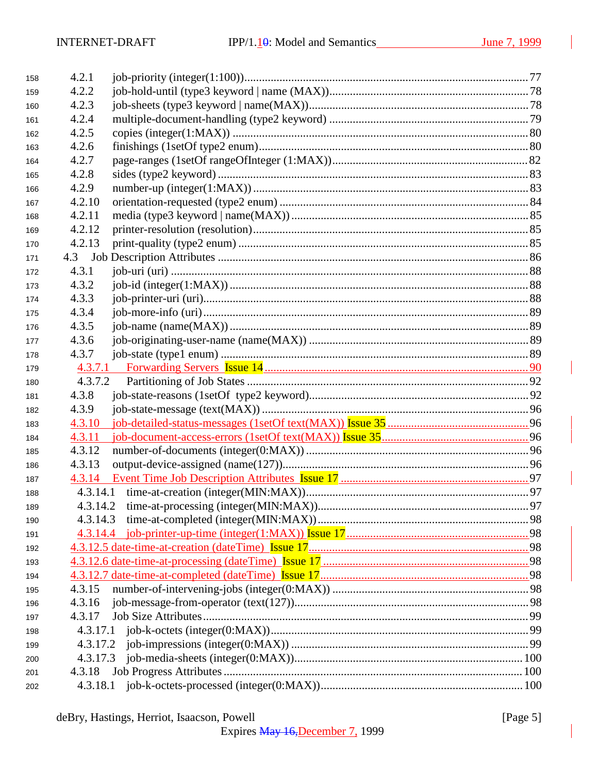| 158 | 4.2.1    |  |
|-----|----------|--|
| 159 | 4.2.2    |  |
| 160 | 4.2.3    |  |
| 161 | 4.2.4    |  |
| 162 | 4.2.5    |  |
| 163 | 4.2.6    |  |
| 164 | 4.2.7    |  |
| 165 | 4.2.8    |  |
| 166 | 4.2.9    |  |
| 167 | 4.2.10   |  |
| 168 | 4.2.11   |  |
| 169 | 4.2.12   |  |
| 170 | 4.2.13   |  |
| 171 |          |  |
| 172 | 4.3.1    |  |
| 173 | 4.3.2    |  |
| 174 | 4.3.3    |  |
| 175 | 4.3.4    |  |
| 176 | 4.3.5    |  |
| 177 | 4.3.6    |  |
| 178 | 4.3.7    |  |
| 179 |          |  |
| 180 | 4.3.7.2  |  |
| 181 | 4.3.8    |  |
| 182 | 4.3.9    |  |
| 183 | 4.3.10   |  |
| 184 | 4.3.11   |  |
| 185 | 4.3.12   |  |
| 186 | 4.3.13   |  |
| 187 |          |  |
| 188 |          |  |
| 189 |          |  |
| 190 |          |  |
| 191 |          |  |
| 192 |          |  |
| 193 |          |  |
| 194 |          |  |
| 195 | 4.3.15   |  |
| 196 | 4.3.16   |  |
| 197 | 4.3.17   |  |
| 198 |          |  |
| 199 | 4.3.17.2 |  |
| 200 | 4.3.17.3 |  |
| 201 | 4.3.18   |  |
| 202 |          |  |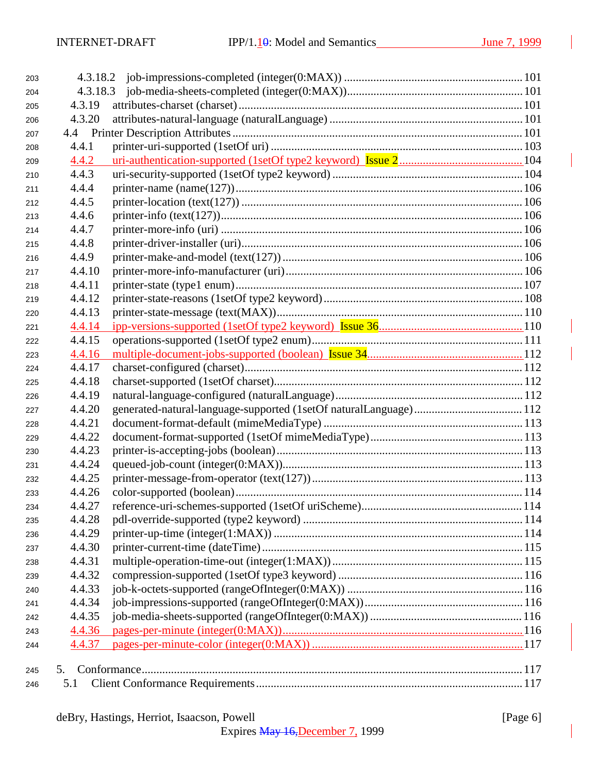| 203 |        |  |
|-----|--------|--|
| 204 |        |  |
| 205 | 4.3.19 |  |
| 206 | 4.3.20 |  |
| 207 |        |  |
| 208 | 4.4.1  |  |
| 209 | 4.4.2  |  |
| 210 | 4.4.3  |  |
| 211 | 4.4.4  |  |
| 212 | 4.4.5  |  |
| 213 | 4.4.6  |  |
| 214 | 4.4.7  |  |
| 215 | 4.4.8  |  |
| 216 | 4.4.9  |  |
| 217 | 4.4.10 |  |
| 218 | 4.4.11 |  |
| 219 | 4.4.12 |  |
| 220 | 4.4.13 |  |
| 221 | 4.4.14 |  |
| 222 | 4.4.15 |  |
| 223 | 4.4.16 |  |
| 224 | 4.4.17 |  |
| 225 | 4.4.18 |  |
| 226 | 4.4.19 |  |
| 227 | 4.4.20 |  |
| 228 | 4.4.21 |  |
| 229 | 4.4.22 |  |
| 230 | 4.4.23 |  |
| 231 | 4.4.24 |  |
| 232 | 4.4.25 |  |
| 233 | 4.4.26 |  |
| 234 | 4.4.27 |  |
| 235 | 4.4.28 |  |
| 236 | 4.4.29 |  |
| 237 | 4.4.30 |  |
| 238 | 4.4.31 |  |
| 239 | 4.4.32 |  |
| 240 | 4.4.33 |  |
| 241 | 4.4.34 |  |
| 242 | 4.4.35 |  |
| 243 | 4.4.36 |  |
| 244 | 4.4.37 |  |
|     |        |  |
| 245 | 5.     |  |
| 246 | 5.1    |  |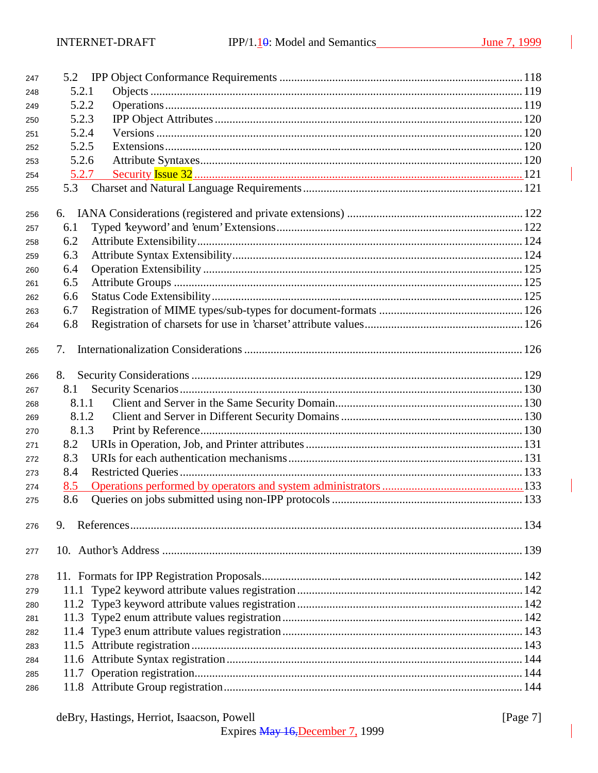| 247 | 5.2   |  |
|-----|-------|--|
| 248 | 5.2.1 |  |
| 249 | 5.2.2 |  |
| 250 | 5.2.3 |  |
| 251 | 5.2.4 |  |
| 252 | 5.2.5 |  |
| 253 | 5.2.6 |  |
| 254 | 5.2.7 |  |
| 255 | 5.3   |  |
|     |       |  |
| 256 |       |  |
| 257 | 6.1   |  |
| 258 | 6.2   |  |
| 259 | 6.3   |  |
| 260 | 6.4   |  |
| 261 | 6.5   |  |
| 262 | 6.6   |  |
| 263 | 6.7   |  |
| 264 | 6.8   |  |
| 265 | 7.    |  |
|     |       |  |
| 266 | 8.    |  |
| 267 | 8.1   |  |
| 268 | 8.1.1 |  |
| 269 | 8.1.2 |  |
| 270 | 8.1.3 |  |
| 271 | 8.2   |  |
| 272 | 8.3   |  |
| 273 | 8.4   |  |
| 274 | 8.5   |  |
| 275 | 8.6   |  |
| 276 | 9.    |  |
| 277 |       |  |
| 278 |       |  |
| 279 | 11.1  |  |
| 280 |       |  |
| 281 |       |  |
| 282 |       |  |
| 283 |       |  |
| 284 |       |  |
| 285 |       |  |
| 286 |       |  |
|     |       |  |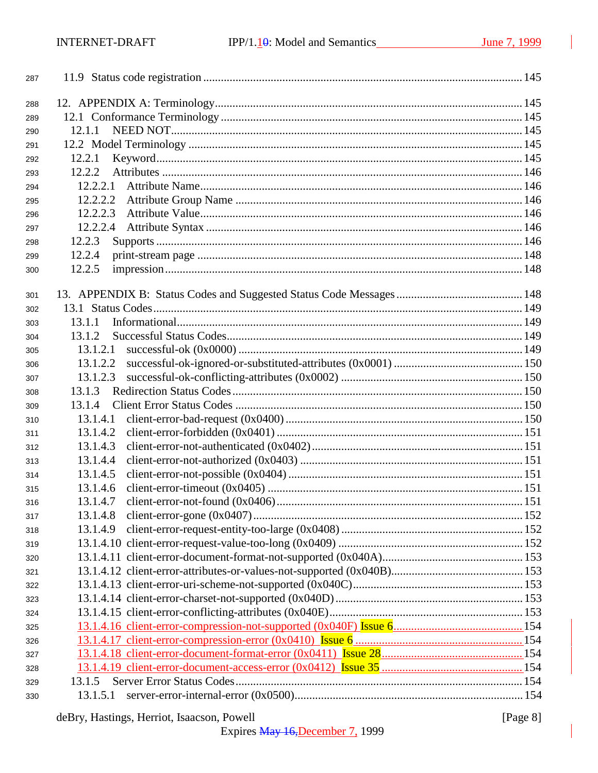| 287 |          |  |
|-----|----------|--|
| 288 |          |  |
| 289 |          |  |
| 290 | 12.1.1   |  |
| 291 |          |  |
| 292 | 12.2.1   |  |
| 293 | 12.2.2   |  |
| 294 | 12.2.2.1 |  |
| 295 | 12.2.2.2 |  |
| 296 | 12.2.2.3 |  |
| 297 | 12.2.2.4 |  |
| 298 | 12.2.3   |  |
| 299 | 12.2.4   |  |
| 300 | 12.2.5   |  |
|     |          |  |
| 301 |          |  |
| 302 |          |  |
| 303 | 13.1.1   |  |
| 304 | 13.1.2   |  |
| 305 | 13.1.2.1 |  |
| 306 | 13.1.2.2 |  |
| 307 | 13.1.2.3 |  |
| 308 | 13.1.3   |  |
| 309 | 13.1.4   |  |
| 310 | 13.1.4.1 |  |
| 311 | 13.1.4.2 |  |
| 312 | 13.1.4.3 |  |
| 313 | 13.1.4.4 |  |
| 314 | 13.1.4.5 |  |
| 315 | 13.1.4.6 |  |
| 316 | 13.1.4.7 |  |
| 317 | 13.1.4.8 |  |
| 318 | 13.1.4.9 |  |
| 319 |          |  |
| 320 |          |  |
| 321 |          |  |
| 322 |          |  |
| 323 |          |  |
| 324 |          |  |
| 325 |          |  |
| 326 |          |  |
| 327 |          |  |
| 328 |          |  |
| 329 | 13.1.5   |  |
| 330 | 13.1.5.1 |  |
|     |          |  |

## deBry, Hastings, Herriot, Isaacson, Powell

[Page 8]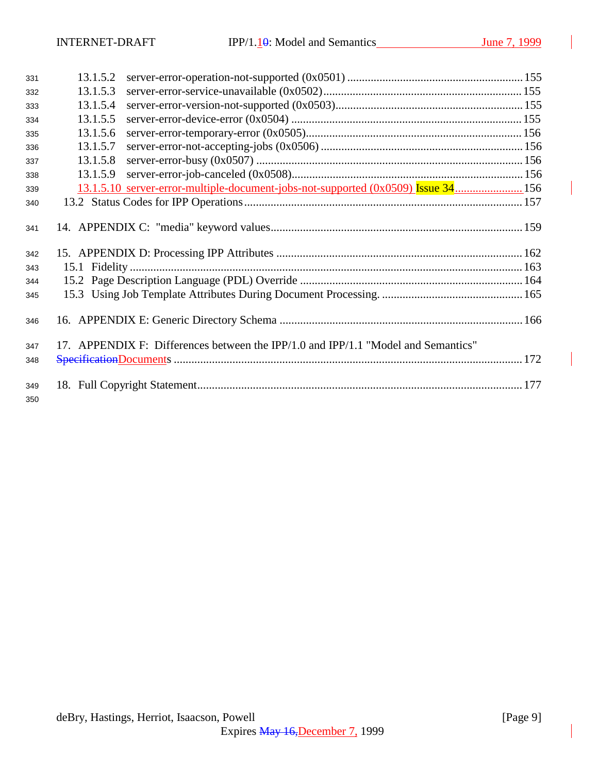| 331        | 13.1.5.2 |                                                                                   |  |
|------------|----------|-----------------------------------------------------------------------------------|--|
| 332        | 13.1.5.3 |                                                                                   |  |
| 333        | 13.1.5.4 |                                                                                   |  |
| 334        | 13.1.5.5 |                                                                                   |  |
| 335        | 13.1.5.6 |                                                                                   |  |
| 336        | 13.1.5.7 |                                                                                   |  |
| 337        | 13.1.5.8 |                                                                                   |  |
| 338        | 13.1.5.9 |                                                                                   |  |
| 339        |          | 13.1.5.10 server-error-multiple-document-jobs-not-supported (0x0509) Issue 34 156 |  |
| 340        |          |                                                                                   |  |
| 341        |          |                                                                                   |  |
| 342        |          |                                                                                   |  |
| 343        |          |                                                                                   |  |
| 344        |          |                                                                                   |  |
| 345        |          |                                                                                   |  |
| 346        |          |                                                                                   |  |
| 347        |          | 17. APPENDIX F: Differences between the IPP/1.0 and IPP/1.1 "Model and Semantics" |  |
| 348        |          |                                                                                   |  |
| 349<br>350 |          |                                                                                   |  |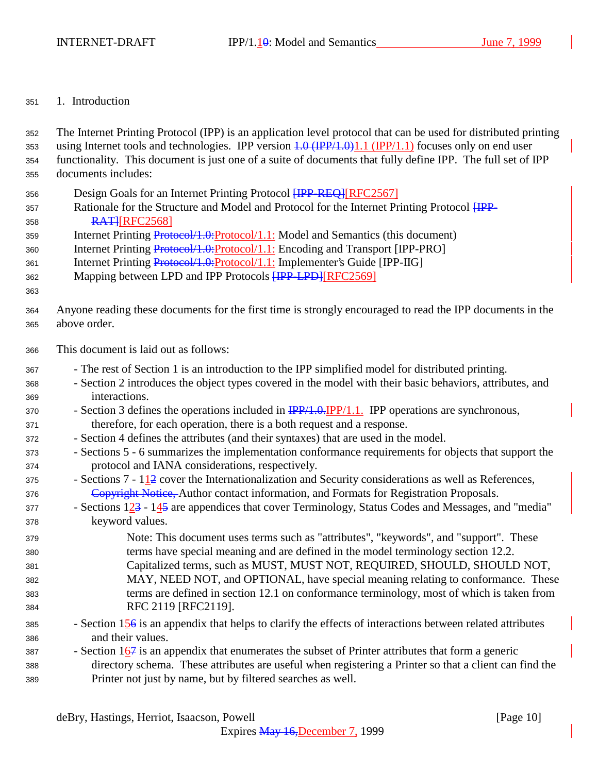### 1. Introduction

| 352 | The Internet Printing Protocol (IPP) is an application level protocol that can be used for distributed printing          |  |  |
|-----|--------------------------------------------------------------------------------------------------------------------------|--|--|
| 353 | using Internet tools and technologies. IPP version $1.0 \text{ (IPP/1.0)}1.1 \text{ (IPP/1.1)}$ focuses only on end user |  |  |
| 354 | functionality. This document is just one of a suite of documents that fully define IPP. The full set of IPP              |  |  |
| 355 | documents includes:                                                                                                      |  |  |
| 356 | Design Goals for an Internet Printing Protocol [IPP-REQ][RFC2567]                                                        |  |  |
| 357 | Rationale for the Structure and Model and Protocol for the Internet Printing Protocol HPP-                               |  |  |
| 358 | <b>RATHREC25681</b>                                                                                                      |  |  |
| 359 | Internet Printing Protocol/1.0: Protocol/1.1: Model and Semantics (this document)                                        |  |  |
| 360 | Internet Printing Protocol/1.0: Protocol/1.1: Encoding and Transport [IPP-PRO]                                           |  |  |
| 361 | Internet Printing Protocol/1.0: Protocol/1.1: Implementer's Guide [IPP-IIG]                                              |  |  |
| 362 | Mapping between LPD and IPP Protocols [IPP-LPD][RFC2569]                                                                 |  |  |
| 363 |                                                                                                                          |  |  |
| 364 | Anyone reading these documents for the first time is strongly encouraged to read the IPP documents in the                |  |  |
| 365 | above order.                                                                                                             |  |  |
| 366 | This document is laid out as follows:                                                                                    |  |  |
| 367 | - The rest of Section 1 is an introduction to the IPP simplified model for distributed printing.                         |  |  |
| 368 | - Section 2 introduces the object types covered in the model with their basic behaviors, attributes, and                 |  |  |
| 369 | interactions.                                                                                                            |  |  |
| 370 | - Section 3 defines the operations included in $\frac{IPP}{1.0} \cdot \frac{IPP}{1.1}$ . IPP operations are synchronous, |  |  |
| 371 | therefore, for each operation, there is a both request and a response.                                                   |  |  |
| 372 | - Section 4 defines the attributes (and their syntaxes) that are used in the model.                                      |  |  |
| 373 | - Sections 5 - 6 summarizes the implementation conformance requirements for objects that support the                     |  |  |
| 374 | protocol and IANA considerations, respectively.                                                                          |  |  |
| 375 | - Sections $7 - 112$ cover the Internationalization and Security considerations as well as References,                   |  |  |
| 376 | Copyright Notice, Author contact information, and Formats for Registration Proposals.                                    |  |  |
| 377 | - Sections 123 - 145 are appendices that cover Terminology, Status Codes and Messages, and "media"                       |  |  |
| 378 | keyword values.                                                                                                          |  |  |
| 379 | Note: This document uses terms such as "attributes", "keywords", and "support". These                                    |  |  |
| 380 | terms have special meaning and are defined in the model terminology section 12.2.                                        |  |  |
| 381 | Capitalized terms, such as MUST, MUST NOT, REQUIRED, SHOULD, SHOULD NOT,                                                 |  |  |
| 382 | MAY, NEED NOT, and OPTIONAL, have special meaning relating to conformance. These                                         |  |  |
| 383 | terms are defined in section 12.1 on conformance terminology, most of which is taken from                                |  |  |
| 384 | RFC 2119 [RFC2119].                                                                                                      |  |  |
| 385 | - Section $156$ is an appendix that helps to clarify the effects of interactions between related attributes              |  |  |
| 386 | and their values.                                                                                                        |  |  |
| 387 | - Section $167$ is an appendix that enumerates the subset of Printer attributes that form a generic                      |  |  |
| 388 | directory schema. These attributes are useful when registering a Printer so that a client can find the                   |  |  |
| 389 | Printer not just by name, but by filtered searches as well.                                                              |  |  |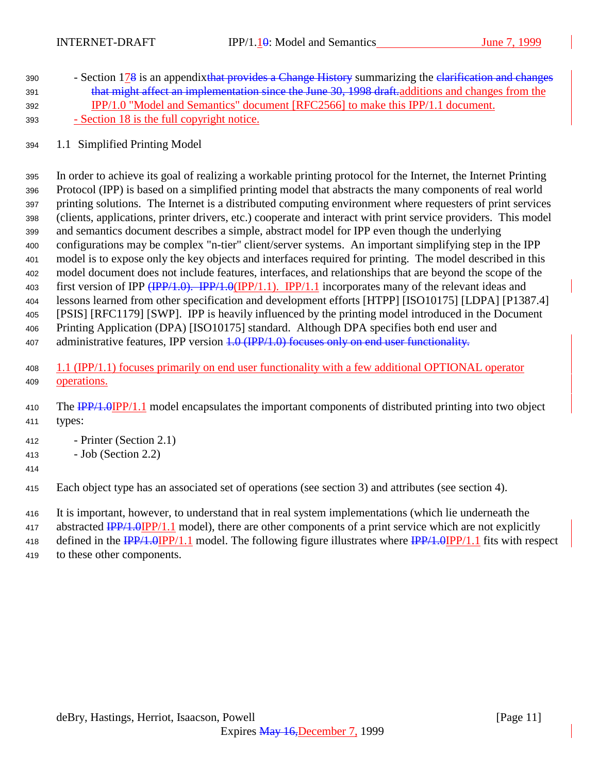- 390 Section 178 is an appendixt that provides a Change History summarizing the elarification and changes 391 that might affect an implementation since the June 30, 1998 draft. additions and changes from the IPP/1.0 "Model and Semantics" document [RFC2566] to make this IPP/1.1 document.  $393 - **Section 18** is the full copyright notice.$
- 1.1 Simplified Printing Model

 In order to achieve its goal of realizing a workable printing protocol for the Internet, the Internet Printing Protocol (IPP) is based on a simplified printing model that abstracts the many components of real world printing solutions. The Internet is a distributed computing environment where requesters of print services (clients, applications, printer drivers, etc.) cooperate and interact with print service providers. This model and semantics document describes a simple, abstract model for IPP even though the underlying configurations may be complex "n-tier" client/server systems. An important simplifying step in the IPP model is to expose only the key objects and interfaces required for printing. The model described in this model document does not include features, interfaces, and relationships that are beyond the scope of the 403 first version of IPP (IPP/1.0). IPP/1.0(IPP/1.1). IPP/1.1 incorporates many of the relevant ideas and lessons learned from other specification and development efforts [HTPP] [ISO10175] [LDPA] [P1387.4] [PSIS] [RFC1179] [SWP]. IPP is heavily influenced by the printing model introduced in the Document Printing Application (DPA) [ISO10175] standard. Although DPA specifies both end user and 407 administrative features, IPP version 4.0 (IPP/1.0) focuses only on end user functionality.

- 1.1 (IPP/1.1) focuses primarily on end user functionality with a few additional OPTIONAL operator operations.
- 410 The IPP/1.0IPP/1.1 model encapsulates the important components of distributed printing into two object types:
- Printer (Section 2.1)
- Job (Section 2.2)
- 
- Each object type has an associated set of operations (see section 3) and attributes (see section 4).
- It is important, however, to understand that in real system implementations (which lie underneath the
- 417 abstracted  $\frac{IPP}{1.0}$  IPP/1.1 model), there are other components of a print service which are not explicitly
- 418 defined in the IPP/1.0IPP/1.1 model. The following figure illustrates where IPP/1.0IPP/1.1 fits with respect
- to these other components.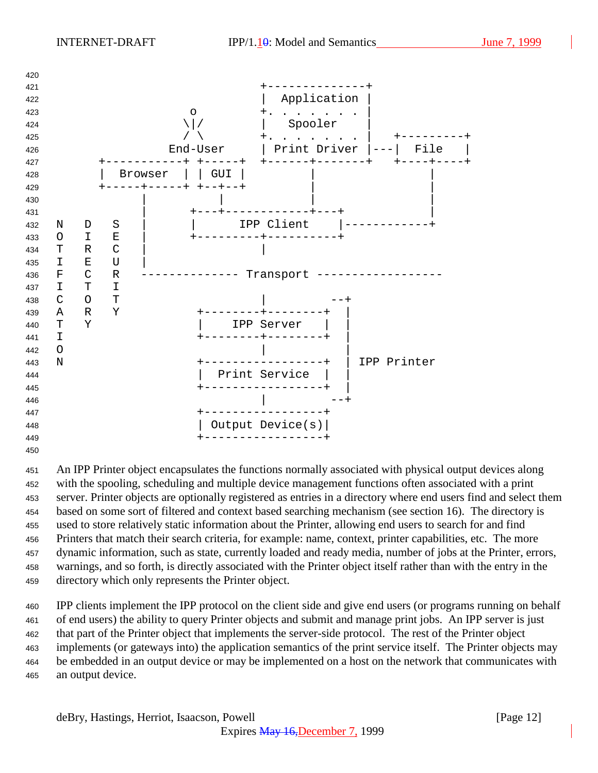

 An IPP Printer object encapsulates the functions normally associated with physical output devices along with the spooling, scheduling and multiple device management functions often associated with a print server. Printer objects are optionally registered as entries in a directory where end users find and select them based on some sort of filtered and context based searching mechanism (see section 16). The directory is used to store relatively static information about the Printer, allowing end users to search for and find Printers that match their search criteria, for example: name, context, printer capabilities, etc. The more dynamic information, such as state, currently loaded and ready media, number of jobs at the Printer, errors, warnings, and so forth, is directly associated with the Printer object itself rather than with the entry in the directory which only represents the Printer object.

 IPP clients implement the IPP protocol on the client side and give end users (or programs running on behalf of end users) the ability to query Printer objects and submit and manage print jobs. An IPP server is just that part of the Printer object that implements the server-side protocol. The rest of the Printer object implements (or gateways into) the application semantics of the print service itself. The Printer objects may be embedded in an output device or may be implemented on a host on the network that communicates with an output device.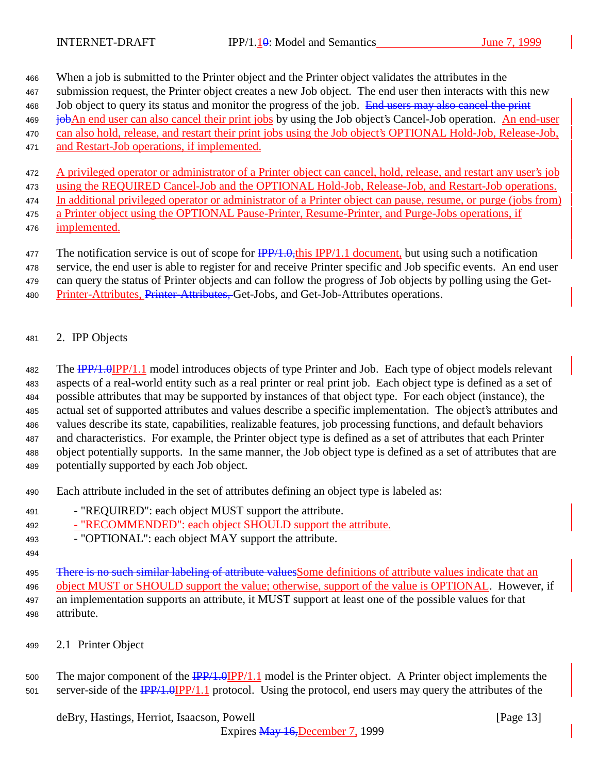When a job is submitted to the Printer object and the Printer object validates the attributes in the

- submission request, the Printer object creates a new Job object. The end user then interacts with this new
- 468 Job object to query its status and monitor the progress of the job. End users may also cancel the print
- **job**An end user can also cancel their print jobs by using the Job object's Cancel-Job operation. An end-user can also hold, release, and restart their print jobs using the Job object's OPTIONAL Hold-Job, Release-Job,
- 
- and Restart-Job operations, if implemented.

 A privileged operator or administrator of a Printer object can cancel, hold, release, and restart any user's job using the REQUIRED Cancel-Job and the OPTIONAL Hold-Job, Release-Job, and Restart-Job operations.

- In additional privileged operator or administrator of a Printer object can pause, resume, or purge (jobs from) a Printer object using the OPTIONAL Pause-Printer, Resume-Printer, and Purge-Jobs operations, if
- implemented.

477 The notification service is out of scope for  $\frac{IPP}{1.0}$ , this IPP/1.1 document, but using such a notification

service, the end user is able to register for and receive Printer specific and Job specific events. An end user

- can query the status of Printer objects and can follow the progress of Job objects by polling using the Get-
- 480 Printer-Attributes, Printer-Attributes, Get-Jobs, and Get-Job-Attributes operations.
- 2. IPP Objects

482 The **IPP/1.0IPP/1.1** model introduces objects of type Printer and Job. Each type of object models relevant aspects of a real-world entity such as a real printer or real print job. Each object type is defined as a set of possible attributes that may be supported by instances of that object type. For each object (instance), the actual set of supported attributes and values describe a specific implementation. The object's attributes and values describe its state, capabilities, realizable features, job processing functions, and default behaviors and characteristics. For example, the Printer object type is defined as a set of attributes that each Printer object potentially supports. In the same manner, the Job object type is defined as a set of attributes that are potentially supported by each Job object.

- Each attribute included in the set of attributes defining an object type is labeled as:
- "REQUIRED": each object MUST support the attribute.
- "RECOMMENDED": each object SHOULD support the attribute.
- "OPTIONAL": each object MAY support the attribute.
- 

495 There is no such similar labeling of attribute values Some definitions of attribute values indicate that an object MUST or SHOULD support the value; otherwise, support of the value is OPTIONAL. However, if an implementation supports an attribute, it MUST support at least one of the possible values for that attribute.

2.1 Printer Object

500 The major component of the  $\frac{IPP}{1.0}$  IPP/1.1 model is the Printer object. A Printer object implements the 501 server-side of the  $\frac{IPP}{1.0}$  IPP/1.1 protocol. Using the protocol, end users may query the attributes of the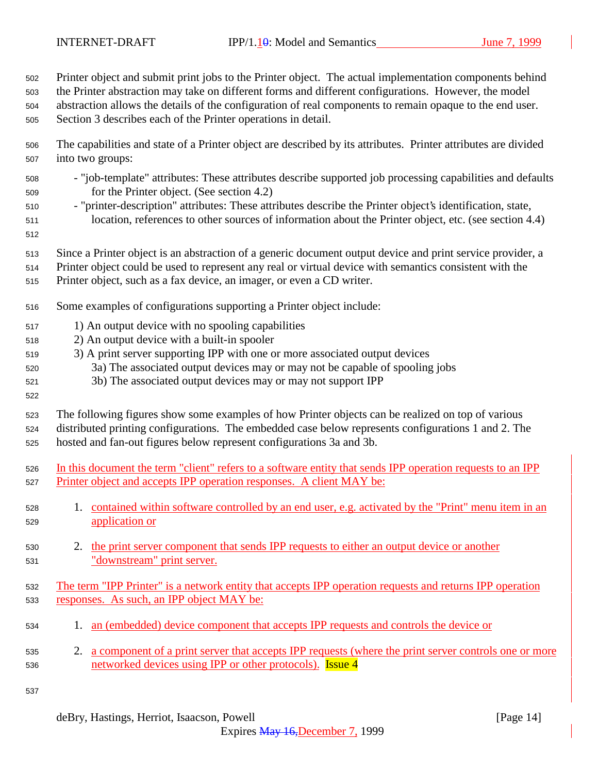Printer object and submit print jobs to the Printer object. The actual implementation components behind

the Printer abstraction may take on different forms and different configurations. However, the model

 abstraction allows the details of the configuration of real components to remain opaque to the end user. Section 3 describes each of the Printer operations in detail.

- The capabilities and state of a Printer object are described by its attributes. Printer attributes are divided into two groups:
- "job-template" attributes: These attributes describe supported job processing capabilities and defaults for the Printer object. (See section 4.2)
- "printer-description" attributes: These attributes describe the Printer object's identification, state, location, references to other sources of information about the Printer object, etc. (see section 4.4)
- 

- Since a Printer object is an abstraction of a generic document output device and print service provider, a
- Printer object could be used to represent any real or virtual device with semantics consistent with the
- Printer object, such as a fax device, an imager, or even a CD writer.
- Some examples of configurations supporting a Printer object include:
- 1) An output device with no spooling capabilities
- 2) An output device with a built-in spooler
- 3) A print server supporting IPP with one or more associated output devices
- 3a) The associated output devices may or may not be capable of spooling jobs
- 3b) The associated output devices may or may not support IPP
- The following figures show some examples of how Printer objects can be realized on top of various distributed printing configurations. The embedded case below represents configurations 1 and 2. The hosted and fan-out figures below represent configurations 3a and 3b.
- In this document the term "client" refers to a software entity that sends IPP operation requests to an IPP Printer object and accepts IPP operation responses. A client MAY be:
- 1. contained within software controlled by an end user, e.g. activated by the "Print" menu item in an application or
- 530 2. the print server component that sends IPP requests to either an output device or another "downstream" print server.
- The term "IPP Printer" is a network entity that accepts IPP operation requests and returns IPP operation responses. As such, an IPP object MAY be:
- 1. an (embedded) device component that accepts IPP requests and controls the device or
- 2. a component of a print server that accepts IPP requests (where the print server controls one or more 536 networked devices using IPP or other protocols). **Issue 4**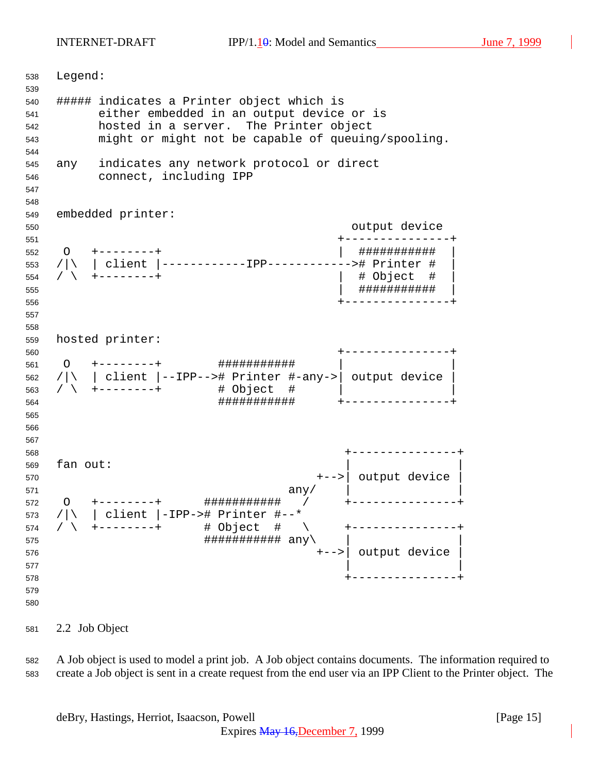INTERNET-DRAFT IPP/1.10: Model and Semantics June 7, 1999

 Legend: ##### indicates a Printer object which is either embedded in an output device or is hosted in a server. The Printer object might or might not be capable of queuing/spooling. any indicates any network protocol or direct connect, including IPP embedded printer: output device +---------------+ O +--------+ | ########### | /|\ | client |------------IPP------------># Printer # | / \ +--------+ | # Object # | | ########### | +---------------+ hosted printer: +---------------+ O +--------+ ########### | | /|\ | client |--IPP--># Printer #-any->| output device | / \ +--------+ # Object # | | ########### +---------------+ +---------------+ fan out: +-->| output device | any  $\vert$  any  $\vert$  any  $\vert$  any  $\vert$  any  $\vert$  any  $\vert$  any  $\vert$  any  $\vert$  any  $\vert$  and  $\vert$  and  $\vert$  and  $\vert$  and  $\vert$  and  $\vert$  and  $\vert$  and  $\vert$  and  $\vert$  and  $\vert$  and  $\vert$  and  $\vert$  and  $\vert$  and  $\vert$  and  $\vert$  and  $\vert$ 572 〇 +-------+ <mark>###############</mark> / +---------------- /|\ | client |-IPP-># Printer #--\* / \ +--------+ # Object # \ +---------------+  $\# \# \# \# \# \# \# \# \# \# \# \ \text{any} \setminus$  +-->| output device |  $\qquad \qquad$  +---------------+ 

2.2 Job Object

 A Job object is used to model a print job. A Job object contains documents. The information required to create a Job object is sent in a create request from the end user via an IPP Client to the Printer object. The

deBry, Hastings, Herriot, Isaacson, Powell [Page 15]

Expires May 16,December 7, 1999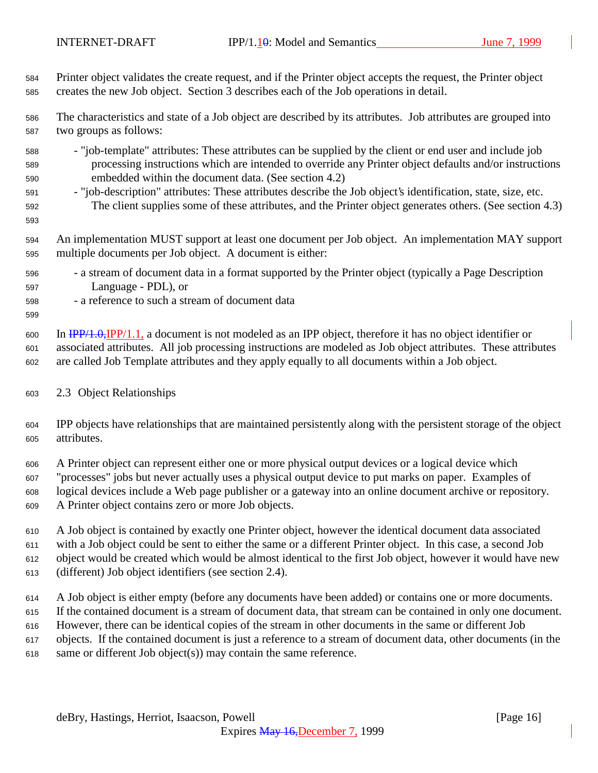Printer object validates the create request, and if the Printer object accepts the request, the Printer object creates the new Job object. Section 3 describes each of the Job operations in detail.

 The characteristics and state of a Job object are described by its attributes. Job attributes are grouped into two groups as follows:

- "job-template" attributes: These attributes can be supplied by the client or end user and include job processing instructions which are intended to override any Printer object defaults and/or instructions embedded within the document data. (See section 4.2)
- "job-description" attributes: These attributes describe the Job object's identification, state, size, etc. The client supplies some of these attributes, and the Printer object generates others. (See section 4.3)
- An implementation MUST support at least one document per Job object. An implementation MAY support multiple documents per Job object. A document is either:
- a stream of document data in a format supported by the Printer object (typically a Page Description Language - PDL), or
- a reference to such a stream of document data

 In IPP/1.0,IPP/1.1, a document is not modeled as an IPP object, therefore it has no object identifier or associated attributes. All job processing instructions are modeled as Job object attributes. These attributes are called Job Template attributes and they apply equally to all documents within a Job object.

#### 2.3 Object Relationships

 IPP objects have relationships that are maintained persistently along with the persistent storage of the object attributes.

 A Printer object can represent either one or more physical output devices or a logical device which "processes" jobs but never actually uses a physical output device to put marks on paper. Examples of logical devices include a Web page publisher or a gateway into an online document archive or repository. A Printer object contains zero or more Job objects.

 A Job object is contained by exactly one Printer object, however the identical document data associated with a Job object could be sent to either the same or a different Printer object. In this case, a second Job object would be created which would be almost identical to the first Job object, however it would have new (different) Job object identifiers (see section 2.4).

 A Job object is either empty (before any documents have been added) or contains one or more documents. If the contained document is a stream of document data, that stream can be contained in only one document. However, there can be identical copies of the stream in other documents in the same or different Job objects. If the contained document is just a reference to a stream of document data, other documents (in the

same or different Job object(s)) may contain the same reference.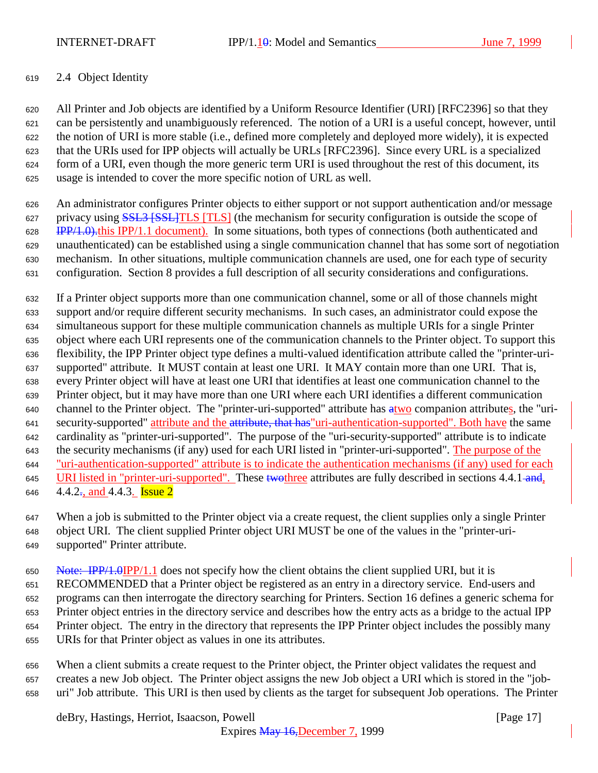INTERNET-DRAFT IPP/1.10: Model and Semantics June 7, 1999

#### 2.4 Object Identity

 All Printer and Job objects are identified by a Uniform Resource Identifier (URI) [RFC2396] so that they can be persistently and unambiguously referenced. The notion of a URI is a useful concept, however, until the notion of URI is more stable (i.e., defined more completely and deployed more widely), it is expected that the URIs used for IPP objects will actually be URLs [RFC2396]. Since every URL is a specialized form of a URI, even though the more generic term URI is used throughout the rest of this document, its usage is intended to cover the more specific notion of URL as well.

 An administrator configures Printer objects to either support or not support authentication and/or message 627 privacy using **SSL3 [SSL]TLS** [TLS] (the mechanism for security configuration is outside the scope of 628 IPP/1.0).this IPP/1.1 document). In some situations, both types of connections (both authenticated and unauthenticated) can be established using a single communication channel that has some sort of negotiation mechanism. In other situations, multiple communication channels are used, one for each type of security configuration. Section 8 provides a full description of all security considerations and configurations.

 If a Printer object supports more than one communication channel, some or all of those channels might support and/or require different security mechanisms. In such cases, an administrator could expose the simultaneous support for these multiple communication channels as multiple URIs for a single Printer object where each URI represents one of the communication channels to the Printer object. To support this flexibility, the IPP Printer object type defines a multi-valued identification attribute called the "printer-uri- supported" attribute. It MUST contain at least one URI. It MAY contain more than one URI. That is, every Printer object will have at least one URI that identifies at least one communication channel to the Printer object, but it may have more than one URI where each URI identifies a different communication 640 channel to the Printer object. The "printer-uri-supported" attribute has atwo companion attributes, the "uri-641 security-supported" attribute and the attribute, that has "uri-authentication-supported". Both have the same cardinality as "printer-uri-supported". The purpose of the "uri-security-supported" attribute is to indicate 643 the security mechanisms (if any) used for each URI listed in "printer-uri-supported". The purpose of the "uri-authentication-supported" attribute is to indicate the authentication mechanisms (if any) used for each 645 URI listed in "printer-uri-supported". These two three attributes are fully described in sections 4.4.1 and, 646 4.4.2<sup>-</sup>, and 4.4.3. **Issue 2** 

 When a job is submitted to the Printer object via a create request, the client supplies only a single Printer object URI. The client supplied Printer object URI MUST be one of the values in the "printer-uri-supported" Printer attribute.

650 Note:  $\frac{HP}{4.0IPP}{1.1}$  does not specify how the client obtains the client supplied URI, but it is RECOMMENDED that a Printer object be registered as an entry in a directory service. End-users and programs can then interrogate the directory searching for Printers. Section 16 defines a generic schema for Printer object entries in the directory service and describes how the entry acts as a bridge to the actual IPP Printer object. The entry in the directory that represents the IPP Printer object includes the possibly many URIs for that Printer object as values in one its attributes.

 When a client submits a create request to the Printer object, the Printer object validates the request and creates a new Job object. The Printer object assigns the new Job object a URI which is stored in the "job-uri" Job attribute. This URI is then used by clients as the target for subsequent Job operations. The Printer

deBry, Hastings, Herriot, Isaacson, Powell **Example 20** (Page 17)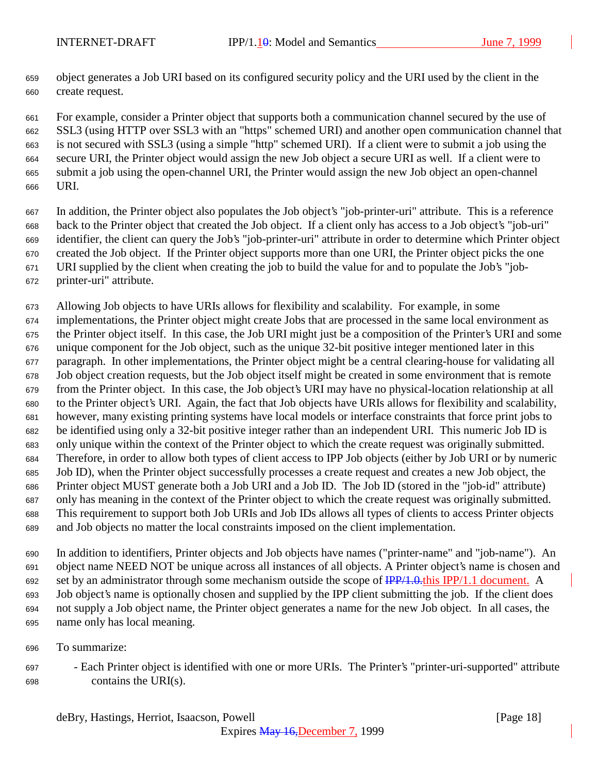object generates a Job URI based on its configured security policy and the URI used by the client in the create request.

 For example, consider a Printer object that supports both a communication channel secured by the use of SSL3 (using HTTP over SSL3 with an "https" schemed URI) and another open communication channel that is not secured with SSL3 (using a simple "http" schemed URI). If a client were to submit a job using the secure URI, the Printer object would assign the new Job object a secure URI as well. If a client were to submit a job using the open-channel URI, the Printer would assign the new Job object an open-channel URI.

 In addition, the Printer object also populates the Job object's "job-printer-uri" attribute. This is a reference back to the Printer object that created the Job object. If a client only has access to a Job object's "job-uri" identifier, the client can query the Job's "job-printer-uri" attribute in order to determine which Printer object created the Job object. If the Printer object supports more than one URI, the Printer object picks the one URI supplied by the client when creating the job to build the value for and to populate the Job's "job-printer-uri" attribute.

 Allowing Job objects to have URIs allows for flexibility and scalability. For example, in some implementations, the Printer object might create Jobs that are processed in the same local environment as the Printer object itself. In this case, the Job URI might just be a composition of the Printer's URI and some unique component for the Job object, such as the unique 32-bit positive integer mentioned later in this paragraph. In other implementations, the Printer object might be a central clearing-house for validating all Job object creation requests, but the Job object itself might be created in some environment that is remote from the Printer object. In this case, the Job object's URI may have no physical-location relationship at all to the Printer object's URI. Again, the fact that Job objects have URIs allows for flexibility and scalability, however, many existing printing systems have local models or interface constraints that force print jobs to be identified using only a 32-bit positive integer rather than an independent URI. This numeric Job ID is only unique within the context of the Printer object to which the create request was originally submitted. Therefore, in order to allow both types of client access to IPP Job objects (either by Job URI or by numeric Job ID), when the Printer object successfully processes a create request and creates a new Job object, the Printer object MUST generate both a Job URI and a Job ID. The Job ID (stored in the "job-id" attribute) only has meaning in the context of the Printer object to which the create request was originally submitted. This requirement to support both Job URIs and Job IDs allows all types of clients to access Printer objects and Job objects no matter the local constraints imposed on the client implementation.

 In addition to identifiers, Printer objects and Job objects have names ("printer-name" and "job-name"). An object name NEED NOT be unique across all instances of all objects. A Printer object's name is chosen and 692 set by an administrator through some mechanism outside the scope of  $\frac{IPP}{1.0.0}$ this IPP/1.1 document. A Job object's name is optionally chosen and supplied by the IPP client submitting the job. If the client does not supply a Job object name, the Printer object generates a name for the new Job object. In all cases, the name only has local meaning.

- To summarize:
- Each Printer object is identified with one or more URIs. The Printer's "printer-uri-supported" attribute contains the URI(s).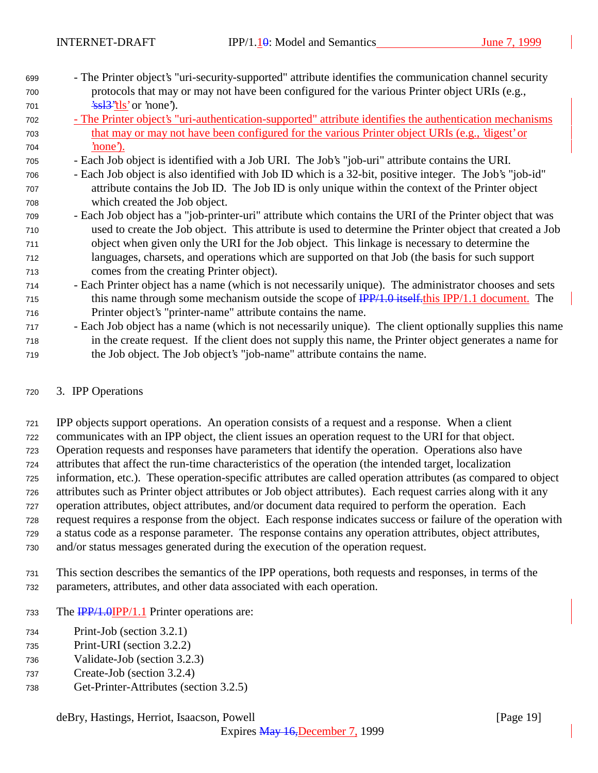- The Printer object's "uri-security-supported" attribute identifies the communication channel security protocols that may or may not have been configured for the various Printer object URIs (e.g.,  $701 \frac{\text{2s}}{3}$ <sup>2</sup>tls' or 'none').
- The Printer object's "uri-authentication-supported" attribute identifies the authentication mechanisms that may or may not have been configured for the various Printer object URIs (e.g., 'digest' or 'none').
- Each Job object is identified with a Job URI. The Job's "job-uri" attribute contains the URI.
- Each Job object is also identified with Job ID which is a 32-bit, positive integer. The Job's "job-id" attribute contains the Job ID. The Job ID is only unique within the context of the Printer object which created the Job object.
- Each Job object has a "job-printer-uri" attribute which contains the URI of the Printer object that was used to create the Job object. This attribute is used to determine the Printer object that created a Job object when given only the URI for the Job object. This linkage is necessary to determine the languages, charsets, and operations which are supported on that Job (the basis for such support comes from the creating Printer object).
- Each Printer object has a name (which is not necessarily unique). The administrator chooses and sets 715 this name through some mechanism outside the scope of  $\frac{IPP}{1.0}$  itself. this IPP/1.1 document. The Printer object's "printer-name" attribute contains the name.
- Each Job object has a name (which is not necessarily unique). The client optionally supplies this name in the create request. If the client does not supply this name, the Printer object generates a name for the Job object. The Job object's "job-name" attribute contains the name.

#### 3. IPP Operations

 IPP objects support operations. An operation consists of a request and a response. When a client communicates with an IPP object, the client issues an operation request to the URI for that object. Operation requests and responses have parameters that identify the operation. Operations also have attributes that affect the run-time characteristics of the operation (the intended target, localization information, etc.). These operation-specific attributes are called operation attributes (as compared to object attributes such as Printer object attributes or Job object attributes). Each request carries along with it any operation attributes, object attributes, and/or document data required to perform the operation. Each request requires a response from the object. Each response indicates success or failure of the operation with a status code as a response parameter. The response contains any operation attributes, object attributes, and/or status messages generated during the execution of the operation request.

- This section describes the semantics of the IPP operations, both requests and responses, in terms of the parameters, attributes, and other data associated with each operation.
- 733 The **IPP/1.0IPP/1.1** Printer operations are:
- Print-Job (section 3.2.1)
- Print-URI (section 3.2.2)
- Validate-Job (section 3.2.3)
- Create-Job (section 3.2.4)
- Get-Printer-Attributes (section 3.2.5)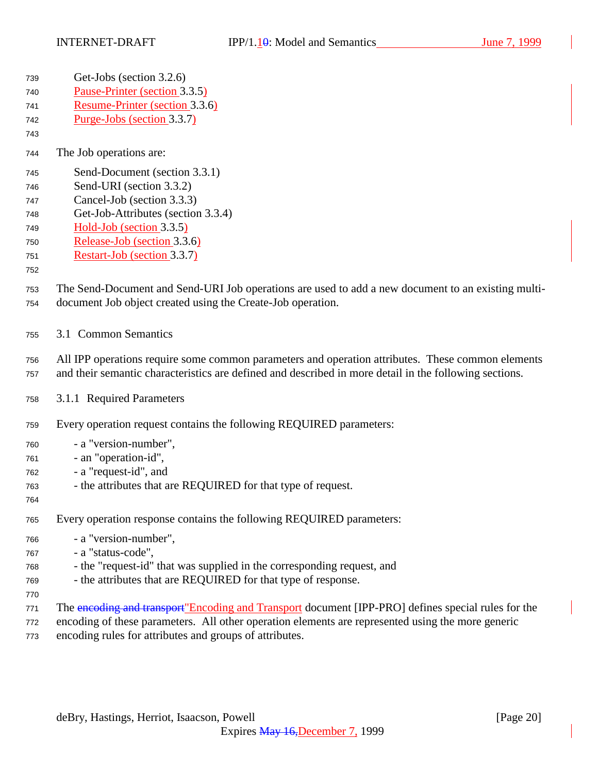| 739 | Get-Jobs (section 3.2.6)                                                                               |
|-----|--------------------------------------------------------------------------------------------------------|
| 740 | Pause-Printer (section 3.3.5)                                                                          |
| 741 | Resume-Printer (section 3.3.6)                                                                         |
| 742 | Purge-Jobs (section 3.3.7)                                                                             |
| 743 |                                                                                                        |
| 744 | The Job operations are:                                                                                |
| 745 | Send-Document (section 3.3.1)                                                                          |
| 746 | Send-URI (section 3.3.2)                                                                               |
| 747 | Cancel-Job (section 3.3.3)                                                                             |
| 748 | Get-Job-Attributes (section 3.3.4)                                                                     |
| 749 | Hold-Job (section 3.3.5)                                                                               |
| 750 | Release-Job (section 3.3.6)                                                                            |
| 751 | Restart-Job (section 3.3.7)                                                                            |
| 752 |                                                                                                        |
| 753 | The Send-Document and Send-URI Job operations are used to add a new document to an existing multi-     |
| 754 | document Job object created using the Create-Job operation.                                            |
|     |                                                                                                        |
| 755 | 3.1 Common Semantics                                                                                   |
| 756 | All IPP operations require some common parameters and operation attributes. These common elements      |
| 757 | and their semantic characteristics are defined and described in more detail in the following sections. |
| 758 | 3.1.1 Required Parameters                                                                              |
|     |                                                                                                        |
| 759 | Every operation request contains the following REQUIRED parameters:                                    |
| 760 | - a "version-number",                                                                                  |
| 761 | - an "operation-id",                                                                                   |
| 762 | - a "request-id", and                                                                                  |
| 763 | - the attributes that are REQUIRED for that type of request.                                           |
| 764 |                                                                                                        |
| 765 | Every operation response contains the following REQUIRED parameters:                                   |
| 766 | - a "version-number",                                                                                  |
| 767 | - a "status-code",                                                                                     |
| 768 | - the "request-id" that was supplied in the corresponding request, and                                 |
| 769 | - the attributes that are REQUIRED for that type of response.                                          |
| 770 |                                                                                                        |
| 771 | The encoding and transport"Encoding and Transport document [IPP-PRO] defines special rules for the     |

- encoding of these parameters. All other operation elements are represented using the more generic
- encoding rules for attributes and groups of attributes.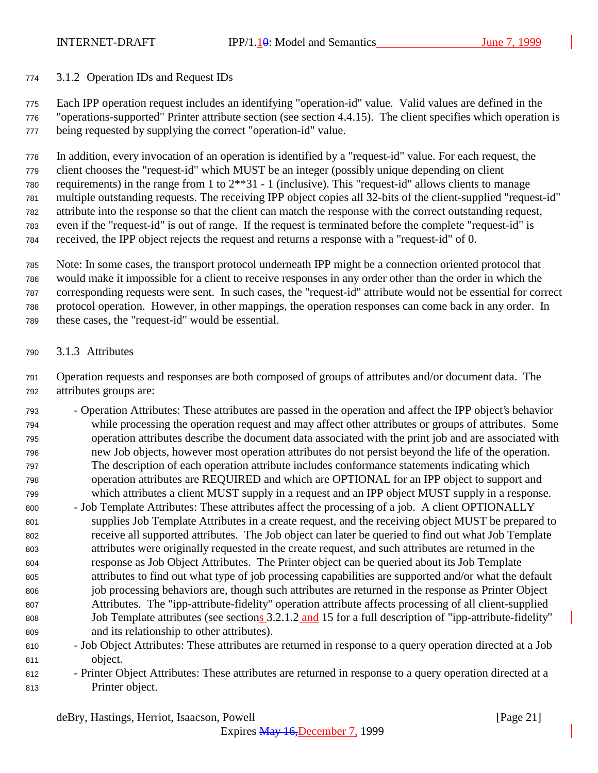#### 3.1.2 Operation IDs and Request IDs

 Each IPP operation request includes an identifying "operation-id" value. Valid values are defined in the "operations-supported" Printer attribute section (see section 4.4.15). The client specifies which operation is being requested by supplying the correct "operation-id" value.

 In addition, every invocation of an operation is identified by a "request-id" value. For each request, the client chooses the "request-id" which MUST be an integer (possibly unique depending on client requirements) in the range from 1 to 2\*\*31 - 1 (inclusive). This "request-id" allows clients to manage multiple outstanding requests. The receiving IPP object copies all 32-bits of the client-supplied "request-id" attribute into the response so that the client can match the response with the correct outstanding request, even if the "request-id" is out of range. If the request is terminated before the complete "request-id" is received, the IPP object rejects the request and returns a response with a "request-id" of 0.

 Note: In some cases, the transport protocol underneath IPP might be a connection oriented protocol that would make it impossible for a client to receive responses in any order other than the order in which the corresponding requests were sent. In such cases, the "request-id" attribute would not be essential for correct protocol operation. However, in other mappings, the operation responses can come back in any order. In these cases, the "request-id" would be essential.

3.1.3 Attributes

 Operation requests and responses are both composed of groups of attributes and/or document data. The attributes groups are:

- Operation Attributes: These attributes are passed in the operation and affect the IPP object's behavior while processing the operation request and may affect other attributes or groups of attributes. Some operation attributes describe the document data associated with the print job and are associated with new Job objects, however most operation attributes do not persist beyond the life of the operation. The description of each operation attribute includes conformance statements indicating which operation attributes are REQUIRED and which are OPTIONAL for an IPP object to support and which attributes a client MUST supply in a request and an IPP object MUST supply in a response.
- Job Template Attributes: These attributes affect the processing of a job. A client OPTIONALLY supplies Job Template Attributes in a create request, and the receiving object MUST be prepared to receive all supported attributes. The Job object can later be queried to find out what Job Template attributes were originally requested in the create request, and such attributes are returned in the response as Job Object Attributes. The Printer object can be queried about its Job Template attributes to find out what type of job processing capabilities are supported and/or what the default job processing behaviors are, though such attributes are returned in the response as Printer Object Attributes. The "ipp-attribute-fidelity" operation attribute affects processing of all client-supplied 808 Job Template attributes (see sections 3.2.1.2 and 15 for a full description of "ipp-attribute-fidelity" and its relationship to other attributes).
- Job Object Attributes: These attributes are returned in response to a query operation directed at a Job object.
- Printer Object Attributes: These attributes are returned in response to a query operation directed at a Printer object.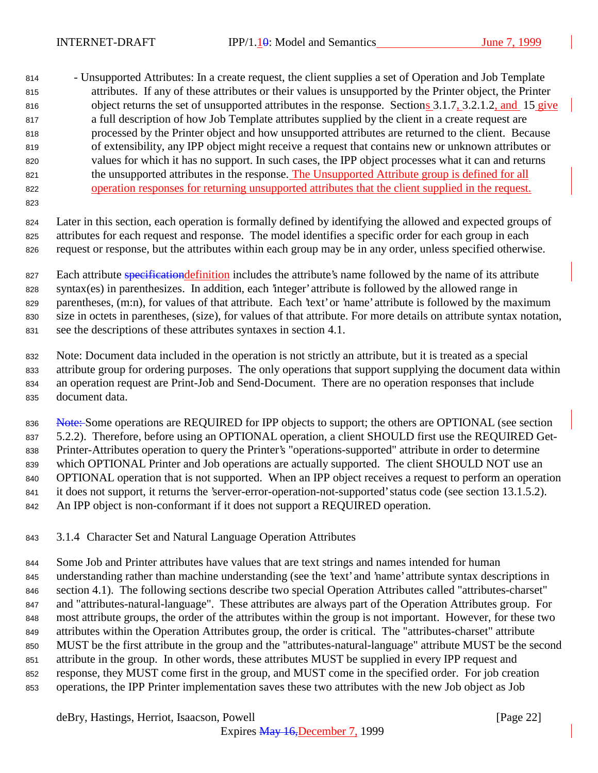814 - Unsupported Attributes: In a create request, the client supplies a set of Operation and Job Template attributes. If any of these attributes or their values is unsupported by the Printer object, the Printer 816 object returns the set of unsupported attributes in the response. Sections 3.1.7, 3.2.1.2, and 15 give a full description of how Job Template attributes supplied by the client in a create request are processed by the Printer object and how unsupported attributes are returned to the client. Because of extensibility, any IPP object might receive a request that contains new or unknown attributes or values for which it has no support. In such cases, the IPP object processes what it can and returns the unsupported attributes in the response. The Unsupported Attribute group is defined for all operation responses for returning unsupported attributes that the client supplied in the request.

 Later in this section, each operation is formally defined by identifying the allowed and expected groups of attributes for each request and response. The model identifies a specific order for each group in each request or response, but the attributes within each group may be in any order, unless specified otherwise.

827 Each attribute specification definition includes the attribute's name followed by the name of its attribute syntax(es) in parenthesizes. In addition, each 'integer' attribute is followed by the allowed range in 829 parentheses, (m:n), for values of that attribute. Each 'text' or 'name' attribute is followed by the maximum size in octets in parentheses, (size), for values of that attribute. For more details on attribute syntax notation, see the descriptions of these attributes syntaxes in section 4.1.

 Note: Document data included in the operation is not strictly an attribute, but it is treated as a special attribute group for ordering purposes. The only operations that support supplying the document data within an operation request are Print-Job and Send-Document. There are no operation responses that include document data.

836 Note: Some operations are REQUIRED for IPP objects to support; the others are OPTIONAL (see section 5.2.2). Therefore, before using an OPTIONAL operation, a client SHOULD first use the REQUIRED Get- Printer-Attributes operation to query the Printer's "operations-supported" attribute in order to determine which OPTIONAL Printer and Job operations are actually supported. The client SHOULD NOT use an OPTIONAL operation that is not supported. When an IPP object receives a request to perform an operation it does not support, it returns the 'server-error-operation-not-supported' status code (see section 13.1.5.2). An IPP object is non-conformant if it does not support a REQUIRED operation.

3.1.4 Character Set and Natural Language Operation Attributes

 Some Job and Printer attributes have values that are text strings and names intended for human understanding rather than machine understanding (see the 'text' and 'name' attribute syntax descriptions in section 4.1). The following sections describe two special Operation Attributes called "attributes-charset" and "attributes-natural-language". These attributes are always part of the Operation Attributes group. For most attribute groups, the order of the attributes within the group is not important. However, for these two attributes within the Operation Attributes group, the order is critical. The "attributes-charset" attribute MUST be the first attribute in the group and the "attributes-natural-language" attribute MUST be the second attribute in the group. In other words, these attributes MUST be supplied in every IPP request and response, they MUST come first in the group, and MUST come in the specified order. For job creation operations, the IPP Printer implementation saves these two attributes with the new Job object as Job

deBry, Hastings, Herriot, Isaacson, Powell [Page 22]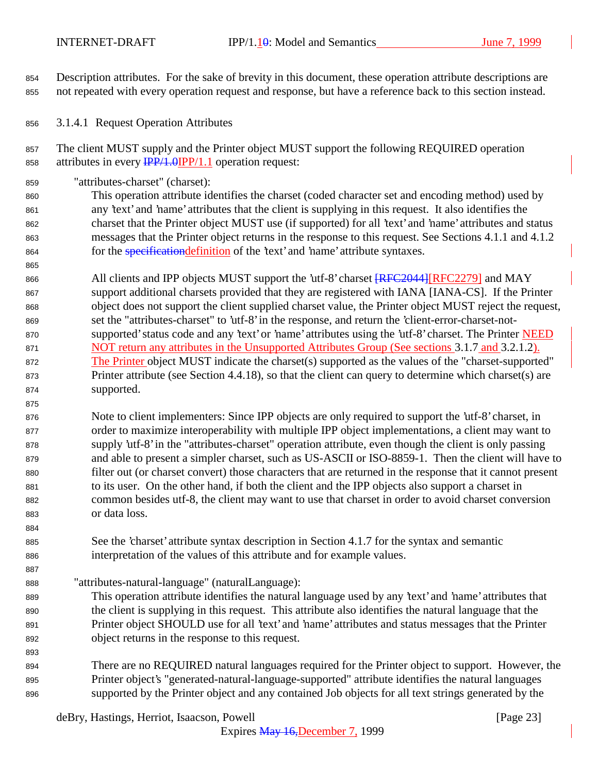Description attributes. For the sake of brevity in this document, these operation attribute descriptions are not repeated with every operation request and response, but have a reference back to this section instead.

3.1.4.1 Request Operation Attributes

 The client MUST supply and the Printer object MUST support the following REQUIRED operation 858 attributes in every  $\frac{IPP}{1.0}$  (IPP/1.1 operation request:

"attributes-charset" (charset):

 This operation attribute identifies the charset (coded character set and encoding method) used by any 'text' and 'name' attributes that the client is supplying in this request. It also identifies the charset that the Printer object MUST use (if supported) for all 'text' and 'name' attributes and status messages that the Printer object returns in the response to this request. See Sections 4.1.1 and 4.1.2 864 for the *specification definition* of the 'text' and 'name' attribute syntaxes.

866 All clients and IPP objects MUST support the 'utf-8' charset  $RFC2044$  [RFC2279] and MAY support additional charsets provided that they are registered with IANA [IANA-CS]. If the Printer object does not support the client supplied charset value, the Printer object MUST reject the request, set the "attributes-charset" to 'utf-8' in the response, and return the 'client-error-charset-not- supported' status code and any 'text' or 'name' attributes using the 'utf-8' charset. The Printer NEED 871 NOT return any attributes in the Unsupported Attributes Group (See sections 3.1.7 and 3.2.1.2). 872 The Printer object MUST indicate the charset(s) supported as the values of the "charset-supported" Printer attribute (see Section 4.4.18), so that the client can query to determine which charset(s) are supported.

 Note to client implementers: Since IPP objects are only required to support the 'utf-8' charset, in order to maximize interoperability with multiple IPP object implementations, a client may want to supply 'utf-8' in the "attributes-charset" operation attribute, even though the client is only passing and able to present a simpler charset, such as US-ASCII or ISO-8859-1. Then the client will have to filter out (or charset convert) those characters that are returned in the response that it cannot present to its user. On the other hand, if both the client and the IPP objects also support a charset in common besides utf-8, the client may want to use that charset in order to avoid charset conversion or data loss.

- See the 'charset' attribute syntax description in Section 4.1.7 for the syntax and semantic interpretation of the values of this attribute and for example values.
- "attributes-natural-language" (naturalLanguage):
- This operation attribute identifies the natural language used by any 'text' and 'name' attributes that the client is supplying in this request. This attribute also identifies the natural language that the Printer object SHOULD use for all 'text' and 'name' attributes and status messages that the Printer object returns in the response to this request.
- There are no REQUIRED natural languages required for the Printer object to support. However, the Printer object's "generated-natural-language-supported" attribute identifies the natural languages supported by the Printer object and any contained Job objects for all text strings generated by the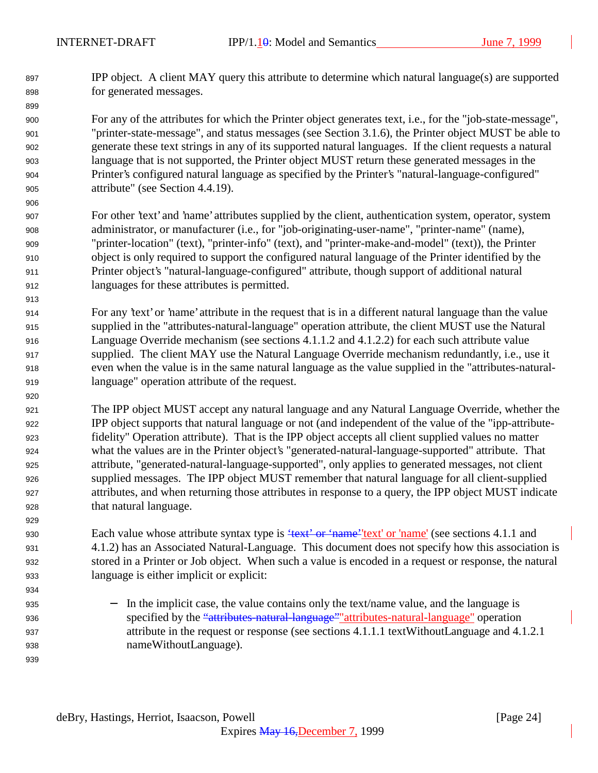IPP object. A client MAY query this attribute to determine which natural language(s) are supported for generated messages.

 For any of the attributes for which the Printer object generates text, i.e., for the "job-state-message", "printer-state-message", and status messages (see Section 3.1.6), the Printer object MUST be able to generate these text strings in any of its supported natural languages. If the client requests a natural language that is not supported, the Printer object MUST return these generated messages in the Printer's configured natural language as specified by the Printer's "natural-language-configured" attribute" (see Section 4.4.19).

- For other 'text' and 'name' attributes supplied by the client, authentication system, operator, system administrator, or manufacturer (i.e., for "job-originating-user-name", "printer-name" (name), "printer-location" (text), "printer-info" (text), and "printer-make-and-model" (text)), the Printer object is only required to support the configured natural language of the Printer identified by the Printer object's "natural-language-configured" attribute, though support of additional natural languages for these attributes is permitted.
- For any 'text' or 'name' attribute in the request that is in a different natural language than the value supplied in the "attributes-natural-language" operation attribute, the client MUST use the Natural Language Override mechanism (see sections 4.1.1.2 and 4.1.2.2) for each such attribute value supplied. The client MAY use the Natural Language Override mechanism redundantly, i.e., use it even when the value is in the same natural language as the value supplied in the "attributes-natural-language" operation attribute of the request.
- The IPP object MUST accept any natural language and any Natural Language Override, whether the IPP object supports that natural language or not (and independent of the value of the "ipp-attribute- fidelity" Operation attribute). That is the IPP object accepts all client supplied values no matter what the values are in the Printer object's "generated-natural-language-supported" attribute. That attribute, "generated-natural-language-supported", only applies to generated messages, not client supplied messages. The IPP object MUST remember that natural language for all client-supplied attributes, and when returning those attributes in response to a query, the IPP object MUST indicate that natural language.

930 Each value whose attribute syntax type is "text" or 'name" (see sections 4.1.1 and 4.1.2) has an Associated Natural-Language. This document does not specify how this association is stored in a Printer or Job object. When such a value is encoded in a request or response, the natural language is either implicit or explicit:

935 − In the implicit case, the value contains only the text/name value, and the language is 936 specified by the "attributes-natural-language" attributes-natural-language" operation attribute in the request or response (see sections 4.1.1.1 textWithoutLanguage and 4.1.2.1 nameWithoutLanguage).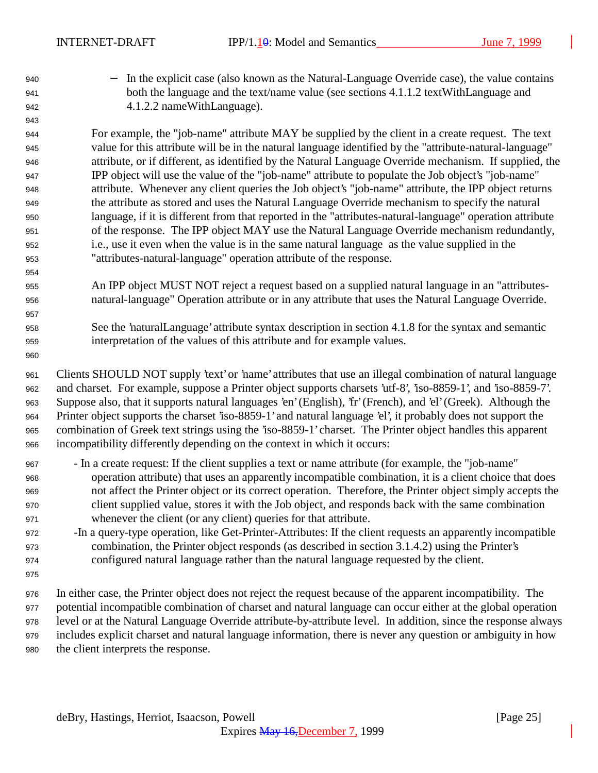940 − In the explicit case (also known as the Natural-Language Override case), the value contains both the language and the text/name value (see sections 4.1.1.2 textWithLanguage and 4.1.2.2 nameWithLanguage).

 For example, the "job-name" attribute MAY be supplied by the client in a create request. The text value for this attribute will be in the natural language identified by the "attribute-natural-language" attribute, or if different, as identified by the Natural Language Override mechanism. If supplied, the IPP object will use the value of the "job-name" attribute to populate the Job object's "job-name" attribute. Whenever any client queries the Job object's "job-name" attribute, the IPP object returns the attribute as stored and uses the Natural Language Override mechanism to specify the natural language, if it is different from that reported in the "attributes-natural-language" operation attribute of the response. The IPP object MAY use the Natural Language Override mechanism redundantly, i.e., use it even when the value is in the same natural language as the value supplied in the "attributes-natural-language" operation attribute of the response.

- An IPP object MUST NOT reject a request based on a supplied natural language in an "attributes-natural-language" Operation attribute or in any attribute that uses the Natural Language Override.
- See the 'naturalLanguage' attribute syntax description in section 4.1.8 for the syntax and semantic interpretation of the values of this attribute and for example values.

 Clients SHOULD NOT supply 'text' or 'name' attributes that use an illegal combination of natural language and charset. For example, suppose a Printer object supports charsets 'utf-8', 'iso-8859-1', and 'iso-8859-7'. Suppose also, that it supports natural languages 'en' (English), 'fr' (French), and 'el' (Greek). Although the Printer object supports the charset 'iso-8859-1' and natural language 'el', it probably does not support the combination of Greek text strings using the 'iso-8859-1' charset. The Printer object handles this apparent incompatibility differently depending on the context in which it occurs:

- In a create request: If the client supplies a text or name attribute (for example, the "job-name" operation attribute) that uses an apparently incompatible combination, it is a client choice that does not affect the Printer object or its correct operation. Therefore, the Printer object simply accepts the client supplied value, stores it with the Job object, and responds back with the same combination whenever the client (or any client) queries for that attribute.
- -In a query-type operation, like Get-Printer-Attributes: If the client requests an apparently incompatible combination, the Printer object responds (as described in section 3.1.4.2) using the Printer's configured natural language rather than the natural language requested by the client.
- 
- In either case, the Printer object does not reject the request because of the apparent incompatibility. The potential incompatible combination of charset and natural language can occur either at the global operation level or at the Natural Language Override attribute-by-attribute level. In addition, since the response always includes explicit charset and natural language information, there is never any question or ambiguity in how the client interprets the response.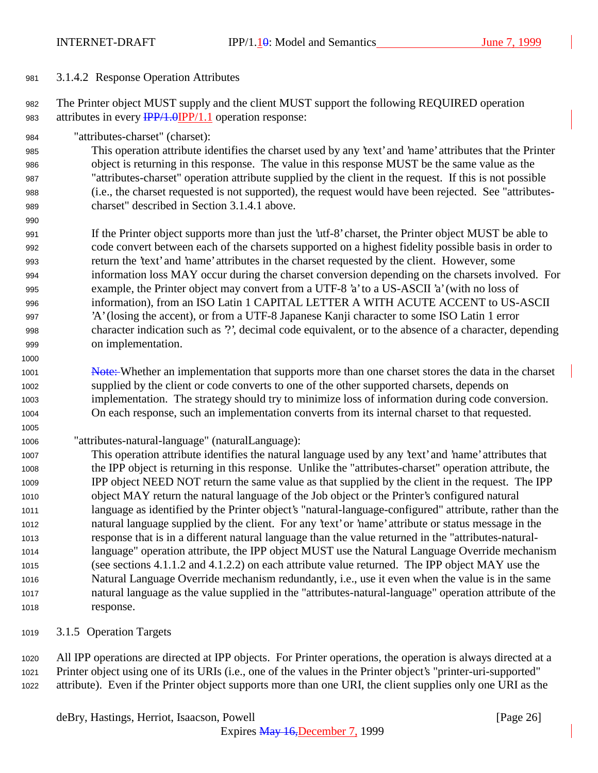3.1.4.2 Response Operation Attributes

 The Printer object MUST supply and the client MUST support the following REQUIRED operation 983 attributes in every  $\frac{IPP}{1.0}$  (PP/1.1 operation response:

"attributes-charset" (charset):

 This operation attribute identifies the charset used by any 'text' and 'name' attributes that the Printer object is returning in this response. The value in this response MUST be the same value as the "attributes-charset" operation attribute supplied by the client in the request. If this is not possible (i.e., the charset requested is not supported), the request would have been rejected. See "attributes-charset" described in Section 3.1.4.1 above.

- If the Printer object supports more than just the 'utf-8' charset, the Printer object MUST be able to code convert between each of the charsets supported on a highest fidelity possible basis in order to return the 'text' and 'name' attributes in the charset requested by the client. However, some information loss MAY occur during the charset conversion depending on the charsets involved. For example, the Printer object may convert from a UTF-8 'a' to a US-ASCII 'a' (with no loss of information), from an ISO Latin 1 CAPITAL LETTER A WITH ACUTE ACCENT to US-ASCII 'A' (losing the accent), or from a UTF-8 Japanese Kanji character to some ISO Latin 1 error character indication such as '?', decimal code equivalent, or to the absence of a character, depending on implementation.
- 1001 Note: Whether an implementation that supports more than one charset stores the data in the charset supplied by the client or code converts to one of the other supported charsets, depends on implementation. The strategy should try to minimize loss of information during code conversion. On each response, such an implementation converts from its internal charset to that requested.
- "attributes-natural-language" (naturalLanguage):
- This operation attribute identifies the natural language used by any 'text' and 'name' attributes that the IPP object is returning in this response. Unlike the "attributes-charset" operation attribute, the IPP object NEED NOT return the same value as that supplied by the client in the request. The IPP object MAY return the natural language of the Job object or the Printer's configured natural language as identified by the Printer object's "natural-language-configured" attribute, rather than the natural language supplied by the client. For any 'text' or 'name' attribute or status message in the response that is in a different natural language than the value returned in the "attributes-natural- language" operation attribute, the IPP object MUST use the Natural Language Override mechanism (see sections 4.1.1.2 and 4.1.2.2) on each attribute value returned. The IPP object MAY use the Natural Language Override mechanism redundantly, i.e., use it even when the value is in the same natural language as the value supplied in the "attributes-natural-language" operation attribute of the response.
- 3.1.5 Operation Targets

 All IPP operations are directed at IPP objects. For Printer operations, the operation is always directed at a Printer object using one of its URIs (i.e., one of the values in the Printer object's "printer-uri-supported" attribute). Even if the Printer object supports more than one URI, the client supplies only one URI as the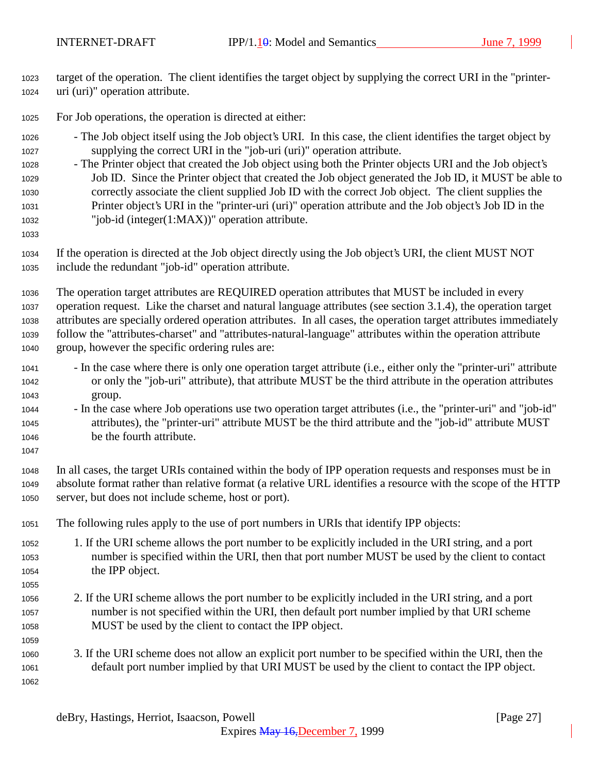- target of the operation. The client identifies the target object by supplying the correct URI in the "printer-uri (uri)" operation attribute.
- For Job operations, the operation is directed at either:
- The Job object itself using the Job object's URI. In this case, the client identifies the target object by supplying the correct URI in the "job-uri (uri)" operation attribute.
- The Printer object that created the Job object using both the Printer objects URI and the Job object's Job ID. Since the Printer object that created the Job object generated the Job ID, it MUST be able to correctly associate the client supplied Job ID with the correct Job object. The client supplies the Printer object's URI in the "printer-uri (uri)" operation attribute and the Job object's Job ID in the "job-id (integer(1:MAX))" operation attribute.
- 

 If the operation is directed at the Job object directly using the Job object's URI, the client MUST NOT include the redundant "job-id" operation attribute.

 The operation target attributes are REQUIRED operation attributes that MUST be included in every operation request. Like the charset and natural language attributes (see section 3.1.4), the operation target attributes are specially ordered operation attributes. In all cases, the operation target attributes immediately follow the "attributes-charset" and "attributes-natural-language" attributes within the operation attribute group, however the specific ordering rules are:

- In the case where there is only one operation target attribute (i.e., either only the "printer-uri" attribute or only the "job-uri" attribute), that attribute MUST be the third attribute in the operation attributes group.
- In the case where Job operations use two operation target attributes (i.e., the "printer-uri" and "job-id" attributes), the "printer-uri" attribute MUST be the third attribute and the "job-id" attribute MUST be the fourth attribute.
- In all cases, the target URIs contained within the body of IPP operation requests and responses must be in absolute format rather than relative format (a relative URL identifies a resource with the scope of the HTTP server, but does not include scheme, host or port).
- The following rules apply to the use of port numbers in URIs that identify IPP objects:
- 1. If the URI scheme allows the port number to be explicitly included in the URI string, and a port number is specified within the URI, then that port number MUST be used by the client to contact the IPP object.
- 2. If the URI scheme allows the port number to be explicitly included in the URI string, and a port number is not specified within the URI, then default port number implied by that URI scheme MUST be used by the client to contact the IPP object.
- 3. If the URI scheme does not allow an explicit port number to be specified within the URI, then the default port number implied by that URI MUST be used by the client to contact the IPP object.
	- deBry, Hastings, Herriot, Isaacson, Powell [Page 27]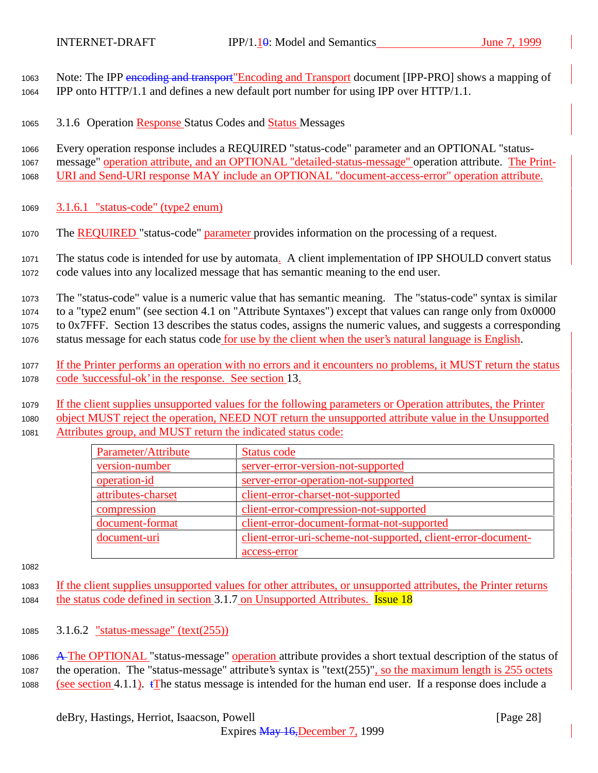Note: The IPP encoding and transport"Encoding and Transport document [IPP-PRO] shows a mapping of IPP onto HTTP/1.1 and defines a new default port number for using IPP over HTTP/1.1.

3.1.6 Operation Response Status Codes and Status Messages

 Every operation response includes a REQUIRED "status-code" parameter and an OPTIONAL "status- message" operation attribute, and an OPTIONAL "detailed-status-message" operation attribute. The Print-URI and Send-URI response MAY include an OPTIONAL "document-access-error" operation attribute.

- 3.1.6.1 "status-code" (type2 enum)
- 1070 The REQUIRED "status-code" parameter provides information on the processing of a request.

 The status code is intended for use by automata. A client implementation of IPP SHOULD convert status code values into any localized message that has semantic meaning to the end user.

 The "status-code" value is a numeric value that has semantic meaning. The "status-code" syntax is similar to a "type2 enum" (see section 4.1 on "Attribute Syntaxes") except that values can range only from 0x0000 to 0x7FFF. Section 13 describes the status codes, assigns the numeric values, and suggests a corresponding status message for each status code for use by the client when the user's natural language is English.

- If the Printer performs an operation with no errors and it encounters no problems, it MUST return the status code 'successful-ok' in the response. See section 13.
- If the client supplies unsupported values for the following parameters or Operation attributes, the Printer

 object MUST reject the operation, NEED NOT return the unsupported attribute value in the Unsupported Attributes group, and MUST return the indicated status code:

| Parameter/Attribute | Status code                                                   |
|---------------------|---------------------------------------------------------------|
| version-number      | server-error-version-not-supported                            |
| operation-id        | server-error-operation-not-supported                          |
| attributes-charset  | client-error-charset-not-supported                            |
| compression         | client-error-compression-not-supported                        |
| document-format     | client-error-document-format-not-supported                    |
| document-uri        | client-error-uri-scheme-not-supported, client-error-document- |
|                     | access-error                                                  |

 If the client supplies unsupported values for other attributes, or unsupported attributes, the Printer returns 1084 the status code defined in section 3.1.7 on Unsupported Attributes. **Issue 18** 

3.1.6.2 "status-message" (text(255))

 A The OPTIONAL "status-message" operation attribute provides a short textual description of the status of the operation. The "status-message" attribute's syntax is "text(255)", so the maximum length is 255 octets 1088 (see section 4.1.1). The status message is intended for the human end user. If a response does include a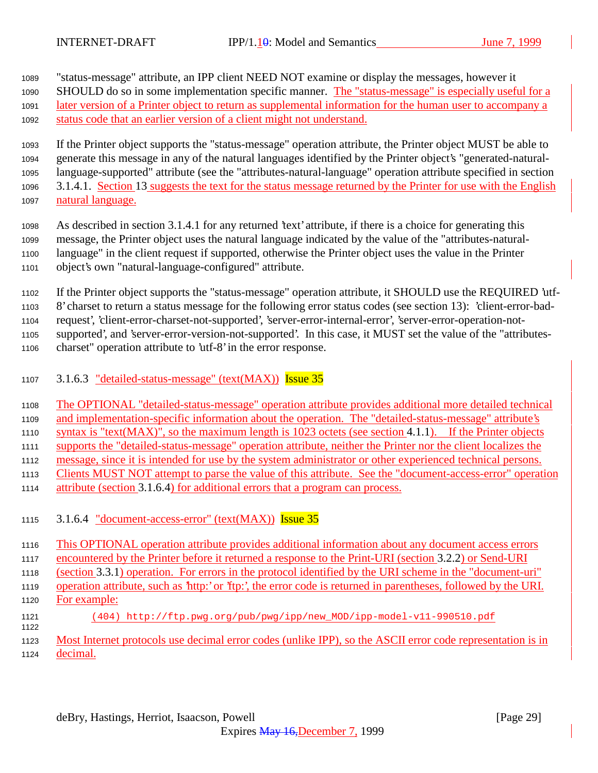"status-message" attribute, an IPP client NEED NOT examine or display the messages, however it

SHOULD do so in some implementation specific manner. The "status-message" is especially useful for a

later version of a Printer object to return as supplemental information for the human user to accompany a

status code that an earlier version of a client might not understand.

 If the Printer object supports the "status-message" operation attribute, the Printer object MUST be able to generate this message in any of the natural languages identified by the Printer object's "generated-natural- language-supported" attribute (see the "attributes-natural-language" operation attribute specified in section 3.1.4.1. Section 13 suggests the text for the status message returned by the Printer for use with the English natural language.

- As described in section 3.1.4.1 for any returned 'text' attribute, if there is a choice for generating this message, the Printer object uses the natural language indicated by the value of the "attributes-natural- language" in the client request if supported, otherwise the Printer object uses the value in the Printer object's own "natural-language-configured" attribute.
- If the Printer object supports the "status-message" operation attribute, it SHOULD use the REQUIRED 'utf-

8' charset to return a status message for the following error status codes (see section 13): 'client-error-bad-

request', 'client-error-charset-not-supported', 'server-error-internal-error', 'server-error-operation-not-

 supported', and 'server-error-version-not-supported'. In this case, it MUST set the value of the "attributes-charset" operation attribute to 'utf-8' in the error response.

- 
- 3.1.6.3 "detailed-status-message" (text(MAX)) Issue 35

 The OPTIONAL "detailed-status-message" operation attribute provides additional more detailed technical and implementation-specific information about the operation. The "detailed-status-message" attribute's syntax is "text(MAX)", so the maximum length is 1023 octets (see section 4.1.1). If the Printer objects supports the "detailed-status-message" operation attribute, neither the Printer nor the client localizes the message, since it is intended for use by the system administrator or other experienced technical persons. Clients MUST NOT attempt to parse the value of this attribute. See the "document-access-error" operation attribute (section 3.1.6.4) for additional errors that a program can process.

3.1.6.4 "document-access-error" (text(MAX)) Issue 35

 This OPTIONAL operation attribute provides additional information about any document access errors encountered by the Printer before it returned a response to the Print-URI (section 3.2.2) or Send-URI (section 3.3.1) operation. For errors in the protocol identified by the URI scheme in the "document-uri" operation attribute, such as 'http:' or 'ftp:', the error code is returned in parentheses, followed by the URI. For example: (404) http://ftp.pwg.org/pub/pwg/ipp/new\_MOD/ipp-model-v11-990510.pdf Most Internet protocols use decimal error codes (unlike IPP), so the ASCII error code representation is in

decimal.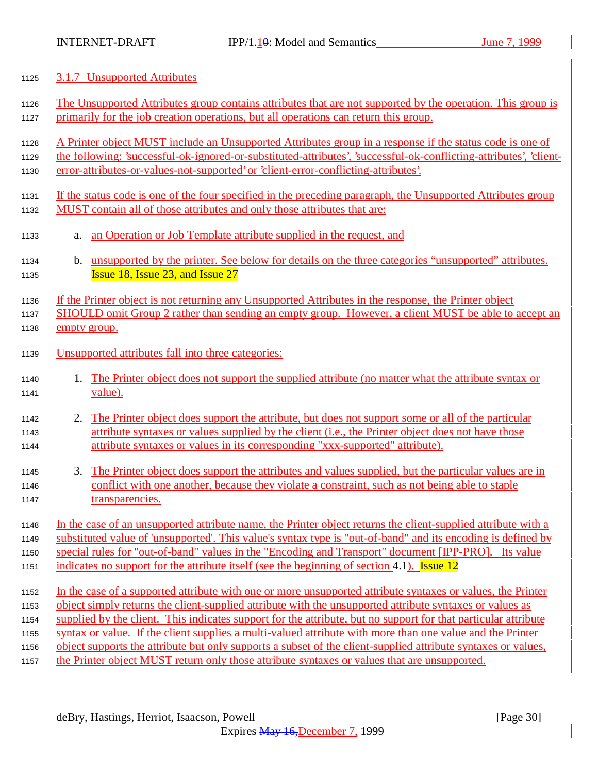#### 3.1.7 Unsupported Attributes

- The Unsupported Attributes group contains attributes that are not supported by the operation. This group is primarily for the job creation operations, but all operations can return this group.
- A Printer object MUST include an Unsupported Attributes group in a response if the status code is one of
- the following: 'successful-ok-ignored-or-substituted-attributes', 'successful-ok-conflicting-attributes', 'client-error-attributes-or-values-not-supported' or 'client-error-conflicting-attributes'.
- If the status code is one of the four specified in the preceding paragraph, the Unsupported Attributes group MUST contain all of those attributes and only those attributes that are:
- a. an Operation or Job Template attribute supplied in the request, and
- 1134 b. unsupported by the printer. See below for details on the three categories "unsupported" attributes. **Issue 18, Issue 23, and Issue 27**

If the Printer object is not returning any Unsupported Attributes in the response, the Printer object

- SHOULD omit Group 2 rather than sending an empty group. However, a client MUST be able to accept an empty group.
- Unsupported attributes fall into three categories:
- 1. The Printer object does not support the supplied attribute (no matter what the attribute syntax or value).
- 1142 2. The Printer object does support the attribute, but does not support some or all of the particular attribute syntaxes or values supplied by the client (i.e., the Printer object does not have those attribute syntaxes or values in its corresponding "xxx-supported" attribute).
- 3. The Printer object does support the attributes and values supplied, but the particular values are in conflict with one another, because they violate a constraint, such as not being able to staple 1147 transparencies.
- In the case of an unsupported attribute name, the Printer object returns the client-supplied attribute with a substituted value of 'unsupported'. This value's syntax type is "out-of-band" and its encoding is defined by
- special rules for "out-of-band" values in the "Encoding and Transport" document [IPP-PRO]. Its value
- 1151 indicates no support for the attribute itself (see the beginning of section 4.1). Issue 12
- In the case of a supported attribute with one or more unsupported attribute syntaxes or values, the Printer
- object simply returns the client-supplied attribute with the unsupported attribute syntaxes or values as
- supplied by the client. This indicates support for the attribute, but no support for that particular attribute
- syntax or value. If the client supplies a multi-valued attribute with more than one value and the Printer
- object supports the attribute but only supports a subset of the client-supplied attribute syntaxes or values,
- the Printer object MUST return only those attribute syntaxes or values that are unsupported.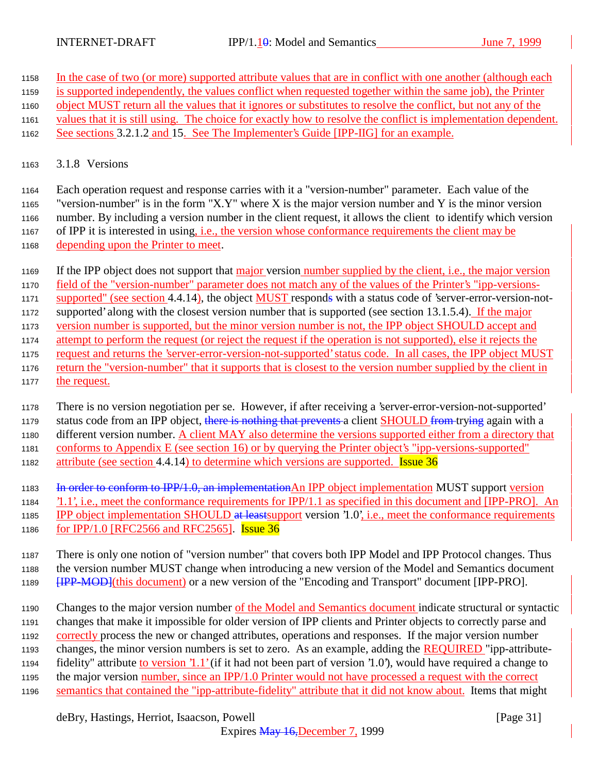- In the case of two (or more) supported attribute values that are in conflict with one another (although each
- is supported independently, the values conflict when requested together within the same job), the Printer
- object MUST return all the values that it ignores or substitutes to resolve the conflict, but not any of the
- values that it is still using. The choice for exactly how to resolve the conflict is implementation dependent.
- See sections 3.2.1.2 and 15. See The Implementer's Guide [IPP-IIG] for an example.
- 3.1.8 Versions

 Each operation request and response carries with it a "version-number" parameter. Each value of the "version-number" is in the form "X.Y" where X is the major version number and Y is the minor version number. By including a version number in the client request, it allows the client to identify which version of IPP it is interested in using, i.e., the version whose conformance requirements the client may be depending upon the Printer to meet.

- If the IPP object does not support that major version number supplied by the client, i.e., the major version
- field of the "version-number" parameter does not match any of the values of the Printer's "ipp-versions-
- 1171 supported" (see section 4.4.14), the object MUST responds with a status code of 'server-error-version-not-
- supported' along with the closest version number that is supported (see section 13.1.5.4). If the major
- version number is supported, but the minor version number is not, the IPP object SHOULD accept and
- attempt to perform the request (or reject the request if the operation is not supported), else it rejects the request and returns the 'server-error-version-not-supported' status code. In all cases, the IPP object MUST
- return the "version-number" that it supports that is closest to the version number supplied by the client in the request.
- There is no version negotiation per se. However, if after receiving a 'server-error-version-not-supported' 1179 status code from an IPP object, there is nothing that prevents a client SHOULD from trying again with a different version number. A client MAY also determine the versions supported either from a directory that conforms to Appendix E (see section 16) or by querying the Printer object's "ipp-versions-supported" 1182 attribute (see section 4.4.14) to determine which versions are supported. **Issue 36**
- 1183 In order to conform to IPP/1.0, an implementation An IPP object implementation MUST support version
- '1.1', i.e., meet the conformance requirements for IPP/1.1 as specified in this document and [IPP-PRO]. An 1185 IPP object implementation SHOULD at least support version '1.0', i.e., meet the conformance requirements
- for IPP/1.0 [RFC2566 and RFC2565]. Issue 36
- There is only one notion of "version number" that covers both IPP Model and IPP Protocol changes. Thus the version number MUST change when introducing a new version of the Model and Semantics document **[IPP-MOD]**(this document) or a new version of the "Encoding and Transport" document [IPP-PRO].
- Changes to the major version number of the Model and Semantics document indicate structural or syntactic changes that make it impossible for older version of IPP clients and Printer objects to correctly parse and correctly process the new or changed attributes, operations and responses. If the major version number changes, the minor version numbers is set to zero. As an example, adding the REQUIRED "ipp-attribute- fidelity" attribute to version '1.1' (if it had not been part of version '1.0'), would have required a change to the major version number, since an IPP/1.0 Printer would not have processed a request with the correct 1196 semantics that contained the "ipp-attribute-fidelity" attribute that it did not know about. Items that might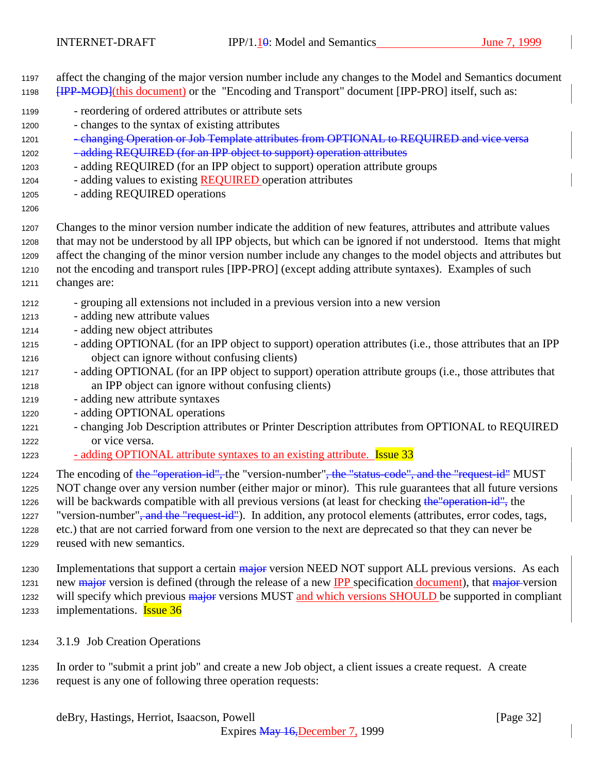affect the changing of the major version number include any changes to the Model and Semantics document **[IPP-MOD]**(this document) or the "Encoding and Transport" document [IPP-PRO] itself, such as:

- reordering of ordered attributes or attribute sets
- changes to the syntax of existing attributes
- 1201 changing Operation or Job Template attributes from OPTIONAL to REQUIRED and vice versa 1202 - adding REQUIRED (for an IPP object to support) operation attributes
- adding REQUIRED (for an IPP object to support) operation attribute groups
- 1204 adding values to existing REQUIRED operation attributes
- adding REQUIRED operations
- 
- Changes to the minor version number indicate the addition of new features, attributes and attribute values that may not be understood by all IPP objects, but which can be ignored if not understood. Items that might affect the changing of the minor version number include any changes to the model objects and attributes but not the encoding and transport rules [IPP-PRO] (except adding attribute syntaxes). Examples of such changes are:
- grouping all extensions not included in a previous version into a new version
- adding new attribute values
- adding new object attributes
- adding OPTIONAL (for an IPP object to support) operation attributes (i.e., those attributes that an IPP object can ignore without confusing clients)
- adding OPTIONAL (for an IPP object to support) operation attribute groups (i.e., those attributes that an IPP object can ignore without confusing clients)
- adding new attribute syntaxes
- adding OPTIONAL operations
- changing Job Description attributes or Printer Description attributes from OPTIONAL to REQUIRED or vice versa.
- 1223 adding OPTIONAL attribute syntaxes to an existing attribute. **Issue 33**
- 1224 The encoding of the "operation-id", the "version-number", the "status-code", and the "request-id" MUST
- NOT change over any version number (either major or minor). This rule guarantees that all future versions 1226 will be backwards compatible with all previous versions (at least for checking the "operation-id", the

1227 "version-number"<del>, and the "request-id"</del>). In addition, any protocol elements (attributes, error codes, tags, etc.) that are not carried forward from one version to the next are deprecated so that they can never be

- reused with new semantics.
- 1230 Implementations that support a certain major version NEED NOT support ALL previous versions. As each 1231 new major version is defined (through the release of a new IPP specification document), that major version 1232 will specify which previous major versions MUST and which versions SHOULD be supported in compliant 1233 implementations. **Issue 36**
- 3.1.9 Job Creation Operations
- In order to "submit a print job" and create a new Job object, a client issues a create request. A create request is any one of following three operation requests: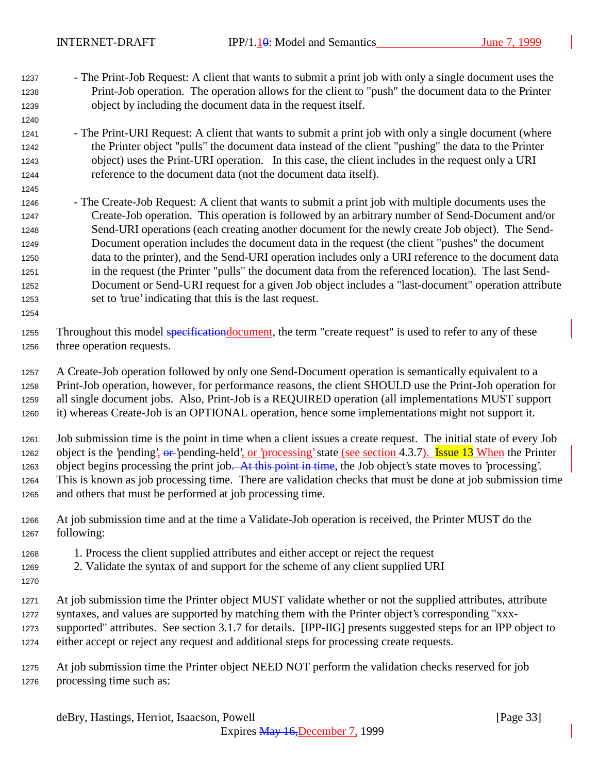- The Print-Job Request: A client that wants to submit a print job with only a single document uses the Print-Job operation. The operation allows for the client to "push" the document data to the Printer object by including the document data in the request itself.
- The Print-URI Request: A client that wants to submit a print job with only a single document (where the Printer object "pulls" the document data instead of the client "pushing" the data to the Printer object) uses the Print-URI operation. In this case, the client includes in the request only a URI reference to the document data (not the document data itself).
- The Create-Job Request: A client that wants to submit a print job with multiple documents uses the Create-Job operation. This operation is followed by an arbitrary number of Send-Document and/or Send-URI operations (each creating another document for the newly create Job object). The Send- Document operation includes the document data in the request (the client "pushes" the document data to the printer), and the Send-URI operation includes only a URI reference to the document data in the request (the Printer "pulls" the document data from the referenced location). The last Send- Document or Send-URI request for a given Job object includes a "last-document" operation attribute set to 'true' indicating that this is the last request.
- 

1255 Throughout this model specification document, the term "create request" is used to refer to any of these three operation requests.

 A Create-Job operation followed by only one Send-Document operation is semantically equivalent to a Print-Job operation, however, for performance reasons, the client SHOULD use the Print-Job operation for all single document jobs. Also, Print-Job is a REQUIRED operation (all implementations MUST support it) whereas Create-Job is an OPTIONAL operation, hence some implementations might not support it.

 Job submission time is the point in time when a client issues a create request. The initial state of every Job 1262 object is the 'pending',  $\theta r$ -'pending-held', or 'processing' state (see section 4.3.7). Issue 13 When the Printer 1263 object begins processing the print job. At this point in time, the Job object's state moves to 'processing'. This is known as job processing time. There are validation checks that must be done at job submission time and others that must be performed at job processing time.

- At job submission time and at the time a Validate-Job operation is received, the Printer MUST do the following:
- 1. Process the client supplied attributes and either accept or reject the request
- 2. Validate the syntax of and support for the scheme of any client supplied URI
- 
- At job submission time the Printer object MUST validate whether or not the supplied attributes, attribute syntaxes, and values are supported by matching them with the Printer object's corresponding "xxx-supported" attributes. See section 3.1.7 for details. [IPP-IIG] presents suggested steps for an IPP object to
- either accept or reject any request and additional steps for processing create requests.
- At job submission time the Printer object NEED NOT perform the validation checks reserved for job processing time such as: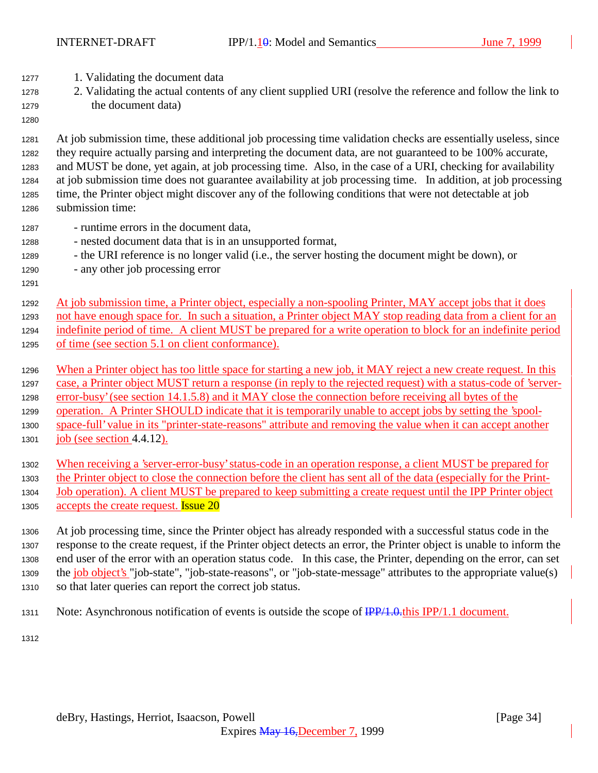- 1. Validating the document data
- 2. Validating the actual contents of any client supplied URI (resolve the reference and follow the link to the document data)
- 

 At job submission time, these additional job processing time validation checks are essentially useless, since they require actually parsing and interpreting the document data, are not guaranteed to be 100% accurate, and MUST be done, yet again, at job processing time. Also, in the case of a URI, checking for availability at job submission time does not guarantee availability at job processing time. In addition, at job processing time, the Printer object might discover any of the following conditions that were not detectable at job submission time:

- runtime errors in the document data,
- nested document data that is in an unsupported format,
- the URI reference is no longer valid (i.e., the server hosting the document might be down), or
- any other job processing error
- At job submission time, a Printer object, especially a non-spooling Printer, MAY accept jobs that it does not have enough space for. In such a situation, a Printer object MAY stop reading data from a client for an indefinite period of time. A client MUST be prepared for a write operation to block for an indefinite period of time (see section 5.1 on client conformance).
- 1296 When a Printer object has too little space for starting a new job, it MAY reject a new create request. In this case, a Printer object MUST return a response (in reply to the rejected request) with a status-code of 'server- error-busy' (see section 14.1.5.8) and it MAY close the connection before receiving all bytes of the operation. A Printer SHOULD indicate that it is temporarily unable to accept jobs by setting the 'spool-1300 space-full' value in its "printer-state-reasons" attribute and removing the value when it can accept another
- job (see section 4.4.12).
- When receiving a 'server-error-busy' status-code in an operation response, a client MUST be prepared for
- the Printer object to close the connection before the client has sent all of the data (especially for the Print-
- Job operation). A client MUST be prepared to keep submitting a create request until the IPP Printer object 1305 accepts the create request. **Issue 20**
- At job processing time, since the Printer object has already responded with a successful status code in the response to the create request, if the Printer object detects an error, the Printer object is unable to inform the end user of the error with an operation status code. In this case, the Printer, depending on the error, can set 1309 the job object's "job-state", "job-state-reasons", or "job-state-message" attributes to the appropriate value(s) so that later queries can report the correct job status.
- 1311 Note: Asynchronous notification of events is outside the scope of  $\frac{IPP}{1.0.0}$ this IPP/1.1 document.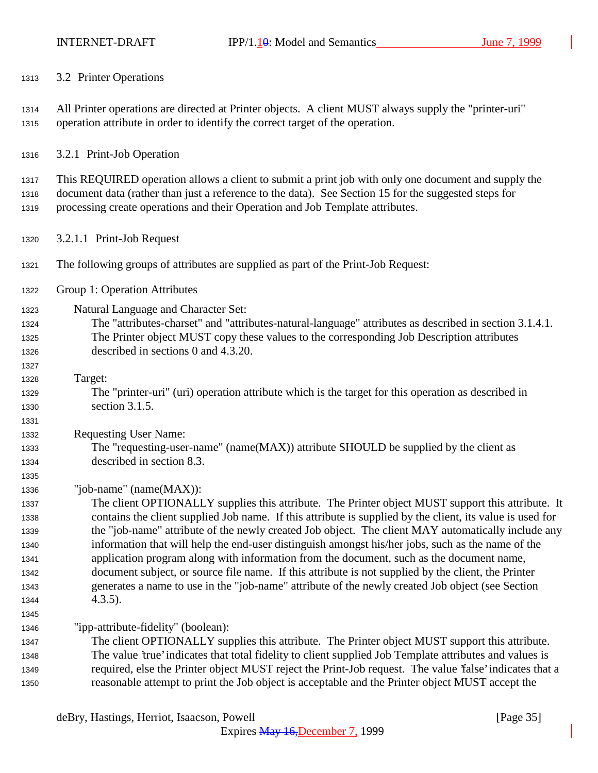3.2 Printer Operations

 All Printer operations are directed at Printer objects. A client MUST always supply the "printer-uri" operation attribute in order to identify the correct target of the operation.

3.2.1 Print-Job Operation

 This REQUIRED operation allows a client to submit a print job with only one document and supply the document data (rather than just a reference to the data). See Section 15 for the suggested steps for processing create operations and their Operation and Job Template attributes.

- 3.2.1.1 Print-Job Request
- The following groups of attributes are supplied as part of the Print-Job Request:
- Group 1: Operation Attributes

Natural Language and Character Set:

- The "attributes-charset" and "attributes-natural-language" attributes as described in section 3.1.4.1. The Printer object MUST copy these values to the corresponding Job Description attributes described in sections 0 and 4.3.20.
- Target:

 The "printer-uri" (uri) operation attribute which is the target for this operation as described in section 3.1.5.

Requesting User Name:

 The "requesting-user-name" (name(MAX)) attribute SHOULD be supplied by the client as described in section 8.3.

"job-name" (name(MAX)):

 The client OPTIONALLY supplies this attribute. The Printer object MUST support this attribute. It contains the client supplied Job name. If this attribute is supplied by the client, its value is used for the "job-name" attribute of the newly created Job object. The client MAY automatically include any information that will help the end-user distinguish amongst his/her jobs, such as the name of the application program along with information from the document, such as the document name, document subject, or source file name. If this attribute is not supplied by the client, the Printer generates a name to use in the "job-name" attribute of the newly created Job object (see Section 4.3.5).

"ipp-attribute-fidelity" (boolean):

 The client OPTIONALLY supplies this attribute. The Printer object MUST support this attribute. The value 'true' indicates that total fidelity to client supplied Job Template attributes and values is required, else the Printer object MUST reject the Print-Job request. The value 'false' indicates that a reasonable attempt to print the Job object is acceptable and the Printer object MUST accept the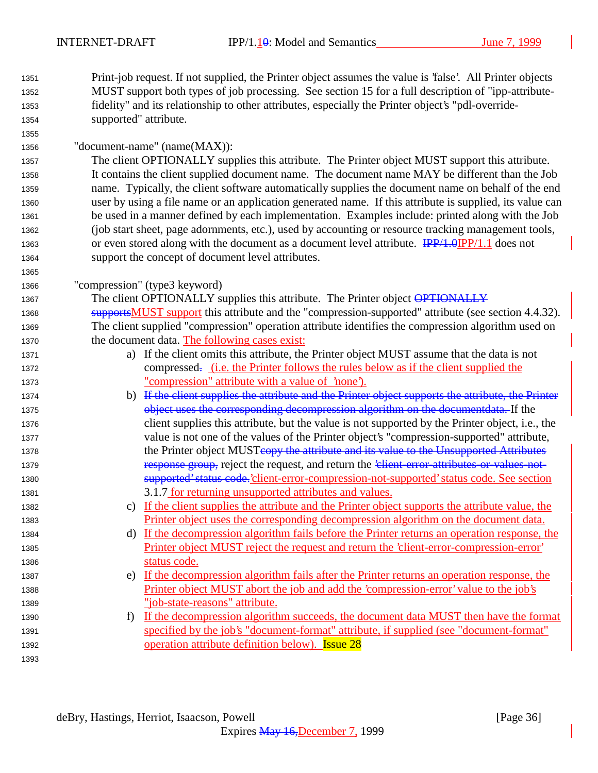Print-job request. If not supplied, the Printer object assumes the value is 'false'. All Printer objects MUST support both types of job processing. See section 15 for a full description of "ipp-attribute- fidelity" and its relationship to other attributes, especially the Printer object's "pdl-override-supported" attribute.

| 1356 | "document-name" (name(MAX)): |  |
|------|------------------------------|--|
|------|------------------------------|--|

 The client OPTIONALLY supplies this attribute. The Printer object MUST support this attribute. It contains the client supplied document name. The document name MAY be different than the Job name. Typically, the client software automatically supplies the document name on behalf of the end user by using a file name or an application generated name. If this attribute is supplied, its value can be used in a manner defined by each implementation. Examples include: printed along with the Job (job start sheet, page adornments, etc.), used by accounting or resource tracking management tools, or even stored along with the document as a document level attribute. IPP/1.0IPP/1.1 does not support the concept of document level attributes.

"compression" (type3 keyword)

1367 The client OPTIONALLY supplies this attribute. The Printer object OPTIONALLY 1368 supportsMUST support this attribute and the "compression-supported" attribute (see section 4.4.32). The client supplied "compression" operation attribute identifies the compression algorithm used on the document data. The following cases exist:

- a) If the client omits this attribute, the Printer object MUST assume that the data is not 1372 compressed. (i.e. the Printer follows the rules below as if the client supplied the "compression" attribute with a value of 'none').
- b) If the client supplies the attribute and the Printer object supports the attribute, the Printer object uses the corresponding decompression algorithm on the documentdata. If the client supplies this attribute, but the value is not supported by the Printer object, i.e., the value is not one of the values of the Printer object's "compression-supported" attribute, 1378 the Printer object MUSTeopy the attribute and its value to the Unsupported Attributes 1379 **response group, reject the request, and return the '<del>client-error-attributes-or-values-not-</del>**  supported' status code.'client-error-compression-not-supported' status code. See section 3.1.7 for returning unsupported attributes and values.
- c) If the client supplies the attribute and the Printer object supports the attribute value, the Printer object uses the corresponding decompression algorithm on the document data.
- d) If the decompression algorithm fails before the Printer returns an operation response, the Printer object MUST reject the request and return the 'client-error-compression-error' status code.
- e) If the decompression algorithm fails after the Printer returns an operation response, the Printer object MUST abort the job and add the 'compression-error' value to the job's "job-state-reasons" attribute.
- f) If the decompression algorithm succeeds, the document data MUST then have the format specified by the job's "document-format" attribute, if supplied (see "document-format" 1392 operation attribute definition below). **Issue 28**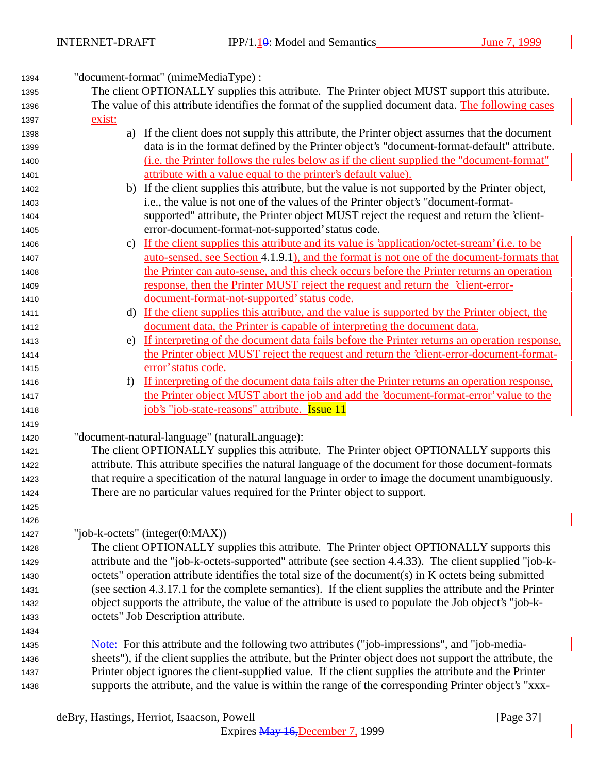"document-format" (mimeMediaType) : The client OPTIONALLY supplies this attribute. The Printer object MUST support this attribute. The value of this attribute identifies the format of the supplied document data. The following cases exist: a) If the client does not supply this attribute, the Printer object assumes that the document data is in the format defined by the Printer object's "document-format-default" attribute. (i.e. the Printer follows the rules below as if the client supplied the "document-format" attribute with a value equal to the printer's default value). b) If the client supplies this attribute, but the value is not supported by the Printer object, i.e., the value is not one of the values of the Printer object's "document-format- supported" attribute, the Printer object MUST reject the request and return the 'client- error-document-format-not-supported' status code. c) If the client supplies this attribute and its value is 'application/octet-stream' (i.e. to be auto-sensed, see Section 4.1.9.1), and the format is not one of the document-formats that the Printer can auto-sense, and this check occurs before the Printer returns an operation response, then the Printer MUST reject the request and return the 'client-error- document-format-not-supported' status code. d) If the client supplies this attribute, and the value is supported by the Printer object, the document data, the Printer is capable of interpreting the document data. e) If interpreting of the document data fails before the Printer returns an operation response, the Printer object MUST reject the request and return the 'client-error-document-format- error' status code. f) If interpreting of the document data fails after the Printer returns an operation response, the Printer object MUST abort the job and add the 'document-format-error' value to the job's "job-state-reasons" attribute. Issue 11 "document-natural-language" (naturalLanguage): The client OPTIONALLY supplies this attribute. The Printer object OPTIONALLY supports this attribute. This attribute specifies the natural language of the document for those document-formats that require a specification of the natural language in order to image the document unambiguously. There are no particular values required for the Printer object to support. "job-k-octets" (integer(0:MAX)) The client OPTIONALLY supplies this attribute. The Printer object OPTIONALLY supports this attribute and the "job-k-octets-supported" attribute (see section 4.4.33). The client supplied "job-k- octets" operation attribute identifies the total size of the document(s) in K octets being submitted (see section 4.3.17.1 for the complete semantics). If the client supplies the attribute and the Printer object supports the attribute, the value of the attribute is used to populate the Job object's "job-k- octets" Job Description attribute. **Note:** For this attribute and the following two attributes ("job-impressions", and "job-media- sheets"), if the client supplies the attribute, but the Printer object does not support the attribute, the Printer object ignores the client-supplied value. If the client supplies the attribute and the Printer supports the attribute, and the value is within the range of the corresponding Printer object's "xxx-

deBry, Hastings, Herriot, Isaacson, Powell [Page 37]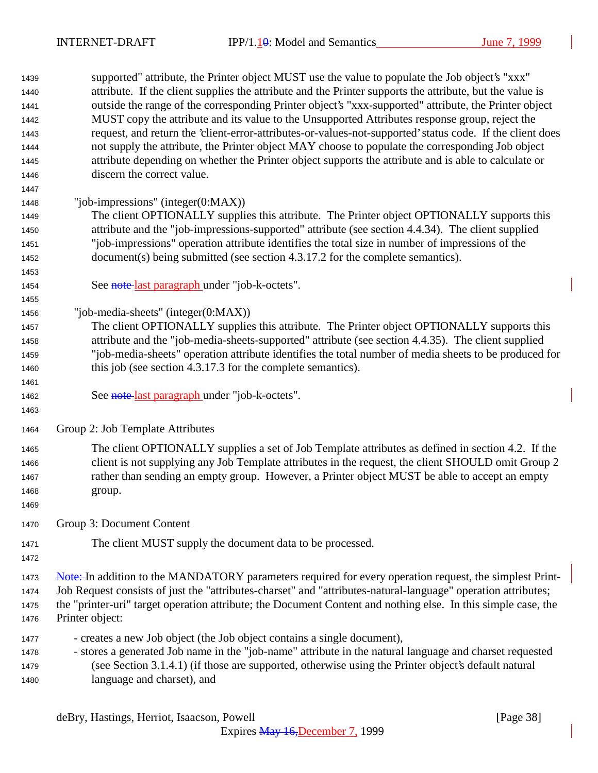supported" attribute, the Printer object MUST use the value to populate the Job object's "xxx" attribute. If the client supplies the attribute and the Printer supports the attribute, but the value is outside the range of the corresponding Printer object's "xxx-supported" attribute, the Printer object MUST copy the attribute and its value to the Unsupported Attributes response group, reject the request, and return the 'client-error-attributes-or-values-not-supported' status code. If the client does not supply the attribute, the Printer object MAY choose to populate the corresponding Job object attribute depending on whether the Printer object supports the attribute and is able to calculate or discern the correct value. "job-impressions" (integer(0:MAX)) The client OPTIONALLY supplies this attribute. The Printer object OPTIONALLY supports this attribute and the "job-impressions-supported" attribute (see section 4.4.34). The client supplied "job-impressions" operation attribute identifies the total size in number of impressions of the document(s) being submitted (see section 4.3.17.2 for the complete semantics). 1454 See note last paragraph under "job-k-octets". "job-media-sheets" (integer(0:MAX)) The client OPTIONALLY supplies this attribute. The Printer object OPTIONALLY supports this attribute and the "job-media-sheets-supported" attribute (see section 4.4.35). The client supplied "job-media-sheets" operation attribute identifies the total number of media sheets to be produced for this job (see section 4.3.17.3 for the complete semantics). 1462 See note last paragraph under "job-k-octets". Group 2: Job Template Attributes The client OPTIONALLY supplies a set of Job Template attributes as defined in section 4.2. If the client is not supplying any Job Template attributes in the request, the client SHOULD omit Group 2 rather than sending an empty group. However, a Printer object MUST be able to accept an empty group. Group 3: Document Content The client MUST supply the document data to be processed. 1473 Note: In addition to the MANDATORY parameters required for every operation request, the simplest Print- Job Request consists of just the "attributes-charset" and "attributes-natural-language" operation attributes; the "printer-uri" target operation attribute; the Document Content and nothing else. In this simple case, the Printer object: - creates a new Job object (the Job object contains a single document), - stores a generated Job name in the "job-name" attribute in the natural language and charset requested (see Section 3.1.4.1) (if those are supported, otherwise using the Printer object's default natural language and charset), and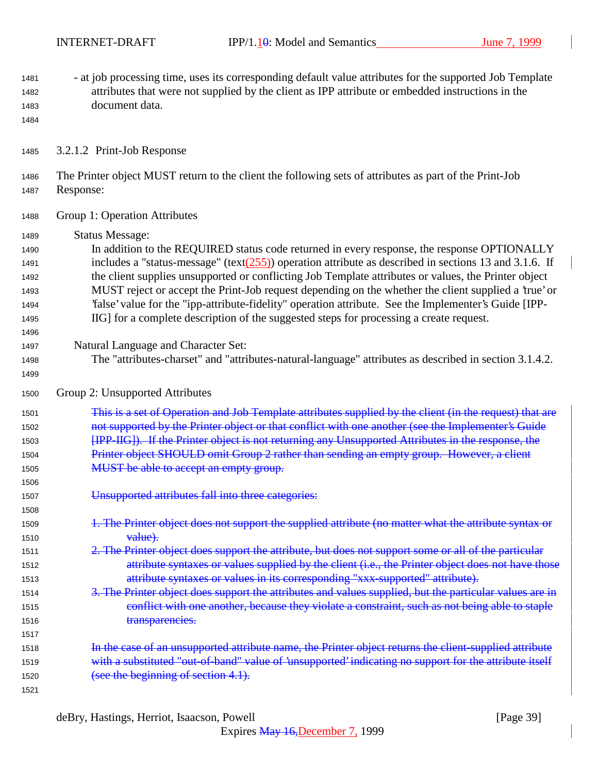- at job processing time, uses its corresponding default value attributes for the supported Job Template attributes that were not supplied by the client as IPP attribute or embedded instructions in the document data.

3.2.1.2 Print-Job Response

 The Printer object MUST return to the client the following sets of attributes as part of the Print-Job Response:

- Group 1: Operation Attributes
- Status Message:

 In addition to the REQUIRED status code returned in every response, the response OPTIONALLY 1491 includes a "status-message" (text( $\frac{255}{25}$ ) operation attribute as described in sections 13 and 3.1.6. If the client supplies unsupported or conflicting Job Template attributes or values, the Printer object MUST reject or accept the Print-Job request depending on the whether the client supplied a 'true' or 'false' value for the "ipp-attribute-fidelity" operation attribute. See the Implementer's Guide [IPP-IIG] for a complete description of the suggested steps for processing a create request.

- Natural Language and Character Set:
- The "attributes-charset" and "attributes-natural-language" attributes as described in section 3.1.4.2.
- Group 2: Unsupported Attributes

1501 This is a set of Operation and Job Template attributes supplied by the client (in the request) that are **1502** not supported by the Printer object or that conflict with one another (see the Implementer's Guide **[IPP-IIG]**). If the Printer object is not returning any Unsupported Attributes in the response, the 1504 Printer object SHOULD omit Group 2 rather than sending an empty group. However, a client 1505 MUST be able to accept an empty group.

- Unsupported attributes fall into three categories:
- 1509 1. The Printer object does not support the supplied attribute (no matter what the attribute syntax or 1510 value).
- 2. The Printer object does support the attribute, but does not support some or all of the particular 1512 attribute syntaxes or values supplied by the client (i.e., the Printer object does not have those attribute syntaxes or values in its corresponding "xxx-supported" attribute).
- 3. The Printer object does support the attributes and values supplied, but the particular values are in 1515 conflict with one another, because they violate a constraint, such as not being able to staple 1516 transparencies.
- **In the case of an unsupported attribute name, the Printer object returns the client-supplied attribute** 1519 with a substituted "out-of-band" value of 'unsupported' indicating no support for the attribute itself 1520 (see the beginning of section 4.1).
	- deBry, Hastings, Herriot, Isaacson, Powell [Page 39]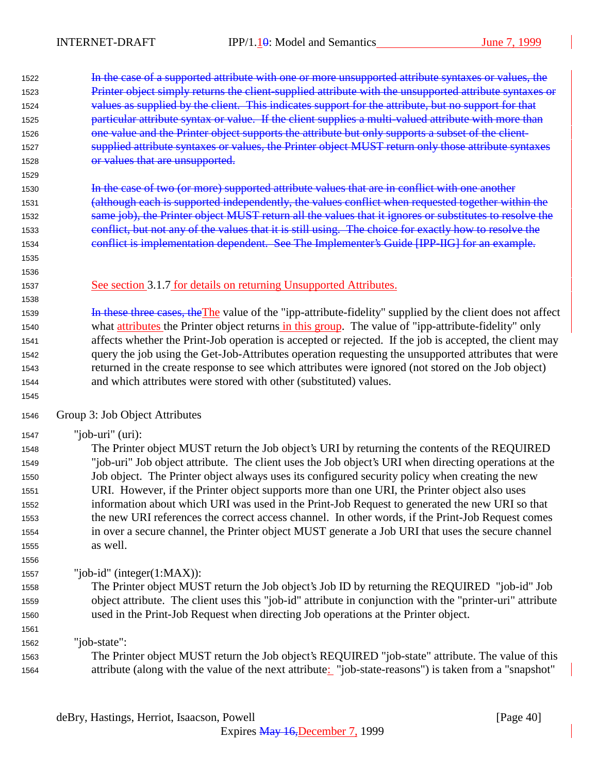| 1522         | In the case of a supported attribute with one or more unsupported attribute syntaxes or values, the                                                                                                         |
|--------------|-------------------------------------------------------------------------------------------------------------------------------------------------------------------------------------------------------------|
| 1523         | Printer object simply returns the client-supplied attribute with the unsupported attribute syntaxes or                                                                                                      |
| 1524         | values as supplied by the client. This indicates support for the attribute, but no support for that                                                                                                         |
| 1525         | particular attribute syntax or value. If the client supplies a multi-valued attribute with more than                                                                                                        |
| 1526         | one value and the Printer object supports the attribute but only supports a subset of the client-                                                                                                           |
| 1527         | supplied attribute syntaxes or values, the Printer object MUST return only those attribute syntaxes                                                                                                         |
| 1528         | or values that are unsupported.                                                                                                                                                                             |
| 1529         |                                                                                                                                                                                                             |
| 1530         | In the case of two (or more) supported attribute values that are in conflict with one another                                                                                                               |
| 1531         | (although each is supported independently, the values conflict when requested together within the                                                                                                           |
| 1532         | same job), the Printer object MUST return all the values that it ignores or substitutes to resolve the                                                                                                      |
| 1533         | conflict, but not any of the values that it is still using. The choice for exactly how to resolve the                                                                                                       |
| 1534         | conflict is implementation dependent. See The Implementer's Guide [IPP-IIG] for an example.                                                                                                                 |
| 1535         |                                                                                                                                                                                                             |
| 1536         |                                                                                                                                                                                                             |
| 1537         | See section 3.1.7 for details on returning Unsupported Attributes.                                                                                                                                          |
| 1538         |                                                                                                                                                                                                             |
| 1539         | In these three cases, the The value of the "ipp-attribute-fidelity" supplied by the client does not affect                                                                                                  |
| 1540         | what attributes the Printer object returns in this group. The value of "ipp-attribute-fidelity" only                                                                                                        |
| 1541         | affects whether the Print-Job operation is accepted or rejected. If the job is accepted, the client may                                                                                                     |
| 1542         | query the job using the Get-Job-Attributes operation requesting the unsupported attributes that were                                                                                                        |
| 1543         | returned in the create response to see which attributes were ignored (not stored on the Job object)                                                                                                         |
| 1544         | and which attributes were stored with other (substituted) values.                                                                                                                                           |
| 1545         |                                                                                                                                                                                                             |
| 1546         | Group 3: Job Object Attributes                                                                                                                                                                              |
| 1547         | "job-uri" $(i)$ :                                                                                                                                                                                           |
| 1548         | The Printer object MUST return the Job object's URI by returning the contents of the REQUIRED                                                                                                               |
| 1549         | "job-uri" Job object attribute. The client uses the Job object's URI when directing operations at the                                                                                                       |
| 1550         | Job object. The Printer object always uses its configured security policy when creating the new                                                                                                             |
| 1551         | URI. However, if the Printer object supports more than one URI, the Printer object also uses                                                                                                                |
| 1552         | information about which URI was used in the Print-Job Request to generated the new URI so that                                                                                                              |
| 1553         | the new URI references the correct access channel. In other words, if the Print-Job Request comes                                                                                                           |
| 1554         | in over a secure channel, the Printer object MUST generate a Job URI that uses the secure channel                                                                                                           |
| 1555         | as well.                                                                                                                                                                                                    |
|              |                                                                                                                                                                                                             |
|              |                                                                                                                                                                                                             |
| 1556         |                                                                                                                                                                                                             |
| 1557         | "job-id" (integer $(1:MAX)$ ):                                                                                                                                                                              |
| 1558         | The Printer object MUST return the Job object's Job ID by returning the REQUIRED "job-id" Job                                                                                                               |
| 1559         | object attribute. The client uses this "job-id" attribute in conjunction with the "printer-uri" attribute                                                                                                   |
| 1560         | used in the Print-Job Request when directing Job operations at the Printer object.                                                                                                                          |
| 1561         |                                                                                                                                                                                                             |
| 1562         | "job-state":                                                                                                                                                                                                |
| 1563<br>1564 | The Printer object MUST return the Job object's REQUIRED "job-state" attribute. The value of this<br>attribute (along with the value of the next attribute: "job-state-reasons") is taken from a "snapshot" |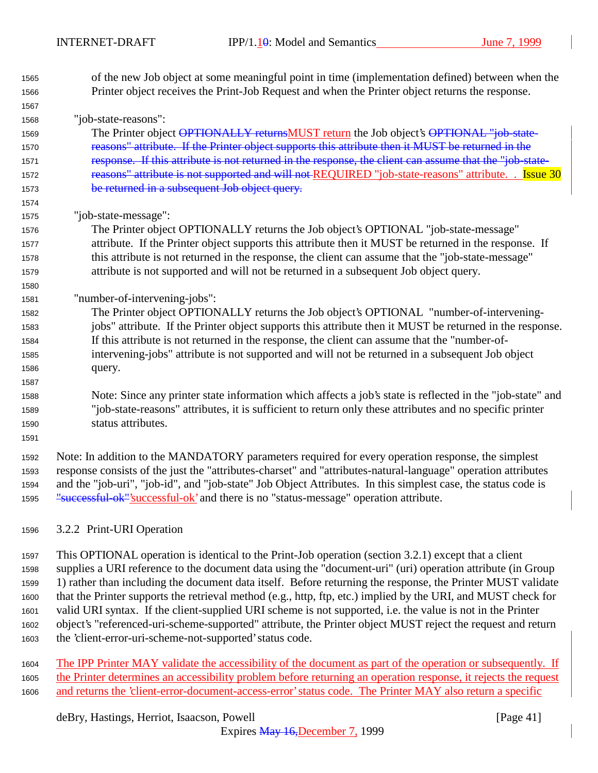- of the new Job object at some meaningful point in time (implementation defined) between when the Printer object receives the Print-Job Request and when the Printer object returns the response. "job-state-reasons": 1569 The Printer object OPTIONALLY returnsMUST return the Job object's OPTIONAL "job-state- reasons" attribute. If the Printer object supports this attribute then it MUST be returned in the 1571 response. If this attribute is not returned in the response, the client can assume that the "job-state-1572 reasons" attribute is not supported and will not REQUIRED "job-state-reasons" attribute. . Issue 30 be returned in a subsequent Job object query. "job-state-message": The Printer object OPTIONALLY returns the Job object's OPTIONAL "job-state-message" attribute. If the Printer object supports this attribute then it MUST be returned in the response. If this attribute is not returned in the response, the client can assume that the "job-state-message" attribute is not supported and will not be returned in a subsequent Job object query. "number-of-intervening-jobs": The Printer object OPTIONALLY returns the Job object's OPTIONAL "number-of-intervening- jobs" attribute. If the Printer object supports this attribute then it MUST be returned in the response. If this attribute is not returned in the response, the client can assume that the "number-of- intervening-jobs" attribute is not supported and will not be returned in a subsequent Job object query. Note: Since any printer state information which affects a job's state is reflected in the "job-state" and "job-state-reasons" attributes, it is sufficient to return only these attributes and no specific printer status attributes. Note: In addition to the MANDATORY parameters required for every operation response, the simplest response consists of the just the "attributes-charset" and "attributes-natural-language" operation attributes and the "job-uri", "job-id", and "job-state" Job Object Attributes. In this simplest case, the status code is 1595 "successful-ok"'successful-ok' and there is no "status-message" operation attribute. 3.2.2 Print-URI Operation
- This OPTIONAL operation is identical to the Print-Job operation (section 3.2.1) except that a client supplies a URI reference to the document data using the "document-uri" (uri) operation attribute (in Group 1) rather than including the document data itself. Before returning the response, the Printer MUST validate that the Printer supports the retrieval method (e.g., http, ftp, etc.) implied by the URI, and MUST check for valid URI syntax. If the client-supplied URI scheme is not supported, i.e. the value is not in the Printer object's "referenced-uri-scheme-supported" attribute, the Printer object MUST reject the request and return the 'client-error-uri-scheme-not-supported' status code.
- The IPP Printer MAY validate the accessibility of the document as part of the operation or subsequently. If the Printer determines an accessibility problem before returning an operation response, it rejects the request 1606 and returns the 'client-error-document-access-error' status code. The Printer MAY also return a specific

deBry, Hastings, Herriot, Isaacson, Powell [Page 41]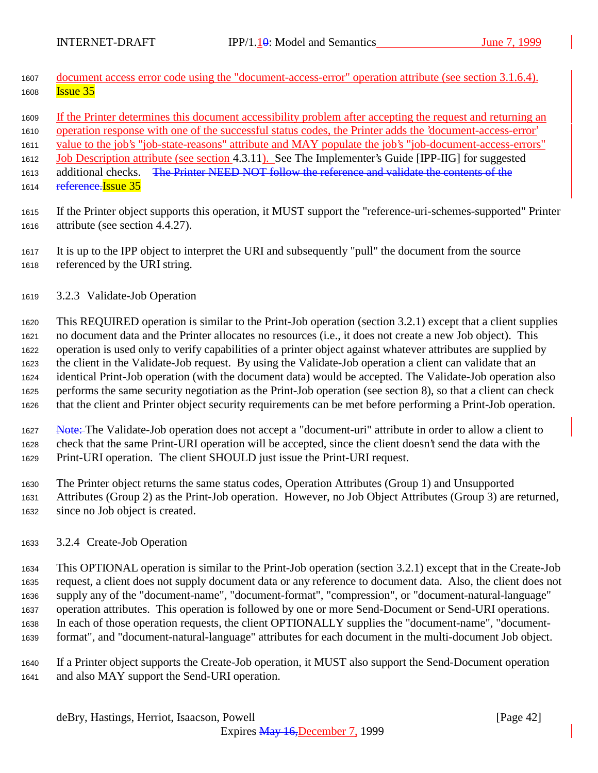- 1607 document access error code using the "document-access-error" operation attribute (see section 3.1.6.4). **Issue 35**
- If the Printer determines this document accessibility problem after accepting the request and returning an

operation response with one of the successful status codes, the Printer adds the 'document-access-error'

value to the job's "job-state-reasons" attribute and MAY populate the job's "job-document-access-errors"

Job Description attribute (see section 4.3.11). See The Implementer's Guide [IPP-IIG] for suggested

1613 additional checks. The Printer NEED NOT follow the reference and validate the contents of the

- 1614 reference. Issue 35
- If the Printer object supports this operation, it MUST support the "reference-uri-schemes-supported" Printer attribute (see section 4.4.27).
- It is up to the IPP object to interpret the URI and subsequently "pull" the document from the source referenced by the URI string.
- 3.2.3 Validate-Job Operation

 This REQUIRED operation is similar to the Print-Job operation (section 3.2.1) except that a client supplies no document data and the Printer allocates no resources (i.e., it does not create a new Job object). This operation is used only to verify capabilities of a printer object against whatever attributes are supplied by the client in the Validate-Job request. By using the Validate-Job operation a client can validate that an identical Print-Job operation (with the document data) would be accepted. The Validate-Job operation also performs the same security negotiation as the Print-Job operation (see section 8), so that a client can check that the client and Printer object security requirements can be met before performing a Print-Job operation.

1627 Note: The Validate-Job operation does not accept a "document-uri" attribute in order to allow a client to check that the same Print-URI operation will be accepted, since the client doesn't send the data with the Print-URI operation. The client SHOULD just issue the Print-URI request.

 The Printer object returns the same status codes, Operation Attributes (Group 1) and Unsupported Attributes (Group 2) as the Print-Job operation. However, no Job Object Attributes (Group 3) are returned, since no Job object is created.

3.2.4 Create-Job Operation

 This OPTIONAL operation is similar to the Print-Job operation (section 3.2.1) except that in the Create-Job request, a client does not supply document data or any reference to document data. Also, the client does not supply any of the "document-name", "document-format", "compression", or "document-natural-language" operation attributes. This operation is followed by one or more Send-Document or Send-URI operations. In each of those operation requests, the client OPTIONALLY supplies the "document-name", "document-format", and "document-natural-language" attributes for each document in the multi-document Job object.

 If a Printer object supports the Create-Job operation, it MUST also support the Send-Document operation and also MAY support the Send-URI operation.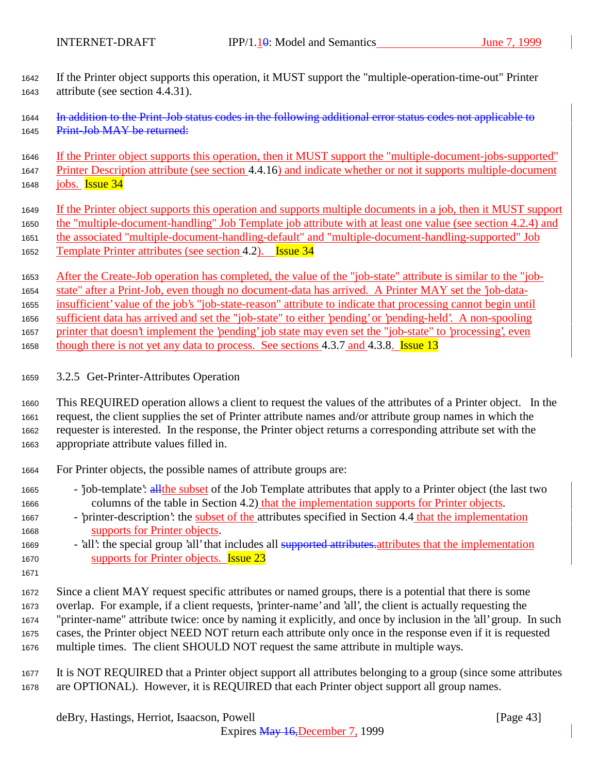If the Printer object supports this operation, it MUST support the "multiple-operation-time-out" Printer attribute (see section 4.4.31).

1644 In addition to the Print-Job status codes in the following additional error status codes not applicable to 1645 Print-Job MAY be returned:

 If the Printer object supports this operation, then it MUST support the "multiple-document-jobs-supported" Printer Description attribute (see section 4.4.16) and indicate whether or not it supports multiple-document

- jobs. Issue  $34$
- If the Printer object supports this operation and supports multiple documents in a job, then it MUST support the "multiple-document-handling" Job Template job attribute with at least one value (see section 4.2.4) and the associated "multiple-document-handling-default" and "multiple-document-handling-supported" Job Template Printer attributes (see section 4.2). Issue 34
- After the Create-Job operation has completed, the value of the "job-state" attribute is similar to the "job- state" after a Print-Job, even though no document-data has arrived. A Printer MAY set the 'job-data- insufficient' value of the job's "job-state-reason" attribute to indicate that processing cannot begin until sufficient data has arrived and set the "job-state" to either 'pending' or 'pending-held'. A non-spooling printer that doesn't implement the 'pending' job state may even set the "job-state" to 'processing', even 1658 though there is not yet any data to process. See sections 4.3.7 and 4.3.8. **Issue 13**
- 3.2.5 Get-Printer-Attributes Operation
- This REQUIRED operation allows a client to request the values of the attributes of a Printer object. In the request, the client supplies the set of Printer attribute names and/or attribute group names in which the requester is interested. In the response, the Printer object returns a corresponding attribute set with the appropriate attribute values filled in.
- For Printer objects, the possible names of attribute groups are:
- <sup>1665</sup> 'job-template': all the subset of the Job Template attributes that apply to a Printer object (the last two columns of the table in Section 4.2) that the implementation supports for Printer objects.
- 'printer-description': the subset of the attributes specified in Section 4.4 that the implementation supports for Printer objects.
- 1669 'all': the special group 'all' that includes all supported attributes attributes that the implementation supports for Printer objects. Issue 23
- 

 Since a client MAY request specific attributes or named groups, there is a potential that there is some overlap. For example, if a client requests, 'printer-name' and 'all', the client is actually requesting the "printer-name" attribute twice: once by naming it explicitly, and once by inclusion in the 'all' group. In such cases, the Printer object NEED NOT return each attribute only once in the response even if it is requested multiple times. The client SHOULD NOT request the same attribute in multiple ways.

 It is NOT REQUIRED that a Printer object support all attributes belonging to a group (since some attributes are OPTIONAL). However, it is REQUIRED that each Printer object support all group names.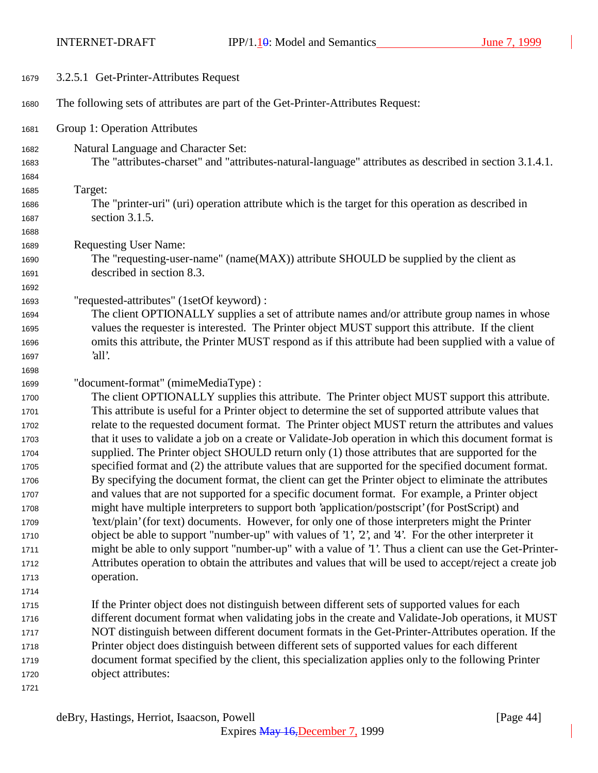INTERNET-DRAFT IPP/1.10: Model and Semantics June 7, 1999

| 1679         | 3.2.5.1 Get-Printer-Attributes Request                                                                          |
|--------------|-----------------------------------------------------------------------------------------------------------------|
| 1680         | The following sets of attributes are part of the Get-Printer-Attributes Request:                                |
| 1681         | Group 1: Operation Attributes                                                                                   |
| 1682         | Natural Language and Character Set:                                                                             |
| 1683         | The "attributes-charset" and "attributes-natural-language" attributes as described in section 3.1.4.1.          |
| 1684         |                                                                                                                 |
| 1685         | Target:                                                                                                         |
| 1686         | The "printer-uri" (uri) operation attribute which is the target for this operation as described in              |
| 1687         | section 3.1.5.                                                                                                  |
| 1688         |                                                                                                                 |
| 1689         | <b>Requesting User Name:</b>                                                                                    |
| 1690         | The "requesting-user-name" (name(MAX)) attribute SHOULD be supplied by the client as                            |
| 1691         | described in section 8.3.                                                                                       |
| 1692         |                                                                                                                 |
| 1693         | "requested-attributes" (1setOf keyword) :                                                                       |
| 1694         | The client OPTIONALLY supplies a set of attribute names and/or attribute group names in whose                   |
| 1695         | values the requester is interested. The Printer object MUST support this attribute. If the client               |
| 1696         | omits this attribute, the Printer MUST respond as if this attribute had been supplied with a value of<br>'all'. |
| 1697         |                                                                                                                 |
| 1698<br>1699 | "document-format" (mimeMediaType) :                                                                             |
| 1700         | The client OPTIONALLY supplies this attribute. The Printer object MUST support this attribute.                  |
| 1701         | This attribute is useful for a Printer object to determine the set of supported attribute values that           |
| 1702         | relate to the requested document format. The Printer object MUST return the attributes and values               |
| 1703         | that it uses to validate a job on a create or Validate-Job operation in which this document format is           |
| 1704         | supplied. The Printer object SHOULD return only (1) those attributes that are supported for the                 |
| 1705         | specified format and (2) the attribute values that are supported for the specified document format.             |
| 1706         | By specifying the document format, the client can get the Printer object to eliminate the attributes            |
| 1707         | and values that are not supported for a specific document format. For example, a Printer object                 |
| 1708         | might have multiple interpreters to support both 'application/postscript' (for PostScript) and                  |
| 1709         | 'text/plain' (for text) documents. However, for only one of those interpreters might the Printer                |
| 1710         | object be able to support "number-up" with values of '1', '2', and '4'. For the other interpreter it            |
| 1711         | might be able to only support "number-up" with a value of '1'. Thus a client can use the Get-Printer-           |
| 1712         | Attributes operation to obtain the attributes and values that will be used to accept/reject a create job        |
| 1713         | operation.                                                                                                      |
| 1714         |                                                                                                                 |
| 1715         | If the Printer object does not distinguish between different sets of supported values for each                  |
| 1716         | different document format when validating jobs in the create and Validate-Job operations, it MUST               |
| 1717         | NOT distinguish between different document formats in the Get-Printer-Attributes operation. If the              |
| 1718         | Printer object does distinguish between different sets of supported values for each different                   |
| 1719         | document format specified by the client, this specialization applies only to the following Printer              |
| 1720         | object attributes:                                                                                              |
| 1721         |                                                                                                                 |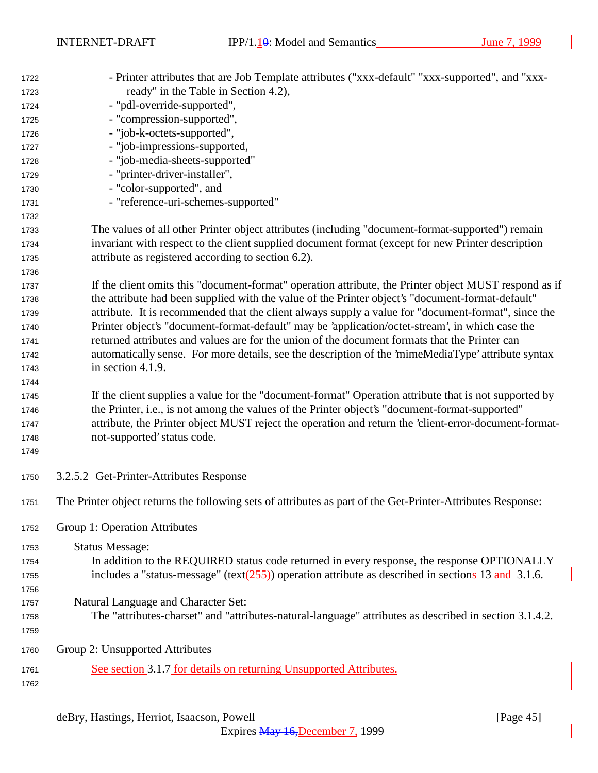| 1722 | - Printer attributes that are Job Template attributes ("xxx-default" "xxx-supported", and "xxx-             |
|------|-------------------------------------------------------------------------------------------------------------|
| 1723 | ready" in the Table in Section 4.2),                                                                        |
| 1724 | - "pdl-override-supported",                                                                                 |
| 1725 | - "compression-supported",                                                                                  |
| 1726 | - "job-k-octets-supported",                                                                                 |
| 1727 | - "job-impressions-supported,                                                                               |
| 1728 | - "job-media-sheets-supported"                                                                              |
| 1729 | - "printer-driver-installer",                                                                               |
| 1730 | - "color-supported", and                                                                                    |
| 1731 | - "reference-uri-schemes-supported"                                                                         |
| 1732 |                                                                                                             |
| 1733 | The values of all other Printer object attributes (including "document-format-supported") remain            |
| 1734 | invariant with respect to the client supplied document format (except for new Printer description           |
| 1735 | attribute as registered according to section 6.2).                                                          |
| 1736 |                                                                                                             |
| 1737 | If the client omits this "document-format" operation attribute, the Printer object MUST respond as if       |
| 1738 | the attribute had been supplied with the value of the Printer object's "document-format-default"            |
| 1739 | attribute. It is recommended that the client always supply a value for "document-format", since the         |
| 1740 | Printer object's "document-format-default" may be 'application/octet-stream', in which case the             |
| 1741 | returned attributes and values are for the union of the document formats that the Printer can               |
| 1742 | automatically sense. For more details, see the description of the 'mimeMediaType' attribute syntax          |
| 1743 | in section 4.1.9.                                                                                           |
| 1744 |                                                                                                             |
| 1745 | If the client supplies a value for the "document-format" Operation attribute that is not supported by       |
| 1746 | the Printer, i.e., is not among the values of the Printer object's "document-format-supported"              |
| 1747 | attribute, the Printer object MUST reject the operation and return the 'client-error-document-format-       |
| 1748 | not-supported' status code.                                                                                 |
| 1749 |                                                                                                             |
| 1750 | 3.2.5.2 Get-Printer-Attributes Response                                                                     |
| 1751 | The Printer object returns the following sets of attributes as part of the Get-Printer-Attributes Response: |
| 1752 | Group 1: Operation Attributes                                                                               |
| 1753 | <b>Status Message:</b>                                                                                      |
| 1754 | In addition to the REQUIRED status code returned in every response, the response OPTIONALLY                 |
| 1755 | includes a "status-message" (text $(255)$ ) operation attribute as described in sections 13 and 3.1.6.      |
| 1756 |                                                                                                             |
| 1757 | Natural Language and Character Set:                                                                         |
| 1758 | The "attributes-charset" and "attributes-natural-language" attributes as described in section 3.1.4.2.      |
| 1759 |                                                                                                             |
| 1760 | Group 2: Unsupported Attributes                                                                             |
| 1761 | See section 3.1.7 for details on returning Unsupported Attributes.                                          |
| 1762 |                                                                                                             |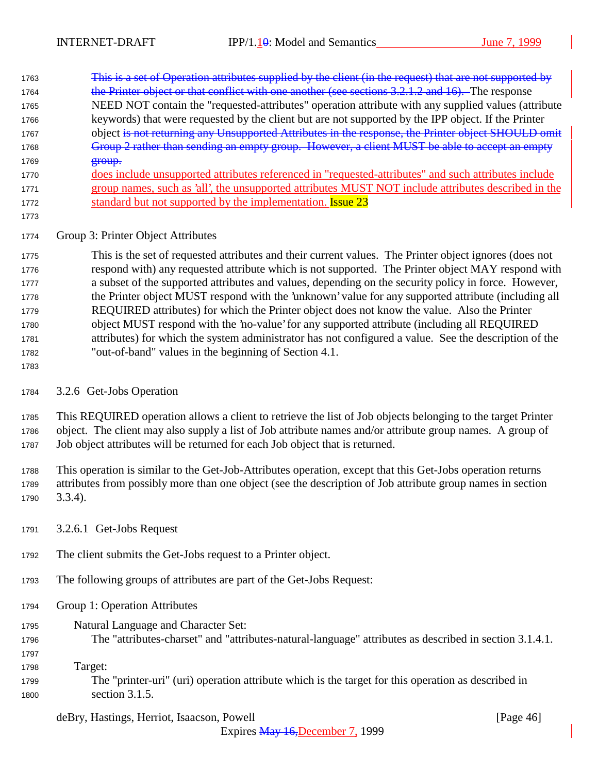| 1763 | This is a set of Operation attributes supplied by the client (in the request) that are not supported by |
|------|---------------------------------------------------------------------------------------------------------|
| 1764 | the Printer object or that conflict with one another (see sections 3.2.1.2 and 16). The response        |
| 1765 | NEED NOT contain the "requested-attributes" operation attribute with any supplied values (attribute     |
| 1766 | keywords) that were requested by the client but are not supported by the IPP object. If the Printer     |
| 1767 | object is not returning any Unsupported Attributes in the response, the Printer object SHOULD omit      |
| 1768 | Group 2 rather than sending an empty group. However, a client MUST be able to accept an empty           |
| 1769 | $error$                                                                                                 |
| 1770 | does include unsupported attributes referenced in "requested-attributes" and such attributes include    |
| 1771 | group names, such as 'all', the unsupported attributes MUST NOT include attributes described in the     |
| 1772 | standard but not supported by the implementation. <b>Issue 23</b>                                       |

## Group 3: Printer Object Attributes

 This is the set of requested attributes and their current values. The Printer object ignores (does not respond with) any requested attribute which is not supported. The Printer object MAY respond with a subset of the supported attributes and values, depending on the security policy in force. However, the Printer object MUST respond with the 'unknown' value for any supported attribute (including all REQUIRED attributes) for which the Printer object does not know the value. Also the Printer object MUST respond with the 'no-value' for any supported attribute (including all REQUIRED attributes) for which the system administrator has not configured a value. See the description of the "out-of-band" values in the beginning of Section 4.1.

3.2.6 Get-Jobs Operation

 This REQUIRED operation allows a client to retrieve the list of Job objects belonging to the target Printer object. The client may also supply a list of Job attribute names and/or attribute group names. A group of Job object attributes will be returned for each Job object that is returned.

 This operation is similar to the Get-Job-Attributes operation, except that this Get-Jobs operation returns attributes from possibly more than one object (see the description of Job attribute group names in section 3.3.4).

- 3.2.6.1 Get-Jobs Request
- The client submits the Get-Jobs request to a Printer object.
- The following groups of attributes are part of the Get-Jobs Request:
- Group 1: Operation Attributes
- Natural Language and Character Set:
- The "attributes-charset" and "attributes-natural-language" attributes as described in section 3.1.4.1.
- 

Target:

 The "printer-uri" (uri) operation attribute which is the target for this operation as described in section 3.1.5.

## deBry, Hastings, Herriot, Isaacson, Powell [Page 46]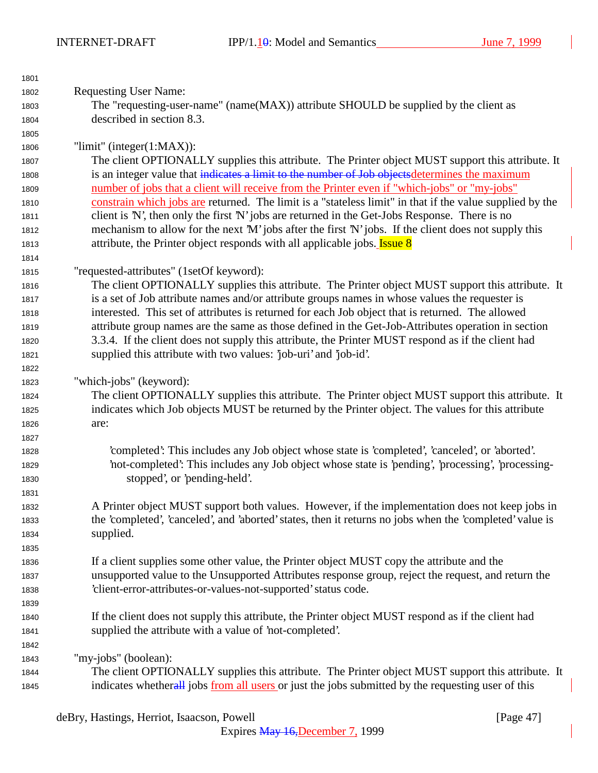INTERNET-DRAFT IPP/1.10: Model and Semantics June 7, 1999

| 1801 |                                                                                                          |
|------|----------------------------------------------------------------------------------------------------------|
| 1802 | <b>Requesting User Name:</b>                                                                             |
| 1803 | The "requesting-user-name" (name(MAX)) attribute SHOULD be supplied by the client as                     |
| 1804 | described in section 8.3.                                                                                |
| 1805 |                                                                                                          |
| 1806 | "limit" (integer $(1:MAX)$ ):                                                                            |
| 1807 | The client OPTIONALLY supplies this attribute. The Printer object MUST support this attribute. It        |
| 1808 | is an integer value that indicates a limit to the number of Job objects determines the maximum           |
| 1809 | number of jobs that a client will receive from the Printer even if "which-jobs" or "my-jobs"             |
| 1810 | constrain which jobs are returned. The limit is a "stateless limit" in that if the value supplied by the |
| 1811 | client is N', then only the first 'N' jobs are returned in the Get-Jobs Response. There is no            |
| 1812 | mechanism to allow for the next 'M' jobs after the first 'N' jobs. If the client does not supply this    |
| 1813 | attribute, the Printer object responds with all applicable jobs. <b>Issue 8</b>                          |
| 1814 |                                                                                                          |
| 1815 | "requested-attributes" (1setOf keyword):                                                                 |
| 1816 | The client OPTIONALLY supplies this attribute. The Printer object MUST support this attribute. It        |
| 1817 | is a set of Job attribute names and/or attribute groups names in whose values the requester is           |
| 1818 | interested. This set of attributes is returned for each Job object that is returned. The allowed         |
| 1819 | attribute group names are the same as those defined in the Get-Job-Attributes operation in section       |
| 1820 | 3.3.4. If the client does not supply this attribute, the Printer MUST respond as if the client had       |
| 1821 | supplied this attribute with two values: 'job-uri' and 'job-id'.                                         |
| 1822 |                                                                                                          |
| 1823 | "which-jobs" (keyword):                                                                                  |
| 1824 | The client OPTIONALLY supplies this attribute. The Printer object MUST support this attribute. It        |
| 1825 | indicates which Job objects MUST be returned by the Printer object. The values for this attribute        |
| 1826 | are:                                                                                                     |
| 1827 |                                                                                                          |
| 1828 | 'completed': This includes any Job object whose state is 'completed', 'canceled', or 'aborted'.          |
| 1829 | not-completed': This includes any Job object whose state is 'pending', 'processing', 'processing-        |
| 1830 | stopped', or 'pending-held'.                                                                             |
| 1831 |                                                                                                          |
| 1832 | A Printer object MUST support both values. However, if the implementation does not keep jobs in          |
| 1833 | the 'completed', 'canceled', and 'aborted' states, then it returns no jobs when the 'completed' value is |
| 1834 | supplied.                                                                                                |
| 1835 |                                                                                                          |
| 1836 | If a client supplies some other value, the Printer object MUST copy the attribute and the                |
| 1837 | unsupported value to the Unsupported Attributes response group, reject the request, and return the       |
| 1838 | 'client-error-attributes-or-values-not-supported' status code.                                           |
| 1839 |                                                                                                          |
| 1840 | If the client does not supply this attribute, the Printer object MUST respond as if the client had       |
| 1841 | supplied the attribute with a value of 'not-completed'.                                                  |
| 1842 |                                                                                                          |
| 1843 | "my-jobs" (boolean):                                                                                     |
| 1844 | The client OPTIONALLY supplies this attribute. The Printer object MUST support this attribute. It        |
| 1845 | indicates whetherall jobs from all users or just the jobs submitted by the requesting user of this       |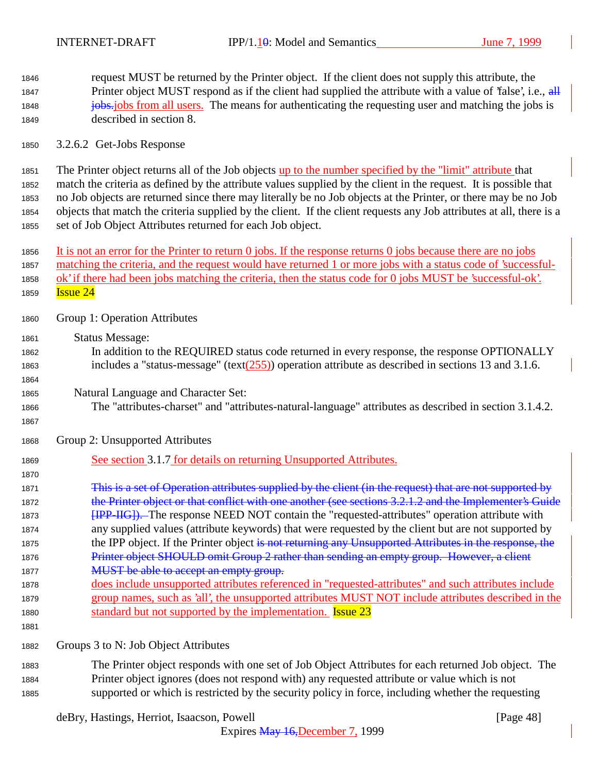request MUST be returned by the Printer object. If the client does not supply this attribute, the 1847 Printer object MUST respond as if the client had supplied the attribute with a value of 'false', i.e., all **jobs.** jobs from all users. The means for authenticating the requesting user and matching the jobs is described in section 8.

3.2.6.2 Get-Jobs Response

 The Printer object returns all of the Job objects up to the number specified by the "limit" attribute that match the criteria as defined by the attribute values supplied by the client in the request. It is possible that no Job objects are returned since there may literally be no Job objects at the Printer, or there may be no Job objects that match the criteria supplied by the client. If the client requests any Job attributes at all, there is a set of Job Object Attributes returned for each Job object.

 It is not an error for the Printer to return 0 jobs. If the response returns 0 jobs because there are no jobs matching the criteria, and the request would have returned 1 or more jobs with a status code of 'successful-1858 ok' if there had been jobs matching the criteria, then the status code for 0 jobs MUST be 'successful-ok'. **Issue 24** 

- Group 1: Operation Attributes
- Status Message:
- In addition to the REQUIRED status code returned in every response, the response OPTIONALLY 1863 includes a "status-message" (text $(255)$ ) operation attribute as described in sections 13 and 3.1.6.
- Natural Language and Character Set:
- The "attributes-charset" and "attributes-natural-language" attributes as described in section 3.1.4.2.
- 

Group 2: Unsupported Attributes

See section 3.1.7 for details on returning Unsupported Attributes.

1871 This is a set of Operation attributes supplied by the client (in the request) that are not supported by 1872 the Printer object or that conflict with one another (see sections 3.2.1.2 and the Implementer's Guide **[IPP-IIG]**). The response NEED NOT contain the "requested-attributes" operation attribute with any supplied values (attribute keywords) that were requested by the client but are not supported by 1875 the IPP object. If the Printer object is not returning any Unsupported Attributes in the response, the 1876 Printer object SHOULD omit Group 2 rather than sending an empty group. However, a client 1877 MUST be able to accept an empty group.

 does include unsupported attributes referenced in "requested-attributes" and such attributes include group names, such as 'all', the unsupported attributes MUST NOT include attributes described in the 1880 standard but not supported by the implementation. **Issue 23** 

Groups 3 to N: Job Object Attributes

 The Printer object responds with one set of Job Object Attributes for each returned Job object. The Printer object ignores (does not respond with) any requested attribute or value which is not supported or which is restricted by the security policy in force, including whether the requesting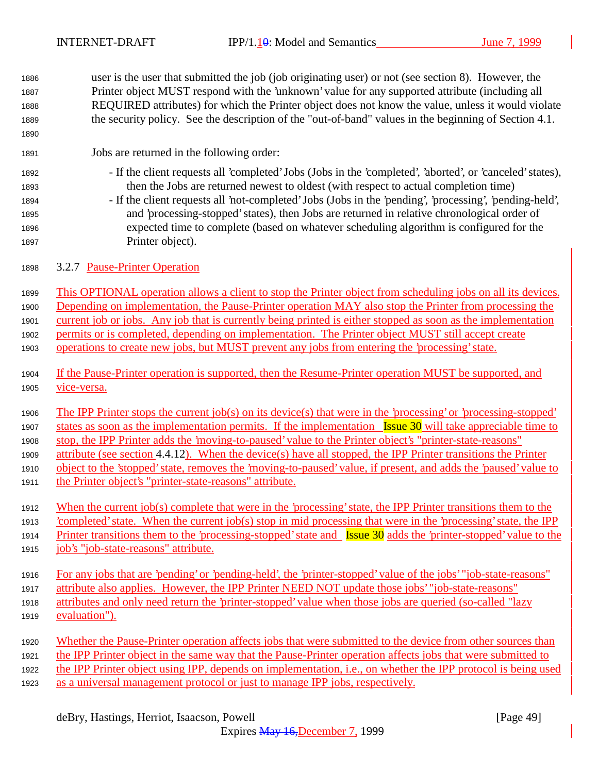| 1886         | user is the user that submitted the job (job originating user) or not (see section 8). However, the                                          |
|--------------|----------------------------------------------------------------------------------------------------------------------------------------------|
| 1887         | Printer object MUST respond with the 'unknown' value for any supported attribute (including all                                              |
| 1888         | REQUIRED attributes) for which the Printer object does not know the value, unless it would violate                                           |
| 1889         | the security policy. See the description of the "out-of-band" values in the beginning of Section 4.1.                                        |
| 1890         |                                                                                                                                              |
| 1891         | Jobs are returned in the following order:                                                                                                    |
| 1892         | - If the client requests all 'completed' Jobs (Jobs in the 'completed', 'aborted', or 'canceled' states),                                    |
| 1893         | then the Jobs are returned newest to oldest (with respect to actual completion time)                                                         |
| 1894         | - If the client requests all 'not-completed' Jobs (Jobs in the 'pending', 'processing', 'pending-held',                                      |
| 1895         | and 'processing-stopped' states), then Jobs are returned in relative chronological order of                                                  |
| 1896         | expected time to complete (based on whatever scheduling algorithm is configured for the                                                      |
| 1897         | Printer object).                                                                                                                             |
| 1898         | 3.2.7 Pause-Printer Operation                                                                                                                |
| 1899         | This OPTIONAL operation allows a client to stop the Printer object from scheduling jobs on all its devices.                                  |
| 1900         | Depending on implementation, the Pause-Printer operation MAY also stop the Printer from processing the                                       |
|              | current job or jobs. Any job that is currently being printed is either stopped as soon as the implementation                                 |
| 1901         | permits or is completed, depending on implementation. The Printer object MUST still accept create                                            |
| 1902<br>1903 | operations to create new jobs, but MUST prevent any jobs from entering the 'processing' state.                                               |
|              |                                                                                                                                              |
| 1904         | If the Pause-Printer operation is supported, then the Resume-Printer operation MUST be supported, and                                        |
| 1905         | vice-versa.                                                                                                                                  |
| 1906         | The IPP Printer stops the current job(s) on its device(s) that were in the 'processing' or 'processing-stopped'                              |
|              | states as soon as the implementation permits. If the implementation [ssue 30] will take appreciable time to                                  |
| 1907         | stop, the IPP Printer adds the 'moving-to-paused' value to the Printer object's "printer-state-reasons"                                      |
| 1908         |                                                                                                                                              |
| 1909         | attribute (see section 4.4.12). When the device(s) have all stopped, the IPP Printer transitions the Printer                                 |
| 1910         | object to the 'stopped' state, removes the 'moving-to-paused' value, if present, and adds the 'paused' value to                              |
| 1911         | the Printer object's "printer-state-reasons" attribute.                                                                                      |
| 1912         | When the current job(s) complete that were in the 'processing' state, the IPP Printer transitions them to the                                |
| 1913         | completed' state. When the current job(s) stop in mid processing that were in the 'processing' state, the IPP                                |
| 1914         | Printer transitions them to the 'processing-stopped' state and $\frac{I_{\text{S}S}}{I_{\text{S}S}}$ adds the 'printer-stopped' value to the |
| 1915         | job's "job-state-reasons" attribute.                                                                                                         |
|              | For any jobs that are 'pending' or 'pending-held', the 'printer-stopped' value of the jobs' "job-state-reasons"                              |
| 1916<br>1917 | attribute also applies. However, the IPP Printer NEED NOT update those jobs' "job-state-reasons"                                             |
|              | attributes and only need return the 'printer-stopped' value when those jobs are queried (so-called "lazy                                     |
| 1918<br>1919 | evaluation").                                                                                                                                |
|              |                                                                                                                                              |
| 1920         | Whether the Pause-Printer operation affects jobs that were submitted to the device from other sources than                                   |
| 1921         | the IPP Printer object in the same way that the Pause-Printer operation affects jobs that were submitted to                                  |
| 1922         | the IPP Printer object using IPP, depends on implementation, i.e., on whether the IPP protocol is being used                                 |
| 1923         | as a universal management protocol or just to manage IPP jobs, respectively.                                                                 |
|              |                                                                                                                                              |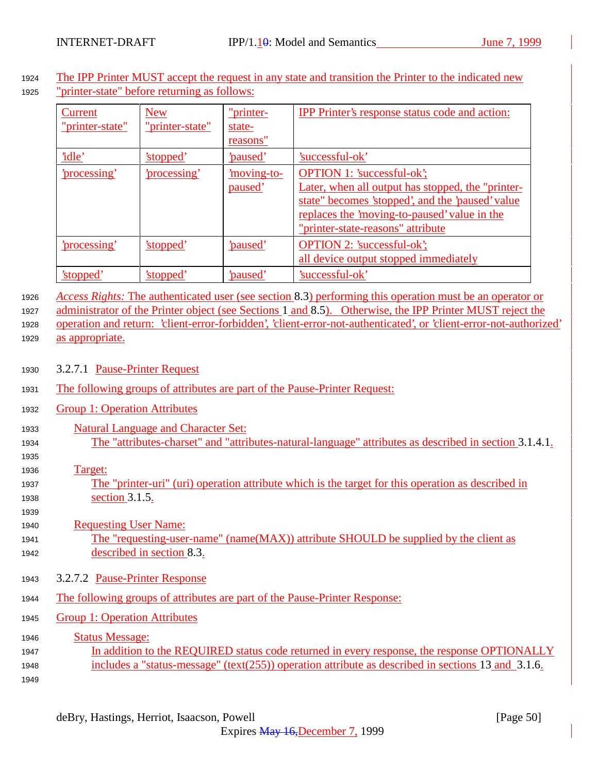<sup>1924</sup> The IPP Printer MUST accept the request in any state and transition the Printer to the indicated new <sup>1925</sup> "printer-state" before returning as follows:

| Current<br>"printer-state" | <b>New</b><br>"printer-state" | "printer-<br>state-<br>reasons" | IPP Printer's response status code and action:                                                                                                                                                                                  |
|----------------------------|-------------------------------|---------------------------------|---------------------------------------------------------------------------------------------------------------------------------------------------------------------------------------------------------------------------------|
| 'idle'                     | 'stopped'                     | <u>'paused'</u>                 | 'successful-ok'                                                                                                                                                                                                                 |
| <u>'processing'</u>        | processing'                   | <u>moving-to-</u><br>paused'    | <b>OPTION 1: 'successful-ok';</b><br>Later, when all output has stopped, the "printer-<br>state" becomes 'stopped', and the 'paused' value<br>replaces the 'moving-to-paused' value in the<br>"printer-state-reasons" attribute |
| <u>'processing'</u>        | 'stopped'                     | <u>'paused'</u>                 | <b>OPTION 2: 'successful-ok';</b><br>all device output stopped immediately                                                                                                                                                      |
| 'stopped'                  | 'stopped'                     | 'paused'                        | 'successful-ok'                                                                                                                                                                                                                 |

<sup>1926</sup> *Access Rights:* The authenticated user (see section 8.3) performing this operation must be an operator or

<sup>1927</sup> administrator of the Printer object (see Sections 1 and 8.5). Otherwise, the IPP Printer MUST reject the <sup>1928</sup> operation and return: 'client-error-forbidden', 'client-error-not-authenticated', or 'client-error-not-authorized' 1929 as appropriate.

- <sup>1930</sup> 3.2.7.1 Pause-Printer Request
- <sup>1931</sup> The following groups of attributes are part of the Pause-Printer Request:
- <sup>1932</sup> Group 1: Operation Attributes
- <sup>1933</sup> Natural Language and Character Set: <sup>1934</sup> The "attributes-charset" and "attributes-natural-language" attributes as described in section 3.1.4.1.
- 1935
- <sup>1936</sup> Target:
- <sup>1937</sup> The "printer-uri" (uri) operation attribute which is the target for this operation as described in <sup>1938</sup> section 3.1.5.
- 1939 <sup>1940</sup> Requesting User Name: <sup>1941</sup> The "requesting-user-name" (name(MAX)) attribute SHOULD be supplied by the client as <sup>1942</sup> described in section 8.3.
- <sup>1943</sup> 3.2.7.2 Pause-Printer Response
- <sup>1944</sup> The following groups of attributes are part of the Pause-Printer Response:
- <sup>1945</sup> Group 1: Operation Attributes
- 1946 **Status Message:** <sup>1947</sup> In addition to the REQUIRED status code returned in every response, the response OPTIONALLY <sup>1948</sup> includes a "status-message" (text(255)) operation attribute as described in sections 13 and 3.1.6. 1949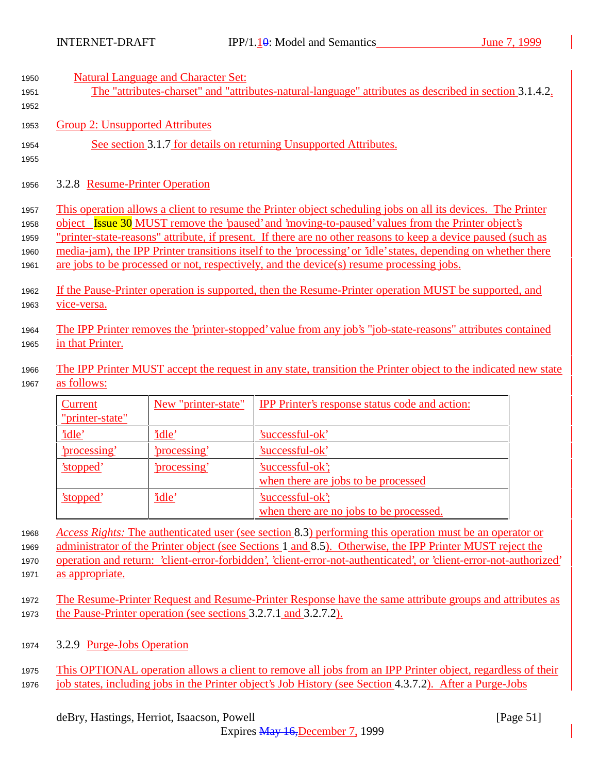| 1950 | <b>Natural Language and Character Set:</b>                                                                      |
|------|-----------------------------------------------------------------------------------------------------------------|
| 1951 | The "attributes-charset" and "attributes-natural-language" attributes as described in section 3.1.4.2.          |
| 1952 |                                                                                                                 |
| 1953 | Group 2: Unsupported Attributes                                                                                 |
| 1954 | See section 3.1.7 for details on returning Unsupported Attributes.                                              |
| 1955 |                                                                                                                 |
| 1956 | 3.2.8 Resume-Printer Operation                                                                                  |
| 1957 | This operation allows a client to resume the Printer object scheduling jobs on all its devices. The Printer     |
| 1958 | object Issue 30 MUST remove the 'paused' and 'moving-to-paused' values from the Printer object's                |
| 1959 | "printer-state-reasons" attribute, if present. If there are no other reasons to keep a device paused (such as   |
| 1960 | media-jam), the IPP Printer transitions itself to the 'processing' or 'idle' states, depending on whether there |
| 1961 | are jobs to be processed or not, respectively, and the device(s) resume processing jobs.                        |
| 1962 | If the Pause-Printer operation is supported, then the Resume-Printer operation MUST be supported, and           |
| 1963 | <u>vice-versa.</u>                                                                                              |
| 1964 | The IPP Printer removes the 'printer-stopped' value from any job's "job-state-reasons" attributes contained     |
| 1965 | in that Printer.                                                                                                |
| 1966 | The IPP Printer MUST accept the request in any state, transition the Printer object to the indicated new state  |
| 1967 | as follows:                                                                                                     |

| Current         | New "printer-state" | IPP Printer's response status code and action: |
|-----------------|---------------------|------------------------------------------------|
| "printer-state" |                     |                                                |
| 'idle'          | <u>'idle'</u>       | 'successful-ok'                                |
| processing'     | <u>'processing'</u> | 'successful-ok'                                |
| 'stopped'       | 'processing'        | 'successful-ok';                               |
|                 |                     | when there are jobs to be processed            |
| 'stopped'       | 'idle'              | 'successful-ok';                               |
|                 |                     | when there are no jobs to be processed.        |

<sup>1968</sup> *Access Rights:* The authenticated user (see section 8.3) performing this operation must be an operator or <sup>1969</sup> administrator of the Printer object (see Sections 1 and 8.5). Otherwise, the IPP Printer MUST reject the <sup>1970</sup> operation and return: 'client-error-forbidden', 'client-error-not-authenticated', or 'client-error-not-authorized'

- 1971 as appropriate.
- <sup>1972</sup> The Resume-Printer Request and Resume-Printer Response have the same attribute groups and attributes as <sup>1973</sup> the Pause-Printer operation (see sections 3.2.7.1 and 3.2.7.2).
- <sup>1974</sup> 3.2.9 Purge-Jobs Operation
- <sup>1975</sup> This OPTIONAL operation allows a client to remove all jobs from an IPP Printer object, regardless of their <sup>1976</sup> job states, including jobs in the Printer object's Job History (see Section 4.3.7.2). After a Purge-Jobs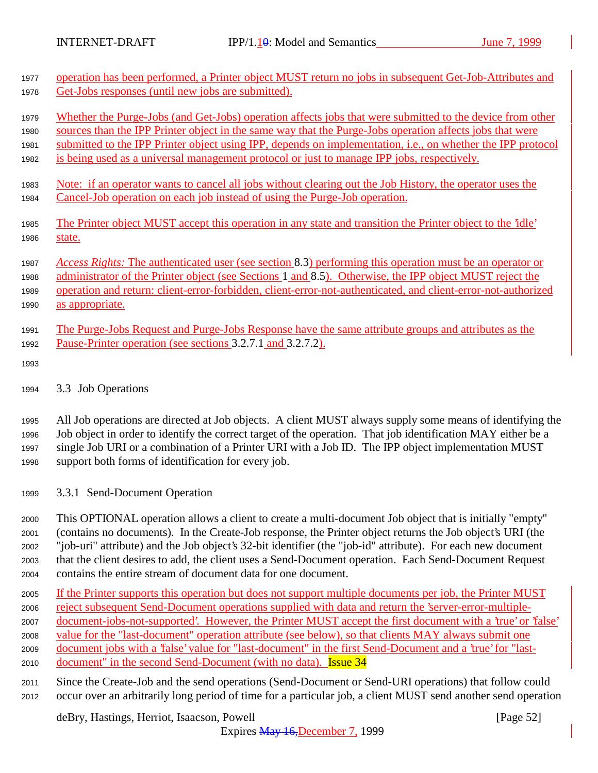| 1977                 | operation has been performed, a Printer object MUST return no jobs in subsequent Get-Job-Attributes and                                                            |
|----------------------|--------------------------------------------------------------------------------------------------------------------------------------------------------------------|
| 1978                 | Get-Jobs responses (until new jobs are submitted).                                                                                                                 |
| 1979                 | Whether the Purge-Jobs (and Get-Jobs) operation affects jobs that were submitted to the device from other                                                          |
| 1980                 | sources than the IPP Printer object in the same way that the Purge-Jobs operation affects jobs that were                                                           |
| 1981                 | submitted to the IPP Printer object using IPP, depends on implementation, <i>i.e.</i> , on whether the IPP protocol                                                |
| 1982                 | is being used as a universal management protocol or just to manage IPP jobs, respectively.                                                                         |
| 1983                 | <u>Note: if an operator wants to cancel all jobs without clearing out the Job History, the operator uses the</u>                                                   |
| 1984                 | Cancel-Job operation on each job instead of using the Purge-Job operation.                                                                                         |
| 1985                 | The Printer object MUST accept this operation in any state and transition the Printer object to the "idle"                                                         |
| 1986                 | state.                                                                                                                                                             |
| 1987                 | Access Rights: The authenticated user (see section 8.3) performing this operation must be an operator or                                                           |
| 1988                 | administrator of the Printer object (see Sections 1 and 8.5). Otherwise, the IPP object MUST reject the                                                            |
| 1989                 | operation and return: client-error-forbidden, client-error-not-authenticated, and client-error-not-authorized                                                      |
| 1990                 | as appropriate.                                                                                                                                                    |
| 1991<br>1992<br>1993 | The Purge-Jobs Request and Purge-Jobs Response have the same attribute groups and attributes as the<br>Pause-Printer operation (see sections 3.2.7.1 and 3.2.7.2). |
| 1994                 | 3.3 Job Operations                                                                                                                                                 |

 All Job operations are directed at Job objects. A client MUST always supply some means of identifying the Job object in order to identify the correct target of the operation. That job identification MAY either be a single Job URI or a combination of a Printer URI with a Job ID. The IPP object implementation MUST support both forms of identification for every job.

<sup>1999</sup> 3.3.1 Send-Document Operation

 This OPTIONAL operation allows a client to create a multi-document Job object that is initially "empty" (contains no documents). In the Create-Job response, the Printer object returns the Job object's URI (the "job-uri" attribute) and the Job object's 32-bit identifier (the "job-id" attribute). For each new document that the client desires to add, the client uses a Send-Document operation. Each Send-Document Request contains the entire stream of document data for one document.

- <sup>2005</sup> If the Printer supports this operation but does not support multiple documents per job, the Printer MUST <sup>2006</sup> reject subsequent Send-Document operations supplied with data and return the 'server-error-multiple-<sup>2007</sup> document-jobs-not-supported'. However, the Printer MUST accept the first document with a 'true' or 'false' <sup>2008</sup> value for the "last-document" operation attribute (see below), so that clients MAY always submit one <sup>2009</sup> document jobs with a 'false' value for "last-document" in the first Send-Document and a 'true' for "last-
- 2010 document" in the second Send-Document (with no data). **Issue 34**
- <sup>2011</sup> Since the Create-Job and the send operations (Send-Document or Send-URI operations) that follow could <sup>2012</sup> occur over an arbitrarily long period of time for a particular job, a client MUST send another send operation

deBry, Hastings, Herriot, Isaacson, Powell [Page 52]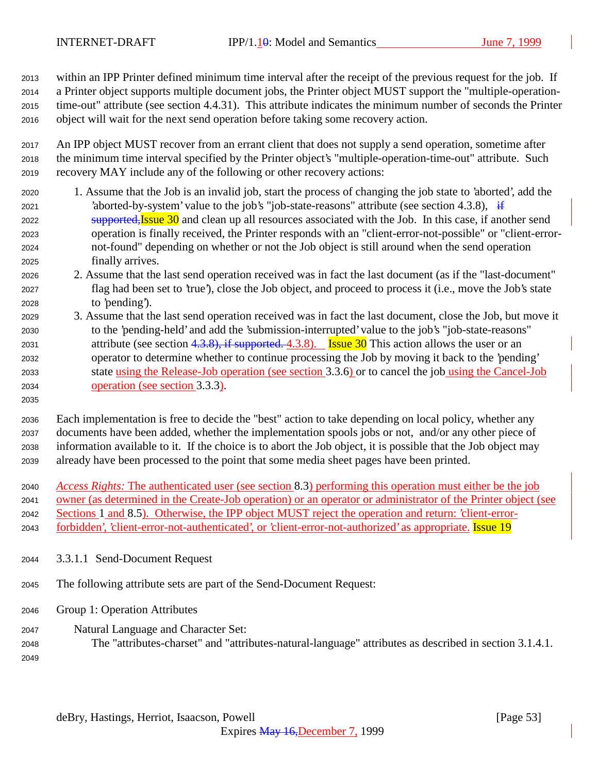within an IPP Printer defined minimum time interval after the receipt of the previous request for the job. If a Printer object supports multiple document jobs, the Printer object MUST support the "multiple-operation- time-out" attribute (see section 4.4.31). This attribute indicates the minimum number of seconds the Printer object will wait for the next send operation before taking some recovery action.

 An IPP object MUST recover from an errant client that does not supply a send operation, sometime after the minimum time interval specified by the Printer object's "multiple-operation-time-out" attribute. Such recovery MAY include any of the following or other recovery actions:

- 1. Assume that the Job is an invalid job, start the process of changing the job state to 'aborted', add the 2021 'aborted-by-system' value to the job's "job-state-reasons" attribute (see section 4.3.8),  $\frac{1}{11}$ 2022 supported, Issue and clean up all resources associated with the Job. In this case, if another send operation is finally received, the Printer responds with an "client-error-not-possible" or "client-error- not-found" depending on whether or not the Job object is still around when the send operation finally arrives.
- 2. Assume that the last send operation received was in fact the last document (as if the "last-document" flag had been set to 'true'), close the Job object, and proceed to process it (i.e., move the Job's state to 'pending').
- 3. Assume that the last send operation received was in fact the last document, close the Job, but move it to the 'pending-held' and add the 'submission-interrupted' value to the job's "job-state-reasons" 2031 attribute (see section  $4.3.8$ ), if supported. 4.3.8). Issue 30 This action allows the user or an operator to determine whether to continue processing the Job by moving it back to the 'pending' state using the Release-Job operation (see section 3.3.6) or to cancel the job using the Cancel-Job operation (see section 3.3.3).
- 

 Each implementation is free to decide the "best" action to take depending on local policy, whether any documents have been added, whether the implementation spools jobs or not, and/or any other piece of information available to it. If the choice is to abort the Job object, it is possible that the Job object may already have been processed to the point that some media sheet pages have been printed.

 *Access Rights:* The authenticated user (see section 8.3) performing this operation must either be the job owner (as determined in the Create-Job operation) or an operator or administrator of the Printer object (see Sections 1 and 8.5). Otherwise, the IPP object MUST reject the operation and return: 'client-error-

2043 forbidden', 'client-error-not-authenticated', or 'client-error-not-authorized' as appropriate. Issue 19

3.3.1.1 Send-Document Request

The following attribute sets are part of the Send-Document Request:

- Group 1: Operation Attributes
- Natural Language and Character Set:
- The "attributes-charset" and "attributes-natural-language" attributes as described in section 3.1.4.1.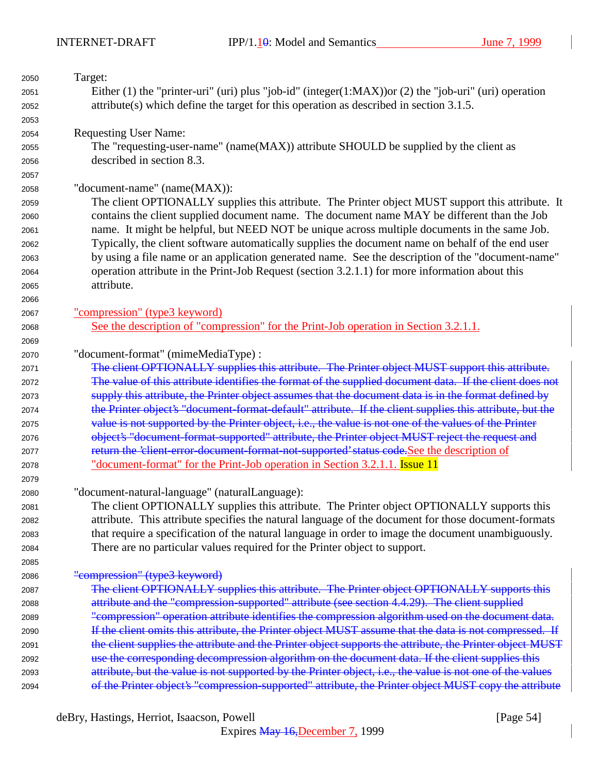| 2050 | Target:                                                                                                                                                                                                      |
|------|--------------------------------------------------------------------------------------------------------------------------------------------------------------------------------------------------------------|
| 2051 | Either (1) the "printer-uri" (uri) plus "job-id" (integer(1:MAX)) or (2) the "job-uri" (uri) operation                                                                                                       |
| 2052 | $attribute(s)$ which define the target for this operation as described in section 3.1.5.                                                                                                                     |
| 2053 |                                                                                                                                                                                                              |
| 2054 | <b>Requesting User Name:</b>                                                                                                                                                                                 |
| 2055 | The "requesting-user-name" (name(MAX)) attribute SHOULD be supplied by the client as                                                                                                                         |
| 2056 | described in section 8.3.                                                                                                                                                                                    |
| 2057 |                                                                                                                                                                                                              |
| 2058 | "document-name" (name(MAX)):                                                                                                                                                                                 |
| 2059 | The client OPTIONALLY supplies this attribute. The Printer object MUST support this attribute. It                                                                                                            |
| 2060 | contains the client supplied document name. The document name MAY be different than the Job                                                                                                                  |
| 2061 | name. It might be helpful, but NEED NOT be unique across multiple documents in the same Job.                                                                                                                 |
| 2062 | Typically, the client software automatically supplies the document name on behalf of the end user                                                                                                            |
| 2063 | by using a file name or an application generated name. See the description of the "document-name"                                                                                                            |
| 2064 | operation attribute in the Print-Job Request (section 3.2.1.1) for more information about this                                                                                                               |
| 2065 | attribute.                                                                                                                                                                                                   |
| 2066 |                                                                                                                                                                                                              |
| 2067 | "compression" (type3 keyword)                                                                                                                                                                                |
| 2068 | See the description of "compression" for the Print-Job operation in Section 3.2.1.1.                                                                                                                         |
| 2069 |                                                                                                                                                                                                              |
| 2070 | "document-format" (mimeMediaType) :                                                                                                                                                                          |
| 2071 | The client OPTIONALLY supplies this attribute. The Printer object MUST support this attribute.                                                                                                               |
| 2072 | The value of this attribute identifies the format of the supplied document data. If the client does not                                                                                                      |
| 2073 | supply this attribute, the Printer object assumes that the document data is in the format defined by                                                                                                         |
| 2074 | the Printer object's "document format default" attribute. If the client supplies this attribute, but the                                                                                                     |
| 2075 | value is not supported by the Printer object, i.e., the value is not one of the values of the Printer                                                                                                        |
| 2076 | object's "document-format-supported" attribute, the Printer object MUST reject the request and                                                                                                               |
| 2077 | return the 'client-error-document-format-not-supported' status code. See the description of                                                                                                                  |
| 2078 | <u>"document-format" for the Print-Job operation in Section 3.2.1.1.</u> Issue 11                                                                                                                            |
| 2079 |                                                                                                                                                                                                              |
| 2080 | "document-natural-language" (naturalLanguage):                                                                                                                                                               |
| 2081 | The client OPTIONALLY supplies this attribute. The Printer object OPTIONALLY supports this                                                                                                                   |
| 2082 | attribute. This attribute specifies the natural language of the document for those document-formats                                                                                                          |
| 2083 | that require a specification of the natural language in order to image the document unambiguously.                                                                                                           |
| 2084 | There are no particular values required for the Printer object to support.                                                                                                                                   |
| 2085 |                                                                                                                                                                                                              |
| 2086 | "compression" (type3 keyword)                                                                                                                                                                                |
| 2087 | The client OPTIONALLY supplies this attribute. The Printer object OPTIONALLY supports this                                                                                                                   |
|      | attribute and the "compression-supported" attribute (see section 4.4.29). The client supplied                                                                                                                |
| 2088 | "compression" operation attribute identifies the compression algorithm used on the document data.                                                                                                            |
| 2089 | If the client omits this attribute, the Printer object MUST assume that the data is not compressed. If                                                                                                       |
| 2090 |                                                                                                                                                                                                              |
| 2091 | the client supplies the attribute and the Printer object supports the attribute, the Printer object MUST                                                                                                     |
| 2092 | use the corresponding decompression algorithm on the document data. If the client supplies this<br>attribute, but the value is not supported by the Printer object, i.e., the value is not one of the values |
| 2093 | of the Printer object's "compression-supported" attribute, the Printer object MUST copy the attribute                                                                                                        |
| 2094 |                                                                                                                                                                                                              |

deBry, Hastings, Herriot, Isaacson, Powell [Page 54]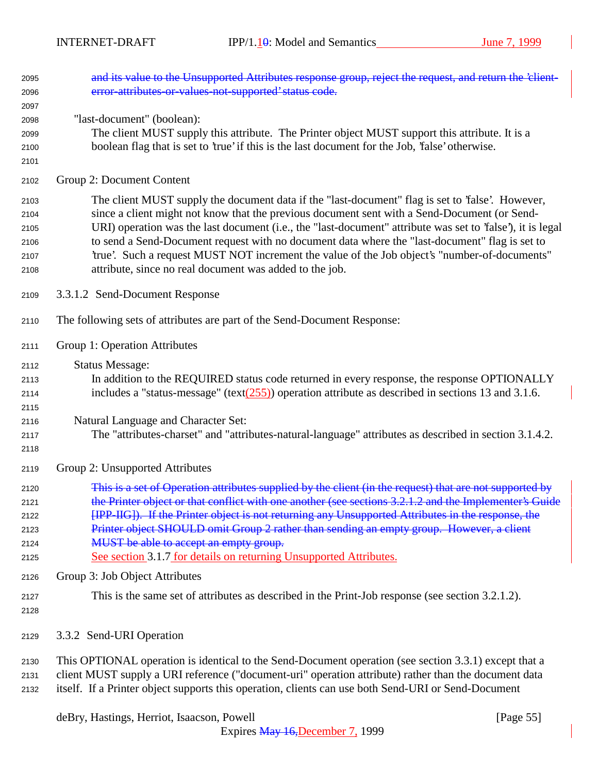| 2095<br>2096                                 | and its value to the Unsupported Attributes response group, reject the request, and return the 'client-<br>error-attributes-or-values-not-supported' status code.                                                                                                                                                                                                                                                                                                                                                                                                            |
|----------------------------------------------|------------------------------------------------------------------------------------------------------------------------------------------------------------------------------------------------------------------------------------------------------------------------------------------------------------------------------------------------------------------------------------------------------------------------------------------------------------------------------------------------------------------------------------------------------------------------------|
| 2097<br>2098<br>2099<br>2100<br>2101         | "last-document" (boolean):<br>The client MUST supply this attribute. The Printer object MUST support this attribute. It is a<br>boolean flag that is set to 'true' if this is the last document for the Job, 'false' otherwise.                                                                                                                                                                                                                                                                                                                                              |
| 2102                                         | Group 2: Document Content                                                                                                                                                                                                                                                                                                                                                                                                                                                                                                                                                    |
| 2103<br>2104<br>2105<br>2106<br>2107<br>2108 | The client MUST supply the document data if the "last-document" flag is set to 'false'. However,<br>since a client might not know that the previous document sent with a Send-Document (or Send-<br>URI) operation was the last document (i.e., the "last-document" attribute was set to 'false'), it is legal<br>to send a Send-Document request with no document data where the "last-document" flag is set to<br>'true'. Such a request MUST NOT increment the value of the Job object's "number-of-documents"<br>attribute, since no real document was added to the job. |
| 2109                                         | 3.3.1.2 Send-Document Response                                                                                                                                                                                                                                                                                                                                                                                                                                                                                                                                               |
| 2110                                         | The following sets of attributes are part of the Send-Document Response:                                                                                                                                                                                                                                                                                                                                                                                                                                                                                                     |
| 2111                                         | Group 1: Operation Attributes                                                                                                                                                                                                                                                                                                                                                                                                                                                                                                                                                |
| 2112<br>2113<br>2114<br>2115                 | <b>Status Message:</b><br>In addition to the REQUIRED status code returned in every response, the response OPTIONALLY<br>includes a "status-message" (text $(255)$ ) operation attribute as described in sections 13 and 3.1.6.                                                                                                                                                                                                                                                                                                                                              |
| 2116<br>2117<br>2118                         | Natural Language and Character Set:<br>The "attributes-charset" and "attributes-natural-language" attributes as described in section 3.1.4.2.                                                                                                                                                                                                                                                                                                                                                                                                                                |
| 2119                                         | Group 2: Unsupported Attributes                                                                                                                                                                                                                                                                                                                                                                                                                                                                                                                                              |
| 2120<br>2121<br>2122<br>2123<br>2124<br>2125 | This is a set of Operation attributes supplied by the client (in the request) that are not supported by<br>the Printer object or that conflict with one another (see sections 3.2.1.2 and the Implementer's Guide<br>[IPP-IIG]). If the Printer object is not returning any Unsupported Attributes in the response, the<br>Printer object SHOULD omit Group 2 rather than sending an empty group. However, a client<br>MUST be able to accept an empty group.<br>See section 3.1.7 for details on returning Unsupported Attributes.                                          |
| 2126                                         | Group 3: Job Object Attributes                                                                                                                                                                                                                                                                                                                                                                                                                                                                                                                                               |
| 2127<br>2128                                 | This is the same set of attributes as described in the Print-Job response (see section 3.2.1.2).                                                                                                                                                                                                                                                                                                                                                                                                                                                                             |
| 2129                                         | 3.3.2 Send-URI Operation                                                                                                                                                                                                                                                                                                                                                                                                                                                                                                                                                     |
| 2130<br>2131                                 | This OPTIONAL operation is identical to the Send-Document operation (see section 3.3.1) except that a<br>client MUST supply a URI reference ("document-uri" operation attribute) rather than the document data                                                                                                                                                                                                                                                                                                                                                               |

itself. If a Printer object supports this operation, clients can use both Send-URI or Send-Document

deBry, Hastings, Herriot, Isaacson, Powell [Page 55]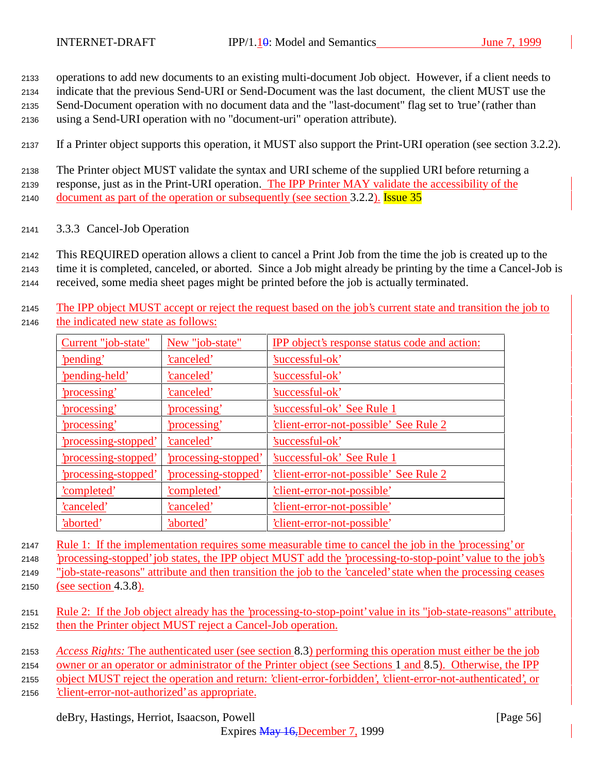<sup>2133</sup> operations to add new documents to an existing multi-document Job object. However, if a client needs to

<sup>2134</sup> indicate that the previous Send-URI or Send-Document was the last document, the client MUST use the

<sup>2135</sup> Send-Document operation with no document data and the "last-document" flag set to 'true' (rather than

<sup>2136</sup> using a Send-URI operation with no "document-uri" operation attribute).

<sup>2137</sup> If a Printer object supports this operation, it MUST also support the Print-URI operation (see section 3.2.2).

<sup>2138</sup> The Printer object MUST validate the syntax and URI scheme of the supplied URI before returning a <sup>2139</sup> response, just as in the Print-URI operation. The IPP Printer MAY validate the accessibility of the 2140 document as part of the operation or subsequently (see section 3.2.2). Issue 35

<sup>2141</sup> 3.3.3 Cancel-Job Operation

<sup>2142</sup> This REQUIRED operation allows a client to cancel a Print Job from the time the job is created up to the

<sup>2143</sup> time it is completed, canceled, or aborted. Since a Job might already be printing by the time a Cancel-Job is

<sup>2144</sup> received, some media sheet pages might be printed before the job is actually terminated.

<sup>2145</sup> The IPP object MUST accept or reject the request based on the job's current state and transition the job to <sup>2146</sup> the indicated new state as follows:

| Current "job-state"       | New "job-state"           | <b>IPP</b> object's response status code and action: |
|---------------------------|---------------------------|------------------------------------------------------|
| 'pending'                 | 'canceled'                | 'successful-ok'                                      |
| 'pending-held'            | 'canceled'                | 'successful-ok'                                      |
| <u>'processing'</u>       | 'canceled'                | 'successful-ok'                                      |
| 'processing'              | 'processing'              | 'successful-ok' See Rule 1                           |
| 'processing'              | 'processing'              | 'client-error-not-possible' See Rule 2               |
| 'processing-stopped'      | 'canceled'                | 'successful-ok'                                      |
| <u>processing-stopped</u> | <u>processing-stopped</u> | 'successful-ok' See Rule 1                           |
| 'processing-stopped'      | 'processing-stopped'      | 'client-error-not-possible' See Rule 2               |
| 'completed'               | 'completed'               | 'client-error-not-possible'                          |
| 'canceled'                | 'canceled'                | 'client-error-not-possible'                          |
| 'aborted'                 | 'aborted'                 | 'client-error-not-possible'                          |

<sup>2147</sup> Rule 1: If the implementation requires some measurable time to cancel the job in the 'processing' or

<sup>2148</sup> 'processing-stopped' job states, the IPP object MUST add the 'processing-to-stop-point' value to the job's

<sup>2149</sup> "job-state-reasons" attribute and then transition the job to the 'canceled' state when the processing ceases <sup>2150</sup> (see section 4.3.8).

- 
- <sup>2151</sup> Rule 2: If the Job object already has the 'processing-to-stop-point' value in its "job-state-reasons" attribute, <sup>2152</sup> then the Printer object MUST reject a Cancel-Job operation.
- <sup>2153</sup> *Access Rights:* The authenticated user (see section 8.3) performing this operation must either be the job
- <sup>2154</sup> owner or an operator or administrator of the Printer object (see Sections 1 and 8.5). Otherwise, the IPP

<sup>2155</sup> object MUST reject the operation and return: 'client-error-forbidden', 'client-error-not-authenticated', or

<sup>2156</sup> 'client-error-not-authorized' as appropriate.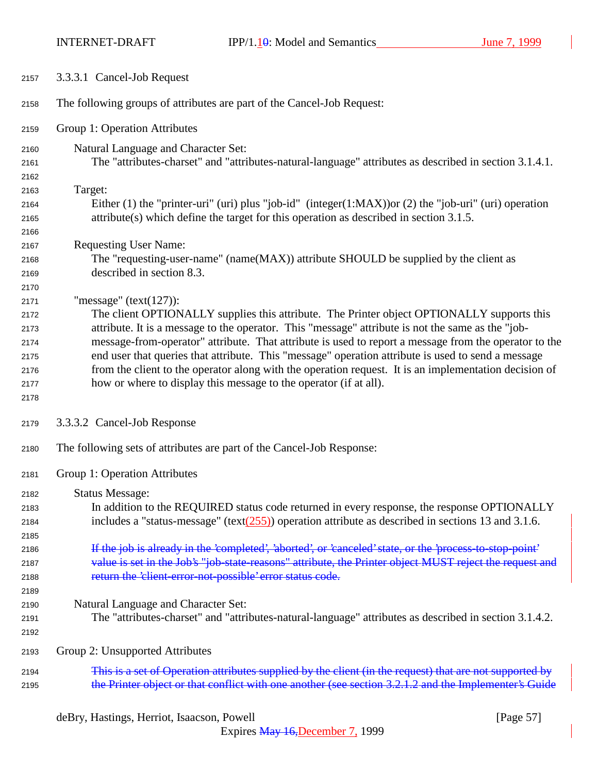INTERNET-DRAFT IPP/1.10: Model and Semantics June 7, 1999

| 2157 | 3.3.3.1 Cancel-Job Request                                                                               |
|------|----------------------------------------------------------------------------------------------------------|
| 2158 | The following groups of attributes are part of the Cancel-Job Request:                                   |
| 2159 | Group 1: Operation Attributes                                                                            |
| 2160 | Natural Language and Character Set:                                                                      |
| 2161 | The "attributes-charset" and "attributes-natural-language" attributes as described in section 3.1.4.1.   |
| 2162 |                                                                                                          |
| 2163 | Target:                                                                                                  |
| 2164 | Either (1) the "printer-uri" (uri) plus "job-id" (integer(1:MAX)) or (2) the "job-uri" (uri) operation   |
| 2165 | $attribute(s)$ which define the target for this operation as described in section 3.1.5.                 |
| 2166 |                                                                                                          |
| 2167 | <b>Requesting User Name:</b>                                                                             |
| 2168 | The "requesting-user-name" (name(MAX)) attribute SHOULD be supplied by the client as                     |
| 2169 | described in section 8.3.                                                                                |
| 2170 |                                                                                                          |
| 2171 | "message" ( $text(127)$ ):                                                                               |
| 2172 | The client OPTIONALLY supplies this attribute. The Printer object OPTIONALLY supports this               |
| 2173 | attribute. It is a message to the operator. This "message" attribute is not the same as the "job-        |
| 2174 | message-from-operator" attribute. That attribute is used to report a message from the operator to the    |
| 2175 | end user that queries that attribute. This "message" operation attribute is used to send a message       |
| 2176 | from the client to the operator along with the operation request. It is an implementation decision of    |
| 2177 | how or where to display this message to the operator (if at all).                                        |
| 2178 |                                                                                                          |
| 2179 | 3.3.3.2 Cancel-Job Response                                                                              |
| 2180 | The following sets of attributes are part of the Cancel-Job Response:                                    |
| 2181 | Group 1: Operation Attributes                                                                            |
| 2182 | <b>Status Message:</b>                                                                                   |
| 2183 | In addition to the REQUIRED status code returned in every response, the response OPTIONALLY              |
| 2184 | includes a "status-message" (text $(255)$ ) operation attribute as described in sections 13 and 3.1.6.   |
| 2185 |                                                                                                          |
| 2186 | If the job is already in the 'completed', 'aborted', or 'canceled' state, or the 'process to stop point' |
| 2187 | value is set in the Job's "job-state-reasons" attribute, the Printer object MUST reject the request and  |
| 2188 | return the 'client-error-not-possible' error status code.                                                |
| 2189 |                                                                                                          |
| 2190 | Natural Language and Character Set:                                                                      |
| 2191 | The "attributes-charset" and "attributes-natural-language" attributes as described in section 3.1.4.2.   |
| 2192 |                                                                                                          |
| 2193 | Group 2: Unsupported Attributes                                                                          |
| 2194 | This is a set of Operation attributes supplied by the client (in the request) that are not supported by  |
| 2195 | the Printer object or that conflict with one another (see section 3.2.1.2 and the Implementer's Guide    |

deBry, Hastings, Herriot, Isaacson, Powell [Page 57]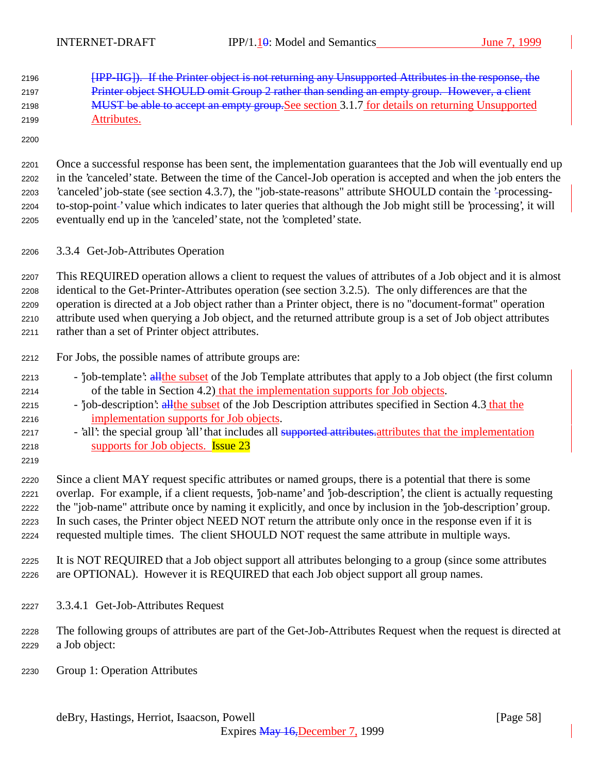[IPP-IIG]). If the Printer object is not returning any Unsupported Attributes in the response, the 2197 Printer object SHOULD omit Group 2 rather than sending an empty group. However, a client 2198 MUST be able to accept an empty group. See section 3.1.7 for details on returning Unsupported Attributes.

 Once a successful response has been sent, the implementation guarantees that the Job will eventually end up in the 'canceled' state. Between the time of the Cancel-Job operation is accepted and when the job enters the 'canceled' job-state (see section 4.3.7), the "job-state-reasons" attribute SHOULD contain the 'processing-2204 to-stop-point-' value which indicates to later queries that although the Job might still be 'processing', it will eventually end up in the 'canceled' state, not the 'completed' state.

3.3.4 Get-Job-Attributes Operation

 This REQUIRED operation allows a client to request the values of attributes of a Job object and it is almost identical to the Get-Printer-Attributes operation (see section 3.2.5). The only differences are that the operation is directed at a Job object rather than a Printer object, there is no "document-format" operation attribute used when querying a Job object, and the returned attribute group is a set of Job object attributes rather than a set of Printer object attributes.

- For Jobs, the possible names of attribute groups are:
- 2213 'job-template': all the subset of the Job Template attributes that apply to a Job object (the first column of the table in Section 4.2) that the implementation supports for Job objects.
- <sup>2215</sup> 'job-description': all the subset of the Job Description attributes specified in Section 4.3 that the implementation supports for Job objects.
- 2217 'all': the special group 'all' that includes all supported attributes attributes that the implementation supports for Job objects. Issue 23
- Since a client MAY request specific attributes or named groups, there is a potential that there is some overlap. For example, if a client requests, 'job-name' and 'job-description', the client is actually requesting the "job-name" attribute once by naming it explicitly, and once by inclusion in the 'job-description' group. In such cases, the Printer object NEED NOT return the attribute only once in the response even if it is requested multiple times. The client SHOULD NOT request the same attribute in multiple ways.
- It is NOT REQUIRED that a Job object support all attributes belonging to a group (since some attributes are OPTIONAL). However it is REQUIRED that each Job object support all group names.
- 3.3.4.1 Get-Job-Attributes Request
- The following groups of attributes are part of the Get-Job-Attributes Request when the request is directed at a Job object:
- Group 1: Operation Attributes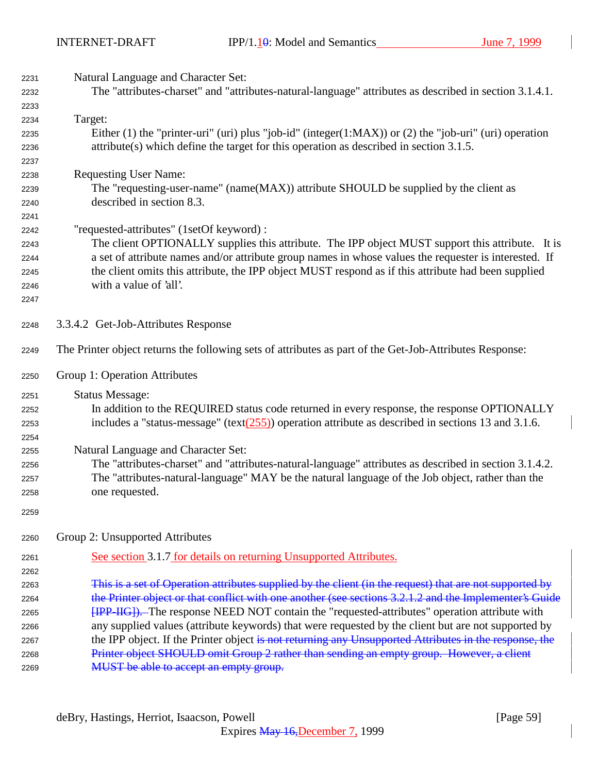| 2231 | Natural Language and Character Set:                                                                     |
|------|---------------------------------------------------------------------------------------------------------|
| 2232 | The "attributes-charset" and "attributes-natural-language" attributes as described in section 3.1.4.1.  |
| 2233 |                                                                                                         |
| 2234 | Target:                                                                                                 |
| 2235 | Either (1) the "printer-uri" (uri) plus "job-id" (integer(1:MAX)) or (2) the "job-uri" (uri) operation  |
| 2236 | $attribute(s)$ which define the target for this operation as described in section 3.1.5.                |
| 2237 |                                                                                                         |
| 2238 | <b>Requesting User Name:</b>                                                                            |
| 2239 | The "requesting-user-name" (name(MAX)) attribute SHOULD be supplied by the client as                    |
| 2240 | described in section 8.3.                                                                               |
| 2241 |                                                                                                         |
| 2242 | "requested-attributes" (1setOf keyword) :                                                               |
| 2243 | The client OPTIONALLY supplies this attribute. The IPP object MUST support this attribute. It is        |
| 2244 | a set of attribute names and/or attribute group names in whose values the requester is interested. If   |
| 2245 | the client omits this attribute, the IPP object MUST respond as if this attribute had been supplied     |
| 2246 | with a value of 'all'.                                                                                  |
| 2247 |                                                                                                         |
|      |                                                                                                         |
| 2248 | 3.3.4.2 Get-Job-Attributes Response                                                                     |
| 2249 | The Printer object returns the following sets of attributes as part of the Get-Job-Attributes Response: |
| 2250 | Group 1: Operation Attributes                                                                           |
| 2251 | <b>Status Message:</b>                                                                                  |
| 2252 | In addition to the REQUIRED status code returned in every response, the response OPTIONALLY             |
| 2253 | includes a "status-message" (text $(255)$ ) operation attribute as described in sections 13 and 3.1.6.  |
| 2254 |                                                                                                         |
| 2255 | Natural Language and Character Set:                                                                     |
| 2256 | The "attributes-charset" and "attributes-natural-language" attributes as described in section 3.1.4.2.  |
| 2257 | The "attributes-natural-language" MAY be the natural language of the Job object, rather than the        |
| 2258 | one requested.                                                                                          |
| 2259 |                                                                                                         |
| 2260 | Group 2: Unsupported Attributes                                                                         |
|      |                                                                                                         |
| 2261 | See section 3.1.7 for details on returning Unsupported Attributes.                                      |
| 2262 |                                                                                                         |
| 2263 | This is a set of Operation attributes supplied by the client (in the request) that are not supported by |
| 2264 | the Printer object or that conflict with one another (see sections 3.2.1.2 and the Implementer's Guide  |
| 2265 | <b>[IPP-IIG]</b> ). The response NEED NOT contain the "requested-attributes" operation attribute with   |
| 2266 | any supplied values (attribute keywords) that were requested by the client but are not supported by     |
| 2267 | the IPP object. If the Printer object is not returning any Unsupported Attributes in the response, the  |
| 2268 | Printer object SHOULD omit Group 2 rather than sending an empty group. However, a client                |
| 2269 | MUST be able to accept an empty group.                                                                  |
|      |                                                                                                         |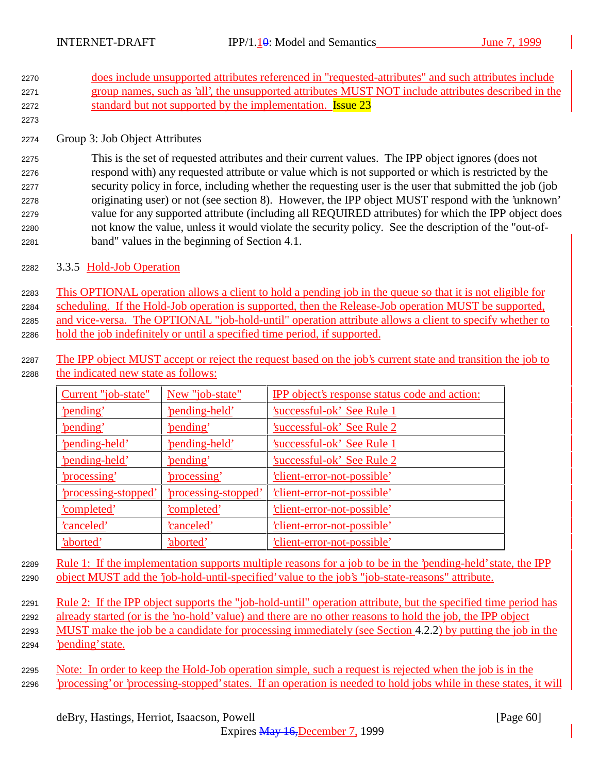- <sup>2270</sup> does include unsupported attributes referenced in "requested-attributes" and such attributes include <sup>2271</sup> group names, such as 'all', the unsupported attributes MUST NOT include attributes described in the 2272 standard but not supported by the implementation. **Issue 23**
- <sup>2274</sup> Group 3: Job Object Attributes

2273

 This is the set of requested attributes and their current values. The IPP object ignores (does not respond with) any requested attribute or value which is not supported or which is restricted by the security policy in force, including whether the requesting user is the user that submitted the job (job originating user) or not (see section 8). However, the IPP object MUST respond with the 'unknown' value for any supported attribute (including all REQUIRED attributes) for which the IPP object does not know the value, unless it would violate the security policy. See the description of the "out-of-band" values in the beginning of Section 4.1.

<sup>2282</sup> 3.3.5 Hold-Job Operation

 This OPTIONAL operation allows a client to hold a pending job in the queue so that it is not eligible for scheduling. If the Hold-Job operation is supported, then the Release-Job operation MUST be supported, 2285 and vice-versa. The OPTIONAL "job-hold-until" operation attribute allows a client to specify whether to hold the job indefinitely or until a specified time period, if supported.

2287 The IPP object MUST accept or reject the request based on the job's current state and transition the job to <sup>2288</sup> the indicated new state as follows:

| Current "job-state"         | New "job-state"           | IPP object's response status code and action: |
|-----------------------------|---------------------------|-----------------------------------------------|
| 'pending'                   | 'pending-held'            | 'successful-ok' See Rule 1                    |
| 'pending'                   | 'pending'                 | Successful-ok' See Rule 2                     |
| 'pending-held'              | 'pending-held'            | 'successful-ok' See Rule 1                    |
| 'pending-held'              | 'pending'                 | 'successful-ok' See Rule 2                    |
| <u>'processing'</u>         | <u>'processing'</u>       | <u>'client-error-not-possible'</u>            |
| <u>'processing-stopped'</u> | <u>processing-stopped</u> | <u>'client-error-not-possible'</u>            |
| 'completed'                 | 'completed'               | 'client-error-not-possible'                   |
| 'canceled'                  | 'canceled'                | 'client-error-not-possible'                   |
| 'aborted'                   | 'aborted'                 | 'client-error-not-possible'                   |

<sup>2289</sup> Rule 1: If the implementation supports multiple reasons for a job to be in the 'pending-held' state, the IPP <sup>2290</sup> object MUST add the 'job-hold-until-specified' value to the job's "job-state-reasons" attribute.

2291 Rule 2: If the IPP object supports the "job-hold-until" operation attribute, but the specified time period has

- <sup>2292</sup> already started (or is the 'no-hold' value) and there are no other reasons to hold the job, the IPP object
- <sup>2293</sup> MUST make the job be a candidate for processing immediately (see Section 4.2.2) by putting the job in the <sup>2294</sup> 'pending' state.
- <sup>2295</sup> Note: In order to keep the Hold-Job operation simple, such a request is rejected when the job is in the <sup>2296</sup> 'processing' or 'processing-stopped' states. If an operation is needed to hold jobs while in these states, it will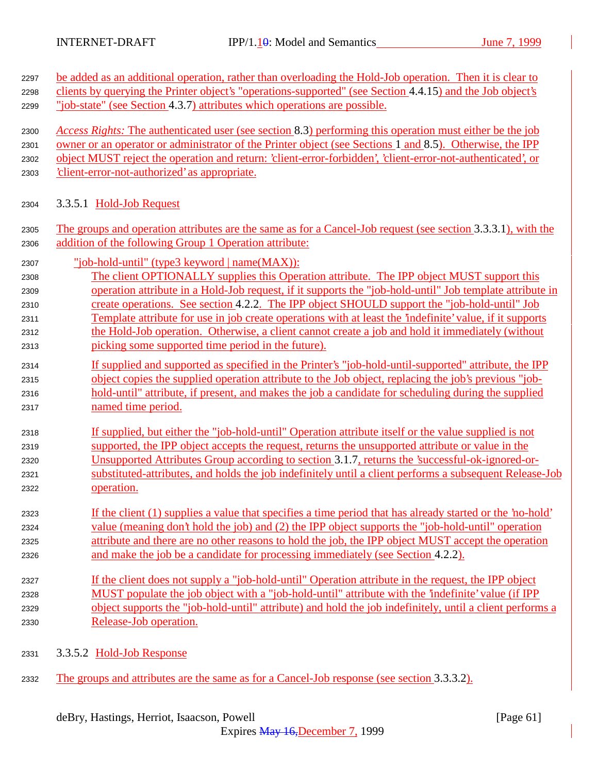| 2297 | be added as an additional operation, rather than overloading the Hold-Job operation. Then it is clear to     |
|------|--------------------------------------------------------------------------------------------------------------|
| 2298 | clients by querying the Printer object's "operations-supported" (see Section 4.4.15) and the Job object's    |
| 2299 | "job-state" (see Section 4.3.7) attributes which operations are possible.                                    |
| 2300 | Access Rights: The authenticated user (see section 8.3) performing this operation must either be the job     |
| 2301 | owner or an operator or administrator of the Printer object (see Sections 1 and 8.5). Otherwise, the IPP     |
| 2302 | object MUST reject the operation and return: 'client-error-forbidden', 'client-error-not-authenticated', or  |
| 2303 | 'client-error-not-authorized' as appropriate.                                                                |
| 2304 | 3.3.5.1 Hold-Job Request                                                                                     |
| 2305 | The groups and operation attributes are the same as for a Cancel-Job request (see section 3.3.3.1), with the |
| 2306 | addition of the following Group 1 Operation attribute:                                                       |
| 2307 | "job-hold-until" (type3 keyword   name(MAX)):                                                                |
| 2308 | The client OPTIONALLY supplies this Operation attribute. The IPP object MUST support this                    |
| 2309 | operation attribute in a Hold-Job request, if it supports the "job-hold-until" Job template attribute in     |
| 2310 | create operations. See section 4.2.2. The IPP object SHOULD support the "job-hold-until" Job                 |
| 2311 | Template attribute for use in job create operations with at least the 'indefinite' value, if it supports     |
| 2312 | the Hold-Job operation. Otherwise, a client cannot create a job and hold it immediately (without             |
| 2313 | picking some supported time period in the future).                                                           |
| 2314 | If supplied and supported as specified in the Printer's "job-hold-until-supported" attribute, the IPP        |
| 2315 | object copies the supplied operation attribute to the Job object, replacing the job's previous "job-         |
| 2316 | hold-until" attribute, if present, and makes the job a candidate for scheduling during the supplied          |
| 2317 | named time period.                                                                                           |
| 2318 | If supplied, but either the "job-hold-until" Operation attribute itself or the value supplied is not         |
| 2319 | supported, the IPP object accepts the request, returns the unsupported attribute or value in the             |
| 2320 | Unsupported Attributes Group according to section 3.1.7, returns the 'successful-ok-ignored-or-              |
| 2321 | substituted-attributes, and holds the job indefinitely until a client performs a subsequent Release-Job      |
| 2322 | operation.                                                                                                   |
| 2323 | If the client (1) supplies a value that specifies a time period that has already started or the 'no-hold'    |
| 2324 | value (meaning don't hold the job) and (2) the IPP object supports the "job-hold-until" operation            |
| 2325 | attribute and there are no other reasons to hold the job, the IPP object MUST accept the operation           |
| 2326 | and make the job be a candidate for processing immediately (see Section 4.2.2).                              |
| 2327 | If the client does not supply a "job-hold-until" Operation attribute in the request, the IPP object          |
| 2328 | MUST populate the job object with a "job-hold-until" attribute with the 'indefinite' value (if IPP           |
| 2329 | object supports the "job-hold-until" attribute) and hold the job indefinitely, until a client performs a     |
| 2330 | Release-Job operation.                                                                                       |
|      |                                                                                                              |

- 2331 3.3.5.2 Hold-Job Response
- 2332 The groups and attributes are the same as for a Cancel-Job response (see section 3.3.3.2).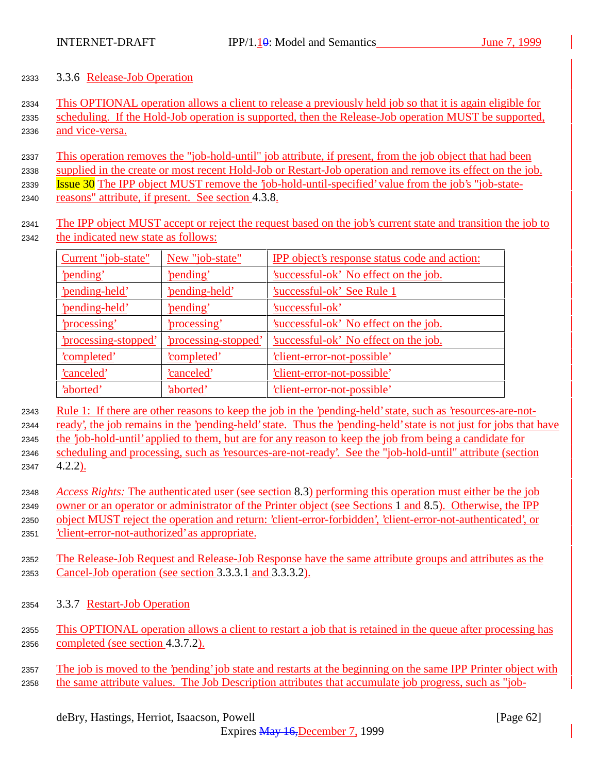## 3.3.6 Release-Job Operation

 This OPTIONAL operation allows a client to release a previously held job so that it is again eligible for scheduling. If the Hold-Job operation is supported, then the Release-Job operation MUST be supported, and vice-versa.

 This operation removes the "job-hold-until" job attribute, if present, from the job object that had been 2338 supplied in the create or most recent Hold-Job or Restart-Job operation and remove its effect on the job. Issue 30 The IPP object MUST remove the 'job-hold-until-specified' value from the job's "job-state-

reasons" attribute, if present. See section 4.3.8.

 The IPP object MUST accept or reject the request based on the job's current state and transition the job to the indicated new state as follows:

| Current "job-state"  | New "job-state"      | <b>IPP</b> object's response status code and action: |
|----------------------|----------------------|------------------------------------------------------|
| 'pending'            | 'pending'            | 'successful-ok' No effect on the job.                |
| 'pending-held'       | 'pending-held'       | <b>Successful-ok' See Rule 1</b>                     |
| 'pending-held'       | 'pending'            | 'successful-ok'                                      |
| 'processing'         | 'processing'         | 'successful-ok' No effect on the job.                |
| 'processing-stopped' | 'processing-stopped' | 'successful-ok' No effect on the job.                |
| 'completed'          | <u>'completed'</u>   | 'client-error-not-possible'                          |
| <u>'canceled'</u>    | <u>'canceled'</u>    | 'client-error-not-possible'                          |
| 'aborted'            | 'aborted'            | 'client-error-not-possible'                          |

 Rule 1: If there are other reasons to keep the job in the 'pending-held' state, such as 'resources-are-not-ready', the job remains in the 'pending-held' state. Thus the 'pending-held' state is not just for jobs that have

the 'job-hold-until' applied to them, but are for any reason to keep the job from being a candidate for

- scheduling and processing, such as 'resources-are-not-ready'. See the "job-hold-until" attribute (section 4.2.2).
- *Access Rights:* The authenticated user (see section 8.3) performing this operation must either be the job owner or an operator or administrator of the Printer object (see Sections 1 and 8.5). Otherwise, the IPP object MUST reject the operation and return: 'client-error-forbidden', 'client-error-not-authenticated', or 'client-error-not-authorized' as appropriate.
- The Release-Job Request and Release-Job Response have the same attribute groups and attributes as the Cancel-Job operation (see section 3.3.3.1 and 3.3.3.2).
- 3.3.7 Restart-Job Operation
- This OPTIONAL operation allows a client to restart a job that is retained in the queue after processing has completed (see section 4.3.7.2).
- The job is moved to the 'pending' job state and restarts at the beginning on the same IPP Printer object with 2358 the same attribute values. The Job Description attributes that accumulate job progress, such as "job-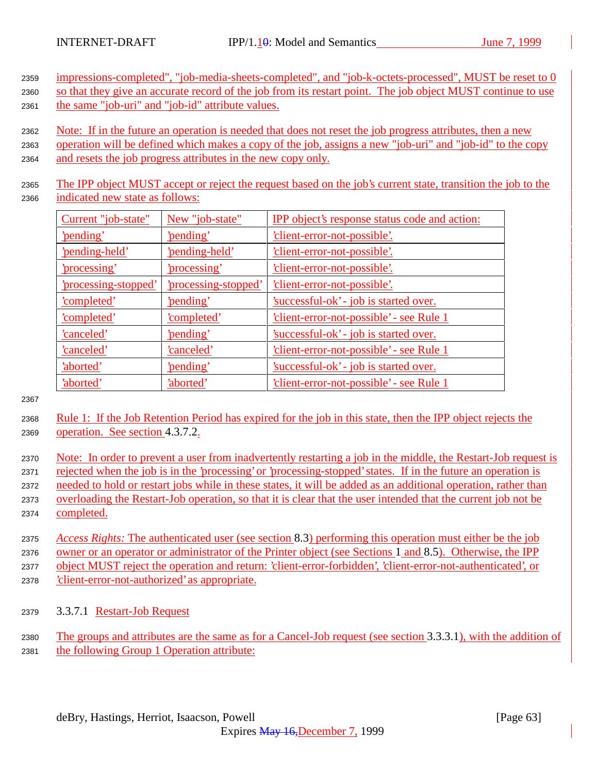<sup>2359</sup> impressions-completed", "job-media-sheets-completed", and "job-k-octets-processed", MUST be reset to 0 2360 so that they give an accurate record of the job from its restart point. The job object MUST continue to use

- <sup>2361</sup> the same "job-uri" and "job-id" attribute values.
	- <sup>2362</sup> Note: If in the future an operation is needed that does not reset the job progress attributes, then a new
	- <sup>2363</sup> operation will be defined which makes a copy of the job, assigns a new "job-uri" and "job-id" to the copy <sup>2364</sup> and resets the job progress attributes in the new copy only.
	- <sup>2365</sup> The IPP object MUST accept or reject the request based on the job's current state, transition the job to the <sup>2366</sup> indicated new state as follows:

| Current "job-state"  | New "job-state"      | IPP object's response status code and action:   |
|----------------------|----------------------|-------------------------------------------------|
| 'pending'            | 'pending'            | <u>'client-error-not-possible'.</u>             |
| 'pending-held'       | 'pending-held'       | <u>'client-error-not-possible'.</u>             |
| <u>'processing'</u>  | 'processing'         | 'client-error-not-possible'.                    |
| 'processing-stopped' | 'processing-stopped' | 'client-error-not-possible'.                    |
| <u>'completed'</u>   | 'pending'            | 'successful-ok' - job is started over.          |
| <u>'completed'</u>   | <u>'completed'</u>   | <u>'client-error-not-possible' - see Rule 1</u> |
| <u>'canceled'</u>    | 'pending'            | 'successful-ok' - job is started over.          |
| 'canceled'           | 'canceled'           | 'client-error-not-possible' - see Rule 1        |
| 'aborted'            | 'pending'            | 'successful-ok' - job is started over.          |
| 'aborted'            | 'aborted'            | client-error-not-possible' - see Rule 1         |

2367

- <sup>2368</sup> Rule 1: If the Job Retention Period has expired for the job in this state, then the IPP object rejects the <sup>2369</sup> operation. See section 4.3.7.2.
- <sup>2370</sup> Note: In order to prevent a user from inadvertently restarting a job in the middle, the Restart-Job request is <sup>2371</sup> rejected when the job is in the 'processing' or 'processing-stopped' states. If in the future an operation is <sup>2372</sup> needed to hold or restart jobs while in these states, it will be added as an additional operation, rather than <sup>2373</sup> overloading the Restart-Job operation, so that it is clear that the user intended that the current job not be <sup>2374</sup> completed.
- <sup>2375</sup> *Access Rights:* The authenticated user (see section 8.3) performing this operation must either be the job <sup>2376</sup> owner or an operator or administrator of the Printer object (see Sections 1 and 8.5). Otherwise, the IPP <sup>2377</sup> object MUST reject the operation and return: 'client-error-forbidden', 'client-error-not-authenticated', or <sup>2378</sup> 'client-error-not-authorized' as appropriate.
- <sup>2379</sup> 3.3.7.1 Restart-Job Request
- <sup>2380</sup> The groups and attributes are the same as for a Cancel-Job request (see section 3.3.3.1), with the addition of <sup>2381</sup> the following Group 1 Operation attribute: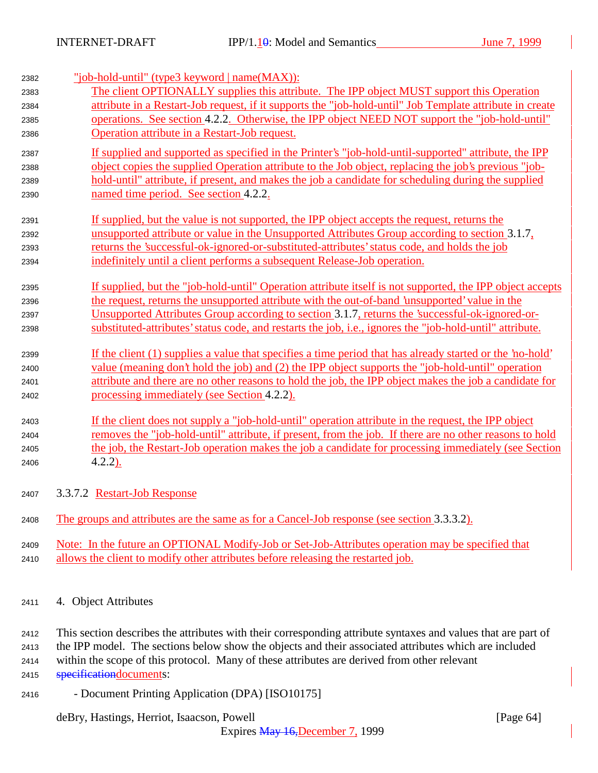| 2382<br>2383 | "job-hold-until" (type3 keyword   name(MAX)):<br>The client OPTIONALLY supplies this attribute. The IPP object MUST support this Operation |
|--------------|--------------------------------------------------------------------------------------------------------------------------------------------|
| 2384         | attribute in a Restart-Job request, if it supports the "job-hold-until" Job Template attribute in create                                   |
| 2385         | operations. See section 4.2.2. Otherwise, the IPP object NEED NOT support the "job-hold-until"                                             |
| 2386         | Operation attribute in a Restart-Job request.                                                                                              |
| 2387         | If supplied and supported as specified in the Printer's "job-hold-until-supported" attribute, the IPP                                      |
| 2388         | object copies the supplied Operation attribute to the Job object, replacing the job's previous "job-                                       |
| 2389         | hold-until" attribute, if present, and makes the job a candidate for scheduling during the supplied                                        |
| 2390         | named time period. See section 4.2.2.                                                                                                      |
| 2391         | If supplied, but the value is not supported, the IPP object accepts the request, returns the                                               |
| 2392         | unsupported attribute or value in the Unsupported Attributes Group according to section 3.1.7.                                             |
| 2393         | returns the 'successful-ok-ignored-or-substituted-attributes' status code, and holds the job                                               |
| 2394         | indefinitely until a client performs a subsequent Release-Job operation.                                                                   |
| 2395         | If supplied, but the "job-hold-until" Operation attribute itself is not supported, the IPP object accepts                                  |
| 2396         | the request, returns the unsupported attribute with the out-of-band 'unsupported' value in the                                             |
| 2397         | Unsupported Attributes Group according to section 3.1.7, returns the 'successful-ok-ignored-or-                                            |
| 2398         | substituted-attributes' status code, and restarts the job, <i>i.e.</i> , ignores the "job-hold-until" attribute.                           |
| 2399         | If the client (1) supplies a value that specifies a time period that has already started or the 'no-hold'                                  |
| 2400         | value (meaning don't hold the job) and (2) the IPP object supports the "job-hold-until" operation                                          |
| 2401         | attribute and there are no other reasons to hold the job, the IPP object makes the job a candidate for                                     |
| 2402         | processing immediately (see Section 4.2.2).                                                                                                |
| 2403         | If the client does not supply a "job-hold-until" operation attribute in the request, the IPP object                                        |
| 2404         | removes the "job-hold-until" attribute, if present, from the job. If there are no other reasons to hold                                    |
| 2405         | the job, the Restart-Job operation makes the job a candidate for processing immediately (see Section                                       |
| 2406         | $4.2.2$ ).                                                                                                                                 |
| 2407         | 3.3.7.2 Restart-Job Response                                                                                                               |
| 2408         | The groups and attributes are the same as for a Cancel-Job response (see section 3.3.3.2).                                                 |
| 2409         | Note: In the future an OPTIONAL Modify-Job or Set-Job-Attributes operation may be specified that                                           |
| 2410         | allows the client to modify other attributes before releasing the restarted job.                                                           |
|              |                                                                                                                                            |

<sup>2411</sup> 4. Object Attributes

<sup>2412</sup> This section describes the attributes with their corresponding attribute syntaxes and values that are part of <sup>2413</sup> the IPP model. The sections below show the objects and their associated attributes which are included <sup>2414</sup> within the scope of this protocol. Many of these attributes are derived from other relevant

2415 **specificationdocuments:** 

<sup>2416</sup> - Document Printing Application (DPA) [ISO10175]

deBry, Hastings, Herriot, Isaacson, Powell [Page 64]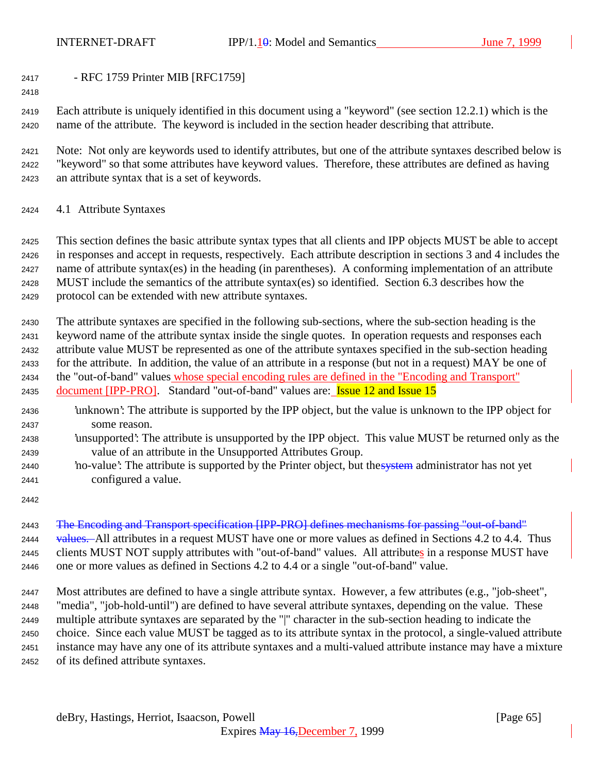- RFC 1759 Printer MIB [RFC1759]

 Each attribute is uniquely identified in this document using a "keyword" (see section 12.2.1) which is the name of the attribute. The keyword is included in the section header describing that attribute.

 Note: Not only are keywords used to identify attributes, but one of the attribute syntaxes described below is "keyword" so that some attributes have keyword values. Therefore, these attributes are defined as having an attribute syntax that is a set of keywords.

4.1 Attribute Syntaxes

 This section defines the basic attribute syntax types that all clients and IPP objects MUST be able to accept in responses and accept in requests, respectively. Each attribute description in sections 3 and 4 includes the name of attribute syntax(es) in the heading (in parentheses). A conforming implementation of an attribute MUST include the semantics of the attribute syntax(es) so identified. Section 6.3 describes how the protocol can be extended with new attribute syntaxes.

 The attribute syntaxes are specified in the following sub-sections, where the sub-section heading is the keyword name of the attribute syntax inside the single quotes. In operation requests and responses each attribute value MUST be represented as one of the attribute syntaxes specified in the sub-section heading for the attribute. In addition, the value of an attribute in a response (but not in a request) MAY be one of the "out-of-band" values whose special encoding rules are defined in the "Encoding and Transport" 2435 document [IPP-PRO]. Standard "out-of-band" values are: **Issue 12 and Issue 15** 

- 'unknown': The attribute is supported by the IPP object, but the value is unknown to the IPP object for some reason.
- 'unsupported': The attribute is unsupported by the IPP object. This value MUST be returned only as the value of an attribute in the Unsupported Attributes Group.
- 2440 'no-value': The attribute is supported by the Printer object, but the system administrator has not yet configured a value.
- 

 The Encoding and Transport specification [IPP-PRO] defines mechanisms for passing "out-of-band" 2444 values. All attributes in a request MUST have one or more values as defined in Sections 4.2 to 4.4. Thus 2445 clients MUST NOT supply attributes with "out-of-band" values. All attributes in a response MUST have

one or more values as defined in Sections 4.2 to 4.4 or a single "out-of-band" value.

 Most attributes are defined to have a single attribute syntax. However, a few attributes (e.g., "job-sheet", "media", "job-hold-until") are defined to have several attribute syntaxes, depending on the value. These multiple attribute syntaxes are separated by the "|" character in the sub-section heading to indicate the choice. Since each value MUST be tagged as to its attribute syntax in the protocol, a single-valued attribute instance may have any one of its attribute syntaxes and a multi-valued attribute instance may have a mixture of its defined attribute syntaxes.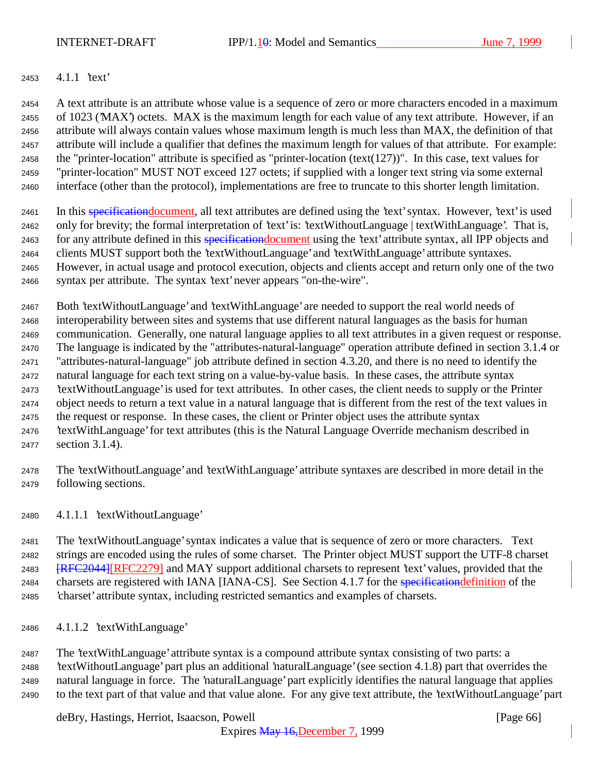## 4.1.1 'text'

 A text attribute is an attribute whose value is a sequence of zero or more characters encoded in a maximum of 1023 ('MAX') octets. MAX is the maximum length for each value of any text attribute. However, if an attribute will always contain values whose maximum length is much less than MAX, the definition of that attribute will include a qualifier that defines the maximum length for values of that attribute. For example: 2458 the "printer-location" attribute is specified as "printer-location (text(127))". In this case, text values for "printer-location" MUST NOT exceed 127 octets; if supplied with a longer text string via some external interface (other than the protocol), implementations are free to truncate to this shorter length limitation.

2461 In this specification document, all text attributes are defined using the 'text' syntax. However, 'text' is used only for brevity; the formal interpretation of 'text' is: 'textWithoutLanguage | textWithLanguage'. That is, 2463 for any attribute defined in this specification document using the 'text' attribute syntax, all IPP objects and clients MUST support both the 'textWithoutLanguage' and 'textWithLanguage' attribute syntaxes. However, in actual usage and protocol execution, objects and clients accept and return only one of the two

syntax per attribute. The syntax 'text' never appears "on-the-wire".

 Both 'textWithoutLanguage' and 'textWithLanguage' are needed to support the real world needs of interoperability between sites and systems that use different natural languages as the basis for human communication. Generally, one natural language applies to all text attributes in a given request or response. The language is indicated by the "attributes-natural-language" operation attribute defined in section 3.1.4 or "attributes-natural-language" job attribute defined in section 4.3.20, and there is no need to identify the natural language for each text string on a value-by-value basis. In these cases, the attribute syntax 'textWithoutLanguage' is used for text attributes. In other cases, the client needs to supply or the Printer object needs to return a text value in a natural language that is different from the rest of the text values in the request or response. In these cases, the client or Printer object uses the attribute syntax 'textWithLanguage' for text attributes (this is the Natural Language Override mechanism described in section 3.1.4).

 The 'textWithoutLanguage' and 'textWithLanguage' attribute syntaxes are described in more detail in the following sections.

4.1.1.1 'textWithoutLanguage'

 The 'textWithoutLanguage' syntax indicates a value that is sequence of zero or more characters. Text strings are encoded using the rules of some charset. The Printer object MUST support the UTF-8 charset **[RFC2044]**[RFC2279] and MAY support additional charsets to represent 'text' values, provided that the 2484 charsets are registered with IANA [IANA-CS]. See Section 4.1.7 for the specification definition of the 'charset' attribute syntax, including restricted semantics and examples of charsets.

4.1.1.2 'textWithLanguage'

 The 'textWithLanguage' attribute syntax is a compound attribute syntax consisting of two parts: a 'textWithoutLanguage' part plus an additional 'naturalLanguage' (see section 4.1.8) part that overrides the natural language in force. The 'naturalLanguage' part explicitly identifies the natural language that applies to the text part of that value and that value alone. For any give text attribute, the 'textWithoutLanguage' part

deBry, Hastings, Herriot, Isaacson, Powell **Example 20** (Page 66)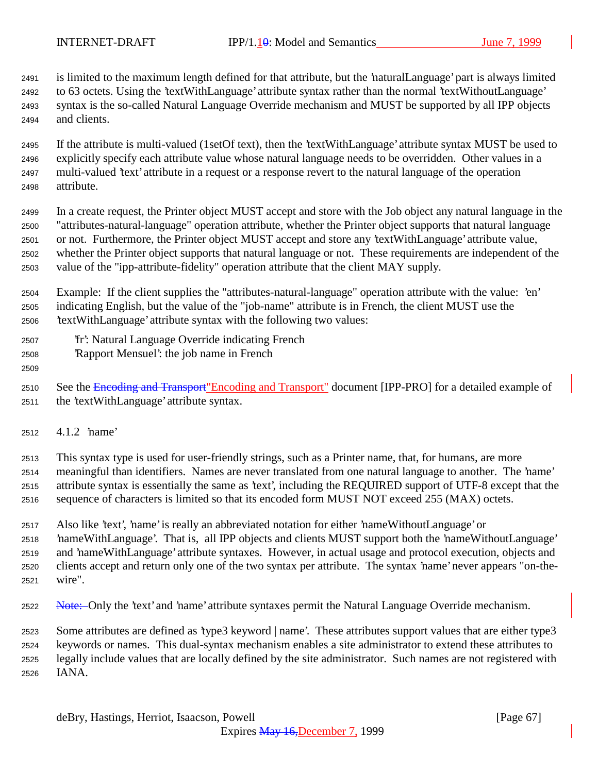is limited to the maximum length defined for that attribute, but the 'naturalLanguage' part is always limited to 63 octets. Using the 'textWithLanguage' attribute syntax rather than the normal 'textWithoutLanguage' syntax is the so-called Natural Language Override mechanism and MUST be supported by all IPP objects and clients.

 If the attribute is multi-valued (1setOf text), then the 'textWithLanguage' attribute syntax MUST be used to explicitly specify each attribute value whose natural language needs to be overridden. Other values in a multi-valued 'text' attribute in a request or a response revert to the natural language of the operation attribute.

 In a create request, the Printer object MUST accept and store with the Job object any natural language in the "attributes-natural-language" operation attribute, whether the Printer object supports that natural language or not. Furthermore, the Printer object MUST accept and store any 'textWithLanguage' attribute value, whether the Printer object supports that natural language or not. These requirements are independent of the value of the "ipp-attribute-fidelity" operation attribute that the client MAY supply.

 Example: If the client supplies the "attributes-natural-language" operation attribute with the value: 'en' indicating English, but the value of the "job-name" attribute is in French, the client MUST use the 'textWithLanguage' attribute syntax with the following two values:

- 'fr': Natural Language Override indicating French
- 'Rapport Mensuel': the job name in French

2510 See the Encoding and Transport"Encoding and Transport" document [IPP-PRO] for a detailed example of the 'textWithLanguage' attribute syntax.

4.1.2 'name'

 This syntax type is used for user-friendly strings, such as a Printer name, that, for humans, are more meaningful than identifiers. Names are never translated from one natural language to another. The 'name' attribute syntax is essentially the same as 'text', including the REQUIRED support of UTF-8 except that the sequence of characters is limited so that its encoded form MUST NOT exceed 255 (MAX) octets.

 Also like 'text', 'name' is really an abbreviated notation for either 'nameWithoutLanguage' or 'nameWithLanguage'. That is, all IPP objects and clients MUST support both the 'nameWithoutLanguage' and 'nameWithLanguage' attribute syntaxes. However, in actual usage and protocol execution, objects and clients accept and return only one of the two syntax per attribute. The syntax 'name' never appears "on-the-wire".

2522 Note: Only the 'text' and 'name' attribute syntaxes permit the Natural Language Override mechanism.

 Some attributes are defined as 'type3 keyword | name'. These attributes support values that are either type3 keywords or names. This dual-syntax mechanism enables a site administrator to extend these attributes to legally include values that are locally defined by the site administrator. Such names are not registered with IANA.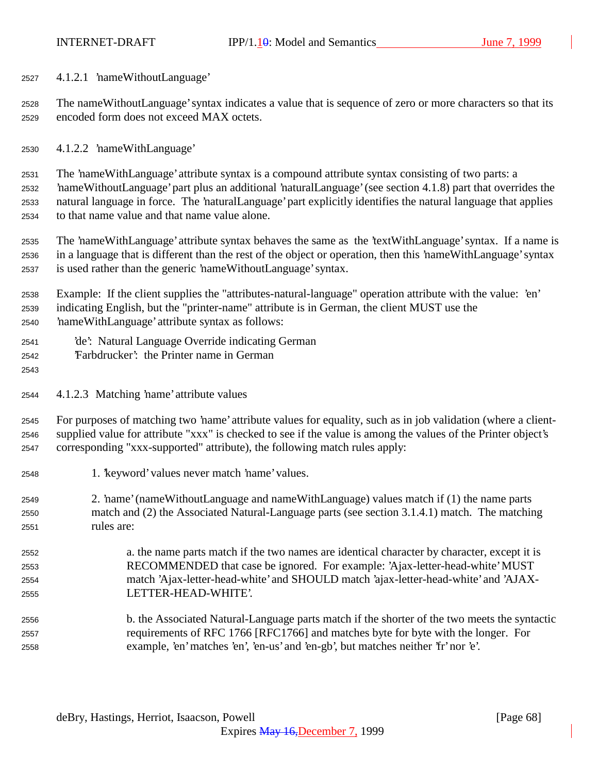4.1.2.1 'nameWithoutLanguage'

 The nameWithoutLanguage' syntax indicates a value that is sequence of zero or more characters so that its encoded form does not exceed MAX octets.

4.1.2.2 'nameWithLanguage'

 The 'nameWithLanguage' attribute syntax is a compound attribute syntax consisting of two parts: a 'nameWithoutLanguage' part plus an additional 'naturalLanguage' (see section 4.1.8) part that overrides the natural language in force. The 'naturalLanguage' part explicitly identifies the natural language that applies to that name value and that name value alone.

 The 'nameWithLanguage' attribute syntax behaves the same as the 'textWithLanguage' syntax. If a name is in a language that is different than the rest of the object or operation, then this 'nameWithLanguage' syntax is used rather than the generic 'nameWithoutLanguage' syntax.

 Example: If the client supplies the "attributes-natural-language" operation attribute with the value: 'en' indicating English, but the "printer-name" attribute is in German, the client MUST use the 'nameWithLanguage' attribute syntax as follows:

- 'de': Natural Language Override indicating German
- 'Farbdrucker': the Printer name in German
- 

4.1.2.3 Matching 'name' attribute values

 For purposes of matching two 'name' attribute values for equality, such as in job validation (where a client- supplied value for attribute "xxx" is checked to see if the value is among the values of the Printer object's corresponding "xxx-supported" attribute), the following match rules apply:

- 1. 'keyword' values never match 'name' values.
- 2. 'name' (nameWithoutLanguage and nameWithLanguage) values match if (1) the name parts match and (2) the Associated Natural-Language parts (see section 3.1.4.1) match. The matching rules are:
- a. the name parts match if the two names are identical character by character, except it is RECOMMENDED that case be ignored. For example: 'Ajax-letter-head-white' MUST match 'Ajax-letter-head-white' and SHOULD match 'ajax-letter-head-white' and 'AJAX-LETTER-HEAD-WHITE'.
- b. the Associated Natural-Language parts match if the shorter of the two meets the syntactic requirements of RFC 1766 [RFC1766] and matches byte for byte with the longer. For example, 'en' matches 'en', 'en-us' and 'en-gb', but matches neither 'fr' nor 'e'.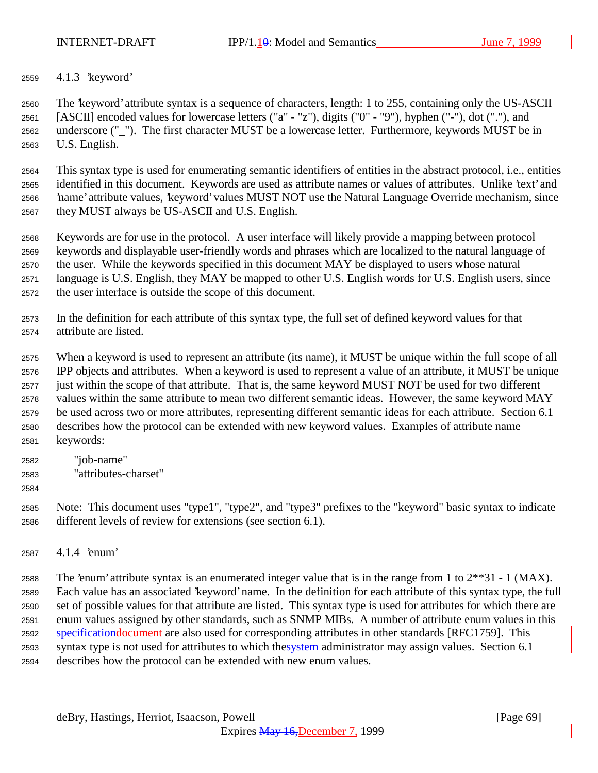INTERNET-DRAFT IPP/1.10: Model and Semantics June 7, 1999

4.1.3 'keyword'

 The 'keyword' attribute syntax is a sequence of characters, length: 1 to 255, containing only the US-ASCII [ASCII] encoded values for lowercase letters ("a" - "z"), digits ("0" - "9"), hyphen ("-"), dot ("."), and underscore ("\_"). The first character MUST be a lowercase letter. Furthermore, keywords MUST be in U.S. English.

 This syntax type is used for enumerating semantic identifiers of entities in the abstract protocol, i.e., entities identified in this document. Keywords are used as attribute names or values of attributes. Unlike 'text' and 'name' attribute values, 'keyword' values MUST NOT use the Natural Language Override mechanism, since they MUST always be US-ASCII and U.S. English.

 Keywords are for use in the protocol. A user interface will likely provide a mapping between protocol keywords and displayable user-friendly words and phrases which are localized to the natural language of the user. While the keywords specified in this document MAY be displayed to users whose natural language is U.S. English, they MAY be mapped to other U.S. English words for U.S. English users, since the user interface is outside the scope of this document.

 In the definition for each attribute of this syntax type, the full set of defined keyword values for that attribute are listed.

 When a keyword is used to represent an attribute (its name), it MUST be unique within the full scope of all IPP objects and attributes. When a keyword is used to represent a value of an attribute, it MUST be unique just within the scope of that attribute. That is, the same keyword MUST NOT be used for two different values within the same attribute to mean two different semantic ideas. However, the same keyword MAY be used across two or more attributes, representing different semantic ideas for each attribute. Section 6.1 describes how the protocol can be extended with new keyword values. Examples of attribute name keywords:

- "job-name"
- "attributes-charset"
- 

 Note: This document uses "type1", "type2", and "type3" prefixes to the "keyword" basic syntax to indicate different levels of review for extensions (see section 6.1).

4.1.4 'enum'

2588 The 'enum' attribute syntax is an enumerated integer value that is in the range from 1 to  $2^{**}31 - 1$  (MAX). Each value has an associated 'keyword' name. In the definition for each attribute of this syntax type, the full set of possible values for that attribute are listed. This syntax type is used for attributes for which there are enum values assigned by other standards, such as SNMP MIBs. A number of attribute enum values in this 2592 specificationdocument are also used for corresponding attributes in other standards [RFC1759]. This 2593 syntax type is not used for attributes to which thesystem administrator may assign values. Section 6.1 describes how the protocol can be extended with new enum values.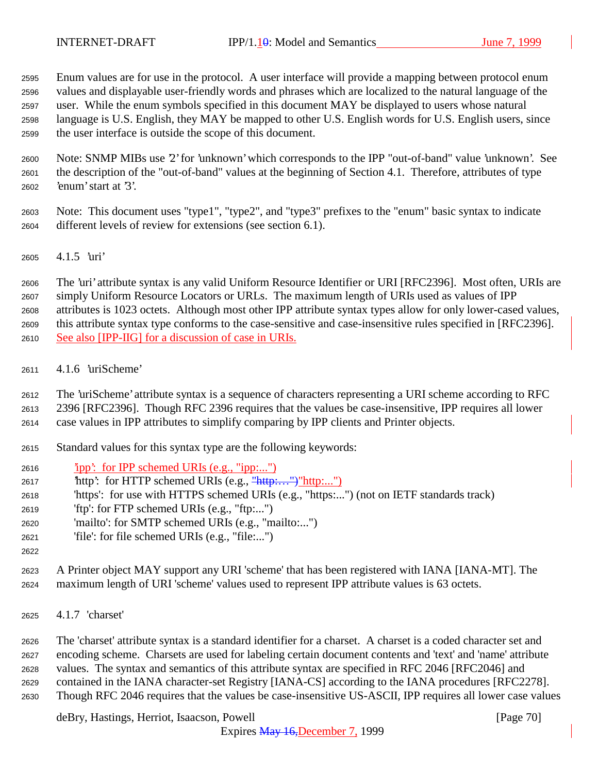Enum values are for use in the protocol. A user interface will provide a mapping between protocol enum values and displayable user-friendly words and phrases which are localized to the natural language of the user. While the enum symbols specified in this document MAY be displayed to users whose natural language is U.S. English, they MAY be mapped to other U.S. English words for U.S. English users, since the user interface is outside the scope of this document.

 Note: SNMP MIBs use '2' for 'unknown' which corresponds to the IPP "out-of-band" value 'unknown'. See the description of the "out-of-band" values at the beginning of Section 4.1. Therefore, attributes of type 'enum' start at '3'.

 Note: This document uses "type1", "type2", and "type3" prefixes to the "enum" basic syntax to indicate different levels of review for extensions (see section 6.1).

4.1.5 'uri'

 The 'uri' attribute syntax is any valid Uniform Resource Identifier or URI [RFC2396]. Most often, URIs are simply Uniform Resource Locators or URLs. The maximum length of URIs used as values of IPP attributes is 1023 octets. Although most other IPP attribute syntax types allow for only lower-cased values, this attribute syntax type conforms to the case-sensitive and case-insensitive rules specified in [RFC2396]. See also [IPP-IIG] for a discussion of case in URIs.

4.1.6 'uriScheme'

The 'uriScheme' attribute syntax is a sequence of characters representing a URI scheme according to RFC

2396 [RFC2396]. Though RFC 2396 requires that the values be case-insensitive, IPP requires all lower

case values in IPP attributes to simplify comparing by IPP clients and Printer objects.

- Standard values for this syntax type are the following keywords:
- 'ipp': for IPP schemed URIs (e.g., "ipp:...")
- 'http': for HTTP schemed URIs (e.g., "http:…")"http:...")
- 'https': for use with HTTPS schemed URIs (e.g., "https:...") (not on IETF standards track)
- 'ftp': for FTP schemed URIs (e.g., "ftp:...")
- 'mailto': for SMTP schemed URIs (e.g., "mailto:...")
- 'file': for file schemed URIs (e.g., "file:...")
- 

 A Printer object MAY support any URI 'scheme' that has been registered with IANA [IANA-MT]. The maximum length of URI 'scheme' values used to represent IPP attribute values is 63 octets.

4.1.7 'charset'

 The 'charset' attribute syntax is a standard identifier for a charset. A charset is a coded character set and encoding scheme. Charsets are used for labeling certain document contents and 'text' and 'name' attribute values. The syntax and semantics of this attribute syntax are specified in RFC 2046 [RFC2046] and contained in the IANA character-set Registry [IANA-CS] according to the IANA procedures [RFC2278]. Though RFC 2046 requires that the values be case-insensitive US-ASCII, IPP requires all lower case values

deBry, Hastings, Herriot, Isaacson, Powell [Page 70]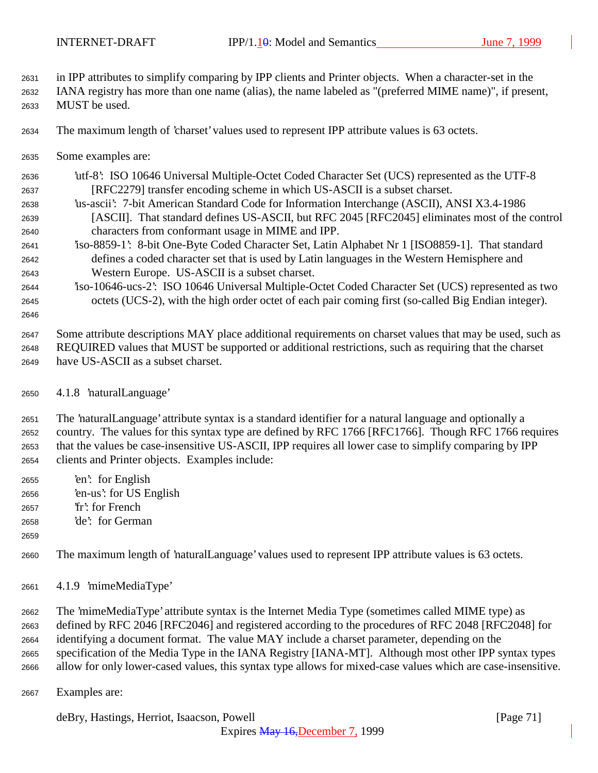in IPP attributes to simplify comparing by IPP clients and Printer objects. When a character-set in the

 IANA registry has more than one name (alias), the name labeled as "(preferred MIME name)", if present, MUST be used.

The maximum length of 'charset' values used to represent IPP attribute values is 63 octets.

Some examples are:

 'utf-8': ISO 10646 Universal Multiple-Octet Coded Character Set (UCS) represented as the UTF-8 [RFC2279] transfer encoding scheme in which US-ASCII is a subset charset.

- 'us-ascii': 7-bit American Standard Code for Information Interchange (ASCII), ANSI X3.4-1986 [ASCII]. That standard defines US-ASCII, but RFC 2045 [RFC2045] eliminates most of the control characters from conformant usage in MIME and IPP.
- 'iso-8859-1': 8-bit One-Byte Coded Character Set, Latin Alphabet Nr 1 [ISO8859-1]. That standard defines a coded character set that is used by Latin languages in the Western Hemisphere and Western Europe. US-ASCII is a subset charset.
- 'iso-10646-ucs-2': ISO 10646 Universal Multiple-Octet Coded Character Set (UCS) represented as two octets (UCS-2), with the high order octet of each pair coming first (so-called Big Endian integer).

 Some attribute descriptions MAY place additional requirements on charset values that may be used, such as REQUIRED values that MUST be supported or additional restrictions, such as requiring that the charset have US-ASCII as a subset charset.

4.1.8 'naturalLanguage'

 The 'naturalLanguage' attribute syntax is a standard identifier for a natural language and optionally a country. The values for this syntax type are defined by RFC 1766 [RFC1766]. Though RFC 1766 requires that the values be case-insensitive US-ASCII, IPP requires all lower case to simplify comparing by IPP clients and Printer objects. Examples include:

- 'en': for English 'en-us': for US English
- 'fr': for French
- 'de': for German
- 

The maximum length of 'naturalLanguage' values used to represent IPP attribute values is 63 octets.

4.1.9 'mimeMediaType'

 The 'mimeMediaType' attribute syntax is the Internet Media Type (sometimes called MIME type) as defined by RFC 2046 [RFC2046] and registered according to the procedures of RFC 2048 [RFC2048] for identifying a document format. The value MAY include a charset parameter, depending on the specification of the Media Type in the IANA Registry [IANA-MT]. Although most other IPP syntax types allow for only lower-cased values, this syntax type allows for mixed-case values which are case-insensitive.

Examples are:

deBry, Hastings, Herriot, Isaacson, Powell [Page 71]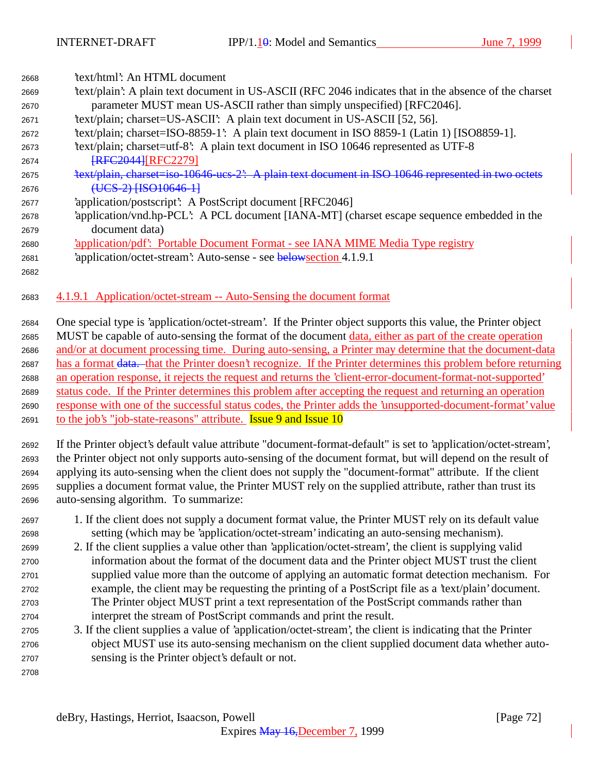| 2668 | 'text/html': An HTML document                                                                                   |
|------|-----------------------------------------------------------------------------------------------------------------|
| 2669 | text/plain': A plain text document in US-ASCII (RFC 2046 indicates that in the absence of the charset           |
| 2670 | parameter MUST mean US-ASCII rather than simply unspecified) [RFC2046].                                         |
| 2671 | 'text/plain; charset=US-ASCII': A plain text document in US-ASCII [52, 56].                                     |
| 2672 | 'text/plain; charset=ISO-8859-1': A plain text document in ISO 8859-1 (Latin 1) [ISO8859-1].                    |
| 2673 | 'text/plain; charset=utf-8': A plain text document in ISO 10646 represented as UTF-8                            |
| 2674 | <b>FRFC2044 [RFC2279]</b>                                                                                       |
| 2675 | 'text/plain, charset=iso-10646 ucs-2': A plain text document in ISO 10646 represented in two octets             |
| 2676 | (UCS-2) [ISO10646-1]                                                                                            |
| 2677 | 'application/postscript': A PostScript document [RFC2046]                                                       |
| 2678 | 'application/vnd.hp-PCL': A PCL document [IANA-MT] (charset escape sequence embedded in the                     |
| 2679 | document data)                                                                                                  |
| 2680 | 'application/pdf': Portable Document Format - see IANA MIME Media Type registry                                 |
| 2681 | 'application/octet-stream': Auto-sense - see belowsection 4.1.9.1                                               |
| 2682 |                                                                                                                 |
| 2683 | 4.1.9.1 Application/octet-stream -- Auto-Sensing the document format                                            |
| 2684 | One special type is 'application/octet-stream'. If the Printer object supports this value, the Printer object   |
| 2685 | MUST be capable of auto-sensing the format of the document data, either as part of the create operation         |
| 2686 | and/or at document processing time. During auto-sensing, a Printer may determine that the document-data         |
| 2687 | has a format data. that the Printer doesn't recognize. If the Printer determines this problem before returning  |
| 2688 | an operation response, it rejects the request and returns the 'client-error-document-format-not-supported'      |
| 2689 | status code. If the Printer determines this problem after accepting the request and returning an operation      |
| 2690 | response with one of the successful status codes, the Printer adds the 'unsupported-document-format' value      |
| 2691 | to the job's "job-state-reasons" attribute. <b>Issue 9 and Issue 10</b>                                         |
| 2692 | If the Printer object's default value attribute "document-format-default" is set to 'application/octet-stream', |
| 2693 | the Printer object not only supports auto-sensing of the document format, but will depend on the result of      |
| 2694 | applying its auto-sensing when the client does not supply the "document-format" attribute. If the client        |
| 2695 | supplies a document format value, the Printer MUST rely on the supplied attribute, rather than trust its        |
| 2696 | auto-sensing algorithm. To summarize:                                                                           |
| 2697 | 1. If the client does not supply a document format value, the Printer MUST rely on its default value            |
| 2698 | setting (which may be 'application/octet-stream' indicating an auto-sensing mechanism).                         |
| 2699 | 2. If the client supplies a value other than 'application/octet-stream', the client is supplying valid          |
| 2700 | information about the format of the document data and the Printer object MUST trust the client                  |
| 2701 | supplied value more than the outcome of applying an automatic format detection mechanism. For                   |
| 2702 | example, the client may be requesting the printing of a PostScript file as a 'text/plain' document.             |
| 2703 | The Printer object MUST print a text representation of the PostScript commands rather than                      |

- interpret the stream of PostScript commands and print the result. 3. If the client supplies a value of 'application/octet-stream', the client is indicating that the Printer object MUST use its auto-sensing mechanism on the client supplied document data whether auto-
- sensing is the Printer object's default or not.
-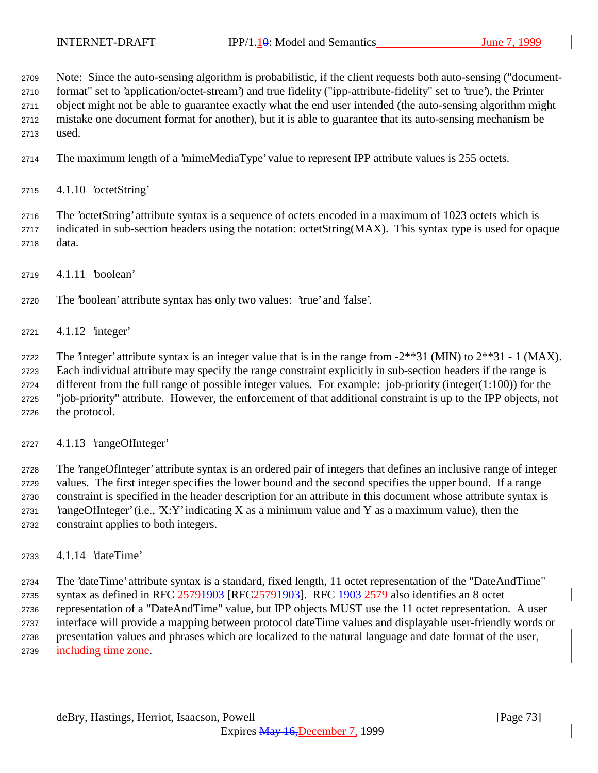Note: Since the auto-sensing algorithm is probabilistic, if the client requests both auto-sensing ("document- format" set to 'application/octet-stream') and true fidelity ("ipp-attribute-fidelity" set to 'true'), the Printer object might not be able to guarantee exactly what the end user intended (the auto-sensing algorithm might

mistake one document format for another), but it is able to guarantee that its auto-sensing mechanism be

used.

The maximum length of a 'mimeMediaType' value to represent IPP attribute values is 255 octets.

4.1.10 'octetString'

 The 'octetString' attribute syntax is a sequence of octets encoded in a maximum of 1023 octets which is indicated in sub-section headers using the notation: octetString(MAX). This syntax type is used for opaque data.

4.1.11 'boolean'

The 'boolean' attribute syntax has only two values: 'true' and 'false'.

4.1.12 'integer'

2722 The 'integer' attribute syntax is an integer value that is in the range from  $-2**31$  (MIN) to  $2**31 - 1$  (MAX). Each individual attribute may specify the range constraint explicitly in sub-section headers if the range is different from the full range of possible integer values. For example: job-priority (integer(1:100)) for the "job-priority" attribute. However, the enforcement of that additional constraint is up to the IPP objects, not the protocol.

4.1.13 'rangeOfInteger'

 The 'rangeOfInteger' attribute syntax is an ordered pair of integers that defines an inclusive range of integer values. The first integer specifies the lower bound and the second specifies the upper bound. If a range constraint is specified in the header description for an attribute in this document whose attribute syntax is 2731 'rangeOfInteger' (i.e., 'X:Y' indicating X as a minimum value and Y as a maximum value), then the constraint applies to both integers.

4.1.14 'dateTime'

 The 'dateTime' attribute syntax is a standard, fixed length, 11 octet representation of the "DateAndTime" 2735 syntax as defined in RFC 25791903 [RFC25791903]. RFC 1903-2579 also identifies an 8 octet representation of a "DateAndTime" value, but IPP objects MUST use the 11 octet representation. A user interface will provide a mapping between protocol dateTime values and displayable user-friendly words or presentation values and phrases which are localized to the natural language and date format of the user, including time zone.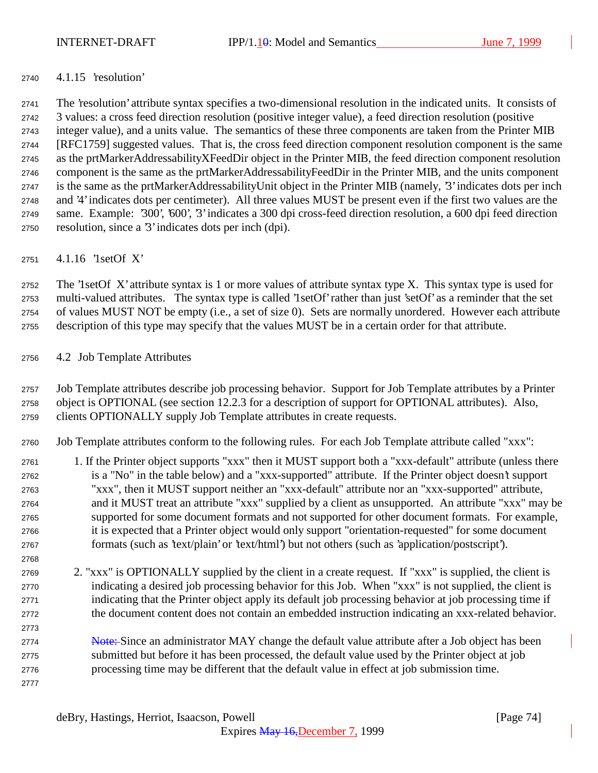### 4.1.15 'resolution'

 The 'resolution' attribute syntax specifies a two-dimensional resolution in the indicated units. It consists of 3 values: a cross feed direction resolution (positive integer value), a feed direction resolution (positive integer value), and a units value. The semantics of these three components are taken from the Printer MIB [RFC1759] suggested values. That is, the cross feed direction component resolution component is the same as the prtMarkerAddressabilityXFeedDir object in the Printer MIB, the feed direction component resolution component is the same as the prtMarkerAddressabilityFeedDir in the Printer MIB, and the units component is the same as the prtMarkerAddressabilityUnit object in the Printer MIB (namely, '3' indicates dots per inch and '4' indicates dots per centimeter). All three values MUST be present even if the first two values are the same. Example: '300', '600', '3' indicates a 300 dpi cross-feed direction resolution, a 600 dpi feed direction resolution, since a '3' indicates dots per inch (dpi).

4.1.16 '1setOf X'

 The '1setOf X' attribute syntax is 1 or more values of attribute syntax type X. This syntax type is used for multi-valued attributes. The syntax type is called '1setOf' rather than just 'setOf' as a reminder that the set of values MUST NOT be empty (i.e., a set of size 0). Sets are normally unordered. However each attribute description of this type may specify that the values MUST be in a certain order for that attribute.

### 4.2 Job Template Attributes

 Job Template attributes describe job processing behavior. Support for Job Template attributes by a Printer object is OPTIONAL (see section 12.2.3 for a description of support for OPTIONAL attributes). Also, clients OPTIONALLY supply Job Template attributes in create requests.

Job Template attributes conform to the following rules. For each Job Template attribute called "xxx":

- 1. If the Printer object supports "xxx" then it MUST support both a "xxx-default" attribute (unless there is a "No" in the table below) and a "xxx-supported" attribute. If the Printer object doesn't support "xxx", then it MUST support neither an "xxx-default" attribute nor an "xxx-supported" attribute, and it MUST treat an attribute "xxx" supplied by a client as unsupported. An attribute "xxx" may be supported for some document formats and not supported for other document formats. For example, it is expected that a Printer object would only support "orientation-requested" for some document formats (such as 'text/plain' or 'text/html') but not others (such as 'application/postscript').
- 2. "xxx" is OPTIONALLY supplied by the client in a create request. If "xxx" is supplied, the client is indicating a desired job processing behavior for this Job. When "xxx" is not supplied, the client is indicating that the Printer object apply its default job processing behavior at job processing time if the document content does not contain an embedded instruction indicating an xxx-related behavior.
- 2774 Note:-Since an administrator MAY change the default value attribute after a Job object has been submitted but before it has been processed, the default value used by the Printer object at job processing time may be different that the default value in effect at job submission time.
-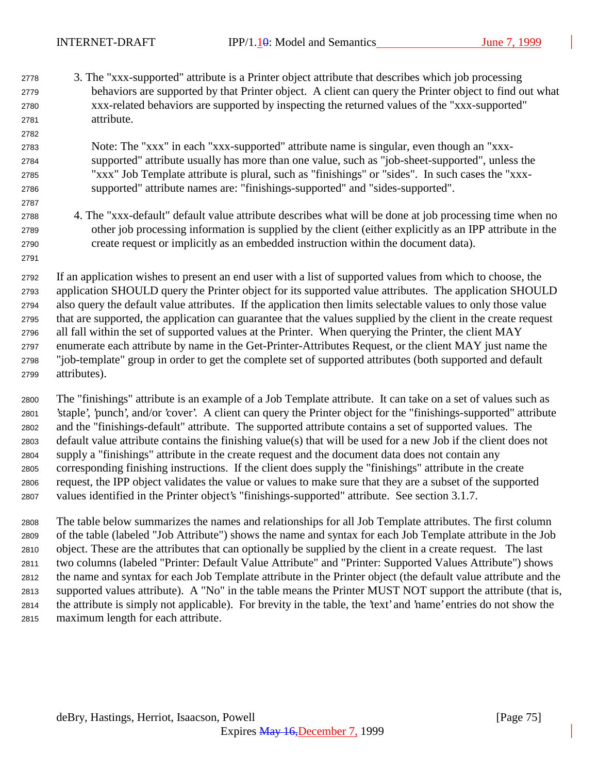3. The "xxx-supported" attribute is a Printer object attribute that describes which job processing behaviors are supported by that Printer object. A client can query the Printer object to find out what xxx-related behaviors are supported by inspecting the returned values of the "xxx-supported" attribute.

## Note: The "xxx" in each "xxx-supported" attribute name is singular, even though an "xxx- supported" attribute usually has more than one value, such as "job-sheet-supported", unless the "xxx" Job Template attribute is plural, such as "finishings" or "sides". In such cases the "xxx-supported" attribute names are: "finishings-supported" and "sides-supported".

 4. The "xxx-default" default value attribute describes what will be done at job processing time when no other job processing information is supplied by the client (either explicitly as an IPP attribute in the create request or implicitly as an embedded instruction within the document data).

 If an application wishes to present an end user with a list of supported values from which to choose, the application SHOULD query the Printer object for its supported value attributes. The application SHOULD also query the default value attributes. If the application then limits selectable values to only those value that are supported, the application can guarantee that the values supplied by the client in the create request all fall within the set of supported values at the Printer. When querying the Printer, the client MAY enumerate each attribute by name in the Get-Printer-Attributes Request, or the client MAY just name the "job-template" group in order to get the complete set of supported attributes (both supported and default attributes).

 The "finishings" attribute is an example of a Job Template attribute. It can take on a set of values such as 'staple', 'punch', and/or 'cover'. A client can query the Printer object for the "finishings-supported" attribute and the "finishings-default" attribute. The supported attribute contains a set of supported values. The default value attribute contains the finishing value(s) that will be used for a new Job if the client does not supply a "finishings" attribute in the create request and the document data does not contain any corresponding finishing instructions. If the client does supply the "finishings" attribute in the create request, the IPP object validates the value or values to make sure that they are a subset of the supported values identified in the Printer object's "finishings-supported" attribute. See section 3.1.7.

 The table below summarizes the names and relationships for all Job Template attributes. The first column of the table (labeled "Job Attribute") shows the name and syntax for each Job Template attribute in the Job object. These are the attributes that can optionally be supplied by the client in a create request. The last two columns (labeled "Printer: Default Value Attribute" and "Printer: Supported Values Attribute") shows the name and syntax for each Job Template attribute in the Printer object (the default value attribute and the supported values attribute). A "No" in the table means the Printer MUST NOT support the attribute (that is, the attribute is simply not applicable). For brevity in the table, the 'text' and 'name' entries do not show the maximum length for each attribute.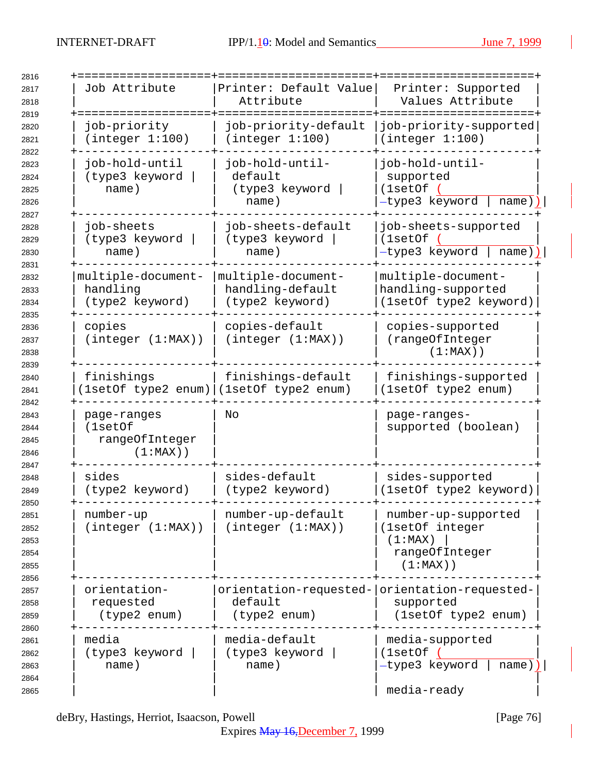| Job Attribute                                           | Printer: Default Value<br>Attribute                                      | Printer: Supported<br>Values Attribute                                             |
|---------------------------------------------------------|--------------------------------------------------------------------------|------------------------------------------------------------------------------------|
| job-priority<br>(integer 1:100)                         | job-priority-default<br>(integer 1:100)                                  | job-priority-supported<br>(integer 1:100)                                          |
| job-hold-until<br>(type3 keyword<br>name)               | job-hold-until-<br>default<br>(type3 keyword<br>name)                    | job-hold-until-<br>supported<br>(1setOf<br>-type3 keyword<br>name)                 |
| job-sheets<br>(type3 keyword<br>name)                   | job-sheets-default<br>(type3 keyword<br>name)                            | job-sheets-supported<br>(1setOf)<br>-type3 keyword<br>name)                        |
| multiple-document-<br>handling<br>(type2 keyword)       | multiple-document-<br>handling-default<br>(type2 keyword)                | multiple-document-<br>handling-supported<br>(1setOf type2 keyword)                 |
| copies<br>(integer (1:MAX))                             | copies-default<br>(integer (1:MAX))                                      | copies-supported<br>(rangeOfInteger<br>$(1:MAX)$ )                                 |
| finishings                                              | finishings-default<br>[1setOf type2 enum) (1setOf type2 enum)            | finishings-supported<br>(1setOf type2 enum)                                        |
| page-ranges<br>(1setOf<br>rangeOfInteger<br>$(1:MAX)$ ) | No                                                                       | page-ranges-<br>supported (boolean)                                                |
| sides<br>(type2 keyword)                                | sides-default<br>(type2 keyword)                                         | sides-supported<br>(1setOf type2 keyword)                                          |
| number-up<br>(integer (1:MAX))                          | number-up-default<br>(integer (1:MAX))                                   | number-up-supported<br>(1setOf integer<br>(1:MAX)<br>rangeOfInteger<br>$(1:MAX)$ ) |
| orientation-<br>requested<br>(type2 enum)               | orientation-requested- orientation-requested-<br>default<br>(type2 enum) | supported<br>(1setOf type2 enum)                                                   |
| media<br>(type3 keyword<br>name)                        | media-default<br>(type3 keyword<br>name)                                 | media-supported<br>(1setOf)<br>-type3 keyword<br>$name)$ )  <br>media-ready        |

deBry, Hastings, Herriot, Isaacson, Powell [Page 76]

Expires May 16,December 7, 1999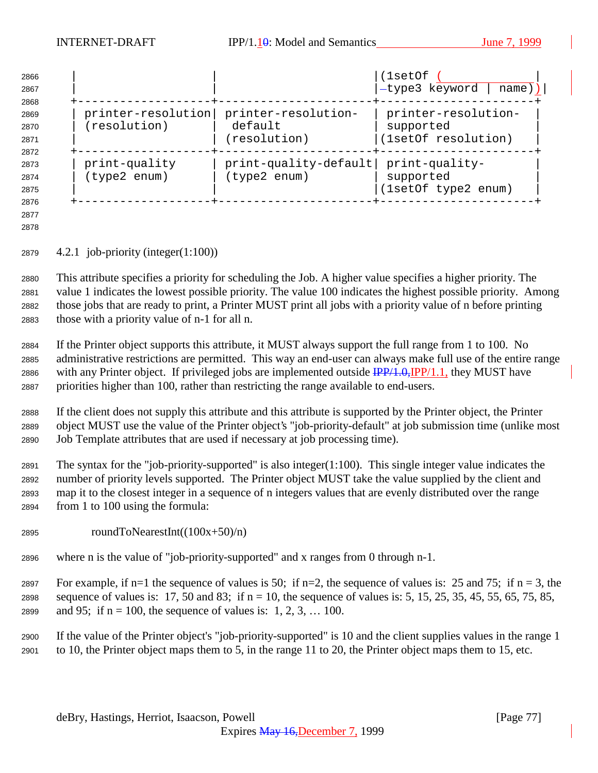| 2866<br>2867 |                    |                         | (1setOf<br>-type3 keyword<br>name)) |
|--------------|--------------------|-------------------------|-------------------------------------|
| 2868         |                    |                         |                                     |
| 2869         | printer-resolution | printer-resolution-     | printer-resolution-                 |
| 2870         | (resolution)       | default                 | supported                           |
| 2871         |                    | (resolution)            | (1setOf resolution)                 |
| 2872         |                    |                         |                                     |
| 2873         | print-quality      | $print-quality-default$ | print-quality-                      |
| 2874         | (type2 enum)       | (type2 enum)            | supported                           |
| 2875         |                    |                         | (1setOf type2 enum)                 |
| 2876         |                    |                         |                                     |

 

4.2.1 job-priority (integer(1:100))

 This attribute specifies a priority for scheduling the Job. A higher value specifies a higher priority. The value 1 indicates the lowest possible priority. The value 100 indicates the highest possible priority. Among those jobs that are ready to print, a Printer MUST print all jobs with a priority value of n before printing those with a priority value of n-1 for all n.

 If the Printer object supports this attribute, it MUST always support the full range from 1 to 100. No administrative restrictions are permitted. This way an end-user can always make full use of the entire range 2886 with any Printer object. If privileged jobs are implemented outside  $\frac{IPP}{4.0}$ ,  $IPP/1.1$ , they MUST have priorities higher than 100, rather than restricting the range available to end-users.

 If the client does not supply this attribute and this attribute is supported by the Printer object, the Printer object MUST use the value of the Printer object's "job-priority-default" at job submission time (unlike most Job Template attributes that are used if necessary at job processing time).

 The syntax for the "job-priority-supported" is also integer(1:100). This single integer value indicates the number of priority levels supported. The Printer object MUST take the value supplied by the client and map it to the closest integer in a sequence of n integers values that are evenly distributed over the range from 1 to 100 using the formula:

- 2895 roundToNearestInt( $(100x+50)/n$ )
- where n is the value of "job-priority-supported" and x ranges from 0 through n-1.

2897 For example, if n=1 the sequence of values is 50; if n=2, the sequence of values is: 25 and 75; if n = 3, the 2898 sequence of values is: 17, 50 and 83; if  $n = 10$ , the sequence of values is: 5, 15, 25, 35, 45, 55, 65, 75, 85, 2899 and 95; if  $n = 100$ , the sequence of values is: 1, 2, 3, ... 100.

 If the value of the Printer object's "job-priority-supported" is 10 and the client supplies values in the range 1 to 10, the Printer object maps them to 5, in the range 11 to 20, the Printer object maps them to 15, etc.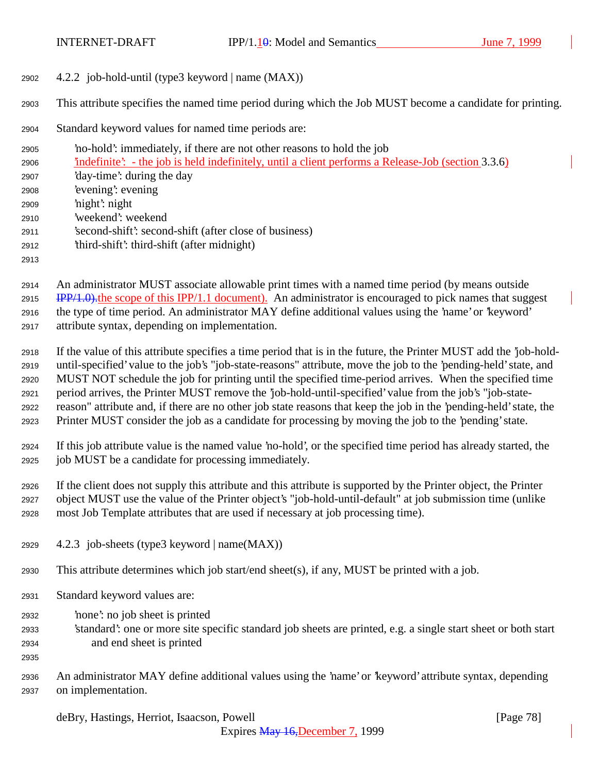4.2.2 job-hold-until (type3 keyword | name (MAX))

This attribute specifies the named time period during which the Job MUST become a candidate for printing.

Standard keyword values for named time periods are:

 'no-hold': immediately, if there are not other reasons to hold the job 'indefinite': - the job is held indefinitely, until a client performs a Release-Job (section 3.3.6) 'day-time': during the day 'evening': evening 'night': night 'weekend': weekend 'second-shift': second-shift (after close of business) 'third-shift': third-shift (after midnight) 

 An administrator MUST associate allowable print times with a named time period (by means outside IPP/1.0). the scope of this IPP/1.1 document). An administrator is encouraged to pick names that suggest the type of time period. An administrator MAY define additional values using the 'name' or 'keyword' attribute syntax, depending on implementation.

 If the value of this attribute specifies a time period that is in the future, the Printer MUST add the 'job-hold- until-specified' value to the job's "job-state-reasons" attribute, move the job to the 'pending-held' state, and MUST NOT schedule the job for printing until the specified time-period arrives. When the specified time period arrives, the Printer MUST remove the 'job-hold-until-specified' value from the job's "job-state- reason" attribute and, if there are no other job state reasons that keep the job in the 'pending-held' state, the Printer MUST consider the job as a candidate for processing by moving the job to the 'pending' state.

 If this job attribute value is the named value 'no-hold', or the specified time period has already started, the job MUST be a candidate for processing immediately.

 If the client does not supply this attribute and this attribute is supported by the Printer object, the Printer object MUST use the value of the Printer object's "job-hold-until-default" at job submission time (unlike most Job Template attributes that are used if necessary at job processing time).

- 2929  $4.2.3$  job-sheets (type3 keyword | name(MAX))
- This attribute determines which job start/end sheet(s), if any, MUST be printed with a job.
- Standard keyword values are:
- 'none': no job sheet is printed
- 'standard': one or more site specific standard job sheets are printed, e.g. a single start sheet or both start and end sheet is printed
- 
- An administrator MAY define additional values using the 'name' or 'keyword' attribute syntax, depending on implementation.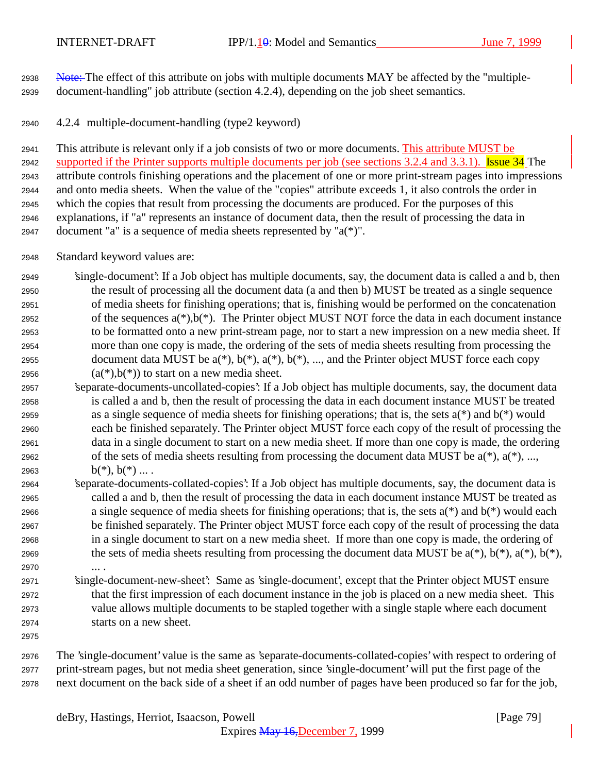2938 Note: The effect of this attribute on jobs with multiple documents MAY be affected by the "multiple-document-handling" job attribute (section 4.2.4), depending on the job sheet semantics.

4.2.4 multiple-document-handling (type2 keyword)

 This attribute is relevant only if a job consists of two or more documents. This attribute MUST be 2942 supported if the Printer supports multiple documents per job (see sections 3.2.4 and 3.3.1). Issue 34 The attribute controls finishing operations and the placement of one or more print-stream pages into impressions and onto media sheets. When the value of the "copies" attribute exceeds 1, it also controls the order in which the copies that result from processing the documents are produced. For the purposes of this explanations, if "a" represents an instance of document data, then the result of processing the data in document "a" is a sequence of media sheets represented by "a(\*)".

- Standard keyword values are:
- 'single-document': If a Job object has multiple documents, say, the document data is called a and b, then the result of processing all the document data (a and then b) MUST be treated as a single sequence of media sheets for finishing operations; that is, finishing would be performed on the concatenation 2952 of the sequences  $a(*)$ ,  $b(*)$ . The Printer object MUST NOT force the data in each document instance to be formatted onto a new print-stream page, nor to start a new impression on a new media sheet. If more than one copy is made, the ordering of the sets of media sheets resulting from processing the 2955 document data MUST be  $a(*)$ ,  $b(*)$ ,  $a(*)$ ,  $b(*)$ , ..., and the Printer object MUST force each copy 2956  $(a<sup>*</sup>)$ ,  $b<sup>*</sup>$ ) to start on a new media sheet.
- 'separate-documents-uncollated-copies': If a Job object has multiple documents, say, the document data is called a and b, then the result of processing the data in each document instance MUST be treated 2959 as a single sequence of media sheets for finishing operations; that is, the sets  $a(*)$  and  $b(*)$  would each be finished separately. The Printer object MUST force each copy of the result of processing the data in a single document to start on a new media sheet. If more than one copy is made, the ordering 2962 of the sets of media sheets resulting from processing the document data MUST be  $a(*)$ ,  $a(*)$ , ..., 2963  $b(*)$ ,  $b(*)$  ....
- 'separate-documents-collated-copies': If a Job object has multiple documents, say, the document data is called a and b, then the result of processing the data in each document instance MUST be treated as 2966 a single sequence of media sheets for finishing operations; that is, the sets  $a(*)$  and  $b(*)$  would each be finished separately. The Printer object MUST force each copy of the result of processing the data in a single document to start on a new media sheet. If more than one copy is made, the ordering of 2969 the sets of media sheets resulting from processing the document data MUST be  $a(*)$ ,  $b(*)$ ,  $a(*)$ ,  $b(*)$ ,  $b(*)$ , ... .
- 'single-document-new-sheet': Same as 'single-document', except that the Printer object MUST ensure that the first impression of each document instance in the job is placed on a new media sheet. This value allows multiple documents to be stapled together with a single staple where each document starts on a new sheet.
- 

 The 'single-document' value is the same as 'separate-documents-collated-copies' with respect to ordering of print-stream pages, but not media sheet generation, since 'single-document' will put the first page of the next document on the back side of a sheet if an odd number of pages have been produced so far for the job,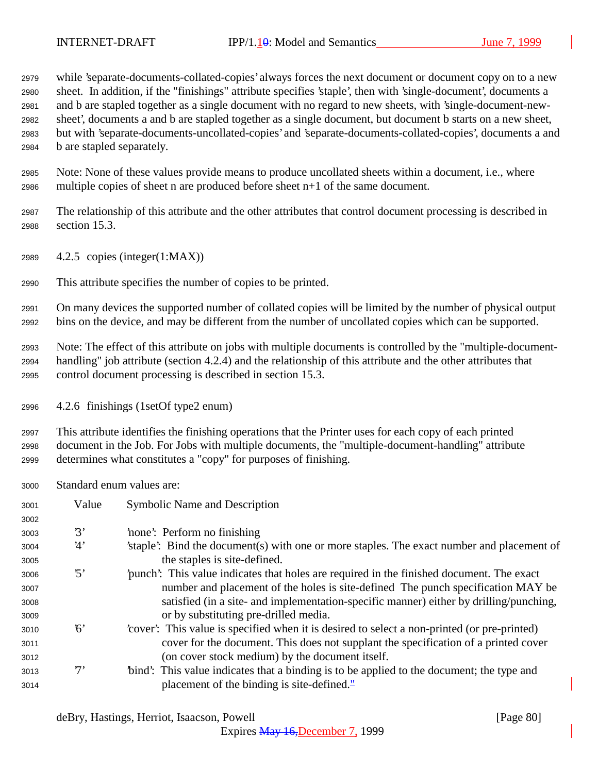while 'separate-documents-collated-copies' always forces the next document or document copy on to a new sheet. In addition, if the "finishings" attribute specifies 'staple', then with 'single-document', documents a and b are stapled together as a single document with no regard to new sheets, with 'single-document-new- sheet', documents a and b are stapled together as a single document, but document b starts on a new sheet, but with 'separate-documents-uncollated-copies' and 'separate-documents-collated-copies', documents a and b are stapled separately.

 Note: None of these values provide means to produce uncollated sheets within a document, i.e., where multiple copies of sheet n are produced before sheet n+1 of the same document.

 The relationship of this attribute and the other attributes that control document processing is described in section 15.3.

4.2.5 copies (integer(1:MAX))

This attribute specifies the number of copies to be printed.

 On many devices the supported number of collated copies will be limited by the number of physical output bins on the device, and may be different from the number of uncollated copies which can be supported.

 Note: The effect of this attribute on jobs with multiple documents is controlled by the "multiple-document- handling" job attribute (section 4.2.4) and the relationship of this attribute and the other attributes that control document processing is described in section 15.3.

4.2.6 finishings (1setOf type2 enum)

 This attribute identifies the finishing operations that the Printer uses for each copy of each printed document in the Job. For Jobs with multiple documents, the "multiple-document-handling" attribute determines what constitutes a "copy" for purposes of finishing.

Standard enum values are:

| 3001 | Value                   | <b>Symbolic Name and Description</b>                                                         |
|------|-------------------------|----------------------------------------------------------------------------------------------|
| 3002 |                         |                                                                                              |
| 3003 | 3'                      | none: Perform no finishing                                                                   |
| 3004 | 4'                      | staple. Bind the document(s) with one or more staples. The exact number and placement of     |
| 3005 |                         | the staples is site-defined.                                                                 |
| 3006 | $\mathfrak{B}^{\prime}$ | punch': This value indicates that holes are required in the finished document. The exact     |
| 3007 |                         | number and placement of the holes is site-defined. The punch specification MAY be            |
| 3008 |                         | satisfied (in a site- and implementation-specific manner) either by drilling/punching,       |
| 3009 |                         | or by substituting pre-drilled media.                                                        |
| 3010 | $\kappa$                | 'cover': This value is specified when it is desired to select a non-printed (or pre-printed) |
| 3011 |                         | cover for the document. This does not supplant the specification of a printed cover          |
| 3012 |                         | (on cover stock medium) by the document itself.                                              |
| 3013 | $7^,$                   | "bind": This value indicates that a binding is to be applied to the document; the type and   |
| 3014 |                         | placement of the binding is site-defined. $\frac{1}{2}$                                      |

Expires May 16,December 7, 1999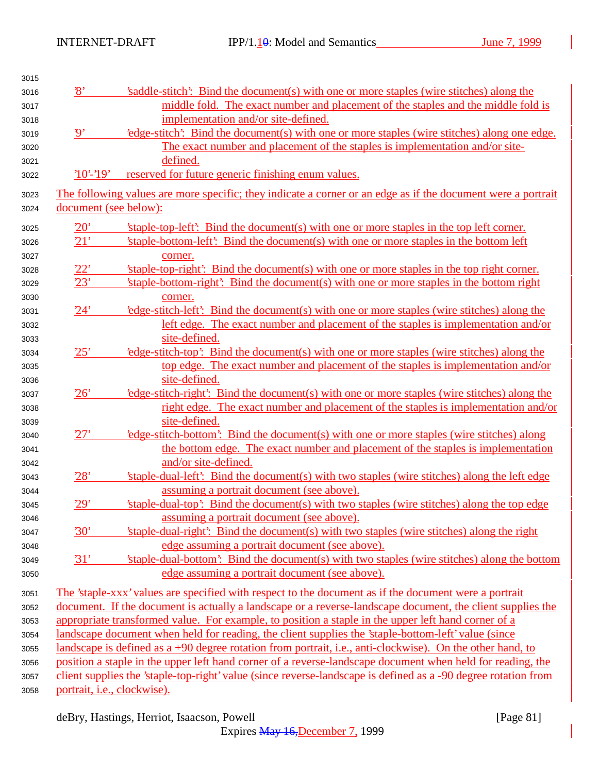| 3015 |                                             |                                                                                                                |
|------|---------------------------------------------|----------------------------------------------------------------------------------------------------------------|
| 3016 | $\mathcal{S}'$                              | saddle-stitch': Bind the document(s) with one or more staples (wire stitches) along the                        |
| 3017 |                                             | middle fold. The exact number and placement of the staples and the middle fold is                              |
| 3018 |                                             | implementation and/or site-defined.                                                                            |
| 3019 | $\mathbf{y}$                                | 'edge-stitch': Bind the document(s) with one or more staples (wire stitches) along one edge.                   |
| 3020 |                                             | The exact number and placement of the staples is implementation and/or site-                                   |
| 3021 |                                             | defined.                                                                                                       |
| 3022 | $'10'-19'$                                  | reserved for future generic finishing enum values.                                                             |
| 3023 |                                             | The following values are more specific; they indicate a corner or an edge as if the document were a portrait   |
| 3024 | document (see below):                       |                                                                                                                |
| 3025 | 20'                                         | 'staple-top-left': Bind the document(s) with one or more staples in the top left corner.                       |
| 3026 | 21'                                         | 'staple-bottom-left': Bind the document(s) with one or more staples in the bottom left                         |
| 3027 |                                             | corner.                                                                                                        |
| 3028 | 22'                                         | 'staple-top-right': Bind the document(s) with one or more staples in the top right corner.                     |
| 3029 | 23'                                         | 'staple-bottom-right': Bind the document(s) with one or more staples in the bottom right                       |
| 3030 |                                             | corner.                                                                                                        |
| 3031 | 24'                                         | edge-stitch-left. Bind the document(s) with one or more staples (wire stitches) along the                      |
| 3032 |                                             | left edge. The exact number and placement of the staples is implementation and/or                              |
| 3033 |                                             | site-defined.                                                                                                  |
| 3034 | 25'                                         | 'edge-stitch-top': Bind the document(s) with one or more staples (wire stitches) along the                     |
| 3035 |                                             | top edge. The exact number and placement of the staples is implementation and/or                               |
| 3036 |                                             | site-defined.                                                                                                  |
| 3037 | 26'                                         | edge-stitch-right: Bind the document(s) with one or more staples (wire stitches) along the                     |
| 3038 |                                             | right edge. The exact number and placement of the staples is implementation and/or                             |
| 3039 |                                             | site-defined.                                                                                                  |
| 3040 | 27'                                         | 'edge-stitch-bottom': Bind the document(s) with one or more staples (wire stitches) along                      |
| 3041 |                                             | the bottom edge. The exact number and placement of the staples is implementation                               |
| 3042 |                                             | and/or site-defined.                                                                                           |
| 3043 | 28'                                         | 'staple-dual-left': Bind the document(s) with two staples (wire stitches) along the left edge                  |
| 3044 |                                             | assuming a portrait document (see above).                                                                      |
| 3045 | 29'                                         | 'staple-dual-top': Bind the document(s) with two staples (wire stitches) along the top edge                    |
| 3046 |                                             | assuming a portrait document (see above).                                                                      |
| 3047 | 30'                                         | 'staple-dual-right': Bind the document(s) with two staples (wire stitches) along the right                     |
| 3048 |                                             | edge assuming a portrait document (see above).                                                                 |
| 3049 | 31'                                         | 'staple-dual-bottom': Bind the document(s) with two staples (wire stitches) along the bottom                   |
| 3050 |                                             | edge assuming a portrait document (see above).                                                                 |
|      |                                             |                                                                                                                |
| 3051 |                                             | The 'staple-xxx' values are specified with respect to the document as if the document were a portrait          |
| 3052 |                                             | document. If the document is actually a landscape or a reverse-landscape document, the client supplies the     |
| 3053 |                                             | appropriate transformed value. For example, to position a staple in the upper left hand corner of a            |
| 3054 |                                             | landscape document when held for reading, the client supplies the 'staple-bottom-left' value (since            |
| 3055 |                                             | landscape is defined as $a + 90$ degree rotation from portrait, i.e., anti-clockwise). On the other hand, to   |
| 3056 |                                             | position a staple in the upper left hand corner of a reverse-landscape document when held for reading, the     |
| 3057 |                                             | client supplies the 'staple-top-right' value (since reverse-landscape is defined as a -90 degree rotation from |
| 3058 | portrait, <i>i.e.</i> , <i>clockwise</i> ). |                                                                                                                |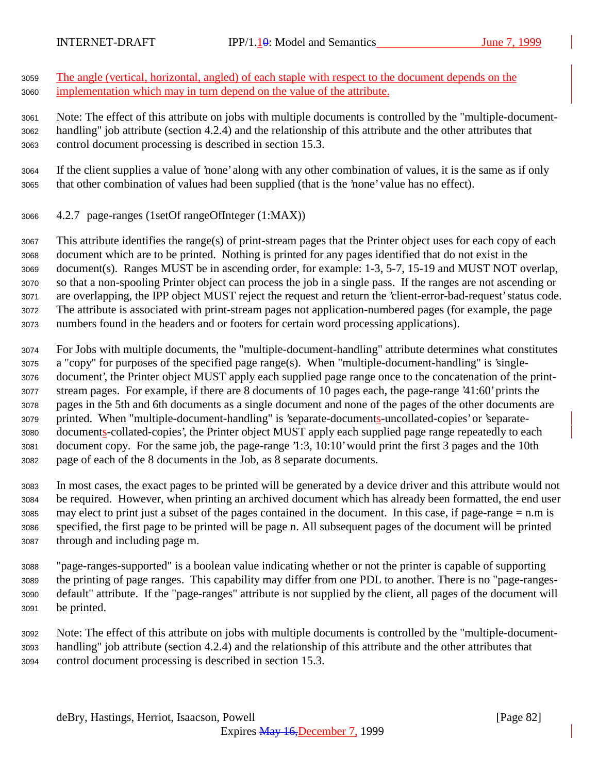The angle (vertical, horizontal, angled) of each staple with respect to the document depends on the implementation which may in turn depend on the value of the attribute.

 Note: The effect of this attribute on jobs with multiple documents is controlled by the "multiple-document- handling" job attribute (section 4.2.4) and the relationship of this attribute and the other attributes that control document processing is described in section 15.3.

 If the client supplies a value of 'none' along with any other combination of values, it is the same as if only that other combination of values had been supplied (that is the 'none' value has no effect).

4.2.7 page-ranges (1setOf rangeOfInteger (1:MAX))

 This attribute identifies the range(s) of print-stream pages that the Printer object uses for each copy of each document which are to be printed. Nothing is printed for any pages identified that do not exist in the document(s). Ranges MUST be in ascending order, for example: 1-3, 5-7, 15-19 and MUST NOT overlap, so that a non-spooling Printer object can process the job in a single pass. If the ranges are not ascending or are overlapping, the IPP object MUST reject the request and return the 'client-error-bad-request' status code. The attribute is associated with print-stream pages not application-numbered pages (for example, the page numbers found in the headers and or footers for certain word processing applications).

 For Jobs with multiple documents, the "multiple-document-handling" attribute determines what constitutes a "copy" for purposes of the specified page range(s). When "multiple-document-handling" is 'single- document', the Printer object MUST apply each supplied page range once to the concatenation of the print- stream pages. For example, if there are 8 documents of 10 pages each, the page-range '41:60' prints the pages in the 5th and 6th documents as a single document and none of the pages of the other documents are printed. When "multiple-document-handling" is 'separate-documents-uncollated-copies' or 'separate- documents-collated-copies', the Printer object MUST apply each supplied page range repeatedly to each document copy. For the same job, the page-range '1:3, 10:10' would print the first 3 pages and the 10th page of each of the 8 documents in the Job, as 8 separate documents.

 In most cases, the exact pages to be printed will be generated by a device driver and this attribute would not be required. However, when printing an archived document which has already been formatted, the end user may elect to print just a subset of the pages contained in the document. In this case, if page-range = n.m is specified, the first page to be printed will be page n. All subsequent pages of the document will be printed through and including page m.

 "page-ranges-supported" is a boolean value indicating whether or not the printer is capable of supporting the printing of page ranges. This capability may differ from one PDL to another. There is no "page-ranges- default" attribute. If the "page-ranges" attribute is not supplied by the client, all pages of the document will be printed.

 Note: The effect of this attribute on jobs with multiple documents is controlled by the "multiple-document- handling" job attribute (section 4.2.4) and the relationship of this attribute and the other attributes that control document processing is described in section 15.3.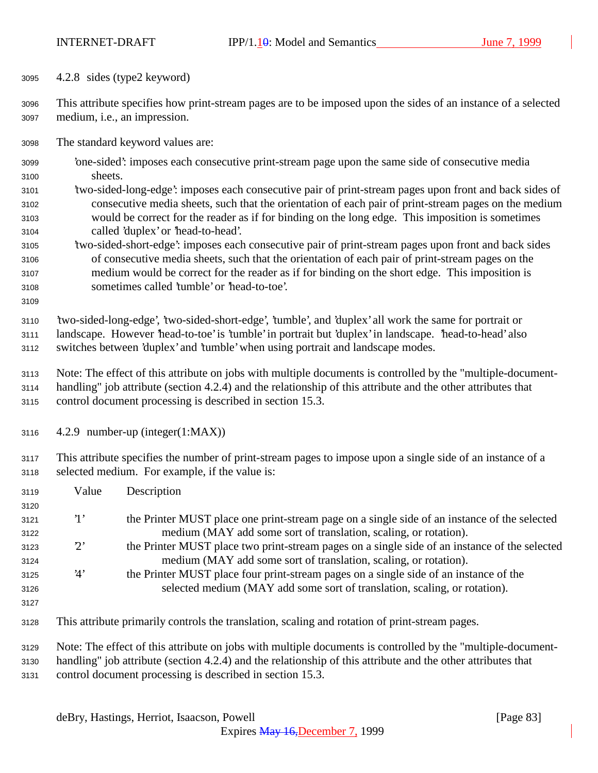4.2.8 sides (type2 keyword)

 This attribute specifies how print-stream pages are to be imposed upon the sides of an instance of a selected medium, i.e., an impression.

The standard keyword values are:

- 'one-sided': imposes each consecutive print-stream page upon the same side of consecutive media sheets.
- 'two-sided-long-edge': imposes each consecutive pair of print-stream pages upon front and back sides of consecutive media sheets, such that the orientation of each pair of print-stream pages on the medium would be correct for the reader as if for binding on the long edge. This imposition is sometimes called 'duplex' or 'head-to-head'.
- 'two-sided-short-edge': imposes each consecutive pair of print-stream pages upon front and back sides of consecutive media sheets, such that the orientation of each pair of print-stream pages on the medium would be correct for the reader as if for binding on the short edge. This imposition is sometimes called 'tumble' or 'head-to-toe'.
- 

 'two-sided-long-edge', 'two-sided-short-edge', 'tumble', and 'duplex' all work the same for portrait or landscape. However 'head-to-toe' is 'tumble' in portrait but 'duplex' in landscape. 'head-to-head' also switches between 'duplex' and 'tumble' when using portrait and landscape modes.

- Note: The effect of this attribute on jobs with multiple documents is controlled by the "multiple-document- handling" job attribute (section 4.2.4) and the relationship of this attribute and the other attributes that control document processing is described in section 15.3.
- 4.2.9 number-up (integer(1:MAX))

 This attribute specifies the number of print-stream pages to impose upon a single side of an instance of a selected medium. For example, if the value is:

| 3119 | Value        | Description                                                                                                  |
|------|--------------|--------------------------------------------------------------------------------------------------------------|
| 3120 |              |                                                                                                              |
| 3121 | $\mathbf{1}$ | the Printer MUST place one print-stream page on a single side of an instance of the selected                 |
| 3122 |              | medium (MAY add some sort of translation, scaling, or rotation).                                             |
| 3123 | $2^{\circ}$  | the Printer MUST place two print-stream pages on a single side of an instance of the selected                |
| 3124 |              | medium (MAY add some sort of translation, scaling, or rotation).                                             |
| 3125 | 4'           | the Printer MUST place four print-stream pages on a single side of an instance of the                        |
| 3126 |              | selected medium (MAY add some sort of translation, scaling, or rotation).                                    |
| 3127 |              |                                                                                                              |
| 3128 |              | This attribute primarily controls the translation, scaling and rotation of print-stream pages.               |
| 3129 |              | Note: The effect of this attribute on jobs with multiple documents is controlled by the "multiple-document-  |
| 3130 |              | handling" job attribute (section 4.2.4) and the relationship of this attribute and the other attributes that |

control document processing is described in section 15.3.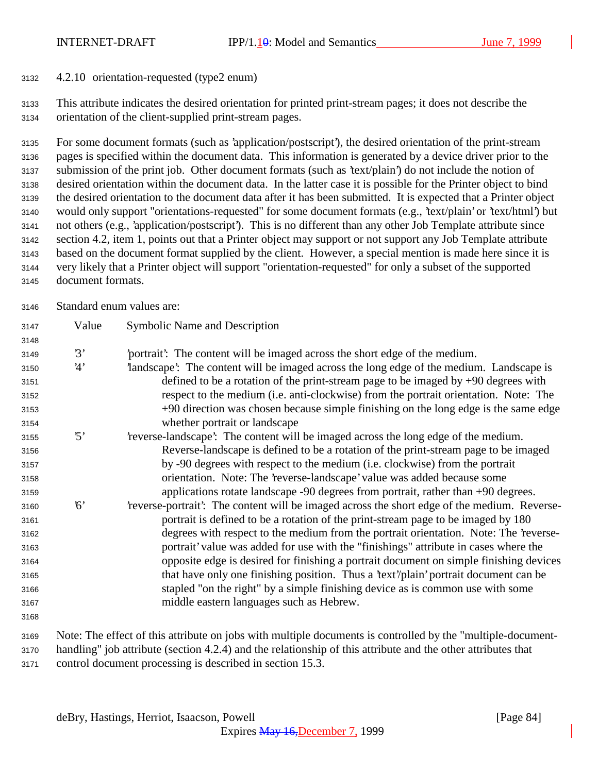4.2.10 orientation-requested (type2 enum)

 This attribute indicates the desired orientation for printed print-stream pages; it does not describe the orientation of the client-supplied print-stream pages.

 For some document formats (such as 'application/postscript'), the desired orientation of the print-stream pages is specified within the document data. This information is generated by a device driver prior to the submission of the print job. Other document formats (such as 'text/plain') do not include the notion of desired orientation within the document data. In the latter case it is possible for the Printer object to bind the desired orientation to the document data after it has been submitted. It is expected that a Printer object would only support "orientations-requested" for some document formats (e.g., 'text/plain' or 'text/html') but not others (e.g., 'application/postscript'). This is no different than any other Job Template attribute since section 4.2, item 1, points out that a Printer object may support or not support any Job Template attribute based on the document format supplied by the client. However, a special mention is made here since it is very likely that a Printer object will support "orientation-requested" for only a subset of the supported document formats.

Standard enum values are:

| 3147 | Value      | <b>Symbolic Name and Description</b>                                                                        |
|------|------------|-------------------------------------------------------------------------------------------------------------|
| 3148 |            |                                                                                                             |
| 3149 | 3'         | portrait? The content will be imaged across the short edge of the medium.                                   |
| 3150 | 4'         | landscape': The content will be imaged across the long edge of the medium. Landscape is                     |
| 3151 |            | defined to be a rotation of the print-stream page to be imaged by $+90$ degrees with                        |
| 3152 |            | respect to the medium (i.e. anti-clockwise) from the portrait orientation. Note: The                        |
| 3153 |            | +90 direction was chosen because simple finishing on the long edge is the same edge                         |
| 3154 |            | whether portrait or landscape                                                                               |
| 3155 | $\cdot$ 5' | 'reverse-landscape': The content will be imaged across the long edge of the medium.                         |
| 3156 |            | Reverse-landscape is defined to be a rotation of the print-stream page to be imaged                         |
| 3157 |            | by -90 degrees with respect to the medium (i.e. clockwise) from the portrait                                |
| 3158 |            | orientation. Note: The 'reverse-landscape' value was added because some                                     |
| 3159 |            | applications rotate landscape -90 degrees from portrait, rather than +90 degrees.                           |
| 3160 | 6'         | 'reverse-portrait': The content will be imaged across the short edge of the medium. Reverse-                |
| 3161 |            | portrait is defined to be a rotation of the print-stream page to be imaged by 180                           |
| 3162 |            | degrees with respect to the medium from the portrait orientation. Note: The 'reverse-                       |
| 3163 |            | portrait' value was added for use with the "finishings" attribute in cases where the                        |
| 3164 |            | opposite edge is desired for finishing a portrait document on simple finishing devices                      |
| 3165 |            | that have only one finishing position. Thus a 'text'/plain' portrait document can be                        |
| 3166 |            | stapled "on the right" by a simple finishing device as is common use with some                              |
| 3167 |            | middle eastern languages such as Hebrew.                                                                    |
| 3168 |            |                                                                                                             |
| 3169 |            | Note: The effect of this attribute on jobs with multiple documents is controlled by the "multiple-document- |

 Note: The effect of this attribute on jobs with multiple documents is controlled by the "multiple-document- handling" job attribute (section 4.2.4) and the relationship of this attribute and the other attributes that control document processing is described in section 15.3.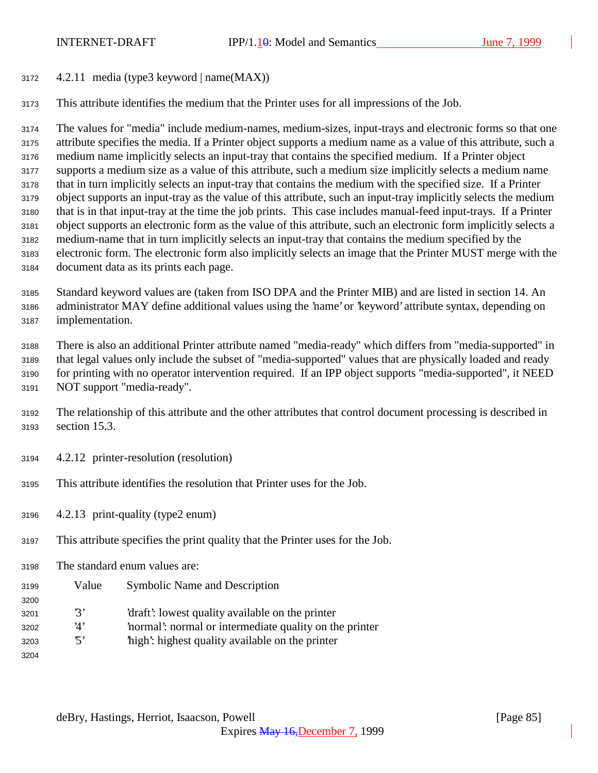4.2.11 media (type3 keyword | name(MAX))

This attribute identifies the medium that the Printer uses for all impressions of the Job.

 The values for "media" include medium-names, medium-sizes, input-trays and electronic forms so that one attribute specifies the media. If a Printer object supports a medium name as a value of this attribute, such a medium name implicitly selects an input-tray that contains the specified medium. If a Printer object supports a medium size as a value of this attribute, such a medium size implicitly selects a medium name that in turn implicitly selects an input-tray that contains the medium with the specified size. If a Printer object supports an input-tray as the value of this attribute, such an input-tray implicitly selects the medium that is in that input-tray at the time the job prints. This case includes manual-feed input-trays. If a Printer object supports an electronic form as the value of this attribute, such an electronic form implicitly selects a medium-name that in turn implicitly selects an input-tray that contains the medium specified by the electronic form. The electronic form also implicitly selects an image that the Printer MUST merge with the document data as its prints each page.

 Standard keyword values are (taken from ISO DPA and the Printer MIB) and are listed in section 14. An administrator MAY define additional values using the 'name' or 'keyword' attribute syntax, depending on implementation.

 There is also an additional Printer attribute named "media-ready" which differs from "media-supported" in that legal values only include the subset of "media-supported" values that are physically loaded and ready for printing with no operator intervention required. If an IPP object supports "media-supported", it NEED NOT support "media-ready".

 The relationship of this attribute and the other attributes that control document processing is described in section 15.3.

- 4.2.12 printer-resolution (resolution)
- This attribute identifies the resolution that Printer uses for the Job.
- 4.2.13 print-quality (type2 enum)
- This attribute specifies the print quality that the Printer uses for the Job.
- The standard enum values are:
- Value Symbolic Name and Description
- '3' 'draft': lowest quality available on the printer
- '4' 'normal': normal or intermediate quality on the printer
- '5' 'high': highest quality available on the printer
-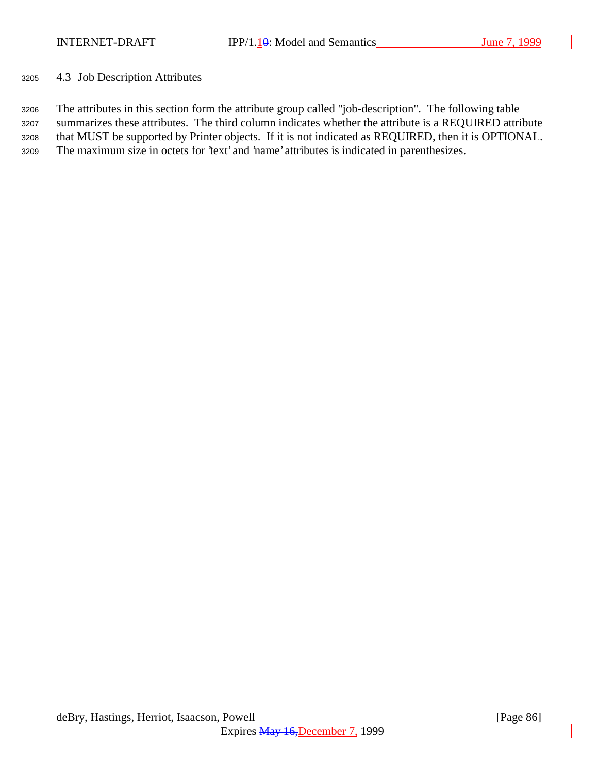4.3 Job Description Attributes

 The attributes in this section form the attribute group called "job-description". The following table summarizes these attributes. The third column indicates whether the attribute is a REQUIRED attribute that MUST be supported by Printer objects. If it is not indicated as REQUIRED, then it is OPTIONAL. The maximum size in octets for 'text' and 'name' attributes is indicated in parenthesizes.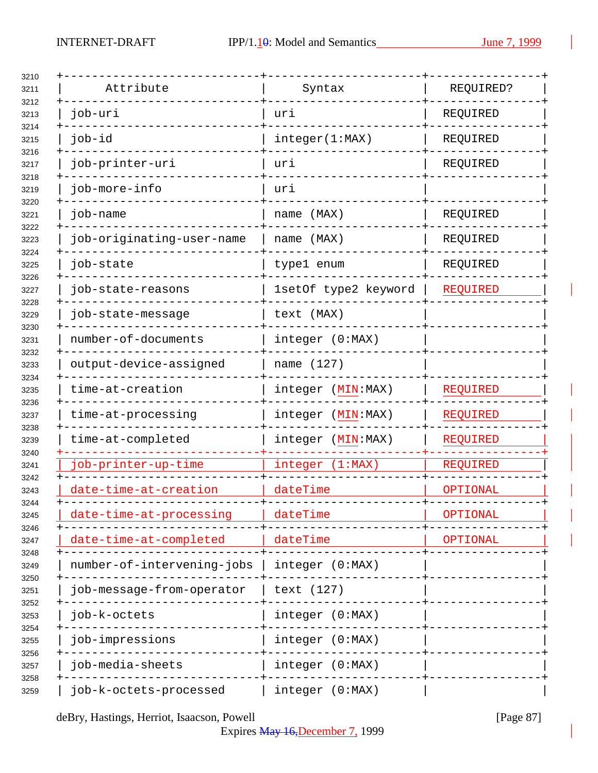| Attribute                  | Syntax               | REQUIRED?       |
|----------------------------|----------------------|-----------------|
| job-uri                    | uri                  | REQUIRED        |
| job-id                     | integer(1:MAX)       | REQUIRED        |
| job-printer-uri            | uri                  | REQUIRED        |
| job-more-info              | uri                  |                 |
| job-name                   | name (MAX)           | REQUIRED        |
| job-originating-user-name  | name (MAX)           | REQUIRED        |
| job-state                  | type1 enum           | REQUIRED        |
| job-state-reasons          | 1setOf type2 keyword | <b>REQUIRED</b> |
| job-state-message          | text (MAX)           |                 |
| number-of-documents        | integer (0:MAX)      |                 |
| output-device-assigned     | name (127)           |                 |
| time-at-creation           | integer (MIN:MAX)    | REQUIRED        |
| time-at-processing         | integer (MIN:MAX)    | <b>REQUIRED</b> |
| time-at-completed          | integer (MIN:MAX)    | <b>REQUIRED</b> |
| job-printer-up-time        | integer (1:MAX)      | REQUIRED        |
| date-time-at-creation      | dateTime             | OPTIONAL        |
| date-time-at-processing    | dateTime             | OPTIONAL        |
| date-time-at-completed     | dateTime             | OPTIONAL        |
| number-of-intervening-jobs | integer (0:MAX)      |                 |
| job-message-from-operator  | text (127)           |                 |
| job-k-octets               | integer (0:MAX)      |                 |
| job-impressions            | integer (0:MAX)      |                 |
| job-media-sheets           | integer (0:MAX)      |                 |
| job-k-octets-processed     | integer (0:MAX)      |                 |

deBry, Hastings, Herriot, Isaacson, Powell [Page 87]

Expires May 16,December 7, 1999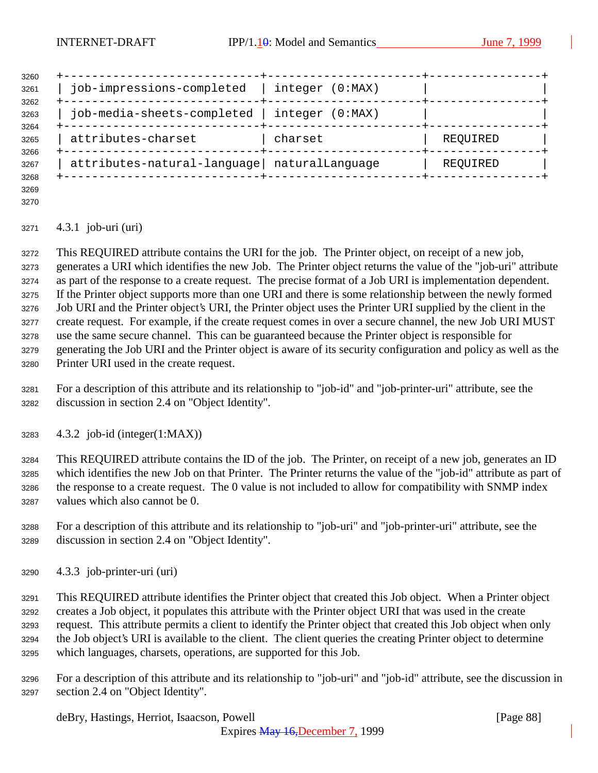| 3260         |                                               |                    |          |
|--------------|-----------------------------------------------|--------------------|----------|
| 3261<br>3262 | job-impressions-completed                     | integer (0:MAX)    |          |
| 3263<br>3264 | job-media-sheets-completed                    | integer<br>(0:MAX) |          |
| 3265<br>3266 | attributes-charset                            | charset            | REQUIRED |
| 3267         | attributes-natural-language   naturalLanguage |                    | REQUIRED |
| 3268         |                                               |                    |          |

 

### 4.3.1 job-uri (uri)

 This REQUIRED attribute contains the URI for the job. The Printer object, on receipt of a new job, generates a URI which identifies the new Job. The Printer object returns the value of the "job-uri" attribute as part of the response to a create request. The precise format of a Job URI is implementation dependent. If the Printer object supports more than one URI and there is some relationship between the newly formed Job URI and the Printer object's URI, the Printer object uses the Printer URI supplied by the client in the create request. For example, if the create request comes in over a secure channel, the new Job URI MUST use the same secure channel. This can be guaranteed because the Printer object is responsible for generating the Job URI and the Printer object is aware of its security configuration and policy as well as the Printer URI used in the create request.

- For a description of this attribute and its relationship to "job-id" and "job-printer-uri" attribute, see the discussion in section 2.4 on "Object Identity".
- 4.3.2 job-id (integer(1:MAX))

 This REQUIRED attribute contains the ID of the job. The Printer, on receipt of a new job, generates an ID which identifies the new Job on that Printer. The Printer returns the value of the "job-id" attribute as part of the response to a create request. The 0 value is not included to allow for compatibility with SNMP index values which also cannot be 0.

- For a description of this attribute and its relationship to "job-uri" and "job-printer-uri" attribute, see the discussion in section 2.4 on "Object Identity".
- 4.3.3 job-printer-uri (uri)

 This REQUIRED attribute identifies the Printer object that created this Job object. When a Printer object creates a Job object, it populates this attribute with the Printer object URI that was used in the create request. This attribute permits a client to identify the Printer object that created this Job object when only the Job object's URI is available to the client. The client queries the creating Printer object to determine which languages, charsets, operations, are supported for this Job.

 For a description of this attribute and its relationship to "job-uri" and "job-id" attribute, see the discussion in section 2.4 on "Object Identity".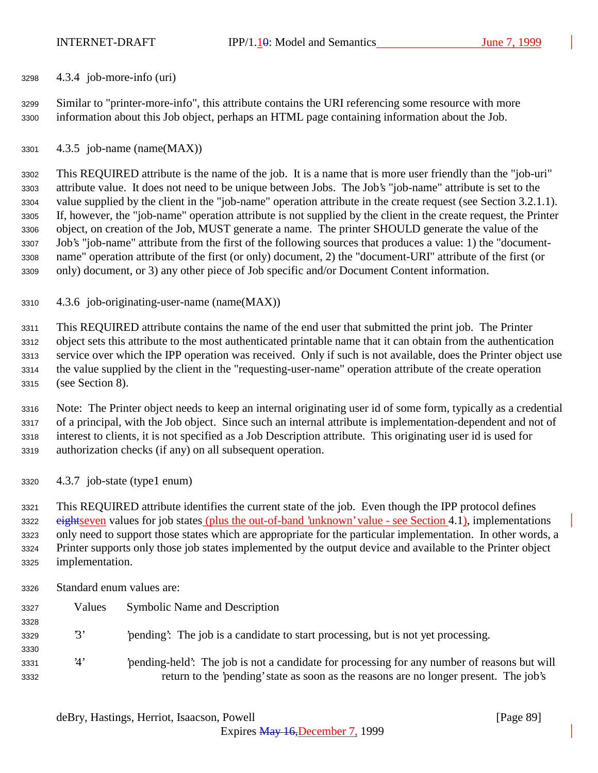4.3.4 job-more-info (uri)

 Similar to "printer-more-info", this attribute contains the URI referencing some resource with more information about this Job object, perhaps an HTML page containing information about the Job.

4.3.5 job-name (name(MAX))

 This REQUIRED attribute is the name of the job. It is a name that is more user friendly than the "job-uri" attribute value. It does not need to be unique between Jobs. The Job's "job-name" attribute is set to the value supplied by the client in the "job-name" operation attribute in the create request (see Section 3.2.1.1). If, however, the "job-name" operation attribute is not supplied by the client in the create request, the Printer object, on creation of the Job, MUST generate a name. The printer SHOULD generate the value of the Job's "job-name" attribute from the first of the following sources that produces a value: 1) the "document- name" operation attribute of the first (or only) document, 2) the "document-URI" attribute of the first (or only) document, or 3) any other piece of Job specific and/or Document Content information.

4.3.6 job-originating-user-name (name(MAX))

 This REQUIRED attribute contains the name of the end user that submitted the print job. The Printer object sets this attribute to the most authenticated printable name that it can obtain from the authentication service over which the IPP operation was received. Only if such is not available, does the Printer object use the value supplied by the client in the "requesting-user-name" operation attribute of the create operation (see Section 8).

 Note: The Printer object needs to keep an internal originating user id of some form, typically as a credential of a principal, with the Job object. Since such an internal attribute is implementation-dependent and not of interest to clients, it is not specified as a Job Description attribute. This originating user id is used for authorization checks (if any) on all subsequent operation.

4.3.7 job-state (type1 enum)

 This REQUIRED attribute identifies the current state of the job. Even though the IPP protocol defines 3322 eightseven values for job states (plus the out-of-band 'unknown' value - see Section 4.1), implementations only need to support those states which are appropriate for the particular implementation. In other words, a Printer supports only those job states implemented by the output device and available to the Printer object implementation.

| 3326 | Standard enum values are: |  |  |
|------|---------------------------|--|--|
|      |                           |  |  |

| 3327 | Values | <b>Symbolic Name and Description</b>                                                         |
|------|--------|----------------------------------------------------------------------------------------------|
| 3328 |        |                                                                                              |
| 3329 | 3'     | pending. The job is a candidate to start processing, but is not yet processing.              |
| 3330 |        |                                                                                              |
| 3331 | '4'    | 'pending-held': The job is not a candidate for processing for any number of reasons but will |
| 3332 |        | return to the 'pending' state as soon as the reasons are no longer present. The job's        |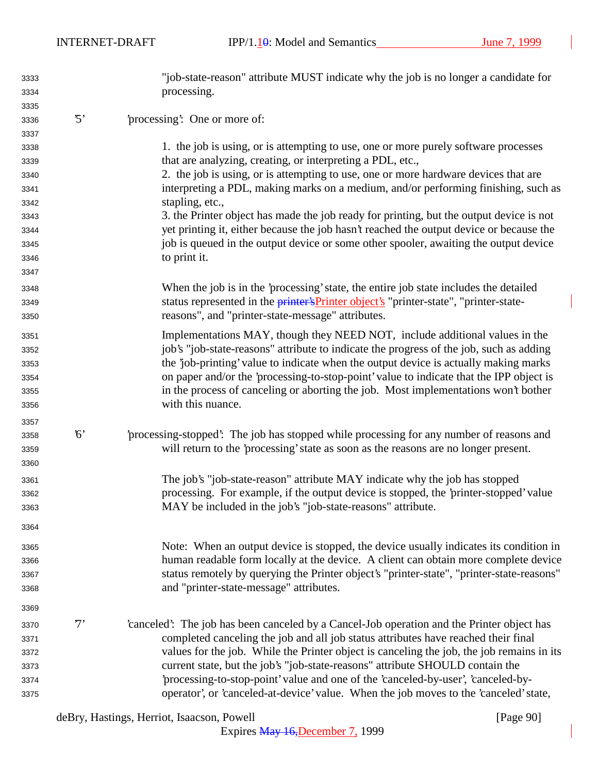INTERNET-DRAFT IPP/1.10: Model and Semantics June 7, 1999

| 3333 |             | "job-state-reason" attribute MUST indicate why the job is no longer a candidate for          |
|------|-------------|----------------------------------------------------------------------------------------------|
| 3334 |             | processing.                                                                                  |
| 3335 |             |                                                                                              |
| 3336 | $\cdot$ 5'  | 'processing': One or more of:                                                                |
| 3337 |             |                                                                                              |
| 3338 |             | 1. the job is using, or is attempting to use, one or more purely software processes          |
| 3339 |             | that are analyzing, creating, or interpreting a PDL, etc.,                                   |
| 3340 |             | 2. the job is using, or is attempting to use, one or more hardware devices that are          |
| 3341 |             | interpreting a PDL, making marks on a medium, and/or performing finishing, such as           |
| 3342 |             | stapling, etc.,                                                                              |
| 3343 |             | 3. the Printer object has made the job ready for printing, but the output device is not      |
| 3344 |             | yet printing it, either because the job hasn't reached the output device or because the      |
| 3345 |             | job is queued in the output device or some other spooler, awaiting the output device         |
| 3346 |             | to print it.                                                                                 |
| 3347 |             |                                                                                              |
| 3348 |             | When the job is in the 'processing' state, the entire job state includes the detailed        |
| 3349 |             | status represented in the <i>printer's</i> Printer object's "printer-state", "printer-state- |
| 3350 |             | reasons", and "printer-state-message" attributes.                                            |
| 3351 |             | Implementations MAY, though they NEED NOT, include additional values in the                  |
| 3352 |             | job's "job-state-reasons" attribute to indicate the progress of the job, such as adding      |
| 3353 |             | the 'job-printing' value to indicate when the output device is actually making marks         |
| 3354 |             | on paper and/or the 'processing-to-stop-point' value to indicate that the IPP object is      |
| 3355 |             | in the process of canceling or aborting the job. Most implementations won't bother           |
| 3356 |             | with this nuance.                                                                            |
| 3357 |             |                                                                                              |
| 3358 | $6^{\circ}$ | processing-stopped: The job has stopped while processing for any number of reasons and       |
| 3359 |             | will return to the 'processing' state as soon as the reasons are no longer present.          |
| 3360 |             |                                                                                              |
| 3361 |             | The job's "job-state-reason" attribute MAY indicate why the job has stopped                  |
| 3362 |             | processing. For example, if the output device is stopped, the 'printer-stopped' value        |
| 3363 |             | MAY be included in the job's "job-state-reasons" attribute.                                  |
| 3364 |             |                                                                                              |
| 3365 |             | Note: When an output device is stopped, the device usually indicates its condition in        |
| 3366 |             | human readable form locally at the device. A client can obtain more complete device          |
| 3367 |             | status remotely by querying the Printer object's "printer-state", "printer-state-reasons"    |
| 3368 |             | and "printer-state-message" attributes.                                                      |
| 3369 |             |                                                                                              |
| 3370 | $7^,$       | canceled: The job has been canceled by a Cancel-Job operation and the Printer object has     |
| 3371 |             | completed canceling the job and all job status attributes have reached their final           |
| 3372 |             | values for the job. While the Printer object is canceling the job, the job remains in its    |
| 3373 |             | current state, but the job's "job-state-reasons" attribute SHOULD contain the                |
| 3374 |             | 'processing-to-stop-point' value and one of the 'canceled-by-user', 'canceled-by-            |
| 3375 |             | operator', or 'canceled-at-device' value. When the job moves to the 'canceled' state,        |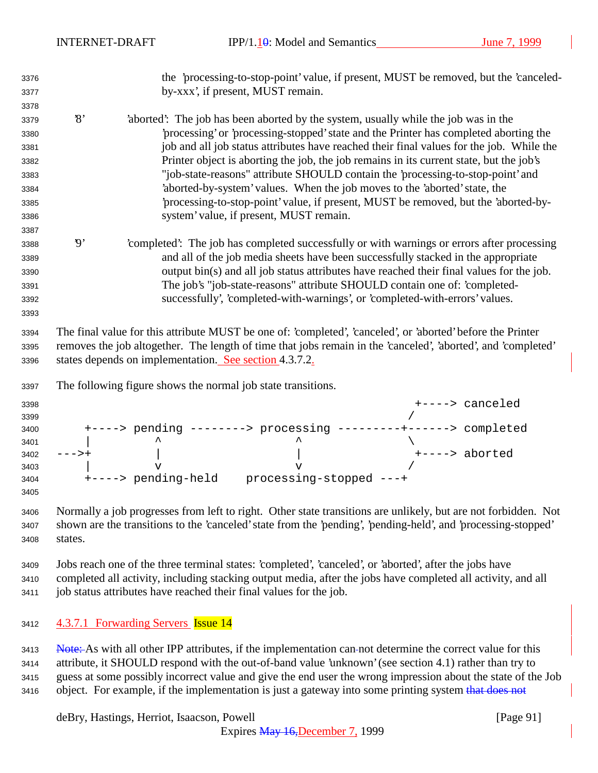| 3376                 |                |                                                        |                                                                    | the 'processing-to-stop-point' value, if present, MUST be removed, but the 'canceled-                                                                                                                                        |
|----------------------|----------------|--------------------------------------------------------|--------------------------------------------------------------------|------------------------------------------------------------------------------------------------------------------------------------------------------------------------------------------------------------------------------|
| 3377                 |                |                                                        | by-xxx', if present, MUST remain.                                  |                                                                                                                                                                                                                              |
| 3378                 |                |                                                        |                                                                    |                                                                                                                                                                                                                              |
| 3379                 | $\mathcal{S}'$ |                                                        |                                                                    | 'aborted': The job has been aborted by the system, usually while the job was in the                                                                                                                                          |
| 3380                 |                |                                                        |                                                                    | processing' or 'processing-stopped' state and the Printer has completed aborting the                                                                                                                                         |
| 3381                 |                |                                                        |                                                                    | job and all job status attributes have reached their final values for the job. While the                                                                                                                                     |
| 3382                 |                |                                                        |                                                                    | Printer object is aborting the job, the job remains in its current state, but the job's                                                                                                                                      |
| 3383                 |                |                                                        |                                                                    | "job-state-reasons" attribute SHOULD contain the 'processing-to-stop-point' and                                                                                                                                              |
| 3384                 |                |                                                        |                                                                    | 'aborted-by-system' values. When the job moves to the 'aborted' state, the                                                                                                                                                   |
| 3385                 |                |                                                        |                                                                    | processing-to-stop-point' value, if present, MUST be removed, but the 'aborted-by-                                                                                                                                           |
| 3386                 |                |                                                        | system' value, if present, MUST remain.                            |                                                                                                                                                                                                                              |
| 3387                 |                |                                                        |                                                                    |                                                                                                                                                                                                                              |
| 3388                 | $\mathfrak{g}$ |                                                        |                                                                    | completed: The job has completed successfully or with warnings or errors after processing                                                                                                                                    |
| 3389                 |                |                                                        |                                                                    | and all of the job media sheets have been successfully stacked in the appropriate                                                                                                                                            |
| 3390                 |                |                                                        |                                                                    | output bin(s) and all job status attributes have reached their final values for the job.                                                                                                                                     |
| 3391                 |                |                                                        |                                                                    | The job's "job-state-reasons" attribute SHOULD contain one of: 'completed-                                                                                                                                                   |
| 3392                 |                |                                                        |                                                                    | successfully', 'completed-with-warnings', or 'completed-with-errors' values.                                                                                                                                                 |
| 3393                 |                |                                                        |                                                                    |                                                                                                                                                                                                                              |
| 3394<br>3395<br>3396 |                | states depends on implementation. See section 4.3.7.2. |                                                                    | The final value for this attribute MUST be one of: 'completed', 'canceled', or 'aborted' before the Printer<br>removes the job altogether. The length of time that jobs remain in the 'canceled', 'aborted', and 'completed' |
| 3397                 |                |                                                        | The following figure shows the normal job state transitions.       |                                                                                                                                                                                                                              |
| 3398                 |                |                                                        |                                                                    | +----> canceled                                                                                                                                                                                                              |
| 3399                 |                |                                                        |                                                                    |                                                                                                                                                                                                                              |
| 3400                 |                |                                                        |                                                                    | +----> pending --------> processing ---------+------> completed                                                                                                                                                              |
| 3401                 |                |                                                        |                                                                    |                                                                                                                                                                                                                              |
| 3402                 | $--->+$        |                                                        |                                                                    | +----> aborted                                                                                                                                                                                                               |
| 3403                 |                | $\overline{V}$                                         | $\overline{V}$<br>+----> pending-held    processing-stopped ---+   |                                                                                                                                                                                                                              |
| 3404<br>3405         |                |                                                        |                                                                    |                                                                                                                                                                                                                              |
|                      |                |                                                        |                                                                    |                                                                                                                                                                                                                              |
| 3406                 |                |                                                        |                                                                    | Normally a job progresses from left to right. Other state transitions are unlikely, but are not forbidden. Not                                                                                                               |
| 3407                 |                |                                                        |                                                                    | shown are the transitions to the 'canceled' state from the 'pending', 'pending-held', and 'processing-stopped'                                                                                                               |
| 3408                 | states.        |                                                        |                                                                    |                                                                                                                                                                                                                              |
| 3409                 |                |                                                        |                                                                    | Jobs reach one of the three terminal states: 'completed', 'canceled', or 'aborted', after the jobs have                                                                                                                      |
| 3410                 |                |                                                        |                                                                    | completed all activity, including stacking output media, after the jobs have completed all activity, and all                                                                                                                 |
| 3411                 |                |                                                        | job status attributes have reached their final values for the job. |                                                                                                                                                                                                                              |
|                      |                |                                                        |                                                                    |                                                                                                                                                                                                                              |
| 3412                 |                | 4.3.7.1 Forwarding Servers Issue 14                    |                                                                    |                                                                                                                                                                                                                              |

3413 Note: As with all other IPP attributes, if the implementation can-not determine the correct value for this attribute, it SHOULD respond with the out-of-band value 'unknown' (see section 4.1) rather than try to guess at some possibly incorrect value and give the end user the wrong impression about the state of the Job 3416 object. For example, if the implementation is just a gateway into some printing system that does not

deBry, Hastings, Herriot, Isaacson, Powell [Page 91]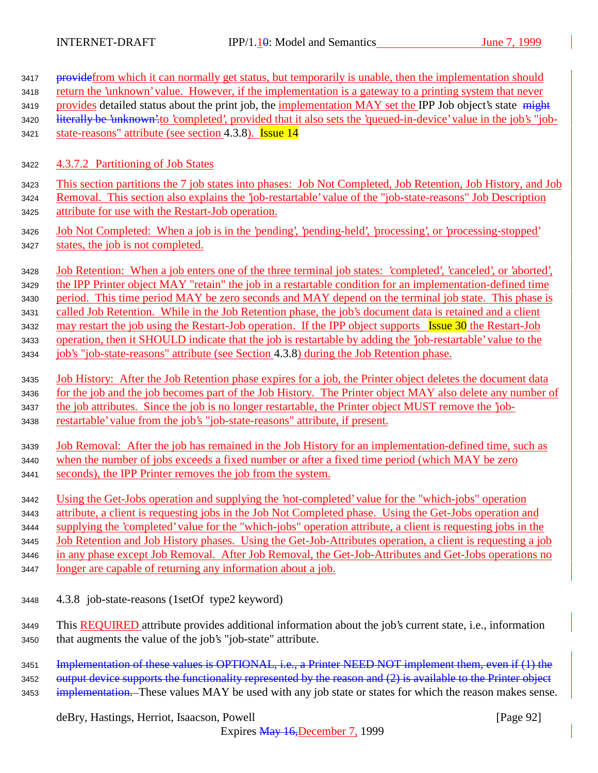| 3417 | provide from which it can normally get status, but temporarily is unable, then the implementation should             |
|------|----------------------------------------------------------------------------------------------------------------------|
| 3418 | return the 'unknown' value. However, if the implementation is a gateway to a printing system that never              |
| 3419 | provides detailed status about the print job, the implementation MAY set the IPP Job object's state might            |
| 3420 | literally be 'unknown' to 'completed', provided that it also sets the 'queued-in-device' value in the job's "job-    |
| 3421 | state-reasons" attribute (see section 4.3.8). Issue 14                                                               |
|      |                                                                                                                      |
| 3422 | 4.3.7.2 Partitioning of Job States                                                                                   |
| 3423 | This section partitions the 7 job states into phases: Job Not Completed, Job Retention, Job History, and Job         |
| 3424 | Removal. This section also explains the 'job-restartable' value of the "job-state-reasons" Job Description           |
| 3425 | attribute for use with the Restart-Job operation.                                                                    |
| 3426 | Job Not Completed: When a job is in the 'pending', 'pending-held', 'processing', or 'processing-stopped'             |
| 3427 | states, the job is not completed.                                                                                    |
|      |                                                                                                                      |
| 3428 | <u>Job Retention: When a job enters one of the three terminal job states: 'completed', 'canceled', or 'aborted',</u> |
| 3429 | the IPP Printer object MAY "retain" the job in a restartable condition for an implementation-defined time            |
| 3430 | period. This time period MAY be zero seconds and MAY depend on the terminal job state. This phase is                 |
| 3431 | called Job Retention. While in the Job Retention phase, the job's document data is retained and a client             |
| 3432 | may restart the job using the Restart-Job operation. If the IPP object supports Issue 30 the Restart-Job             |
| 3433 | operation, then it SHOULD indicate that the job is restartable by adding the 'job-restartable' value to the          |
| 3434 | job's "job-state-reasons" attribute (see Section 4.3.8) during the Job Retention phase.                              |
|      |                                                                                                                      |
| 3435 | <u>Job History: After the Job Retention phase expires for a job, the Printer object deletes the document data</u>    |
| 3436 | for the job and the job becomes part of the Job History. The Printer object MAY also delete any number of            |
| 3437 | the job attributes. Since the job is no longer restartable, the Printer object MUST remove the job-                  |
| 3438 | restartable' value from the job's "job-state-reasons" attribute, if present.                                         |
|      | Job Removal: After the job has remained in the Job History for an implementation-defined time, such as               |
| 3439 |                                                                                                                      |
| 3440 | when the number of jobs exceeds a fixed number or after a fixed time period (which MAY be zero                       |
| 3441 | seconds), the IPP Printer removes the job from the system.                                                           |
| 3442 | Using the Get-Jobs operation and supplying the 'not-completed' value for the "which-jobs" operation                  |
| 3443 | attribute, a client is requesting jobs in the Job Not Completed phase. Using the Get-Jobs operation and              |
| 3444 | supplying the 'completed' value for the "which-jobs" operation attribute, a client is requesting jobs in the         |
| 3445 | Job Retention and Job History phases. Using the Get-Job-Attributes operation, a client is requesting a job           |
| 3446 | in any phase except Job Removal. After Job Removal, the Get-Job-Attributes and Get-Jobs operations no                |
| 3447 | <u>longer are capable of returning any information about a job.</u>                                                  |
|      |                                                                                                                      |
| 3448 | 4.3.8 job-state-reasons (1setOf type2 keyword)                                                                       |
|      |                                                                                                                      |
| 3449 | This <b>REQUIRED</b> attribute provides additional information about the job's current state, i.e., information      |
| 3450 | that augments the value of the job's "job-state" attribute.                                                          |
| 3451 | Implementation of these values is OPTIONAL, i.e., a Printer NEED NOT implement them, even if (1) the                 |
| 3452 | output device supports the functionality represented by the reason and (2) is available to the Printer object        |
|      | implementation. These values MAY be used with any job state or states for which the reason makes sense.              |
| 3453 |                                                                                                                      |

# deBry, Hastings, Herriot, Isaacson, Powell [Page 92]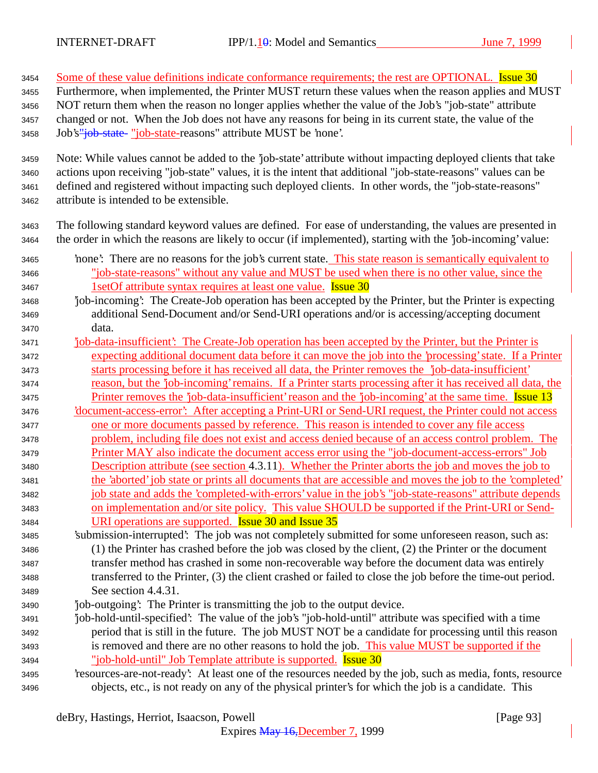3454 Some of these value definitions indicate conformance requirements; the rest are OPTIONAL. Issue 30 Furthermore, when implemented, the Printer MUST return these values when the reason applies and MUST NOT return them when the reason no longer applies whether the value of the Job's "job-state" attribute changed or not. When the Job does not have any reasons for being in its current state, the value of the 3458 Job's"job-state- "job-state-reasons" attribute MUST be 'none'. Note: While values cannot be added to the 'job-state' attribute without impacting deployed clients that take actions upon receiving "job-state" values, it is the intent that additional "job-state-reasons" values can be defined and registered without impacting such deployed clients. In other words, the "job-state-reasons" attribute is intended to be extensible. The following standard keyword values are defined. For ease of understanding, the values are presented in the order in which the reasons are likely to occur (if implemented), starting with the 'job-incoming' value: 'none': There are no reasons for the job's current state. This state reason is semantically equivalent to "job-state-reasons" without any value and MUST be used when there is no other value, since the 3467 1setOf attribute syntax requires at least one value. **Issue 30**  'job-incoming': The Create-Job operation has been accepted by the Printer, but the Printer is expecting additional Send-Document and/or Send-URI operations and/or is accessing/accepting document data. 'job-data-insufficient': The Create-Job operation has been accepted by the Printer, but the Printer is expecting additional document data before it can move the job into the 'processing' state. If a Printer starts processing before it has received all data, the Printer removes the 'job-data-insufficient' reason, but the 'job-incoming' remains. If a Printer starts processing after it has received all data, the 3475 Printer removes the 'job-data-insufficient' reason and the 'job-incoming' at the same time. Issue 13 'document-access-error': After accepting a Print-URI or Send-URI request, the Printer could not access one or more documents passed by reference. This reason is intended to cover any file access problem, including file does not exist and access denied because of an access control problem. The Printer MAY also indicate the document access error using the "job-document-access-errors" Job Description attribute (see section 4.3.11). Whether the Printer aborts the job and moves the job to the 'aborted' job state or prints all documents that are accessible and moves the job to the 'completed' job state and adds the 'completed-with-errors' value in the job's "job-state-reasons" attribute depends on implementation and/or site policy. This value SHOULD be supported if the Print-URI or Send- URI operations are supported. Issue 30 and Issue 35 'submission-interrupted': The job was not completely submitted for some unforeseen reason, such as: (1) the Printer has crashed before the job was closed by the client, (2) the Printer or the document transfer method has crashed in some non-recoverable way before the document data was entirely transferred to the Printer, (3) the client crashed or failed to close the job before the time-out period. See section 4.4.31. 'job-outgoing': The Printer is transmitting the job to the output device. 'job-hold-until-specified': The value of the job's "job-hold-until" attribute was specified with a time period that is still in the future. The job MUST NOT be a candidate for processing until this reason is removed and there are no other reasons to hold the job. This value MUST be supported if the "job-hold-until" Job Template attribute is supported. Issue 30 'resources-are-not-ready': At least one of the resources needed by the job, such as media, fonts, resource objects, etc., is not ready on any of the physical printer's for which the job is a candidate. This

deBry, Hastings, Herriot, Isaacson, Powell [Page 93]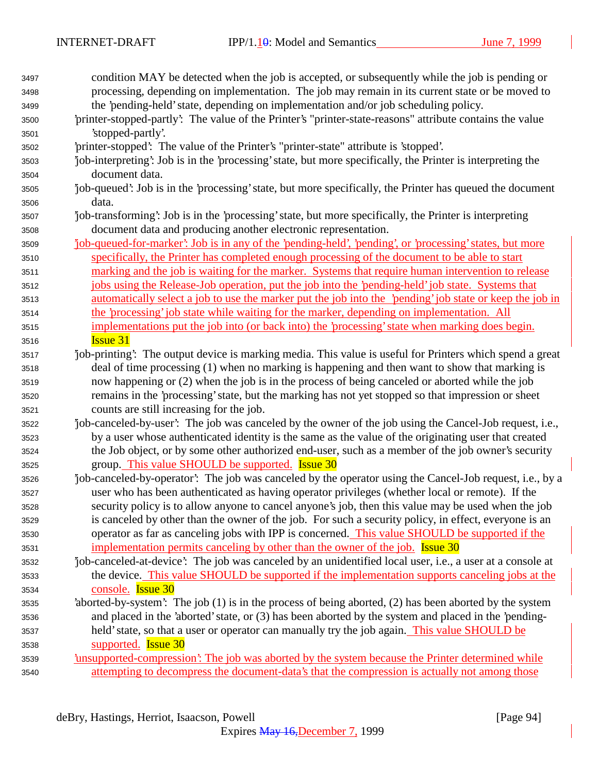| 3497 | condition MAY be detected when the job is accepted, or subsequently while the job is pending or             |
|------|-------------------------------------------------------------------------------------------------------------|
| 3498 | processing, depending on implementation. The job may remain in its current state or be moved to             |
| 3499 | the 'pending-held' state, depending on implementation and/or job scheduling policy.                         |
| 3500 | 'printer-stopped-partly': The value of the Printer's "printer-state-reasons" attribute contains the value   |
| 3501 | 'stopped-partly'.                                                                                           |
| 3502 | 'printer-stopped': The value of the Printer's "printer-state" attribute is 'stopped'.                       |
| 3503 | job-interpreting': Job is in the 'processing' state, but more specifically, the Printer is interpreting the |
| 3504 | document data.                                                                                              |
| 3505 | job-queued': Job is in the 'processing' state, but more specifically, the Printer has queued the document   |
| 3506 | data.                                                                                                       |
| 3507 | job-transforming: Job is in the 'processing' state, but more specifically, the Printer is interpreting      |
| 3508 | document data and producing another electronic representation.                                              |
| 3509 | job-queued-for-marker': Job is in any of the 'pending-held', 'pending', or 'processing' states, but more    |
| 3510 | specifically, the Printer has completed enough processing of the document to be able to start               |
| 3511 | marking and the job is waiting for the marker. Systems that require human intervention to release           |
| 3512 | jobs using the Release-Job operation, put the job into the 'pending-held' job state. Systems that           |
| 3513 | automatically select a job to use the marker put the job into the 'pending' job state or keep the job in    |
| 3514 | the 'processing' job state while waiting for the marker, depending on implementation. All                   |
| 3515 | implementations put the job into (or back into) the 'processing' state when marking does begin.             |
| 3516 | <b>Issue 31</b>                                                                                             |
| 3517 | job-printing: The output device is marking media. This value is useful for Printers which spend a great     |
| 3518 | deal of time processing (1) when no marking is happening and then want to show that marking is              |
| 3519 | now happening or (2) when the job is in the process of being canceled or aborted while the job              |
| 3520 | remains in the 'processing' state, but the marking has not yet stopped so that impression or sheet          |
| 3521 | counts are still increasing for the job.                                                                    |
| 3522 | job-canceled-by-user': The job was canceled by the owner of the job using the Cancel-Job request, i.e.,     |
| 3523 | by a user whose authenticated identity is the same as the value of the originating user that created        |
| 3524 | the Job object, or by some other authorized end-user, such as a member of the job owner's security          |
| 3525 | group. This value SHOULD be supported. Issue 30                                                             |
| 3526 | job-canceled-by-operator. The job was canceled by the operator using the Cancel-Job request, i.e., by a     |
| 3527 | user who has been authenticated as having operator privileges (whether local or remote). If the             |
| 3528 | security policy is to allow anyone to cancel anyone's job, then this value may be used when the job         |
| 3529 | is canceled by other than the owner of the job. For such a security policy, in effect, everyone is an       |
| 3530 | operator as far as canceling jobs with IPP is concerned. This value SHOULD be supported if the              |
| 3531 | implementation permits canceling by other than the owner of the job. Issue 30                               |
| 3532 | job-canceled-at-device': The job was canceled by an unidentified local user, i.e., a user at a console at   |
| 3533 | the device. This value SHOULD be supported if the implementation supports canceling jobs at the             |
| 3534 | console. Issue 30                                                                                           |
| 3535 | 'aborted-by-system': The job (1) is in the process of being aborted, (2) has been aborted by the system     |
| 3536 | and placed in the 'aborted' state, or (3) has been aborted by the system and placed in the 'pending-        |
| 3537 | held' state, so that a user or operator can manually try the job again. This value SHOULD be                |
| 3538 | supported. <b>Issue 30</b>                                                                                  |
| 3539 | insupported-compression': The job was aborted by the system because the Printer determined while            |
| 3540 | attempting to decompress the document-data's that the compression is actually not among those               |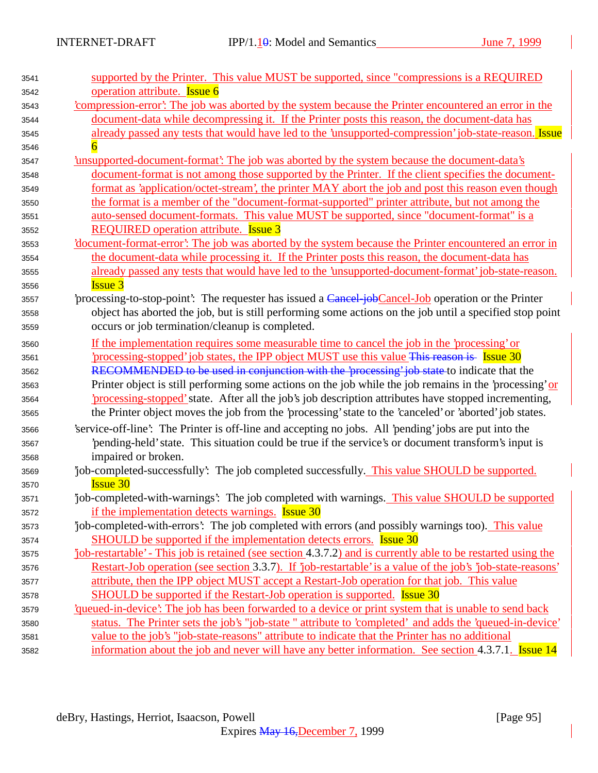| 3541 | supported by the Printer. This value MUST be supported, since "compressions is a REQUIRED                       |
|------|-----------------------------------------------------------------------------------------------------------------|
| 3542 | operation attribute. <b>Issue 6</b>                                                                             |
| 3543 | compression-error. The job was aborted by the system because the Printer encountered an error in the            |
| 3544 | document-data while decompressing it. If the Printer posts this reason, the document-data has                   |
| 3545 | already passed any tests that would have led to the 'unsupported-compression' job-state-reason. Issue           |
| 3546 |                                                                                                                 |
| 3547 | insupported-document-format': The job was aborted by the system because the document-data's                     |
| 3548 | document-format is not among those supported by the Printer. If the client specifies the document-              |
| 3549 | format as 'application/octet-stream', the printer MAY abort the job and post this reason even though            |
| 3550 | the format is a member of the "document-format-supported" printer attribute, but not among the                  |
| 3551 | auto-sensed document-formats. This value MUST be supported, since "document-format" is a                        |
| 3552 | <b>REQUIRED</b> operation attribute. <b>Issue 3</b>                                                             |
| 3553 | document-format-error': The job was aborted by the system because the Printer encountered an error in           |
| 3554 | the document-data while processing it. If the Printer posts this reason, the document-data has                  |
| 3555 | already passed any tests that would have led to the 'unsupported-document-format' job-state-reason.             |
| 3556 | <b>Issue 3</b>                                                                                                  |
| 3557 | processing-to-stop-point: The requester has issued a Cancel job Cancel-Job operation or the Printer             |
| 3558 | object has aborted the job, but is still performing some actions on the job until a specified stop point        |
| 3559 | occurs or job termination/cleanup is completed.                                                                 |
| 3560 | If the implementation requires some measurable time to cancel the job in the 'processing' or                    |
| 3561 | processing-stopped job states, the IPP object MUST use this value This reason is Issue 30                       |
| 3562 | RECOMMENDED to be used in conjunction with the 'processing' job state to indicate that the                      |
| 3563 | Printer object is still performing some actions on the job while the job remains in the 'processing' or         |
| 3564 | processing-stopped' state. After all the job's job description attributes have stopped incrementing,            |
| 3565 | the Printer object moves the job from the 'processing' state to the 'canceled' or 'aborted' job states.         |
| 3566 | 'service-off-line': The Printer is off-line and accepting no jobs. All 'pending' jobs are put into the          |
| 3567 | pending-held' state. This situation could be true if the service's or document transform's input is             |
| 3568 | impaired or broken.                                                                                             |
| 3569 | job-completed-successfully: The job completed successfully. This value SHOULD be supported.                     |
| 3570 | <b>Issue 30</b>                                                                                                 |
| 3571 | job-completed-with-warnings: The job completed with warnings. This value SHOULD be supported                    |
| 3572 | if the implementation detects warnings. <b>Issue 30</b>                                                         |
| 3573 | job-completed-with-errors': The job completed with errors (and possibly warnings too). This value               |
| 3574 | SHOULD be supported if the implementation detects errors. <b>Issue 30</b>                                       |
| 3575 | job-restartable' - This job is retained (see section 4.3.7.2) and is currently able to be restarted using the   |
| 3576 | Restart-Job operation (see section 3.3.7). If 'job-restartable' is a value of the job's 'job-state-reasons'     |
| 3577 | attribute, then the IPP object MUST accept a Restart-Job operation for that job. This value                     |
| 3578 | <b>SHOULD</b> be supported if the Restart-Job operation is supported. <b>Issue 30</b>                           |
| 3579 | <i><u>diacom-device:</u></i> The job has been forwarded to a device or print system that is unable to send back |
| 3580 | status. The Printer sets the job's "job-state " attribute to 'completed' and adds the 'queued-in-device'        |
| 3581 | value to the job's "job-state-reasons" attribute to indicate that the Printer has no additional                 |
| 3582 | information about the job and never will have any better information. See section 4.3.7.1. Issue 14             |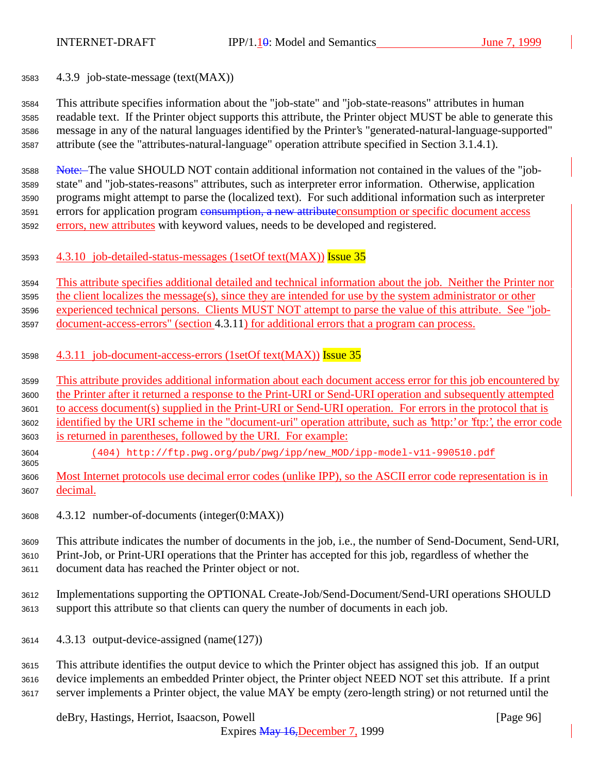4.3.9 job-state-message (text(MAX))

 This attribute specifies information about the "job-state" and "job-state-reasons" attributes in human readable text. If the Printer object supports this attribute, the Printer object MUST be able to generate this message in any of the natural languages identified by the Printer's "generated-natural-language-supported" attribute (see the "attributes-natural-language" operation attribute specified in Section 3.1.4.1).

 Note: The value SHOULD NOT contain additional information not contained in the values of the "job- state" and "job-states-reasons" attributes, such as interpreter error information. Otherwise, application programs might attempt to parse the (localized text). For such additional information such as interpreter 3591 errors for application program consumption, a new attribute consumption or specific document access 3592 errors, new attributes with keyword values, needs to be developed and registered.

4.3.10 job-detailed-status-messages (1setOf text(MAX)) Issue 35

This attribute specifies additional detailed and technical information about the job. Neither the Printer nor

the client localizes the message(s), since they are intended for use by the system administrator or other

experienced technical persons. Clients MUST NOT attempt to parse the value of this attribute. See "job-

document-access-errors" (section 4.3.11) for additional errors that a program can process.

- 3598 4.3.11 job-document-access-errors (1setOf text(MAX)) Issue 35
- This attribute provides additional information about each document access error for this job encountered by
- the Printer after it returned a response to the Print-URI or Send-URI operation and subsequently attempted to access document(s) supplied in the Print-URI or Send-URI operation. For errors in the protocol that is
- identified by the URI scheme in the "document-uri" operation attribute, such as 'http:' or 'ftp:', the error code is returned in parentheses, followed by the URI. For example:
- (404) http://ftp.pwg.org/pub/pwg/ipp/new\_MOD/ipp-model-v11-990510.pdf
- Most Internet protocols use decimal error codes (unlike IPP), so the ASCII error code representation is in decimal.
- 4.3.12 number-of-documents (integer(0:MAX))

 This attribute indicates the number of documents in the job, i.e., the number of Send-Document, Send-URI, Print-Job, or Print-URI operations that the Printer has accepted for this job, regardless of whether the

- document data has reached the Printer object or not.
- Implementations supporting the OPTIONAL Create-Job/Send-Document/Send-URI operations SHOULD support this attribute so that clients can query the number of documents in each job.
- 4.3.13 output-device-assigned (name(127))

 This attribute identifies the output device to which the Printer object has assigned this job. If an output device implements an embedded Printer object, the Printer object NEED NOT set this attribute. If a print server implements a Printer object, the value MAY be empty (zero-length string) or not returned until the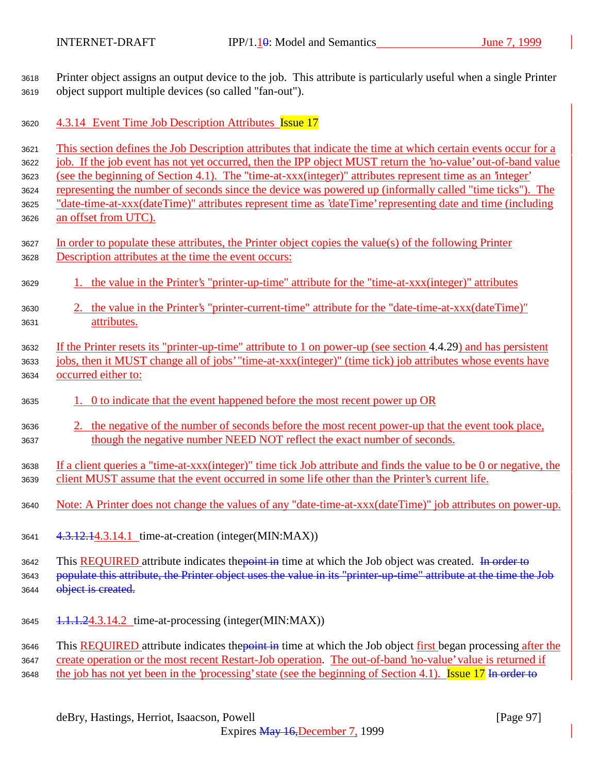Printer object assigns an output device to the job. This attribute is particularly useful when a single Printer object support multiple devices (so called "fan-out").

3620 4.3.14 Event Time Job Description Attributes Issue 17

 This section defines the Job Description attributes that indicate the time at which certain events occur for a job. If the job event has not yet occurred, then the IPP object MUST return the 'no-value' out-of-band value (see the beginning of Section 4.1). The "time-at-xxx(integer)" attributes represent time as an 'integer'

representing the number of seconds since the device was powered up (informally called "time ticks"). The

 "date-time-at-xxx(dateTime)" attributes represent time as 'dateTime' representing date and time (including an offset from UTC).

- In order to populate these attributes, the Printer object copies the value(s) of the following Printer Description attributes at the time the event occurs:
- 1. the value in the Printer's "printer-up-time" attribute for the "time-at-xxx(integer)" attributes
- 2. the value in the Printer's "printer-current-time" attribute for the "date-time-at-xxx(dateTime)" attributes.
- If the Printer resets its "printer-up-time" attribute to 1 on power-up (see section 4.4.29) and has persistent jobs, then it MUST change all of jobs' "time-at-xxx(integer)" (time tick) job attributes whose events have occurred either to:
- 1. 0 to indicate that the event happened before the most recent power up OR
- 2. the negative of the number of seconds before the most recent power-up that the event took place, though the negative number NEED NOT reflect the exact number of seconds.
- If a client queries a "time-at-xxx(integer)" time tick Job attribute and finds the value to be 0 or negative, the client MUST assume that the event occurred in some life other than the Printer's current life.
- Note: A Printer does not change the values of any "date-time-at-xxx(dateTime)" job attributes on power-up.
- 4.3.12.14.3.14.1 time-at-creation (integer(MIN:MAX))

3642 This REQUIRED attribute indicates the *point in* time at which the Job object was created. In order to 3643 populate this attribute, the Printer object uses the value in its "printer-up-time" attribute at the time the Job 3644 object is created.

1.1.1.24.3.14.2 time-at-processing (integer(MIN:MAX))

3646 This REQUIRED attribute indicates the point in time at which the Job object first began processing after the 3647 create operation or the most recent Restart-Job operation. The out-of-band 'no-value' value is returned if 3648 the job has not yet been in the 'processing' state (see the beginning of Section 4.1). Issue 17 In order to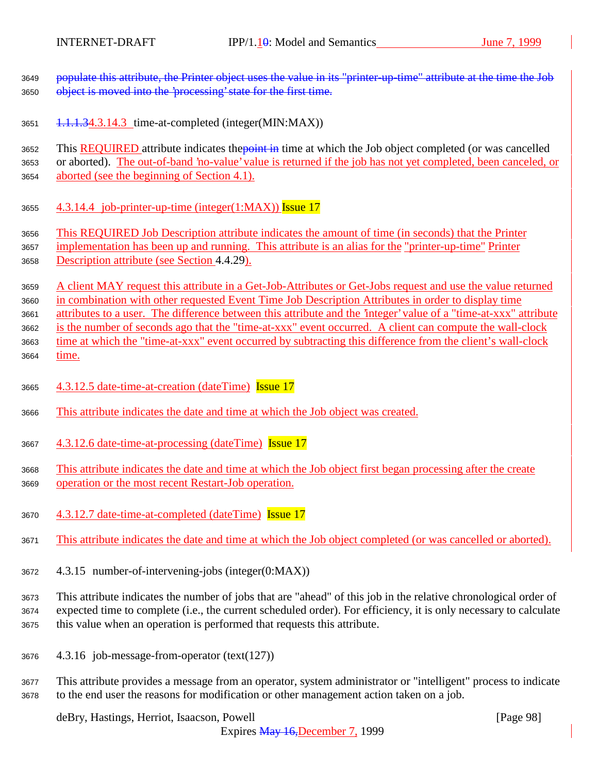3649 populate this attribute, the Printer object uses the value in its "printer-up-time" attribute at the time the Job 3650 object is moved into the 'processing' state for the first time.

3651 1.1.1.34.3.14.3 time-at-completed (integer(MIN:MAX))

3652 This REQUIRED attribute indicates the point in time at which the Job object completed (or was cancelled or aborted). The out-of-band 'no-value' value is returned if the job has not yet completed, been canceled, or aborted (see the beginning of Section 4.1).

3655  $4.3.14.4$  job-printer-up-time (integer(1:MAX)) Issue 17

This REQUIRED Job Description attribute indicates the amount of time (in seconds) that the Printer

 implementation has been up and running. This attribute is an alias for the "printer-up-time" Printer Description attribute (see Section 4.4.29).

 A client MAY request this attribute in a Get-Job-Attributes or Get-Jobs request and use the value returned in combination with other requested Event Time Job Description Attributes in order to display time

attributes to a user. The difference between this attribute and the 'integer' value of a "time-at-xxx" attribute

 is the number of seconds ago that the "time-at-xxx" event occurred. A client can compute the wall-clock time at which the "time-at-xxx" event occurred by subtracting this difference from the client's wall-clock

time.

- 4.3.12.5 date-time-at-creation (dateTime) Issue 17
- This attribute indicates the date and time at which the Job object was created.
- 4.3.12.6 date-time-at-processing (dateTime) Issue 17

 This attribute indicates the date and time at which the Job object first began processing after the create operation or the most recent Restart-Job operation.

- 4.3.12.7 date-time-at-completed (dateTime) Issue 17
- This attribute indicates the date and time at which the Job object completed (or was cancelled or aborted).
- 4.3.15 number-of-intervening-jobs (integer(0:MAX))

 This attribute indicates the number of jobs that are "ahead" of this job in the relative chronological order of expected time to complete (i.e., the current scheduled order). For efficiency, it is only necessary to calculate this value when an operation is performed that requests this attribute.

- 4.3.16 job-message-from-operator (text(127))
- This attribute provides a message from an operator, system administrator or "intelligent" process to indicate to the end user the reasons for modification or other management action taken on a job.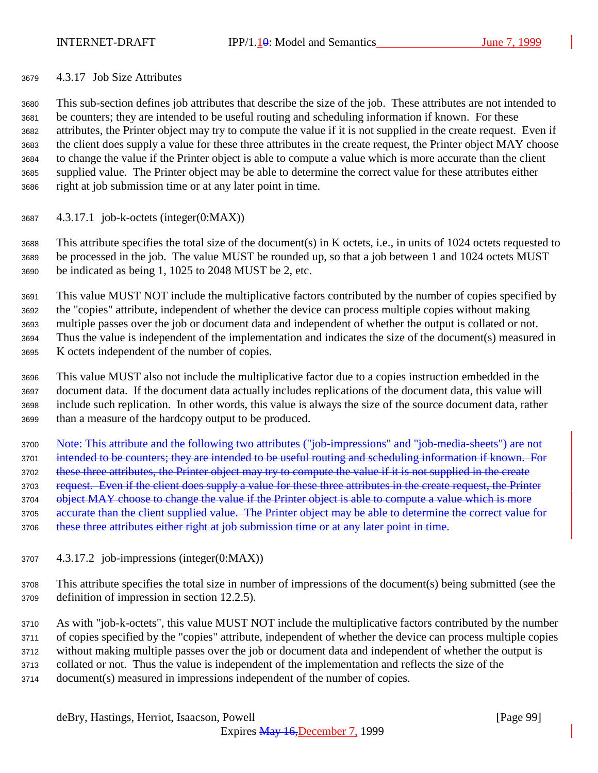#### 4.3.17 Job Size Attributes

 This sub-section defines job attributes that describe the size of the job. These attributes are not intended to be counters; they are intended to be useful routing and scheduling information if known. For these attributes, the Printer object may try to compute the value if it is not supplied in the create request. Even if the client does supply a value for these three attributes in the create request, the Printer object MAY choose to change the value if the Printer object is able to compute a value which is more accurate than the client supplied value. The Printer object may be able to determine the correct value for these attributes either right at job submission time or at any later point in time.

4.3.17.1 job-k-octets (integer(0:MAX))

 This attribute specifies the total size of the document(s) in K octets, i.e., in units of 1024 octets requested to be processed in the job. The value MUST be rounded up, so that a job between 1 and 1024 octets MUST be indicated as being 1, 1025 to 2048 MUST be 2, etc.

 This value MUST NOT include the multiplicative factors contributed by the number of copies specified by the "copies" attribute, independent of whether the device can process multiple copies without making multiple passes over the job or document data and independent of whether the output is collated or not. Thus the value is independent of the implementation and indicates the size of the document(s) measured in K octets independent of the number of copies.

 This value MUST also not include the multiplicative factor due to a copies instruction embedded in the document data. If the document data actually includes replications of the document data, this value will include such replication. In other words, this value is always the size of the source document data, rather than a measure of the hardcopy output to be produced.

 Note: This attribute and the following two attributes ("job-impressions" and "job-media-sheets") are not 3701 intended to be counters; they are intended to be useful routing and scheduling information if known. For 3702 these three attributes, the Printer object may try to compute the value if it is not supplied in the create 3703 request. Even if the client does supply a value for these three attributes in the create request, the Printer 3704 object MAY choose to change the value if the Printer object is able to compute a value which is more 3705 accurate than the client supplied value. The Printer object may be able to determine the correct value for 3706 these three attributes either right at job submission time or at any later point in time.

4.3.17.2 job-impressions (integer(0:MAX))

 This attribute specifies the total size in number of impressions of the document(s) being submitted (see the definition of impression in section 12.2.5).

 As with "job-k-octets", this value MUST NOT include the multiplicative factors contributed by the number of copies specified by the "copies" attribute, independent of whether the device can process multiple copies without making multiple passes over the job or document data and independent of whether the output is collated or not. Thus the value is independent of the implementation and reflects the size of the

document(s) measured in impressions independent of the number of copies.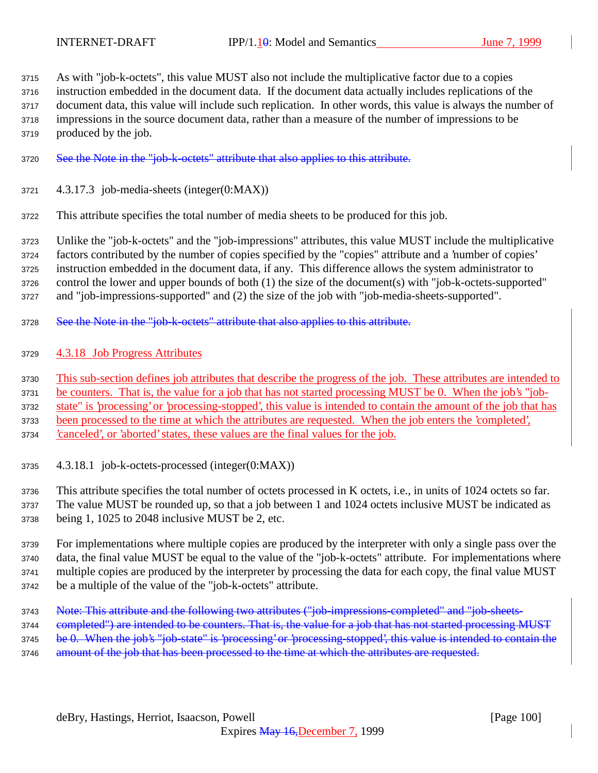As with "job-k-octets", this value MUST also not include the multiplicative factor due to a copies instruction embedded in the document data. If the document data actually includes replications of the document data, this value will include such replication. In other words, this value is always the number of impressions in the source document data, rather than a measure of the number of impressions to be produced by the job.

- See the Note in the "job-k-octets" attribute that also applies to this attribute.
- 4.3.17.3 job-media-sheets (integer(0:MAX))

This attribute specifies the total number of media sheets to be produced for this job.

 Unlike the "job-k-octets" and the "job-impressions" attributes, this value MUST include the multiplicative factors contributed by the number of copies specified by the "copies" attribute and a 'number of copies' instruction embedded in the document data, if any. This difference allows the system administrator to

control the lower and upper bounds of both (1) the size of the document(s) with "job-k-octets-supported"

and "job-impressions-supported" and (2) the size of the job with "job-media-sheets-supported".

- 3728 See the Note in the "job-k-octets" attribute that also applies to this attribute.
- 4.3.18 Job Progress Attributes

This sub-section defines job attributes that describe the progress of the job. These attributes are intended to

be counters. That is, the value for a job that has not started processing MUST be 0. When the job's "job-

state" is 'processing' or 'processing-stopped', this value is intended to contain the amount of the job that has

been processed to the time at which the attributes are requested. When the job enters the 'completed',

'canceled', or 'aborted' states, these values are the final values for the job.

4.3.18.1 job-k-octets-processed (integer(0:MAX))

 This attribute specifies the total number of octets processed in K octets, i.e., in units of 1024 octets so far. The value MUST be rounded up, so that a job between 1 and 1024 octets inclusive MUST be indicated as being 1, 1025 to 2048 inclusive MUST be 2, etc.

 For implementations where multiple copies are produced by the interpreter with only a single pass over the data, the final value MUST be equal to the value of the "job-k-octets" attribute. For implementations where multiple copies are produced by the interpreter by processing the data for each copy, the final value MUST be a multiple of the value of the "job-k-octets" attribute.

- 3743 Note: This attribute and the following two attributes ("job-impressions-completed" and "job-sheets-
- 3744 completed") are intended to be counters. That is, the value for a job that has not started processing MUST
- 3745 be 0. When the job's "job-state" is 'processing' or 'processing-stopped', this value is intended to contain the
- 3746 amount of the job that has been processed to the time at which the attributes are requested.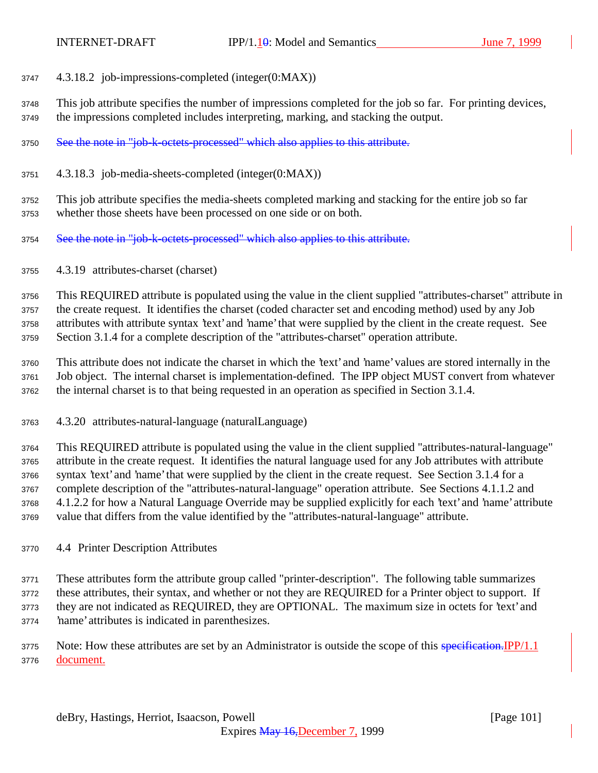- 4.3.18.2 job-impressions-completed (integer(0:MAX))
- This job attribute specifies the number of impressions completed for the job so far. For printing devices, the impressions completed includes interpreting, marking, and stacking the output.
- 3750 See the note in "job-k-octets-processed" which also applies to this attribute.
- 4.3.18.3 job-media-sheets-completed (integer(0:MAX))

 This job attribute specifies the media-sheets completed marking and stacking for the entire job so far whether those sheets have been processed on one side or on both.

- 3754 See the note in "job-k-octets-processed" which also applies to this attribute.
- 4.3.19 attributes-charset (charset)

 This REQUIRED attribute is populated using the value in the client supplied "attributes-charset" attribute in the create request. It identifies the charset (coded character set and encoding method) used by any Job attributes with attribute syntax 'text' and 'name' that were supplied by the client in the create request. See Section 3.1.4 for a complete description of the "attributes-charset" operation attribute.

 This attribute does not indicate the charset in which the 'text' and 'name' values are stored internally in the Job object. The internal charset is implementation-defined. The IPP object MUST convert from whatever the internal charset is to that being requested in an operation as specified in Section 3.1.4.

4.3.20 attributes-natural-language (naturalLanguage)

 This REQUIRED attribute is populated using the value in the client supplied "attributes-natural-language" attribute in the create request. It identifies the natural language used for any Job attributes with attribute syntax 'text' and 'name' that were supplied by the client in the create request. See Section 3.1.4 for a complete description of the "attributes-natural-language" operation attribute. See Sections 4.1.1.2 and 4.1.2.2 for how a Natural Language Override may be supplied explicitly for each 'text' and 'name' attribute value that differs from the value identified by the "attributes-natural-language" attribute.

4.4 Printer Description Attributes

 These attributes form the attribute group called "printer-description". The following table summarizes these attributes, their syntax, and whether or not they are REQUIRED for a Printer object to support. If they are not indicated as REQUIRED, they are OPTIONAL. The maximum size in octets for 'text' and 'name' attributes is indicated in parenthesizes.

3775 Note: How these attributes are set by an Administrator is outside the scope of this specification. IPP/1.1 document.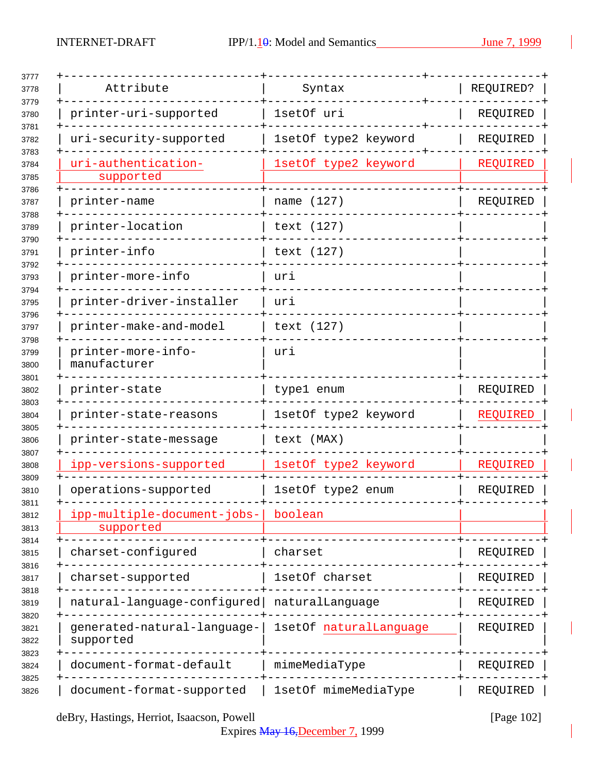| Attribute                                | Syntax                 | REQUIRED?       |
|------------------------------------------|------------------------|-----------------|
| printer-uri-supported                    | 1setOf uri             | REQUIRED        |
| uri-security-supported                   | 1setOf type2 keyword   | REQUIRED        |
| uri-authentication-<br>supported         | 1setOf type2 keyword   | <b>REQUIRED</b> |
| printer-name                             | name (127)             | REQUIRED        |
| printer-location                         | text (127)             |                 |
| printer-info                             | text (127)             |                 |
| printer-more-info                        | uri                    |                 |
| printer-driver-installer                 | uri                    |                 |
| printer-make-and-model                   | text (127)             |                 |
| printer-more-info-<br>manufacturer       | uri                    |                 |
| printer-state                            | type1 enum             | REQUIRED        |
| printer-state-reasons                    | 1setOf type2 keyword   | REQUIRED        |
| printer-state-message                    | text (MAX)             |                 |
| ipp-versions-supported                   | 1setOf type2 keyword   | REQUIRED        |
| operations-supported                     | 1setOf type2 enum      | REQUIRED        |
| ipp-multiple-document-jobs-<br>supported | boolean                |                 |
| charset-configured                       | charset                | REQUIRED        |
| charset-supported                        | 1setOf charset         | REQUIRED        |
| natural-language-configured              | naturalLanguage        | REQUIRED        |
| generated-natural-language-<br>supported | 1setOf naturalLanguage | REQUIRED        |
| document-format-default                  | mimeMediaType          | REQUIRED        |
| document-format-supported                | 1setOf mimeMediaType   | REQUIRED        |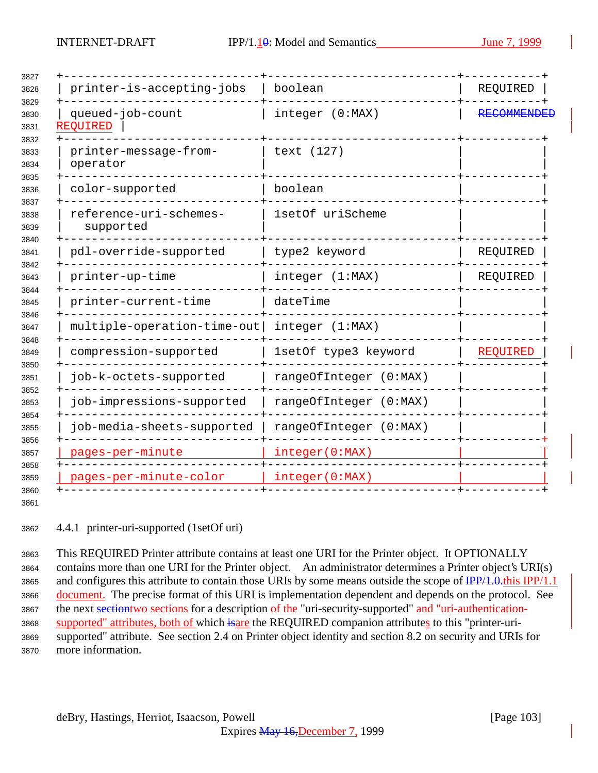| printer-is-accepting-jobs           | boolean                | REQUIRED          |
|-------------------------------------|------------------------|-------------------|
| queued-job-count<br>REQUIRED        | integer (0:MAX)        | <b>RECOMMENDE</b> |
| printer-message-from-<br>operator   | text (127)             |                   |
| color-supported                     | boolean                |                   |
| reference-uri-schemes-<br>supported | 1setOf uriScheme       |                   |
| pdl-override-supported              | type2 keyword          | REQUIRED          |
| printer-up-time                     | integer (1:MAX)        | REQUIRED          |
| printer-current-time                | dateTime               |                   |
| multiple-operation-time-out         | integer (1:MAX)        |                   |
| compression-supported               | 1setOf type3 keyword   | REQUIRED          |
| job-k-octets-supported              | rangeOfInteger (0:MAX) |                   |
| job-impressions-supported           | rangeOfInteger (0:MAX) |                   |
| job-media-sheets-supported          | rangeOfInteger (0:MAX) |                   |
| pages-per-minute                    | integer(0:MAX)         |                   |
| pages-per-minute-color              | integer(0:MAX)         |                   |
|                                     |                        |                   |

4.4.1 printer-uri-supported (1setOf uri)

 This REQUIRED Printer attribute contains at least one URI for the Printer object. It OPTIONALLY contains more than one URI for the Printer object. An administrator determines a Printer object's URI(s) 3865 and configures this attribute to contain those URIs by some means outside the scope of  $\frac{IPP}{1.0.0}$ this IPP/1.1 document. The precise format of this URI is implementation dependent and depends on the protocol. See 3867 the next section two sections for a description of the "uri-security-supported" and "uri-authentication-3868 supported" attributes, both of which isare the REQUIRED companion attributes to this "printer-uri- supported" attribute. See section 2.4 on Printer object identity and section 8.2 on security and URIs for more information.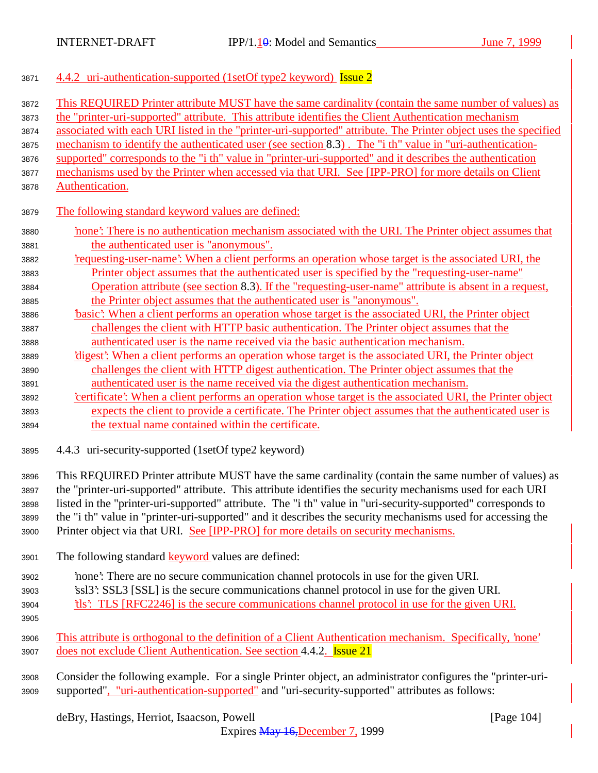|  | 3871 4.4.2 uri-authentication-supported (1setOf type2 keyword) Issue 2 |  |  |  |
|--|------------------------------------------------------------------------|--|--|--|
|  |                                                                        |  |  |  |

| 3872         | This REQUIRED Printer attribute MUST have the same cardinality (contain the same number of values) as                                                                                                        |
|--------------|--------------------------------------------------------------------------------------------------------------------------------------------------------------------------------------------------------------|
| 3873         | the "printer-uri-supported" attribute. This attribute identifies the Client Authentication mechanism                                                                                                         |
| 3874         | associated with each URI listed in the "printer-uri-supported" attribute. The Printer object uses the specified                                                                                              |
| 3875         | mechanism to identify the authenticated user (see section 8.3). The "i th" value in "uri-authentication-                                                                                                     |
| 3876         | supported" corresponds to the "i th" value in "printer-uri-supported" and it describes the authentication                                                                                                    |
| 3877         | mechanisms used by the Printer when accessed via that URI. See [IPP-PRO] for more details on Client                                                                                                          |
| 3878         | Authentication.                                                                                                                                                                                              |
| 3879         | The following standard keyword values are defined:                                                                                                                                                           |
| 3880         | none': There is no authentication mechanism associated with the URI. The Printer object assumes that                                                                                                         |
| 3881         | the authenticated user is "anonymous".                                                                                                                                                                       |
| 3882         | requesting-user-name? When a client performs an operation whose target is the associated URI, the                                                                                                            |
| 3883         | Printer object assumes that the authenticated user is specified by the "requesting-user-name"                                                                                                                |
| 3884         | Operation attribute (see section 8.3). If the "requesting-user-name" attribute is absent in a request,                                                                                                       |
| 3885         | the Printer object assumes that the authenticated user is "anonymous".                                                                                                                                       |
| 3886         | basic': When a client performs an operation whose target is the associated URI, the Printer object                                                                                                           |
| 3887         | challenges the client with HTTP basic authentication. The Printer object assumes that the                                                                                                                    |
| 3888         | authenticated user is the name received via the basic authentication mechanism.                                                                                                                              |
| 3889         | 'digest': When a client performs an operation whose target is the associated URI, the Printer object                                                                                                         |
| 3890         | challenges the client with HTTP digest authentication. The Printer object assumes that the                                                                                                                   |
| 3891         | authenticated user is the name received via the digest authentication mechanism.                                                                                                                             |
| 3892         | certificate': When a client performs an operation whose target is the associated URI, the Printer object                                                                                                     |
| 3893         | expects the client to provide a certificate. The Printer object assumes that the authenticated user is                                                                                                       |
| 3894         | the textual name contained within the certificate.                                                                                                                                                           |
| 3895         | 4.4.3 uri-security-supported (1setOf type2 keyword)                                                                                                                                                          |
| 3896         | This REQUIRED Printer attribute MUST have the same cardinality (contain the same number of values) as                                                                                                        |
| 3897         | the "printer-uri-supported" attribute. This attribute identifies the security mechanisms used for each URI                                                                                                   |
| 3898         | listed in the "printer-uri-supported" attribute. The "i th" value in "uri-security-supported" corresponds to                                                                                                 |
| 3899         | the "i th" value in "printer-uri-supported" and it describes the security mechanisms used for accessing the                                                                                                  |
| 3900         | Printer object via that URI. See [IPP-PRO] for more details on security mechanisms.                                                                                                                          |
|              |                                                                                                                                                                                                              |
| 3901         | The following standard <b>keyword</b> values are defined:                                                                                                                                                    |
| 3902         | none': There are no secure communication channel protocols in use for the given URI.                                                                                                                         |
| 3903         | 'ssl3': SSL3 [SSL] is the secure communications channel protocol in use for the given URI.                                                                                                                   |
| 3904         | <u>the the given URI</u> TLS [RFC2246] is the secure communications channel protocol in use for the given URI.                                                                                               |
| 3905         |                                                                                                                                                                                                              |
|              |                                                                                                                                                                                                              |
| 3906         | This attribute is orthogonal to the definition of a Client Authentication mechanism. Specifically, 'none'<br>does not exclude Client Authentication. See section 4.4.2. Issue 21                             |
| 3907         |                                                                                                                                                                                                              |
| 3908<br>3909 | Consider the following example. For a single Printer object, an administrator configures the "printer-uri-<br>supported", "uri-authentication-supported" and "uri-security-supported" attributes as follows: |
|              | deBry, Hastings, Herriot, Isaacson, Powell<br>[Page 104]                                                                                                                                                     |

Expires May 16,December 7, 1999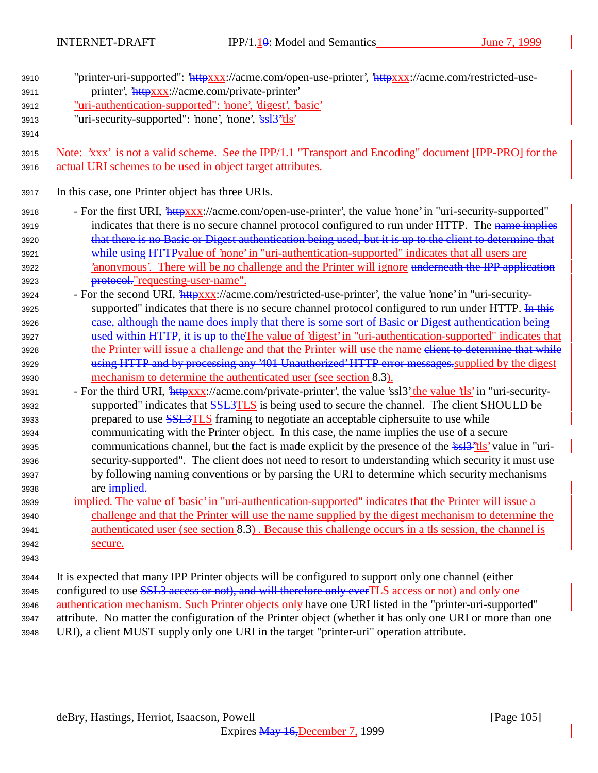| 3910<br>3911 | "printer-uri-supported": "httpxxx://acme.com/open-use-printer', "httpxxx://acme.com/restricted-use-<br>printer', 'httpxxx://acme.com/private-printer' |
|--------------|-------------------------------------------------------------------------------------------------------------------------------------------------------|
| 3912         | "uri-authentication-supported": 'none', 'digest', 'basic'                                                                                             |
| 3913         | "uri-security-supported": 'none', 'none', 'ssl <sup>3"</sup> tls'                                                                                     |
| 3914         |                                                                                                                                                       |
| 3915         | Note: 'xxx' is not a valid scheme. See the IPP/1.1 "Transport and Encoding" document [IPP-PRO] for the                                                |
| 3916         | actual URI schemes to be used in object target attributes.                                                                                            |
| 3917         | In this case, one Printer object has three URIs.                                                                                                      |
| 3918         | - For the first URI, <i>httpxxx://acme.com/open-use-printer'</i> , the value 'none' in "uri-security-supported"                                       |
| 3919         | indicates that there is no secure channel protocol configured to run under HTTP. The name implies                                                     |
| 3920         | that there is no Basic or Digest authentication being used, but it is up to the client to determine that                                              |
| 3921         | while using HTTP value of 'none' in "uri-authentication-supported" indicates that all users are                                                       |
| 3922         | 'anonymous'. There will be no challenge and the Printer will ignore underneath the IPP application                                                    |
| 3923         | protocol."requesting-user-name".                                                                                                                      |
| 3924         | - For the second URI, <i>httpxxx://acme.com/restricted-use-printer'</i> , the value 'none' in "uri-security-                                          |
| 3925         | supported" indicates that there is no secure channel protocol configured to run under HTTP. In this                                                   |
| 3926         | case, although the name does imply that there is some sort of Basic or Digest authentication being                                                    |
| 3927         | used within HTTP, it is up to the The value of 'digest' in "uri-authentication-supported" indicates that                                              |
| 3928         | the Printer will issue a challenge and that the Printer will use the name elient to determine that while                                              |
| 3929         | using HTTP and by processing any '401 Unauthorized' HTTP error messages supplied by the digest                                                        |
| 3930         | mechanism to determine the authenticated user (see section 8.3).                                                                                      |
| 3931         | - For the third URI, <i>httpxxx</i> ://acme.com/private-printer', the value 'ssl3' the value 'tls' in "uri-security-                                  |
| 3932         | supported" indicates that <b>SSL3TLS</b> is being used to secure the channel. The client SHOULD be                                                    |
| 3933         | prepared to use <b>SSL3TLS</b> framing to negotiate an acceptable ciphersuite to use while                                                            |
| 3934         | communicating with the Printer object. In this case, the name implies the use of a secure                                                             |
| 3935         | communications channel, but the fact is made explicit by the presence of the 'ssl <sup>3"</sup> tls' value in "uri-                                   |
| 3936         | security-supported". The client does not need to resort to understanding which security it must use                                                   |
| 3937         | by following naming conventions or by parsing the URI to determine which security mechanisms                                                          |
| 3938         | are implied.                                                                                                                                          |
| 3939         | implied. The value of 'basic' in "uri-authentication-supported" indicates that the Printer will issue a                                               |
| 3940         | challenge and that the Printer will use the name supplied by the digest mechanism to determine the                                                    |
| 3941         | authenticated user (see section 8.3). Because this challenge occurs in a tls session, the channel is                                                  |
| 3942         | secure.                                                                                                                                               |
| 3943         |                                                                                                                                                       |
| 3944         | It is expected that many IPP Printer objects will be configured to support only one channel (either                                                   |
| 3945         | configured to use SSL3 access or not), and will therefore only everTLS access or not) and only one                                                    |
| 3946         | authentication mechanism. Such Printer objects only have one URI listed in the "printer-uri-supported"                                                |
| 3947         | attribute. No matter the configuration of the Printer object (whether it has only one URI or more than one                                            |

<sup>3948</sup> URI), a client MUST supply only one URI in the target "printer-uri" operation attribute.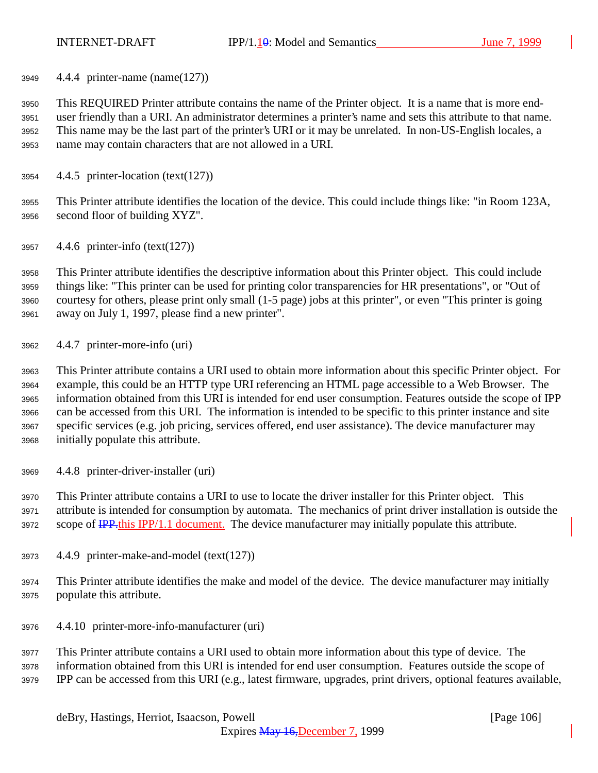4.4.4 printer-name (name(127))

 This REQUIRED Printer attribute contains the name of the Printer object. It is a name that is more end- user friendly than a URI. An administrator determines a printer's name and sets this attribute to that name. This name may be the last part of the printer's URI or it may be unrelated. In non-US-English locales, a name may contain characters that are not allowed in a URI.

4.4.5 printer-location (text(127))

 This Printer attribute identifies the location of the device. This could include things like: "in Room 123A, second floor of building XYZ".

4.4.6 printer-info (text(127))

 This Printer attribute identifies the descriptive information about this Printer object. This could include things like: "This printer can be used for printing color transparencies for HR presentations", or "Out of courtesy for others, please print only small (1-5 page) jobs at this printer", or even "This printer is going away on July 1, 1997, please find a new printer".

4.4.7 printer-more-info (uri)

 This Printer attribute contains a URI used to obtain more information about this specific Printer object. For example, this could be an HTTP type URI referencing an HTML page accessible to a Web Browser. The information obtained from this URI is intended for end user consumption. Features outside the scope of IPP can be accessed from this URI. The information is intended to be specific to this printer instance and site specific services (e.g. job pricing, services offered, end user assistance). The device manufacturer may initially populate this attribute.

4.4.8 printer-driver-installer (uri)

 This Printer attribute contains a URI to use to locate the driver installer for this Printer object. This attribute is intended for consumption by automata. The mechanics of print driver installation is outside the 3972 scope of **IPP**.this IPP/1.1 document. The device manufacturer may initially populate this attribute.

- 4.4.9 printer-make-and-model (text(127))
- This Printer attribute identifies the make and model of the device. The device manufacturer may initially populate this attribute.
- 4.4.10 printer-more-info-manufacturer (uri)

 This Printer attribute contains a URI used to obtain more information about this type of device. The information obtained from this URI is intended for end user consumption. Features outside the scope of IPP can be accessed from this URI (e.g., latest firmware, upgrades, print drivers, optional features available,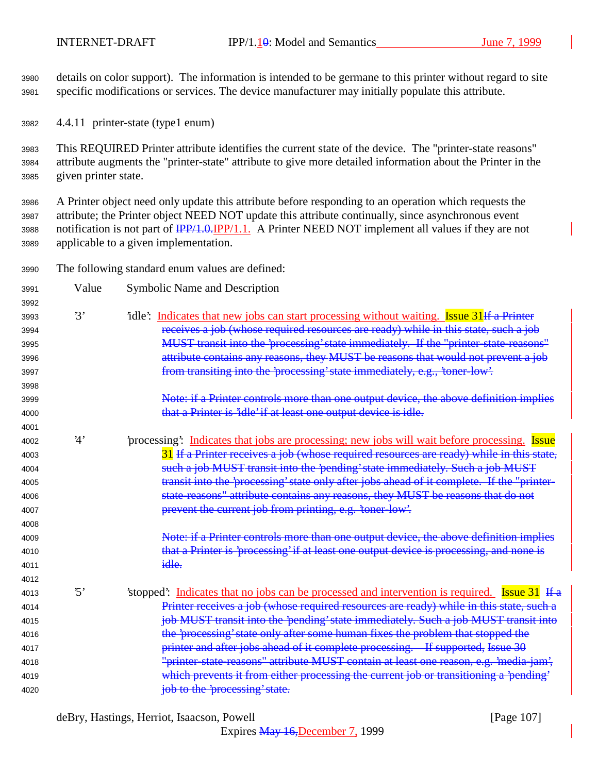details on color support). The information is intended to be germane to this printer without regard to site specific modifications or services. The device manufacturer may initially populate this attribute.

4.4.11 printer-state (type1 enum)

 This REQUIRED Printer attribute identifies the current state of the device. The "printer-state reasons" attribute augments the "printer-state" attribute to give more detailed information about the Printer in the given printer state.

 A Printer object need only update this attribute before responding to an operation which requests the attribute; the Printer object NEED NOT update this attribute continually, since asynchronous event 3988 notification is not part of  $\frac{IPP}{1.0.1}$  A Printer NEED NOT implement all values if they are not applicable to a given implementation.

The following standard enum values are defined:

| 3991 | Value                   | Symbolic Name and Description                                                                  |
|------|-------------------------|------------------------------------------------------------------------------------------------|
| 3992 |                         |                                                                                                |
| 3993 | $\mathfrak{B}^{\prime}$ | idle: Indicates that new jobs can start processing without waiting. Issue 31 If a Printer      |
| 3994 |                         | receives a job (whose required resources are ready) while in this state, such a job            |
| 3995 |                         | MUST transit into the 'processing' state immediately. If the "printer-state-reasons"           |
| 3996 |                         | attribute contains any reasons, they MUST be reasons that would not prevent a job              |
| 3997 |                         | from transiting into the 'processing' state immediately, e.g., 'toner-low'.                    |
| 3998 |                         |                                                                                                |
| 3999 |                         | Note: if a Printer controls more than one output device, the above definition implies          |
| 4000 |                         | that a Printer is 'idle' if at least one output device is idle.                                |
| 4001 |                         |                                                                                                |
| 4002 | 4'                      | processing: Indicates that jobs are processing; new jobs will wait before processing. Issue    |
| 4003 |                         | 31 If a Printer receives a job (whose required resources are ready) while in this state,       |
| 4004 |                         | such a job MUST transit into the 'pending' state immediately. Such a job MUST                  |
| 4005 |                         | transit into the 'processing' state only after jobs ahead of it complete. If the "printer-     |
| 4006 |                         | state-reasons" attribute contains any reasons, they MUST be reasons that do not                |
| 4007 |                         | prevent the current job from printing, e.g. 'toner-low'.                                       |
| 4008 |                         |                                                                                                |
| 4009 |                         | Note: if a Printer controls more than one output device, the above definition implies          |
| 4010 |                         | that a Printer is 'processing' if at least one output device is processing, and none is        |
| 4011 |                         | idle.                                                                                          |
| 4012 |                         |                                                                                                |
| 4013 | $\mathfrak{B}$          | 'stopped': Indicates that no jobs can be processed and intervention is required. Issue 31 If a |
| 4014 |                         | Printer receives a job (whose required resources are ready) while in this state, such a        |
| 4015 |                         | job MUST transit into the 'pending' state immediately. Such a job MUST transit into            |
| 4016 |                         | the 'processing' state only after some human fixes the problem that stopped the                |
| 4017 |                         | printer and after jobs ahead of it complete processing. If supported, Issue 30                 |
| 4018 |                         | "printer-state-reasons" attribute MUST contain at least one reason, e.g. 'media-jam',          |
| 4019 |                         | which prevents it from either processing the current job or transitioning a 'pending'          |
| 4020 |                         | job to the 'processing' state.                                                                 |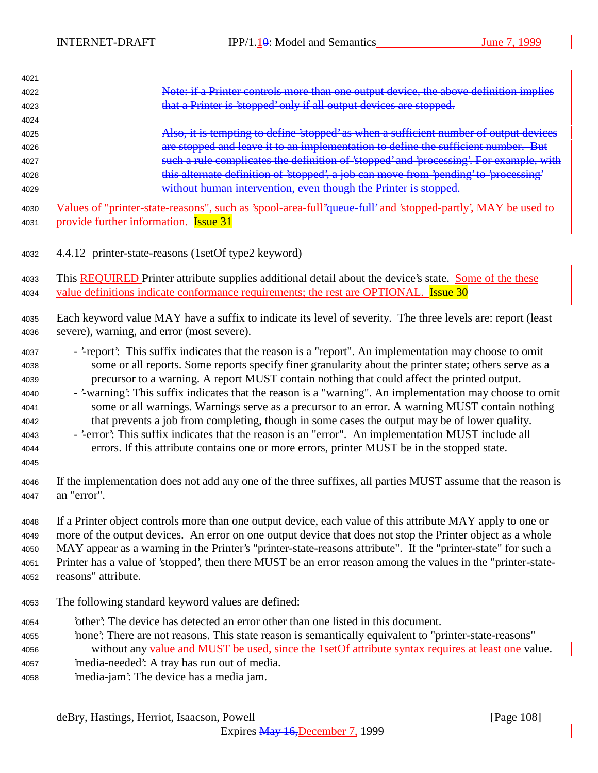| 4021 |                                                                                                               |
|------|---------------------------------------------------------------------------------------------------------------|
| 4022 | Note: if a Printer controls more than one output device, the above definition implies                         |
| 4023 | that a Printer is 'stopped' only if all output devices are stopped.                                           |
| 4024 |                                                                                                               |
| 4025 | Also, it is tempting to define 'stopped' as when a sufficient number of output devices                        |
| 4026 | are stopped and leave it to an implementation to define the sufficient number. But                            |
| 4027 | such a rule complicates the definition of 'stopped' and 'processing'. For example, with                       |
| 4028 | this alternate definition of 'stopped', a job can move from 'pending' to 'processing'                         |
| 4029 | without human intervention, even though the Printer is stopped.                                               |
|      |                                                                                                               |
| 4030 | Values of "printer-state-reasons", such as 'spool-area-full" queue-full and 'stopped-partly', MAY be used to  |
| 4031 | provide further information. <b>Issue 31</b>                                                                  |
| 4032 | 4.4.12 printer-state-reasons (1setOf type2 keyword)                                                           |
| 4033 | This REQUIRED Printer attribute supplies additional detail about the device's state. Some of the these        |
| 4034 | value definitions indicate conformance requirements; the rest are OPTIONAL. Issue 30                          |
| 4035 | Each keyword value MAY have a suffix to indicate its level of severity. The three levels are: report (least   |
| 4036 | severe), warning, and error (most severe).                                                                    |
| 4037 | - '-report': This suffix indicates that the reason is a "report". An implementation may choose to omit        |
| 4038 | some or all reports. Some reports specify finer granularity about the printer state; others serve as a        |
| 4039 | precursor to a warning. A report MUST contain nothing that could affect the printed output.                   |
| 4040 | - '-warning': This suffix indicates that the reason is a "warning". An implementation may choose to omit      |
| 4041 | some or all warnings. Warnings serve as a precursor to an error. A warning MUST contain nothing               |
| 4042 | that prevents a job from completing, though in some cases the output may be of lower quality.                 |
| 4043 | - '-error': This suffix indicates that the reason is an "error". An implementation MUST include all           |
| 4044 | errors. If this attribute contains one or more errors, printer MUST be in the stopped state.                  |
| 4045 |                                                                                                               |
| 4046 | If the implementation does not add any one of the three suffixes, all parties MUST assume that the reason is  |
| 4047 | an "error".                                                                                                   |
| 4048 | If a Printer object controls more than one output device, each value of this attribute MAY apply to one or    |
| 4049 | more of the output devices. An error on one output device that does not stop the Printer object as a whole    |
| 4050 | MAY appear as a warning in the Printer's "printer-state-reasons attribute". If the "printer-state" for such a |
| 4051 | Printer has a value of 'stopped', then there MUST be an error reason among the values in the "printer-state-  |
| 4052 | reasons" attribute.                                                                                           |
| 4053 | The following standard keyword values are defined:                                                            |
| 4054 | other': The device has detected an error other than one listed in this document.                              |
| 4055 | 'none': There are not reasons. This state reason is semantically equivalent to "printer-state-reasons"        |
| 4056 | without any value and MUST be used, since the 1setOf attribute syntax requires at least one value.            |
| 4057 | 'media-needed': A tray has run out of media.                                                                  |
| 4058 | 'media-jam': The device has a media jam.                                                                      |
|      |                                                                                                               |
|      | deBry, Hastings, Herriot, Isaacson, Powell<br>[Page 108]                                                      |

Expires May 16,December 7, 1999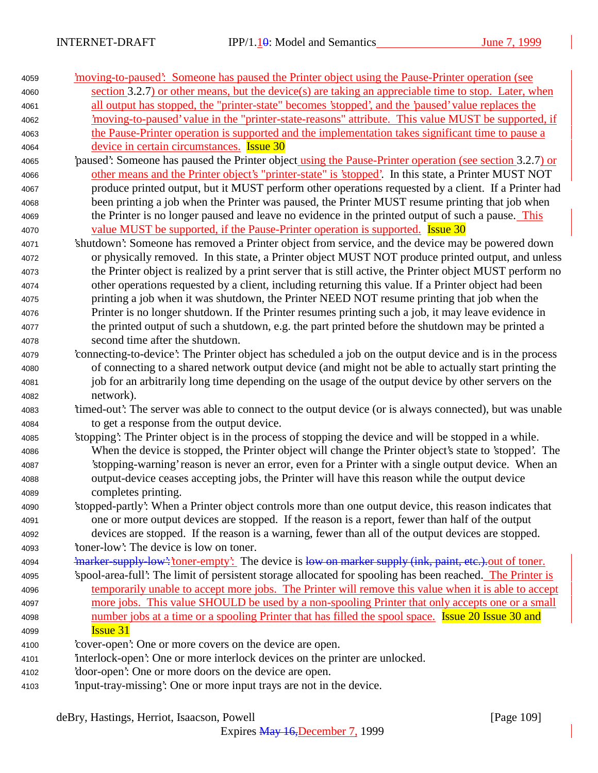| 4059 | moving-to-paused: Someone has paused the Printer object using the Pause-Printer operation (see                 |
|------|----------------------------------------------------------------------------------------------------------------|
| 4060 | section 3.2.7) or other means, but the device(s) are taking an appreciable time to stop. Later, when           |
| 4061 | all output has stopped, the "printer-state" becomes 'stopped', and the 'paused' value replaces the             |
| 4062 | moving-to-paused' value in the "printer-state-reasons" attribute. This value MUST be supported, if             |
| 4063 | the Pause-Printer operation is supported and the implementation takes significant time to pause a              |
| 4064 | device in certain circumstances. Issue 30                                                                      |
| 4065 | paused: Someone has paused the Printer object using the Pause-Printer operation (see section 3.2.7) or         |
| 4066 | other means and the Printer object's "printer-state" is 'stopped'. In this state, a Printer MUST NOT           |
| 4067 | produce printed output, but it MUST perform other operations requested by a client. If a Printer had           |
| 4068 | been printing a job when the Printer was paused, the Printer MUST resume printing that job when                |
| 4069 | the Printer is no longer paused and leave no evidence in the printed output of such a pause. This              |
| 4070 | value MUST be supported, if the Pause-Printer operation is supported. <b>Issue 30</b>                          |
| 4071 | 'shutdown': Someone has removed a Printer object from service, and the device may be powered down              |
| 4072 | or physically removed. In this state, a Printer object MUST NOT produce printed output, and unless             |
| 4073 | the Printer object is realized by a print server that is still active, the Printer object MUST perform no      |
| 4074 | other operations requested by a client, including returning this value. If a Printer object had been           |
| 4075 | printing a job when it was shutdown, the Printer NEED NOT resume printing that job when the                    |
| 4076 | Printer is no longer shutdown. If the Printer resumes printing such a job, it may leave evidence in            |
| 4077 | the printed output of such a shutdown, e.g. the part printed before the shutdown may be printed a              |
| 4078 | second time after the shutdown.                                                                                |
| 4079 | 'connecting-to-device': The Printer object has scheduled a job on the output device and is in the process      |
| 4080 | of connecting to a shared network output device (and might not be able to actually start printing the          |
| 4081 | job for an arbitrarily long time depending on the usage of the output device by other servers on the           |
| 4082 | network).                                                                                                      |
| 4083 | 'timed-out': The server was able to connect to the output device (or is always connected), but was unable      |
| 4084 | to get a response from the output device.                                                                      |
| 4085 | 'stopping': The Printer object is in the process of stopping the device and will be stopped in a while.        |
| 4086 | When the device is stopped, the Printer object will change the Printer object's state to 'stopped'. The        |
| 4087 | 'stopping-warning' reason is never an error, even for a Printer with a single output device. When an           |
| 4088 | output-device ceases accepting jobs, the Printer will have this reason while the output device                 |
| 4089 | completes printing.                                                                                            |
| 4090 | 'stopped-partly': When a Printer object controls more than one output device, this reason indicates that       |
| 4091 | one or more output devices are stopped. If the reason is a report, fewer than half of the output               |
| 4092 | devices are stopped. If the reason is a warning, fewer than all of the output devices are stopped.             |
| 4093 | 'toner-low': The device is low on toner.                                                                       |
| 4094 | <i>imarker-supply-low': toner-empty'</i> . The device is low on marker supply (ink, paint, etc.)-out of toner. |
| 4095 | 'spool-area-full': The limit of persistent storage allocated for spooling has been reached. The Printer is     |
| 4096 | temporarily unable to accept more jobs. The Printer will remove this value when it is able to accept           |
| 4097 | more jobs. This value SHOULD be used by a non-spooling Printer that only accepts one or a small                |
| 4098 | number jobs at a time or a spooling Printer that has filled the spool space. Issue 20 Issue 30 and             |
| 4099 | <b>Issue 31</b>                                                                                                |
| 4100 | 'cover-open': One or more covers on the device are open.                                                       |
| 4101 | interlock-open: One or more interlock devices on the printer are unlocked.                                     |
| 4102 | 'door-open': One or more doors on the device are open.                                                         |
| 4103 | input-tray-missing: One or more input trays are not in the device.                                             |

deBry, Hastings, Herriot, Isaacson, Powell [Page 109]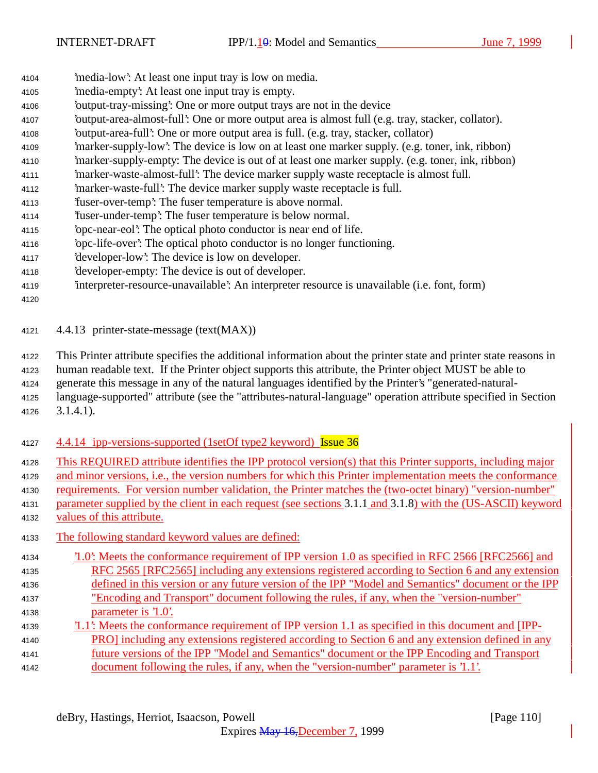- 'media-low': At least one input tray is low on media.
- 'media-empty': At least one input tray is empty.
- 'output-tray-missing': One or more output trays are not in the device
- 'output-area-almost-full': One or more output area is almost full (e.g. tray, stacker, collator).
- 'output-area-full': One or more output area is full. (e.g. tray, stacker, collator)
- 'marker-supply-low': The device is low on at least one marker supply. (e.g. toner, ink, ribbon)
- 'marker-supply-empty: The device is out of at least one marker supply. (e.g. toner, ink, ribbon)
- 'marker-waste-almost-full': The device marker supply waste receptacle is almost full.
- 'marker-waste-full': The device marker supply waste receptacle is full.
- 'fuser-over-temp': The fuser temperature is above normal.
- 'fuser-under-temp': The fuser temperature is below normal.
- 'opc-near-eol': The optical photo conductor is near end of life.
- 'opc-life-over': The optical photo conductor is no longer functioning.
- 'developer-low': The device is low on developer.
- 'developer-empty: The device is out of developer.
- 'interpreter-resource-unavailable': An interpreter resource is unavailable (i.e. font, form)

#### 

4.4.13 printer-state-message (text(MAX))

This Printer attribute specifies the additional information about the printer state and printer state reasons in

human readable text. If the Printer object supports this attribute, the Printer object MUST be able to

generate this message in any of the natural languages identified by the Printer's "generated-natural-

 language-supported" attribute (see the "attributes-natural-language" operation attribute specified in Section 3.1.4.1).

- 4127 4.4.14 ipp-versions-supported (1setOf type2 keyword) Issue 36
- This REQUIRED attribute identifies the IPP protocol version(s) that this Printer supports, including major
- and minor versions, i.e., the version numbers for which this Printer implementation meets the conformance
- requirements. For version number validation, the Printer matches the (two-octet binary) "version-number"
- parameter supplied by the client in each request (see sections 3.1.1 and 3.1.8) with the (US-ASCII) keyword values of this attribute.
- The following standard keyword values are defined:
- '1.0': Meets the conformance requirement of IPP version 1.0 as specified in RFC 2566 [RFC2566] and RFC 2565 [RFC2565] including any extensions registered according to Section 6 and any extension defined in this version or any future version of the IPP "Model and Semantics" document or the IPP "Encoding and Transport" document following the rules, if any, when the "version-number" parameter is '1.0'. '1.1': Meets the conformance requirement of IPP version 1.1 as specified in this document and [IPP-
- PRO] including any extensions registered according to Section 6 and any extension defined in any future versions of the IPP "Model and Semantics" document or the IPP Encoding and Transport document following the rules, if any, when the "version-number" parameter is '1.1'.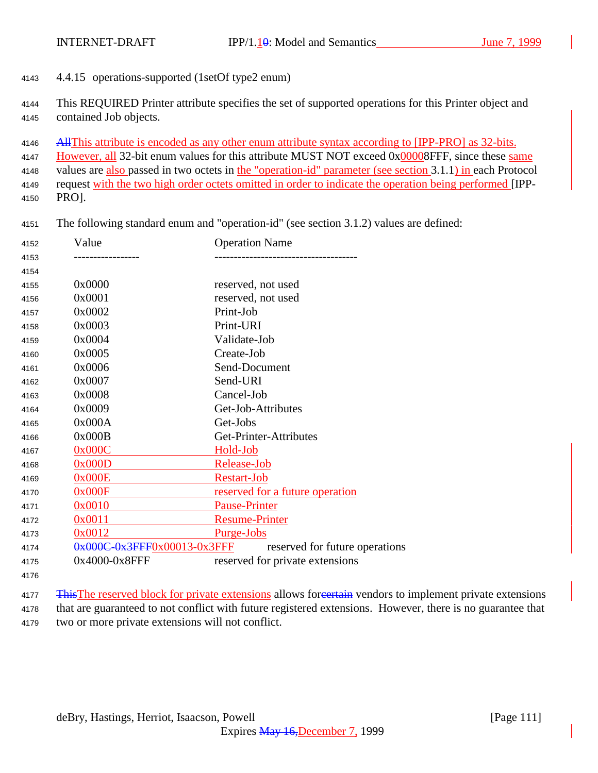- 4.4.15 operations-supported (1setOf type2 enum)
- This REQUIRED Printer attribute specifies the set of supported operations for this Printer object and contained Job objects.
- 4146 All This attribute is encoded as any other enum attribute syntax according to [IPP-PRO] as 32-bits.
- However, all 32-bit enum values for this attribute MUST NOT exceed 0x00008FFF, since these same

values are also passed in two octets in the "operation-id" parameter (see section 3.1.1) in each Protocol

 request with the two high order octets omitted in order to indicate the operation being performed [IPP-PRO].

The following standard enum and "operation-id" (see section 3.1.2) values are defined:

| 4152 | Value                             | <b>Operation Name</b>                  |
|------|-----------------------------------|----------------------------------------|
| 4153 |                                   |                                        |
| 4154 |                                   |                                        |
| 4155 | 0x0000                            | reserved, not used                     |
| 4156 | 0x0001                            | reserved, not used                     |
| 4157 | 0x0002                            | Print-Job                              |
| 4158 | 0x0003                            | Print-URI                              |
| 4159 | 0x0004                            | Validate-Job                           |
| 4160 | 0x0005                            | Create-Job                             |
| 4161 | 0x0006                            | Send-Document                          |
| 4162 | 0x0007                            | Send-URI                               |
| 4163 | 0x0008                            | Cancel-Job                             |
| 4164 | 0x0009                            | Get-Job-Attributes                     |
| 4165 | 0x000A                            | Get-Jobs                               |
| 4166 | 0x000B                            | Get-Printer-Attributes                 |
| 4167 | 0x000C                            | Hold-Job                               |
| 4168 | 0x000D                            | Release-Job                            |
| 4169 | 0x000E                            | Restart-Job                            |
| 4170 | 0x000F                            | <u>reserved for a future operation</u> |
| 4171 | 0x0010                            | <b>Pause-Printer</b>                   |
| 4172 | 0x0011                            | <b>Resume-Printer</b>                  |
| 4173 | 0x0012                            | <u>Purge-Jobs</u>                      |
| 4174 | $0x000C - 0x3FFF0x00013 - 0x3FFF$ | reserved for future operations         |
| 4175 | 0x4000-0x8FFF                     | reserved for private extensions        |
| 4176 |                                   |                                        |

<sup>4177</sup> This The reserved block for private extensions allows for extension vendors to implement private extensions that are guaranteed to not conflict with future registered extensions. However, there is no guarantee that two or more private extensions will not conflict.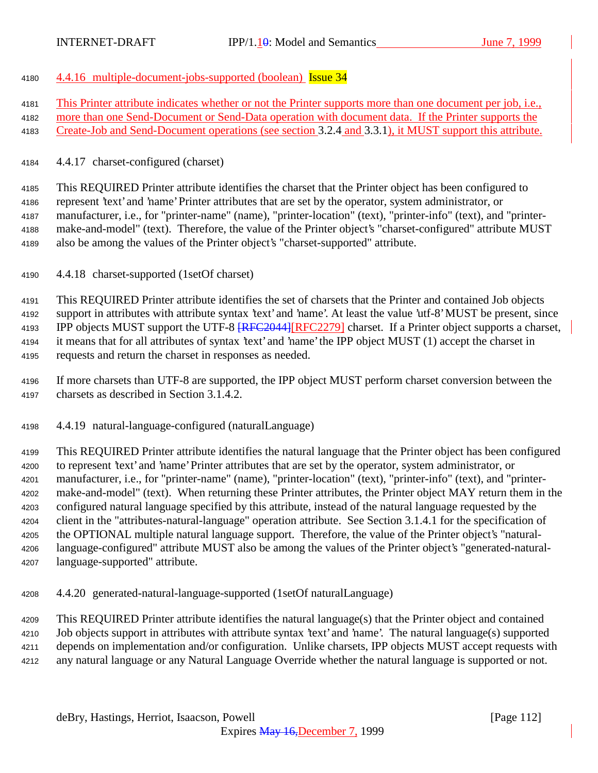- 4.4.16 multiple-document-jobs-supported (boolean) Issue 34
- This Printer attribute indicates whether or not the Printer supports more than one document per job, i.e.,
- more than one Send-Document or Send-Data operation with document data. If the Printer supports the
- Create-Job and Send-Document operations (see section 3.2.4 and 3.3.1), it MUST support this attribute.
- 4.4.17 charset-configured (charset)

 This REQUIRED Printer attribute identifies the charset that the Printer object has been configured to represent 'text' and 'name' Printer attributes that are set by the operator, system administrator, or manufacturer, i.e., for "printer-name" (name), "printer-location" (text), "printer-info" (text), and "printer- make-and-model" (text). Therefore, the value of the Printer object's "charset-configured" attribute MUST also be among the values of the Printer object's "charset-supported" attribute.

4.4.18 charset-supported (1setOf charset)

 This REQUIRED Printer attribute identifies the set of charsets that the Printer and contained Job objects support in attributes with attribute syntax 'text' and 'name'. At least the value 'utf-8' MUST be present, since 4193 IPP objects MUST support the UTF-8  $RFC2044$  [RFC2279] charset. If a Printer object supports a charset, it means that for all attributes of syntax 'text' and 'name' the IPP object MUST (1) accept the charset in requests and return the charset in responses as needed.

 If more charsets than UTF-8 are supported, the IPP object MUST perform charset conversion between the charsets as described in Section 3.1.4.2.

4.4.19 natural-language-configured (naturalLanguage)

 This REQUIRED Printer attribute identifies the natural language that the Printer object has been configured to represent 'text' and 'name' Printer attributes that are set by the operator, system administrator, or manufacturer, i.e., for "printer-name" (name), "printer-location" (text), "printer-info" (text), and "printer- make-and-model" (text). When returning these Printer attributes, the Printer object MAY return them in the configured natural language specified by this attribute, instead of the natural language requested by the client in the "attributes-natural-language" operation attribute. See Section 3.1.4.1 for the specification of the OPTIONAL multiple natural language support. Therefore, the value of the Printer object's "natural- language-configured" attribute MUST also be among the values of the Printer object's "generated-natural-language-supported" attribute.

4.4.20 generated-natural-language-supported (1setOf naturalLanguage)

 This REQUIRED Printer attribute identifies the natural language(s) that the Printer object and contained Job objects support in attributes with attribute syntax 'text' and 'name'. The natural language(s) supported depends on implementation and/or configuration. Unlike charsets, IPP objects MUST accept requests with any natural language or any Natural Language Override whether the natural language is supported or not.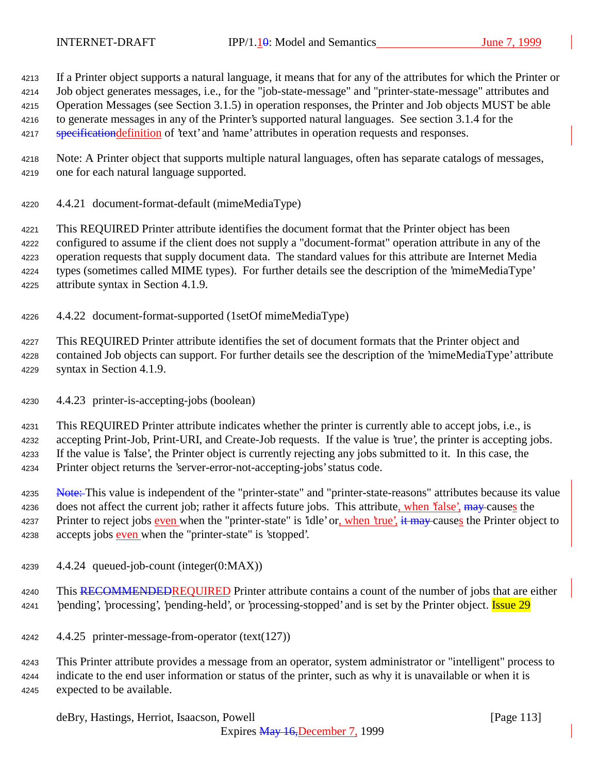If a Printer object supports a natural language, it means that for any of the attributes for which the Printer or

Job object generates messages, i.e., for the "job-state-message" and "printer-state-message" attributes and

 Operation Messages (see Section 3.1.5) in operation responses, the Printer and Job objects MUST be able to generate messages in any of the Printer's supported natural languages. See section 3.1.4 for the

4217 specification definition of 'text' and 'name' attributes in operation requests and responses.

 Note: A Printer object that supports multiple natural languages, often has separate catalogs of messages, one for each natural language supported.

4.4.21 document-format-default (mimeMediaType)

 This REQUIRED Printer attribute identifies the document format that the Printer object has been configured to assume if the client does not supply a "document-format" operation attribute in any of the operation requests that supply document data. The standard values for this attribute are Internet Media types (sometimes called MIME types). For further details see the description of the 'mimeMediaType' attribute syntax in Section 4.1.9.

4.4.22 document-format-supported (1setOf mimeMediaType)

 This REQUIRED Printer attribute identifies the set of document formats that the Printer object and contained Job objects can support. For further details see the description of the 'mimeMediaType' attribute syntax in Section 4.1.9.

4.4.23 printer-is-accepting-jobs (boolean)

 This REQUIRED Printer attribute indicates whether the printer is currently able to accept jobs, i.e., is accepting Print-Job, Print-URI, and Create-Job requests. If the value is 'true', the printer is accepting jobs. If the value is 'false', the Printer object is currently rejecting any jobs submitted to it. In this case, the Printer object returns the 'server-error-not-accepting-jobs' status code.

4235 Note: This value is independent of the "printer-state" and "printer-state-reasons" attributes because its value 4236 does not affect the current job; rather it affects future jobs. This attribute, when 'false', may causes the 4237 Printer to reject jobs even when the "printer-state" is 'idle' or, when 'true', it may causes the Printer object to 4238 accepts jobs even when the "printer-state" is 'stopped'.

- 4.4.24 queued-job-count (integer(0:MAX))
- 4240 This RECOMMENDEDREQUIRED Printer attribute contains a count of the number of jobs that are either 4241 'pending', 'processing', 'pending-held', or 'processing-stopped' and is set by the Printer object. **Issue 29**
- 4.4.25 printer-message-from-operator (text(127))

 This Printer attribute provides a message from an operator, system administrator or "intelligent" process to indicate to the end user information or status of the printer, such as why it is unavailable or when it is expected to be available.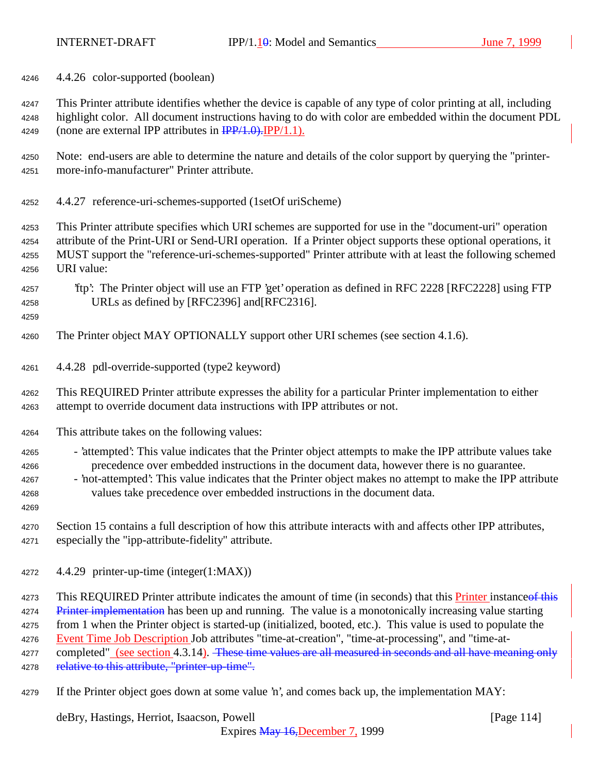4.4.26 color-supported (boolean)

 This Printer attribute identifies whether the device is capable of any type of color printing at all, including highlight color. All document instructions having to do with color are embedded within the document PDL 4249 (none are external IPP attributes in  $\frac{IPP}{1.0}$ . IPP/1.1).

- Note: end-users are able to determine the nature and details of the color support by querying the "printer-more-info-manufacturer" Printer attribute.
- 4.4.27 reference-uri-schemes-supported (1setOf uriScheme)

 This Printer attribute specifies which URI schemes are supported for use in the "document-uri" operation attribute of the Print-URI or Send-URI operation. If a Printer object supports these optional operations, it MUST support the "reference-uri-schemes-supported" Printer attribute with at least the following schemed URI value:

- 'ftp': The Printer object will use an FTP 'get' operation as defined in RFC 2228 [RFC2228] using FTP URLs as defined by [RFC2396] and[RFC2316].
- 

The Printer object MAY OPTIONALLY support other URI schemes (see section 4.1.6).

4.4.28 pdl-override-supported (type2 keyword)

 This REQUIRED Printer attribute expresses the ability for a particular Printer implementation to either attempt to override document data instructions with IPP attributes or not.

- This attribute takes on the following values:
- 4265 'attempted': This value indicates that the Printer object attempts to make the IPP attribute values take precedence over embedded instructions in the document data, however there is no guarantee.
- 'not-attempted': This value indicates that the Printer object makes no attempt to make the IPP attribute values take precedence over embedded instructions in the document data.
- 

 Section 15 contains a full description of how this attribute interacts with and affects other IPP attributes, especially the "ipp-attribute-fidelity" attribute.

4.4.29 printer-up-time (integer(1:MAX))

4273 This REQUIRED Printer attribute indicates the amount of time (in seconds) that this Printer instance of this 4274 Printer implementation has been up and running. The value is a monotonically increasing value starting from 1 when the Printer object is started-up (initialized, booted, etc.). This value is used to populate the 4276 Event Time Job Description Job attributes "time-at-creation", "time-at-processing", and "time-at-4277 completed" (see section 4.3.14). <del>These time values are all measured in seconds and all have meaning only</del>

4278 relative to this attribute, "printer-up-time".

If the Printer object goes down at some value 'n', and comes back up, the implementation MAY:

deBry, Hastings, Herriot, Isaacson, Powell **company** and the company of the company in the company of the company of the company of the company of the company of the company of the company of the company of the company of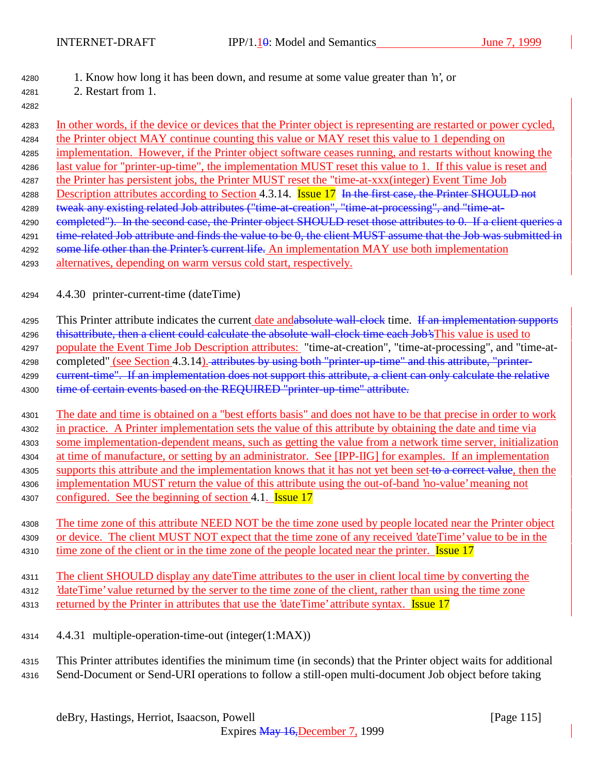## <sup>4280</sup> 1. Know how long it has been down, and resume at some value greater than 'n', or

- <sup>4281</sup> 2. Restart from 1.
- 4282

<sup>4283</sup> In other words, if the device or devices that the Printer object is representing are restarted or power cycled, <sup>4284</sup> the Printer object MAY continue counting this value or MAY reset this value to 1 depending on <sup>4285</sup> implementation. However, if the Printer object software ceases running, and restarts without knowing the <sup>4286</sup> last value for "printer-up-time", the implementation MUST reset this value to 1. If this value is reset and <sup>4287</sup> the Printer has persistent jobs, the Printer MUST reset the "time-at-xxx(integer) Event Time Job 4288 Description attributes according to Section 4.3.14. **Issue 17** In the first case, the Printer SHOULD not 4289 tweak any existing related Job attributes ("time-at-creation", "time-at-processing", and "time-at-4290 completed"). In the second case, the Printer object SHOULD reset those attributes to 0. If a client queries a 4291 time-related Job attribute and finds the value to be 0, the client MUST assume that the Job was submitted in 4292 some life other than the Printer's current life. An implementation MAY use both implementation 4293 alternatives, depending on warm versus cold start, respectively.

<sup>4294</sup> 4.4.30 printer-current-time (dateTime)

4295 This Printer attribute indicates the current date andabsolute wall-clock time. If an implementation supports

4296 this attribute, then a client could calculate the absolute wall-clock time each Job's This value is used to <sup>4297</sup> populate the Event Time Job Description attributes: "time-at-creation", "time-at-processing", and "time-at-4298 completed" (see Section 4.3.14). attributes by using both "printer-up-time" and this attribute, "printer-4299 current-time". If an implementation does not support this attribute, a client can only calculate the relative 4300 time of certain events based on the REQUIRED "printer-up-time" attribute.

 The date and time is obtained on a "best efforts basis" and does not have to be that precise in order to work in practice. A Printer implementation sets the value of this attribute by obtaining the date and time via some implementation-dependent means, such as getting the value from a network time server, initialization at time of manufacture, or setting by an administrator. See [IPP-IIG] for examples. If an implementation 4305 supports this attribute and the implementation knows that it has not yet been set to a correct value, then the implementation MUST return the value of this attribute using the out-of-band 'no-value' meaning not

4307 configured. See the beginning of section 4.1. **Issue 17** 

<sup>4308</sup> The time zone of this attribute NEED NOT be the time zone used by people located near the Printer object <sup>4309</sup> or device. The client MUST NOT expect that the time zone of any received 'dateTime' value to be in the 4310 time zone of the client or in the time zone of the people located near the printer. Issue 17

<sup>4311</sup> The client SHOULD display any dateTime attributes to the user in client local time by converting the <sup>4312</sup> 'dateTime' value returned by the server to the time zone of the client, rather than using the time zone 4313 returned by the Printer in attributes that use the 'dateTime' attribute syntax. **Issue 17** 

<sup>4314</sup> 4.4.31 multiple-operation-time-out (integer(1:MAX))

<sup>4315</sup> This Printer attributes identifies the minimum time (in seconds) that the Printer object waits for additional <sup>4316</sup> Send-Document or Send-URI operations to follow a still-open multi-document Job object before taking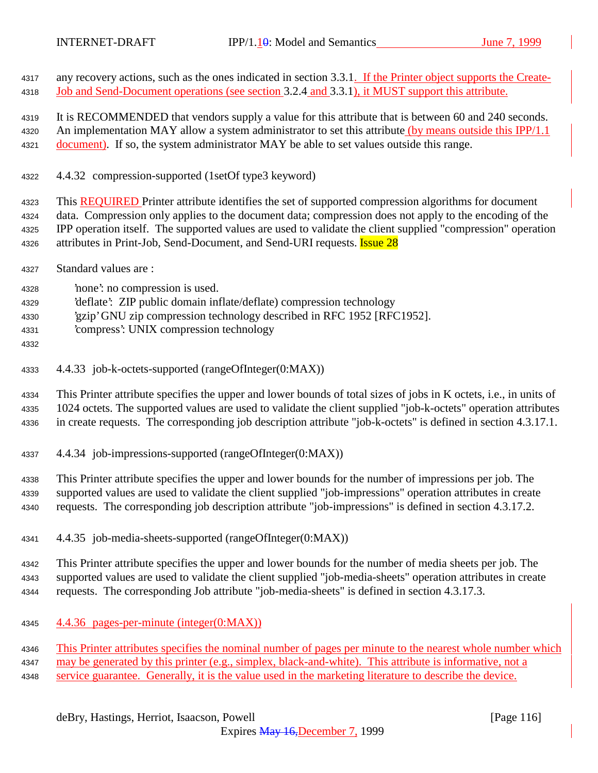4317 any recovery actions, such as the ones indicated in section 3.3.1. If the Printer object supports the Create-Job and Send-Document operations (see section 3.2.4 and 3.3.1), it MUST support this attribute.

 It is RECOMMENDED that vendors supply a value for this attribute that is between 60 and 240 seconds. 4320 An implementation MAY allow a system administrator to set this attribute (by means outside this IPP/1.1 4321 document). If so, the system administrator MAY be able to set values outside this range.

4.4.32 compression-supported (1setOf type3 keyword)

 This REQUIRED Printer attribute identifies the set of supported compression algorithms for document data. Compression only applies to the document data; compression does not apply to the encoding of the IPP operation itself. The supported values are used to validate the client supplied "compression" operation 4326 attributes in Print-Job, Send-Document, and Send-URI requests. **Issue 28** 

- Standard values are :
- 'none': no compression is used.
- 'deflate': ZIP public domain inflate/deflate) compression technology
- 'gzip' GNU zip compression technology described in RFC 1952 [RFC1952].
- 'compress': UNIX compression technology
- 
- 4.4.33 job-k-octets-supported (rangeOfInteger(0:MAX))

 This Printer attribute specifies the upper and lower bounds of total sizes of jobs in K octets, i.e., in units of 1024 octets. The supported values are used to validate the client supplied "job-k-octets" operation attributes in create requests. The corresponding job description attribute "job-k-octets" is defined in section 4.3.17.1.

4.4.34 job-impressions-supported (rangeOfInteger(0:MAX))

 This Printer attribute specifies the upper and lower bounds for the number of impressions per job. The supported values are used to validate the client supplied "job-impressions" operation attributes in create requests. The corresponding job description attribute "job-impressions" is defined in section 4.3.17.2.

4.4.35 job-media-sheets-supported (rangeOfInteger(0:MAX))

 This Printer attribute specifies the upper and lower bounds for the number of media sheets per job. The supported values are used to validate the client supplied "job-media-sheets" operation attributes in create requests. The corresponding Job attribute "job-media-sheets" is defined in section 4.3.17.3.

4.4.36 pages-per-minute (integer(0:MAX))

This Printer attributes specifies the nominal number of pages per minute to the nearest whole number which

- may be generated by this printer (e.g., simplex, black-and-white). This attribute is informative, not a
- 4348 service guarantee. Generally, it is the value used in the marketing literature to describe the device.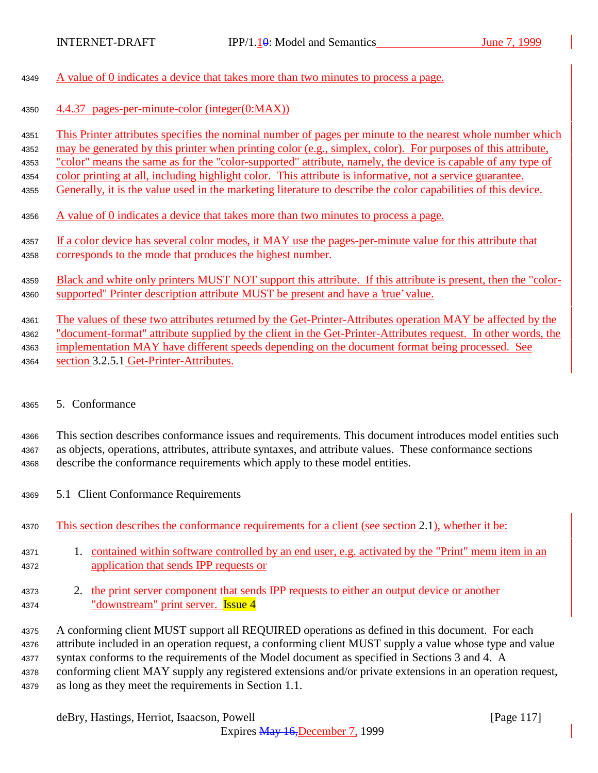| 4349 | A value of 0 indicates a device that takes more than two minutes to process a page.                            |
|------|----------------------------------------------------------------------------------------------------------------|
| 4350 | 4.4.37 pages-per-minute-color (integer(0:MAX))                                                                 |
| 4351 | This Printer attributes specifies the nominal number of pages per minute to the nearest whole number which     |
| 4352 | may be generated by this printer when printing color (e.g., simplex, color). For purposes of this attribute,   |
| 4353 | "color" means the same as for the "color-supported" attribute, namely, the device is capable of any type of    |
| 4354 | color printing at all, including highlight color. This attribute is informative, not a service guarantee.      |
| 4355 | Generally, it is the value used in the marketing literature to describe the color capabilities of this device. |
| 4356 | A value of 0 indicates a device that takes more than two minutes to process a page.                            |
| 4357 | If a color device has several color modes, it MAY use the pages-per-minute value for this attribute that       |
| 4358 | corresponds to the mode that produces the highest number.                                                      |
| 4359 | Black and white only printers MUST NOT support this attribute. If this attribute is present, then the "color-  |
| 4360 | supported" Printer description attribute MUST be present and have a 'true' value.                              |
| 4361 | The values of these two attributes returned by the Get-Printer-Attributes operation MAY be affected by the     |
| 4362 | "document-format" attribute supplied by the client in the Get-Printer-Attributes request. In other words, the  |
| 4363 | implementation MAY have different speeds depending on the document format being processed. See                 |
| 4364 | section 3.2.5.1 Get-Printer-Attributes.                                                                        |
| 4365 | 5 Conformance                                                                                                  |

5. Conformance

<sup>4366</sup> This section describes conformance issues and requirements. This document introduces model entities such <sup>4367</sup> as objects, operations, attributes, attribute syntaxes, and attribute values. These conformance sections <sup>4368</sup> describe the conformance requirements which apply to these model entities.

- <sup>4369</sup> 5.1 Client Conformance Requirements
- <sup>4370</sup> This section describes the conformance requirements for a client (see section 2.1), whether it be:
- <sup>4371</sup> 1. contained within software controlled by an end user, e.g. activated by the "Print" menu item in an <sup>4372</sup> application that sends IPP requests or
- <sup>4373</sup> 2. the print server component that sends IPP requests to either an output device or another 4374 "downstream" print server. **Issue 4**

 A conforming client MUST support all REQUIRED operations as defined in this document. For each attribute included in an operation request, a conforming client MUST supply a value whose type and value syntax conforms to the requirements of the Model document as specified in Sections 3 and 4. A conforming client MAY supply any registered extensions and/or private extensions in an operation request, as long as they meet the requirements in Section 1.1.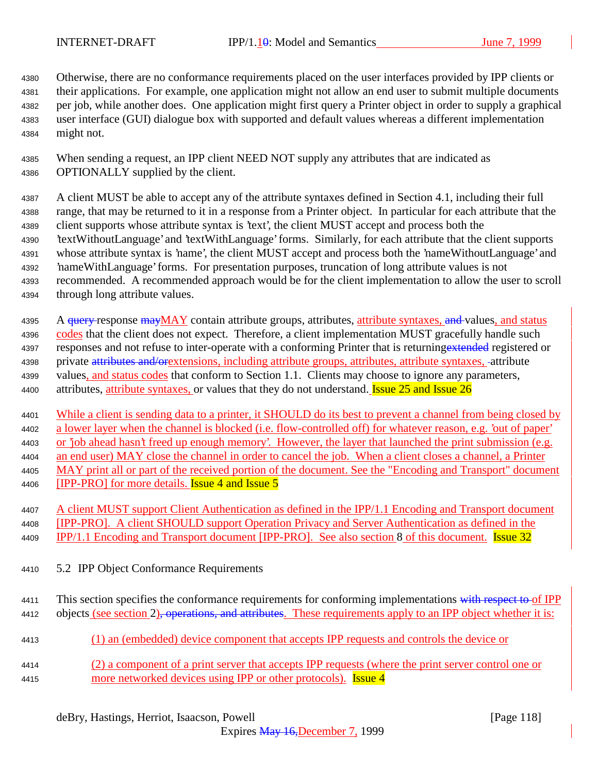Otherwise, there are no conformance requirements placed on the user interfaces provided by IPP clients or their applications. For example, one application might not allow an end user to submit multiple documents per job, while another does. One application might first query a Printer object in order to supply a graphical user interface (GUI) dialogue box with supported and default values whereas a different implementation might not.

 When sending a request, an IPP client NEED NOT supply any attributes that are indicated as OPTIONALLY supplied by the client.

 A client MUST be able to accept any of the attribute syntaxes defined in Section 4.1, including their full range, that may be returned to it in a response from a Printer object. In particular for each attribute that the client supports whose attribute syntax is 'text', the client MUST accept and process both the 'textWithoutLanguage' and 'textWithLanguage' forms. Similarly, for each attribute that the client supports whose attribute syntax is 'name', the client MUST accept and process both the 'nameWithoutLanguage' and 'nameWithLanguage' forms. For presentation purposes, truncation of long attribute values is not recommended. A recommended approach would be for the client implementation to allow the user to scroll through long attribute values.

4395 A <del>query r</del>esponse mayMAY contain attribute groups, attributes, attribute syntaxes, and values, and status 4396 codes that the client does not expect. Therefore, a client implementation MUST gracefully handle such 4397 responses and not refuse to inter-operate with a conforming Printer that is returning extended registered or 4398 private attributes and/orextensions, including attribute groups, attributes, attribute syntaxes, -attribute 4399 values, and status codes that conform to Section 1.1. Clients may choose to ignore any parameters, 4400 attributes, attribute syntaxes, or values that they do not understand. **Issue 25 and Issue 26** 

 While a client is sending data to a printer, it SHOULD do its best to prevent a channel from being closed by a lower layer when the channel is blocked (i.e. flow-controlled off) for whatever reason, e.g. 'out of paper' or 'job ahead hasn't freed up enough memory'. However, the layer that launched the print submission (e.g. an end user) MAY close the channel in order to cancel the job. When a client closes a channel, a Printer MAY print all or part of the received portion of the document. See the "Encoding and Transport" document 4406 [IPP-PRO] for more details. **Issue 4 and Issue 5** 

- A client MUST support Client Authentication as defined in the IPP/1.1 Encoding and Transport document [IPP-PRO]. A client SHOULD support Operation Privacy and Server Authentication as defined in the 4409 IPP/1.1 Encoding and Transport document [IPP-PRO]. See also section 8 of this document. Issue 32
- 5.2 IPP Object Conformance Requirements
- 4411 This section specifies the conformance requirements for conforming implementations with respect to of IPP 4412 objects (see section 2), operations, and attributes. These requirements apply to an IPP object whether it is:
- (1) an (embedded) device component that accepts IPP requests and controls the device or
- (2) a component of a print server that accepts IPP requests (where the print server control one or 4415 more networked devices using IPP or other protocols). Issue 4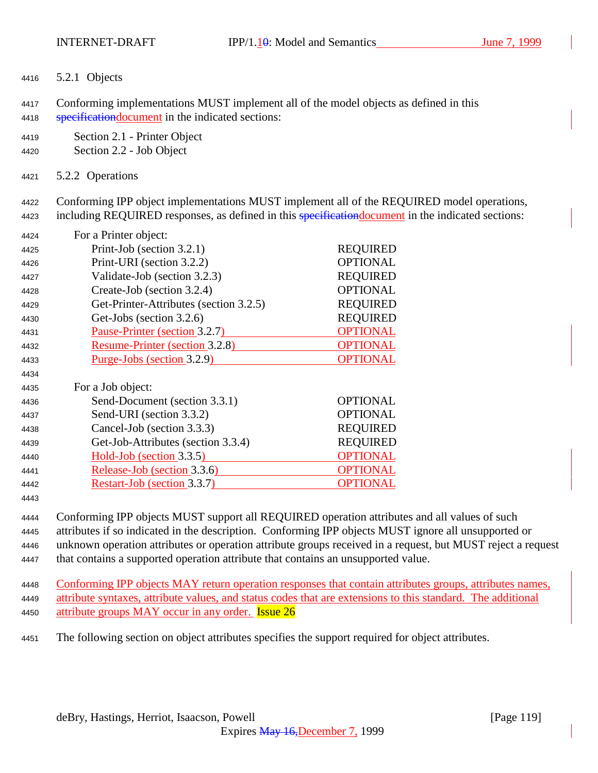5.2.1 Objects

 Conforming implementations MUST implement all of the model objects as defined in this **specification document** in the indicated sections:

- Section 2.1 Printer Object
- Section 2.2 Job Object
- 5.2.2 Operations

 Conforming IPP object implementations MUST implement all of the REQUIRED model operations, 4423 including REQUIRED responses, as defined in this specification document in the indicated sections:

| 4424 | For a Printer object:                  |                 |
|------|----------------------------------------|-----------------|
| 4425 | Print-Job (section 3.2.1)              | <b>REQUIRED</b> |
| 4426 | Print-URI (section 3.2.2)              | <b>OPTIONAL</b> |
| 4427 | Validate-Job (section 3.2.3)           | <b>REQUIRED</b> |
| 4428 | Create-Job (section 3.2.4)             | <b>OPTIONAL</b> |
| 4429 | Get-Printer-Attributes (section 3.2.5) | <b>REQUIRED</b> |
| 4430 | Get-Jobs (section 3.2.6)               | <b>REQUIRED</b> |
| 4431 | Pause-Printer (section 3.2.7)          | <b>OPTIONAL</b> |
| 4432 | <b>Resume-Printer (section 3.2.8)</b>  | <b>OPTIONAL</b> |
| 4433 | Purge-Jobs (section 3.2.9)             | <b>OPTIONAL</b> |
| 4434 |                                        |                 |
| 4435 | For a Job object:                      |                 |
| 4436 | Send-Document (section 3.3.1)          | <b>OPTIONAL</b> |
| 4437 | Send-URI (section 3.3.2)               | <b>OPTIONAL</b> |
| 4438 | Cancel-Job (section 3.3.3)             | <b>REQUIRED</b> |
| 4439 | Get-Job-Attributes (section 3.3.4)     | <b>REQUIRED</b> |
| 4440 | Hold-Job (section 3.3.5)               | <b>OPTIONAL</b> |
| 4441 | Release-Job (section 3.3.6)            | <b>OPTIONAL</b> |
| 4442 | Restart-Job (section 3.3.7)            | <b>OPTIONAL</b> |
| 4443 |                                        |                 |

 Conforming IPP objects MUST support all REQUIRED operation attributes and all values of such attributes if so indicated in the description. Conforming IPP objects MUST ignore all unsupported or unknown operation attributes or operation attribute groups received in a request, but MUST reject a request that contains a supported operation attribute that contains an unsupported value.

 Conforming IPP objects MAY return operation responses that contain attributes groups, attributes names, attribute syntaxes, attribute values, and status codes that are extensions to this standard. The additional 4450 attribute groups MAY occur in any order. **Issue 26** 

The following section on object attributes specifies the support required for object attributes.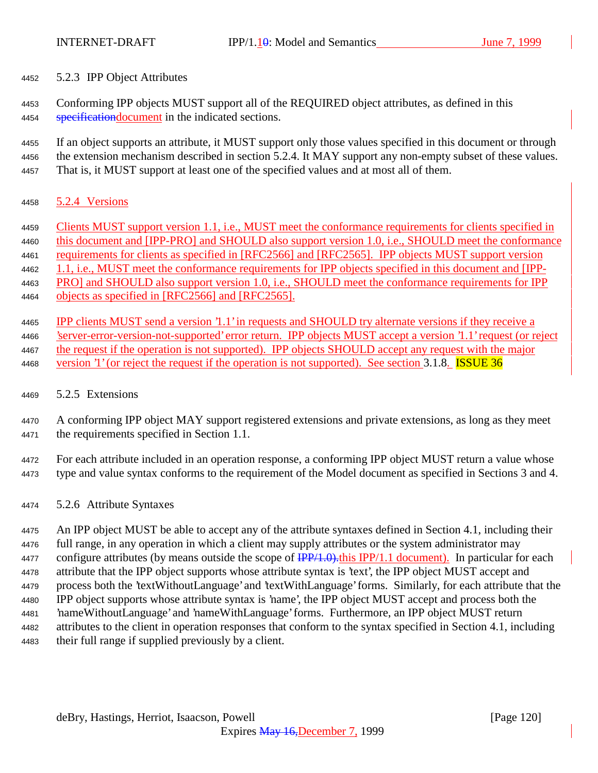5.2.3 IPP Object Attributes

 Conforming IPP objects MUST support all of the REQUIRED object attributes, as defined in this 4454 specification document in the indicated sections.

 If an object supports an attribute, it MUST support only those values specified in this document or through the extension mechanism described in section 5.2.4. It MAY support any non-empty subset of these values. That is, it MUST support at least one of the specified values and at most all of them.

- 5.2.4 Versions
- Clients MUST support version 1.1, i.e., MUST meet the conformance requirements for clients specified in 4460 this document and [IPP-PRO] and SHOULD also support version 1.0, i.e., SHOULD meet the conformance requirements for clients as specified in [RFC2566] and [RFC2565]. IPP objects MUST support version 4462 1.1, i.e., MUST meet the conformance requirements for IPP objects specified in this document and [IPP- PRO] and SHOULD also support version 1.0, i.e., SHOULD meet the conformance requirements for IPP objects as specified in [RFC2566] and [RFC2565].
- IPP clients MUST send a version '1.1' in requests and SHOULD try alternate versions if they receive a 'server-error-version-not-supported' error return. IPP objects MUST accept a version '1.1' request (or reject the request if the operation is not supported). IPP objects SHOULD accept any request with the major 4468 version '1' (or reject the request if the operation is not supported). See section 3.1.8. **ISSUE 36**
- 5.2.5 Extensions
- A conforming IPP object MAY support registered extensions and private extensions, as long as they meet the requirements specified in Section 1.1.
- For each attribute included in an operation response, a conforming IPP object MUST return a value whose type and value syntax conforms to the requirement of the Model document as specified in Sections 3 and 4.
- 5.2.6 Attribute Syntaxes

 An IPP object MUST be able to accept any of the attribute syntaxes defined in Section 4.1, including their full range, in any operation in which a client may supply attributes or the system administrator may 4477 configure attributes (by means outside the scope of  $\frac{IPP}{1.0}$ .this IPP/1.1 document). In particular for each attribute that the IPP object supports whose attribute syntax is 'text', the IPP object MUST accept and process both the 'textWithoutLanguage' and 'textWithLanguage' forms. Similarly, for each attribute that the IPP object supports whose attribute syntax is 'name', the IPP object MUST accept and process both the 'nameWithoutLanguage' and 'nameWithLanguage' forms. Furthermore, an IPP object MUST return attributes to the client in operation responses that conform to the syntax specified in Section 4.1, including their full range if supplied previously by a client.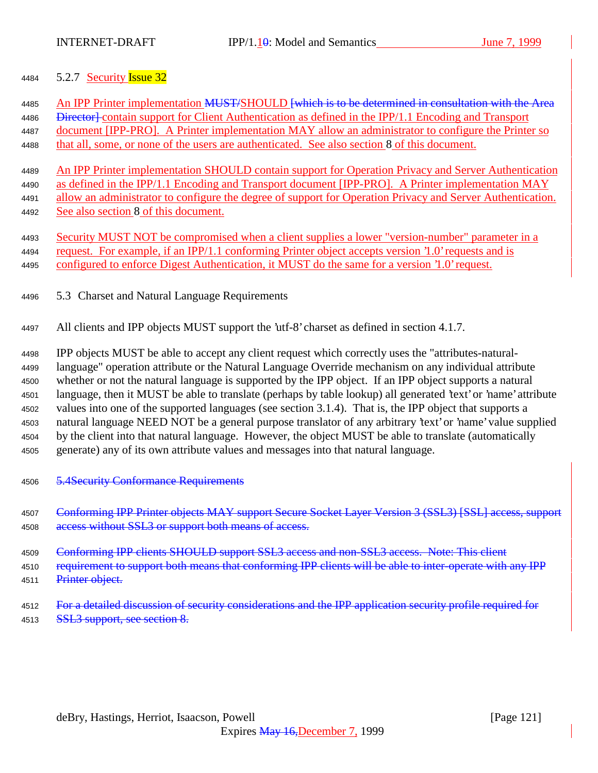## 4484 5.2.7 Security **Issue 32**

| 4485<br>4486         | An IPP Printer implementation MUST/SHOULD <del>[which is to be determined in consultation with the Area</del><br>Director-contain support for Client Authentication as defined in the IPP/1.1 Encoding and Transport                                                                                 |
|----------------------|------------------------------------------------------------------------------------------------------------------------------------------------------------------------------------------------------------------------------------------------------------------------------------------------------|
| 4487                 | document [IPP-PRO]. A Printer implementation MAY allow an administrator to configure the Printer so                                                                                                                                                                                                  |
| 4488                 | that all, some, or none of the users are authenticated. See also section 8 of this document.                                                                                                                                                                                                         |
| 4489                 | An IPP Printer implementation SHOULD contain support for Operation Privacy and Server Authentication                                                                                                                                                                                                 |
| 4490                 | as defined in the IPP/1.1 Encoding and Transport document [IPP-PRO]. A Printer implementation MAY                                                                                                                                                                                                    |
| 4491                 | allow an administrator to configure the degree of support for Operation Privacy and Server Authentication.                                                                                                                                                                                           |
| 4492                 | See also section 8 of this document.                                                                                                                                                                                                                                                                 |
| 4493<br>4494<br>4495 | Security MUST NOT be compromised when a client supplies a lower "version-number" parameter in a<br>request. For example, if an IPP/1.1 conforming Printer object accepts version 1.0 requests and is<br>configured to enforce Digest Authentication, it MUST do the same for a version 1.0' request. |
| 4496                 | 5.3 Charset and Natural Language Requirements                                                                                                                                                                                                                                                        |
| 4497                 | All clients and IPP objects MUST support the 'utf-8' charset as defined in section 4.1.7.                                                                                                                                                                                                            |
|                      |                                                                                                                                                                                                                                                                                                      |

 IPP objects MUST be able to accept any client request which correctly uses the "attributes-natural- language" operation attribute or the Natural Language Override mechanism on any individual attribute whether or not the natural language is supported by the IPP object. If an IPP object supports a natural language, then it MUST be able to translate (perhaps by table lookup) all generated 'text' or 'name' attribute values into one of the supported languages (see section 3.1.4). That is, the IPP object that supports a natural language NEED NOT be a general purpose translator of any arbitrary 'text' or 'name' value supplied by the client into that natural language. However, the object MUST be able to translate (automatically generate) any of its own attribute values and messages into that natural language.

4506 5.4Security Conformance Requirements

4507 Conforming IPP Printer objects MAY support Secure Socket Layer Version 3 (SSL3) [SSL] access. support 4508 access without SSL3 or support both means of access.

4509 Conforming IPP clients SHOULD support SSL3 access and non-SSL3 access. Note: This client

4510 requirement to support both means that conforming IPP clients will be able to inter-operate with any IPP 4511 Printer object.

4512 For a detailed discussion of security considerations and the IPP application security profile required for 4513 SSL3 support, see section 8.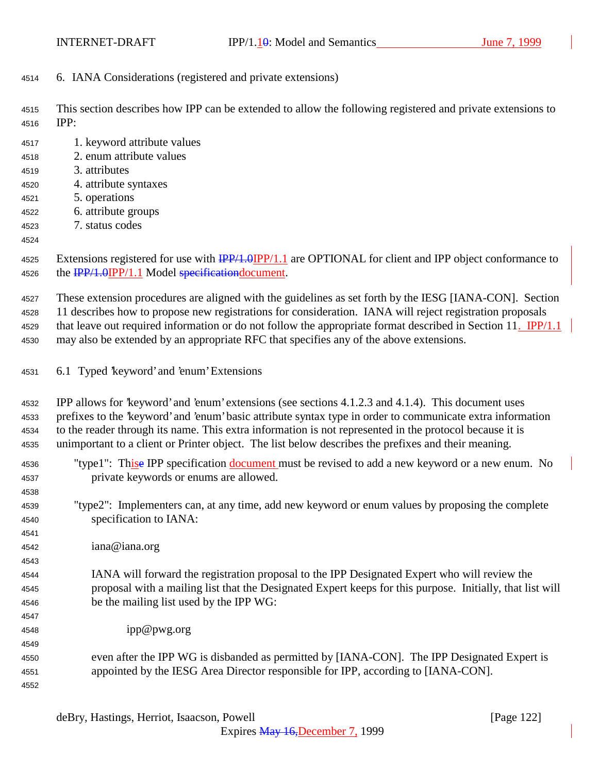6. IANA Considerations (registered and private extensions)

 This section describes how IPP can be extended to allow the following registered and private extensions to IPP:

 1. keyword attribute values 2. enum attribute values 3. attributes 4. attribute syntaxes 5. operations 6. attribute groups 7. status codes 

4525 Extensions registered for use with  $\frac{IPP}{1.0}$   $IPP/1.1$  are OPTIONAL for client and IPP object conformance to 4526 the  $\frac{IPP}{1.0}$ IPP/1.1 Model specificationdocument.

These extension procedures are aligned with the guidelines as set forth by the IESG [IANA-CON]. Section

 11 describes how to propose new registrations for consideration. IANA will reject registration proposals 4529 that leave out required information or do not follow the appropriate format described in Section 11. IPP/1.1

- may also be extended by an appropriate RFC that specifies any of the above extensions.
- 6.1 Typed 'keyword' and 'enum' Extensions

 IPP allows for 'keyword' and 'enum' extensions (see sections 4.1.2.3 and 4.1.4). This document uses prefixes to the 'keyword' and 'enum' basic attribute syntax type in order to communicate extra information to the reader through its name. This extra information is not represented in the protocol because it is unimportant to a client or Printer object. The list below describes the prefixes and their meaning.

|      | well also also sweep at which we have problems when the first and                                         |
|------|-----------------------------------------------------------------------------------------------------------|
| 4536 | "type1": Thise IPP specification document must be revised to add a new keyword or a new enum. No          |
| 4537 | private keywords or enums are allowed.                                                                    |
| 4538 |                                                                                                           |
| 4539 | "type2": Implementers can, at any time, add new keyword or enum values by proposing the complete          |
| 4540 | specification to IANA:                                                                                    |
| 4541 |                                                                                                           |
| 4542 | iana@iana.org                                                                                             |
| 4543 |                                                                                                           |
| 4544 | IANA will forward the registration proposal to the IPP Designated Expert who will review the              |
| 4545 | proposal with a mailing list that the Designated Expert keeps for this purpose. Initially, that list will |
| 4546 | be the mailing list used by the IPP WG:                                                                   |
| 4547 |                                                                                                           |
| 4548 | ipp@pwg.org                                                                                               |
| 4549 |                                                                                                           |
| 4550 | even after the IPP WG is disbanded as permitted by [IANA-CON]. The IPP Designated Expert is               |
| 4551 | appointed by the IESG Area Director responsible for IPP, according to [IANA-CON].                         |
| 4552 |                                                                                                           |
|      |                                                                                                           |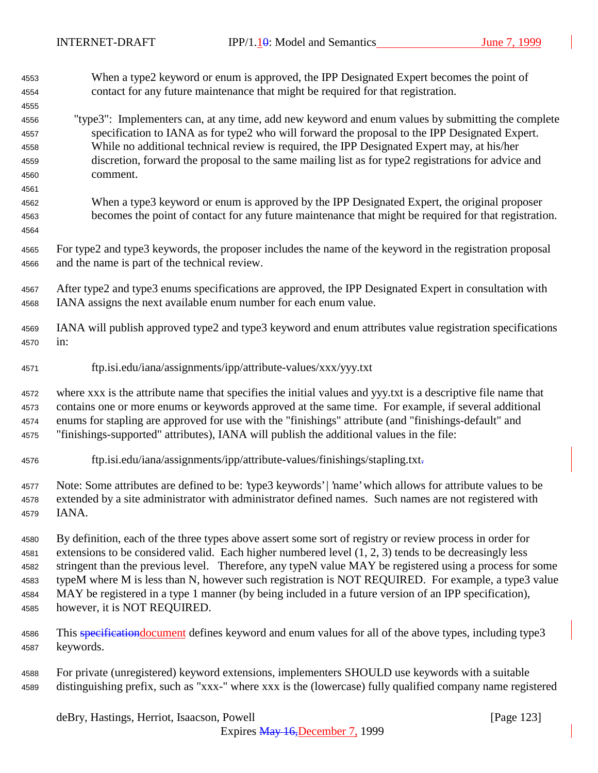When a type2 keyword or enum is approved, the IPP Designated Expert becomes the point of contact for any future maintenance that might be required for that registration. "type3": Implementers can, at any time, add new keyword and enum values by submitting the complete specification to IANA as for type2 who will forward the proposal to the IPP Designated Expert. While no additional technical review is required, the IPP Designated Expert may, at his/her discretion, forward the proposal to the same mailing list as for type2 registrations for advice and comment. When a type3 keyword or enum is approved by the IPP Designated Expert, the original proposer becomes the point of contact for any future maintenance that might be required for that registration. For type2 and type3 keywords, the proposer includes the name of the keyword in the registration proposal and the name is part of the technical review. After type2 and type3 enums specifications are approved, the IPP Designated Expert in consultation with IANA assigns the next available enum number for each enum value. IANA will publish approved type2 and type3 keyword and enum attributes value registration specifications in: ftp.isi.edu/iana/assignments/ipp/attribute-values/xxx/yyy.txt where xxx is the attribute name that specifies the initial values and yyy.txt is a descriptive file name that contains one or more enums or keywords approved at the same time. For example, if several additional enums for stapling are approved for use with the "finishings" attribute (and "finishings-default" and "finishings-supported" attributes), IANA will publish the additional values in the file: ftp.isi.edu/iana/assignments/ipp/attribute-values/finishings/stapling.txt. Note: Some attributes are defined to be: 'type3 keywords' | 'name' which allows for attribute values to be extended by a site administrator with administrator defined names. Such names are not registered with IANA. By definition, each of the three types above assert some sort of registry or review process in order for extensions to be considered valid. Each higher numbered level (1, 2, 3) tends to be decreasingly less stringent than the previous level. Therefore, any typeN value MAY be registered using a process for some typeM where M is less than N, however such registration is NOT REQUIRED. For example, a type3 value MAY be registered in a type 1 manner (by being included in a future version of an IPP specification), however, it is NOT REQUIRED. 4586 This specification document defines keyword and enum values for all of the above types, including type3 keywords. For private (unregistered) keyword extensions, implementers SHOULD use keywords with a suitable distinguishing prefix, such as "xxx-" where xxx is the (lowercase) fully qualified company name registered

deBry, Hastings, Herriot, Isaacson, Powell [Page 123]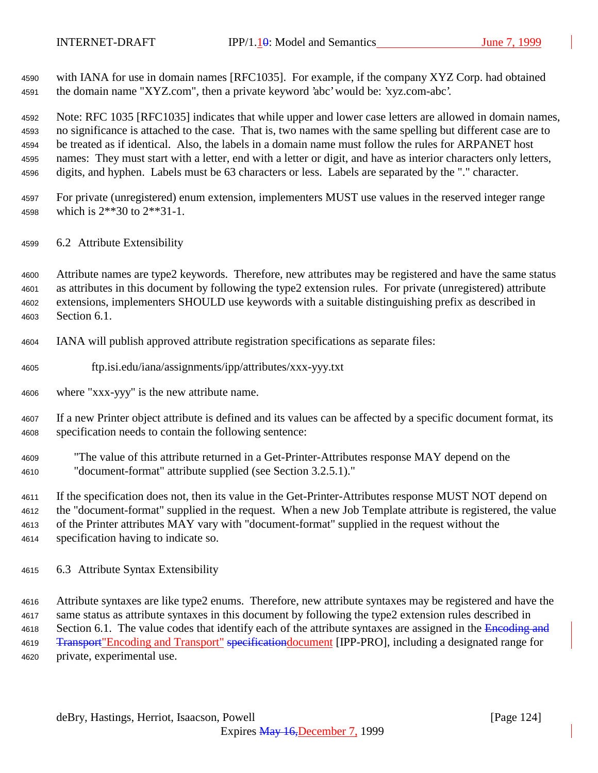with IANA for use in domain names [RFC1035]. For example, if the company XYZ Corp. had obtained the domain name "XYZ.com", then a private keyword 'abc' would be: 'xyz.com-abc'.

 Note: RFC 1035 [RFC1035] indicates that while upper and lower case letters are allowed in domain names, no significance is attached to the case. That is, two names with the same spelling but different case are to be treated as if identical. Also, the labels in a domain name must follow the rules for ARPANET host names: They must start with a letter, end with a letter or digit, and have as interior characters only letters, digits, and hyphen. Labels must be 63 characters or less. Labels are separated by the "." character.

- For private (unregistered) enum extension, implementers MUST use values in the reserved integer range which is 2\*\*30 to 2\*\*31-1.
- 6.2 Attribute Extensibility

 Attribute names are type2 keywords. Therefore, new attributes may be registered and have the same status as attributes in this document by following the type2 extension rules. For private (unregistered) attribute extensions, implementers SHOULD use keywords with a suitable distinguishing prefix as described in Section 6.1.

- IANA will publish approved attribute registration specifications as separate files:
- ftp.isi.edu/iana/assignments/ipp/attributes/xxx-yyy.txt
- where "xxx-yyy" is the new attribute name.

 If a new Printer object attribute is defined and its values can be affected by a specific document format, its specification needs to contain the following sentence:

 "The value of this attribute returned in a Get-Printer-Attributes response MAY depend on the "document-format" attribute supplied (see Section 3.2.5.1)."

 If the specification does not, then its value in the Get-Printer-Attributes response MUST NOT depend on the "document-format" supplied in the request. When a new Job Template attribute is registered, the value of the Printer attributes MAY vary with "document-format" supplied in the request without the specification having to indicate so.

6.3 Attribute Syntax Extensibility

 Attribute syntaxes are like type2 enums. Therefore, new attribute syntaxes may be registered and have the same status as attribute syntaxes in this document by following the type2 extension rules described in 4618 Section 6.1. The value codes that identify each of the attribute syntaxes are assigned in the Encoding and 4619 <del>Transport</del> "Encoding and Transport" specificationdocument [IPP-PRO], including a designated range for private, experimental use.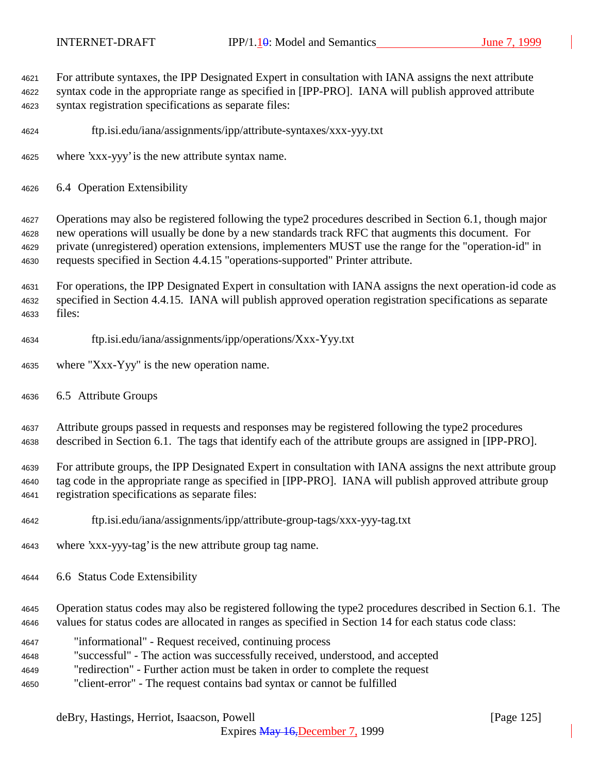$\overline{\phantom{a}}$ 

| 4621<br>4622<br>4623                         | For attribute syntaxes, the IPP Designated Expert in consultation with IANA assigns the next attribute<br>syntax code in the appropriate range as specified in [IPP-PRO]. IANA will publish approved attribute<br>syntax registration specifications as separate files:                                                                                                                                                                                                                                                     |
|----------------------------------------------|-----------------------------------------------------------------------------------------------------------------------------------------------------------------------------------------------------------------------------------------------------------------------------------------------------------------------------------------------------------------------------------------------------------------------------------------------------------------------------------------------------------------------------|
| 4624                                         | ftp.isi.edu/iana/assignments/ipp/attribute-syntaxes/xxx-yyy.txt                                                                                                                                                                                                                                                                                                                                                                                                                                                             |
| 4625                                         | where 'xxx-yyy' is the new attribute syntax name.                                                                                                                                                                                                                                                                                                                                                                                                                                                                           |
| 4626                                         | 6.4 Operation Extensibility                                                                                                                                                                                                                                                                                                                                                                                                                                                                                                 |
| 4627<br>4628<br>4629<br>4630                 | Operations may also be registered following the type2 procedures described in Section 6.1, though major<br>new operations will usually be done by a new standards track RFC that augments this document. For<br>private (unregistered) operation extensions, implementers MUST use the range for the "operation-id" in<br>requests specified in Section 4.4.15 "operations-supported" Printer attribute.                                                                                                                    |
| 4631<br>4632<br>4633                         | For operations, the IPP Designated Expert in consultation with IANA assigns the next operation-id code as<br>specified in Section 4.4.15. IANA will publish approved operation registration specifications as separate<br>files:                                                                                                                                                                                                                                                                                            |
| 4634                                         | ftp.isi.edu/iana/assignments/ipp/operations/Xxx-Yyy.txt                                                                                                                                                                                                                                                                                                                                                                                                                                                                     |
| 4635                                         | where "Xxx-Yyy" is the new operation name.                                                                                                                                                                                                                                                                                                                                                                                                                                                                                  |
| 4636                                         | 6.5 Attribute Groups                                                                                                                                                                                                                                                                                                                                                                                                                                                                                                        |
| 4637<br>4638                                 | Attribute groups passed in requests and responses may be registered following the type2 procedures<br>described in Section 6.1. The tags that identify each of the attribute groups are assigned in [IPP-PRO].                                                                                                                                                                                                                                                                                                              |
| 4639<br>4640<br>4641                         | For attribute groups, the IPP Designated Expert in consultation with IANA assigns the next attribute group<br>tag code in the appropriate range as specified in [IPP-PRO]. IANA will publish approved attribute group<br>registration specifications as separate files:                                                                                                                                                                                                                                                     |
| 4642                                         | ftp.isi.edu/iana/assignments/ipp/attribute-group-tags/xxx-yyy-tag.txt                                                                                                                                                                                                                                                                                                                                                                                                                                                       |
| 4643                                         | where 'xxx-yyy-tag' is the new attribute group tag name.                                                                                                                                                                                                                                                                                                                                                                                                                                                                    |
| 4644                                         | 6.6 Status Code Extensibility                                                                                                                                                                                                                                                                                                                                                                                                                                                                                               |
| 4645<br>4646<br>4647<br>4648<br>4649<br>4650 | Operation status codes may also be registered following the type2 procedures described in Section 6.1. The<br>values for status codes are allocated in ranges as specified in Section 14 for each status code class:<br>"informational" - Request received, continuing process<br>"successful" - The action was successfully received, understood, and accepted<br>"redirection" - Further action must be taken in order to complete the request<br>"client-error" - The request contains bad syntax or cannot be fulfilled |
|                                              |                                                                                                                                                                                                                                                                                                                                                                                                                                                                                                                             |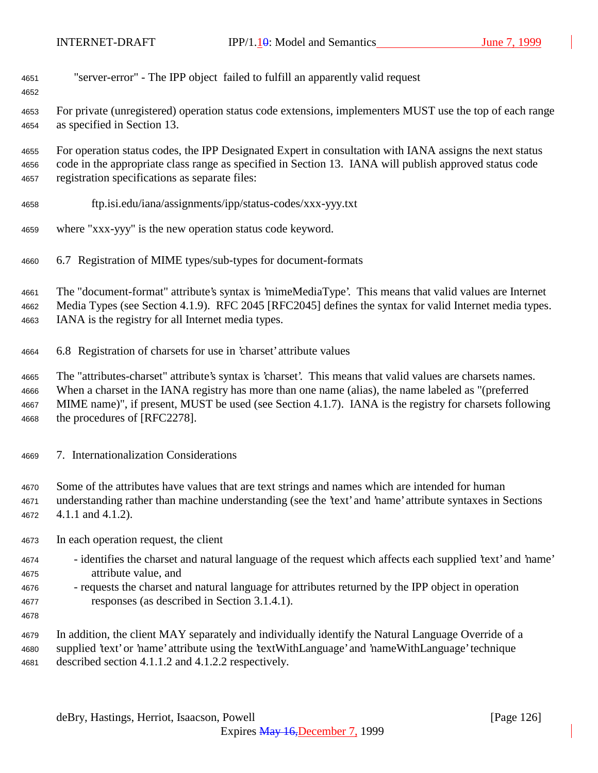| 4651 |  |  |  | "server-error" - The IPP object failed to fulfill an apparently valid request |
|------|--|--|--|-------------------------------------------------------------------------------|
|------|--|--|--|-------------------------------------------------------------------------------|

 For private (unregistered) operation status code extensions, implementers MUST use the top of each range as specified in Section 13.

 For operation status codes, the IPP Designated Expert in consultation with IANA assigns the next status code in the appropriate class range as specified in Section 13. IANA will publish approved status code registration specifications as separate files:

- ftp.isi.edu/iana/assignments/ipp/status-codes/xxx-yyy.txt
- where "xxx-yyy" is the new operation status code keyword.
- 6.7 Registration of MIME types/sub-types for document-formats

 The "document-format" attribute's syntax is 'mimeMediaType'. This means that valid values are Internet Media Types (see Section 4.1.9). RFC 2045 [RFC2045] defines the syntax for valid Internet media types. IANA is the registry for all Internet media types.

6.8 Registration of charsets for use in 'charset' attribute values

 The "attributes-charset" attribute's syntax is 'charset'. This means that valid values are charsets names. When a charset in the IANA registry has more than one name (alias), the name labeled as "(preferred MIME name)", if present, MUST be used (see Section 4.1.7). IANA is the registry for charsets following the procedures of [RFC2278].

- 7. Internationalization Considerations
- Some of the attributes have values that are text strings and names which are intended for human understanding rather than machine understanding (see the 'text' and 'name' attribute syntaxes in Sections 4.1.1 and 4.1.2).
- In each operation request, the client
- identifies the charset and natural language of the request which affects each supplied 'text' and 'name' attribute value, and
- requests the charset and natural language for attributes returned by the IPP object in operation responses (as described in Section 3.1.4.1).
- 

 In addition, the client MAY separately and individually identify the Natural Language Override of a supplied 'text' or 'name' attribute using the 'textWithLanguage' and 'nameWithLanguage' technique described section 4.1.1.2 and 4.1.2.2 respectively.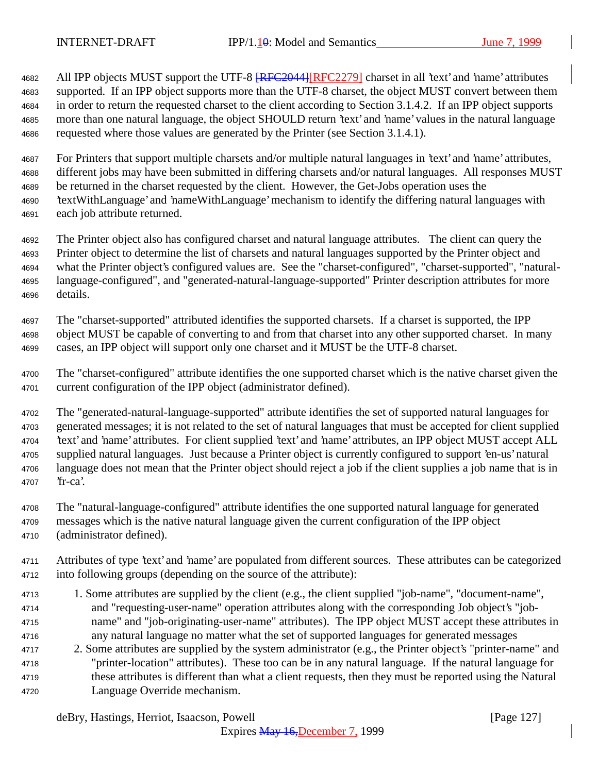4682 All IPP objects MUST support the UTF-8  $RFC2044$  [RFC2279] charset in all 'text' and 'name' attributes supported. If an IPP object supports more than the UTF-8 charset, the object MUST convert between them in order to return the requested charset to the client according to Section 3.1.4.2. If an IPP object supports more than one natural language, the object SHOULD return 'text' and 'name' values in the natural language requested where those values are generated by the Printer (see Section 3.1.4.1).

 For Printers that support multiple charsets and/or multiple natural languages in 'text' and 'name' attributes, different jobs may have been submitted in differing charsets and/or natural languages. All responses MUST be returned in the charset requested by the client. However, the Get-Jobs operation uses the 'textWithLanguage' and 'nameWithLanguage' mechanism to identify the differing natural languages with each job attribute returned.

 The Printer object also has configured charset and natural language attributes. The client can query the Printer object to determine the list of charsets and natural languages supported by the Printer object and what the Printer object's configured values are. See the "charset-configured", "charset-supported", "natural- language-configured", and "generated-natural-language-supported" Printer description attributes for more details.

 The "charset-supported" attributed identifies the supported charsets. If a charset is supported, the IPP object MUST be capable of converting to and from that charset into any other supported charset. In many cases, an IPP object will support only one charset and it MUST be the UTF-8 charset.

 The "charset-configured" attribute identifies the one supported charset which is the native charset given the current configuration of the IPP object (administrator defined).

 The "generated-natural-language-supported" attribute identifies the set of supported natural languages for generated messages; it is not related to the set of natural languages that must be accepted for client supplied 'text' and 'name' attributes. For client supplied 'text' and 'name' attributes, an IPP object MUST accept ALL supplied natural languages. Just because a Printer object is currently configured to support 'en-us' natural language does not mean that the Printer object should reject a job if the client supplies a job name that is in 'fr-ca'.

 The "natural-language-configured" attribute identifies the one supported natural language for generated messages which is the native natural language given the current configuration of the IPP object

(administrator defined).

 Attributes of type 'text' and 'name' are populated from different sources. These attributes can be categorized into following groups (depending on the source of the attribute):

- 1. Some attributes are supplied by the client (e.g., the client supplied "job-name", "document-name", and "requesting-user-name" operation attributes along with the corresponding Job object's "job- name" and "job-originating-user-name" attributes). The IPP object MUST accept these attributes in any natural language no matter what the set of supported languages for generated messages
- 2. Some attributes are supplied by the system administrator (e.g., the Printer object's "printer-name" and "printer-location" attributes). These too can be in any natural language. If the natural language for these attributes is different than what a client requests, then they must be reported using the Natural Language Override mechanism.

deBry, Hastings, Herriot, Isaacson, Powell [Page 127]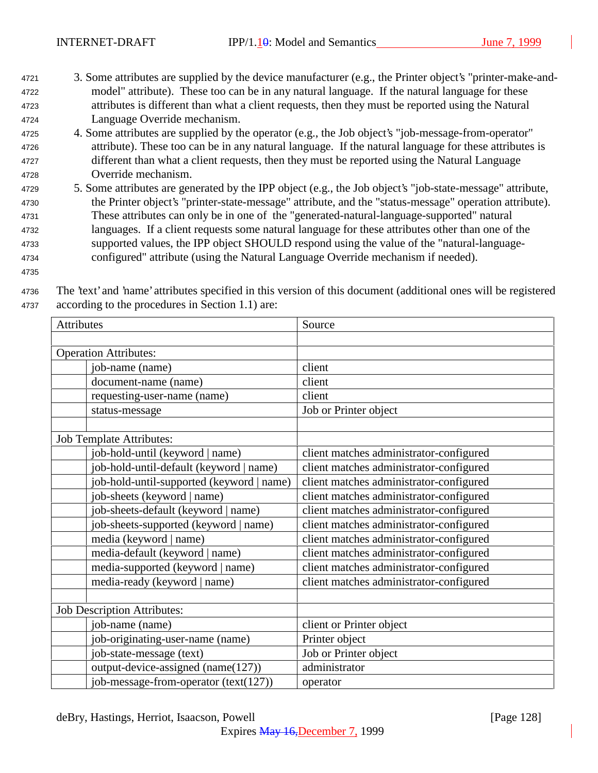- <sup>4721</sup> 3. Some attributes are supplied by the device manufacturer (e.g., the Printer object's "printer-make-and-<sup>4722</sup> model" attribute). These too can be in any natural language. If the natural language for these <sup>4723</sup> attributes is different than what a client requests, then they must be reported using the Natural <sup>4724</sup> Language Override mechanism.
- <sup>4725</sup> 4. Some attributes are supplied by the operator (e.g., the Job object's "job-message-from-operator" <sup>4726</sup> attribute). These too can be in any natural language. If the natural language for these attributes is <sup>4727</sup> different than what a client requests, then they must be reported using the Natural Language <sup>4728</sup> Override mechanism.
- <sup>4729</sup> 5. Some attributes are generated by the IPP object (e.g., the Job object's "job-state-message" attribute, <sup>4730</sup> the Printer object's "printer-state-message" attribute, and the "status-message" operation attribute). <sup>4731</sup> These attributes can only be in one of the "generated-natural-language-supported" natural <sup>4732</sup> languages. If a client requests some natural language for these attributes other than one of the <sup>4733</sup> supported values, the IPP object SHOULD respond using the value of the "natural-language-<sup>4734</sup> configured" attribute (using the Natural Language Override mechanism if needed).
- 4735

<sup>4736</sup> The 'text' and 'name' attributes specified in this version of this document (additional ones will be registered <sup>4737</sup> according to the procedures in Section 1.1) are:

| Attributes                                | Source                                  |
|-------------------------------------------|-----------------------------------------|
|                                           |                                         |
| <b>Operation Attributes:</b>              |                                         |
| job-name (name)                           | client                                  |
| document-name (name)                      | client                                  |
| requesting-user-name (name)               | client                                  |
| status-message                            | Job or Printer object                   |
| <b>Job Template Attributes:</b>           |                                         |
| job-hold-until (keyword   name)           | client matches administrator-configured |
| job-hold-until-default (keyword   name)   | client matches administrator-configured |
| job-hold-until-supported (keyword   name) | client matches administrator-configured |
| job-sheets (keyword   name)               | client matches administrator-configured |
| job-sheets-default (keyword   name)       | client matches administrator-configured |
| job-sheets-supported (keyword   name)     | client matches administrator-configured |
| media (keyword   name)                    | client matches administrator-configured |
| media-default (keyword   name)            | client matches administrator-configured |
| media-supported (keyword   name)          | client matches administrator-configured |
| media-ready (keyword   name)              | client matches administrator-configured |
| <b>Job Description Attributes:</b>        |                                         |
| job-name (name)                           | client or Printer object                |
| job-originating-user-name (name)          | Printer object                          |
| job-state-message (text)                  | Job or Printer object                   |
| output-device-assigned (name(127))        | administrator                           |
| job-message-from-operator (text(127))     | operator                                |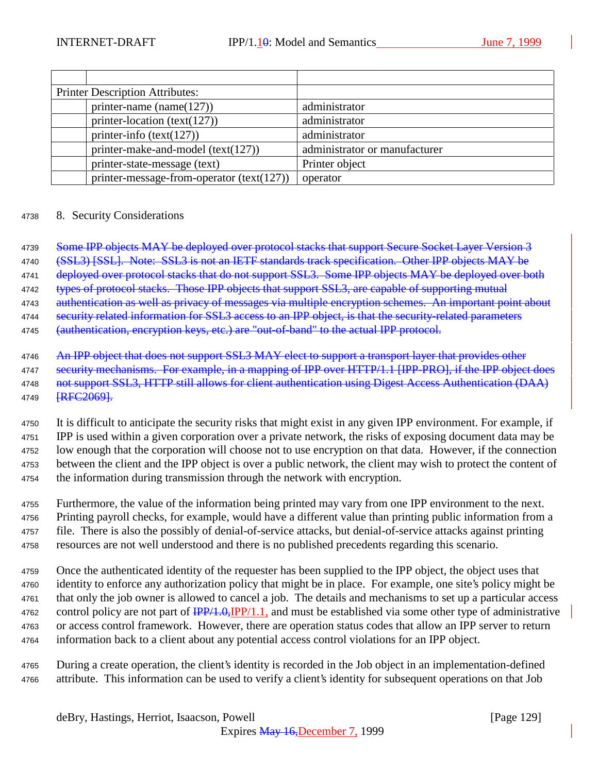| <b>Printer Description Attributes:</b> |                                           |                               |
|----------------------------------------|-------------------------------------------|-------------------------------|
|                                        | printer-name (name $(127)$ )              | administrator                 |
|                                        | printer-location (text(127))              | administrator                 |
|                                        | printer-info $(text(127))$                | administrator                 |
|                                        | printer-make-and-model $(text(127))$      | administrator or manufacturer |
|                                        | printer-state-message (text)              | Printer object                |
|                                        | printer-message-from-operator (text(127)) | operator                      |

#### <sup>4738</sup> 8. Security Considerations

4739 Some IPP objects MAY be deployed over protocol stacks that support Secure Socket Layer Version 3

4740 (SSL3) [SSL]. Note: SSL3 is not an IETF standards track specification. Other IPP objects MAY be

4741 deployed over protocol stacks that do not support SSL3. Some IPP objects MAY be deployed over both

4742 types of protocol stacks. Those IPP objects that support SSL3, are capable of supporting mutual

4743 authentication as well as privacy of messages via multiple encryption schemes. An important point about 4744 security related information for SSL3 access to an IPP object, is that the security-related parameters

4745 (authentication, encryption keys, etc.) are "out-of-band" to the actual IPP protocol.

 It is difficult to anticipate the security risks that might exist in any given IPP environment. For example, if IPP is used within a given corporation over a private network, the risks of exposing document data may be low enough that the corporation will choose not to use encryption on that data. However, if the connection between the client and the IPP object is over a public network, the client may wish to protect the content of the information during transmission through the network with encryption.

 Furthermore, the value of the information being printed may vary from one IPP environment to the next. Printing payroll checks, for example, would have a different value than printing public information from a file. There is also the possibly of denial-of-service attacks, but denial-of-service attacks against printing resources are not well understood and there is no published precedents regarding this scenario.

 Once the authenticated identity of the requester has been supplied to the IPP object, the object uses that identity to enforce any authorization policy that might be in place. For example, one site's policy might be that only the job owner is allowed to cancel a job. The details and mechanisms to set up a particular access 4762 control policy are not part of  $\frac{IPP}{1.0}$ ,  $\frac{IPP}{1.1}$ , and must be established via some other type of administrative or access control framework. However, there are operation status codes that allow an IPP server to return information back to a client about any potential access control violations for an IPP object.

<sup>4765</sup> During a create operation, the client's identity is recorded in the Job object in an implementation-defined <sup>4766</sup> attribute. This information can be used to verify a client's identity for subsequent operations on that Job

<sup>4746</sup> An IPP object that does not support SSL3 MAY elect to support a transport layer that provides other 4747 security mechanisms. For example, in a mapping of IPP over HTTP/1.1 [IPP-PRO], if the IPP object does 4748 not support SSL3, HTTP still allows for client authentication using Digest Access Authentication (DAA) 4749 [RFC2069].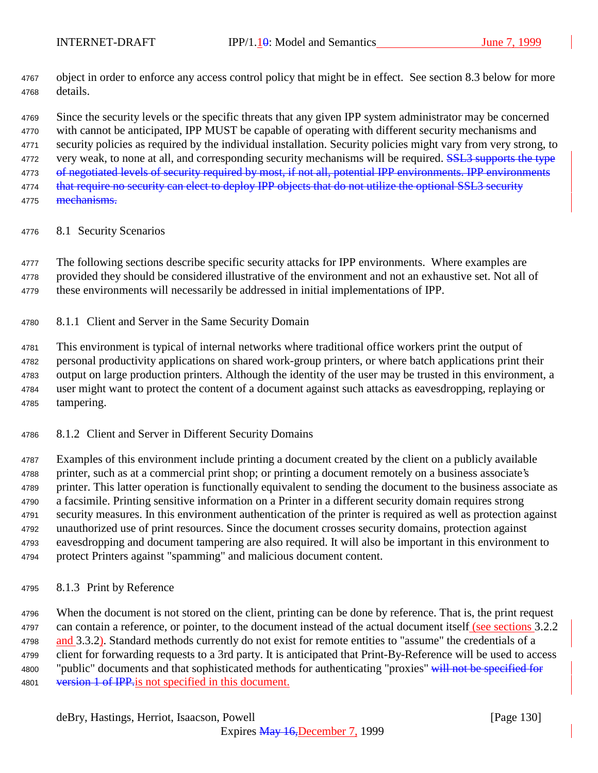object in order to enforce any access control policy that might be in effect. See section 8.3 below for more details.

 Since the security levels or the specific threats that any given IPP system administrator may be concerned with cannot be anticipated, IPP MUST be capable of operating with different security mechanisms and security policies as required by the individual installation. Security policies might vary from very strong, to 4772 very weak, to none at all, and corresponding security mechanisms will be required. **SSL3** supports the type 4773 of negotiated levels of security required by most, if not all, potential IPP environments. IPP environments 4774 that require no security can elect to deploy IPP objects that do not utilize the optional SSL3 security

- 4775 mechanisms.
- 8.1 Security Scenarios

4777 The following sections describe specific security attacks for IPP environments. Where examples are provided they should be considered illustrative of the environment and not an exhaustive set. Not all of these environments will necessarily be addressed in initial implementations of IPP.

8.1.1 Client and Server in the Same Security Domain

 This environment is typical of internal networks where traditional office workers print the output of personal productivity applications on shared work-group printers, or where batch applications print their output on large production printers. Although the identity of the user may be trusted in this environment, a user might want to protect the content of a document against such attacks as eavesdropping, replaying or tampering.

8.1.2 Client and Server in Different Security Domains

 Examples of this environment include printing a document created by the client on a publicly available printer, such as at a commercial print shop; or printing a document remotely on a business associate's printer. This latter operation is functionally equivalent to sending the document to the business associate as a facsimile. Printing sensitive information on a Printer in a different security domain requires strong security measures. In this environment authentication of the printer is required as well as protection against unauthorized use of print resources. Since the document crosses security domains, protection against eavesdropping and document tampering are also required. It will also be important in this environment to protect Printers against "spamming" and malicious document content.

8.1.3 Print by Reference

 When the document is not stored on the client, printing can be done by reference. That is, the print request can contain a reference, or pointer, to the document instead of the actual document itself (see sections 3.2.2 4798 and 3.3.2). Standard methods currently do not exist for remote entities to "assume" the credentials of a client for forwarding requests to a 3rd party. It is anticipated that Print-By-Reference will be used to access 4800 "public" documents and that sophisticated methods for authenticating "proxies" will not be specified for 4801 version 1 of IPP is not specified in this document.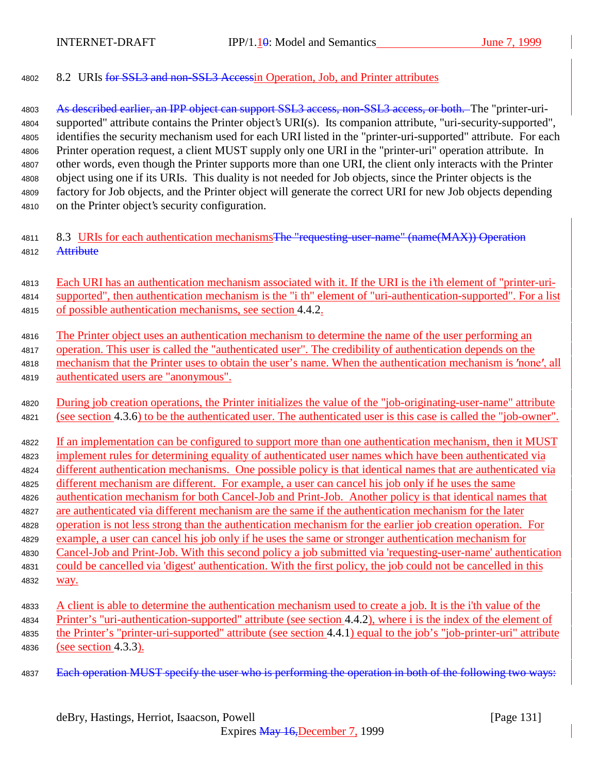8.2 URIs for SSL3 and non-SSL3 Accessin Operation, Job, and Printer attributes

4803 As described earlier, an IPP object can support SSL3 access, non-SSL3 access, or both. The "printer-uri- supported" attribute contains the Printer object's URI(s). Its companion attribute, "uri-security-supported", identifies the security mechanism used for each URI listed in the "printer-uri-supported" attribute. For each Printer operation request, a client MUST supply only one URI in the "printer-uri" operation attribute. In other words, even though the Printer supports more than one URI, the client only interacts with the Printer object using one if its URIs. This duality is not needed for Job objects, since the Printer objects is the factory for Job objects, and the Printer object will generate the correct URI for new Job objects depending on the Printer object's security configuration.

- 4811 8.3 URIs for each authentication mechanisms The "requesting-user-name" (name(MAX)) Operation 4812 Attribute
- Each URI has an authentication mechanism associated with it. If the URI is the i'th element of "printer-uri- supported", then authentication mechanism is the "i th" element of "uri-authentication-supported". For a list of possible authentication mechanisms, see section 4.4.2.
- The Printer object uses an authentication mechanism to determine the name of the user performing an operation. This user is called the "authenticated user". The credibility of authentication depends on the 4818 mechanism that the Printer uses to obtain the user's name. When the authentication mechanism is 'none', all
- authenticated users are "anonymous".
- 4820 During job creation operations, the Printer initializes the value of the "job-originating-user-name" attribute 4821 (see section 4.3.6) to be the authenticated user. The authenticated user is this case is called the "job-owner".
- If an implementation can be configured to support more than one authentication mechanism, then it MUST implement rules for determining equality of authenticated user names which have been authenticated via different authentication mechanisms. One possible policy is that identical names that are authenticated via different mechanism are different. For example, a user can cancel his job only if he uses the same
- authentication mechanism for both Cancel-Job and Print-Job. Another policy is that identical names that
- are authenticated via different mechanism are the same if the authentication mechanism for the later
- operation is not less strong than the authentication mechanism for the earlier job creation operation. For
- 4829 example, a user can cancel his job only if he uses the same or stronger authentication mechanism for
- Cancel-Job and Print-Job. With this second policy a job submitted via 'requesting-user-name' authentication could be cancelled via 'digest' authentication. With the first policy, the job could not be cancelled in this way.
- A client is able to determine the authentication mechanism used to create a job. It is the i'th value of the Printer's "uri-authentication-supported" attribute (see section 4.4.2), where i is the index of the element of the Printer's "printer-uri-supported" attribute (see section 4.4.1) equal to the job's "job-printer-uri" attribute (see section 4.3.3).
- 4837 Each operation MUST specify the user who is performing the operation in both of the following two ways: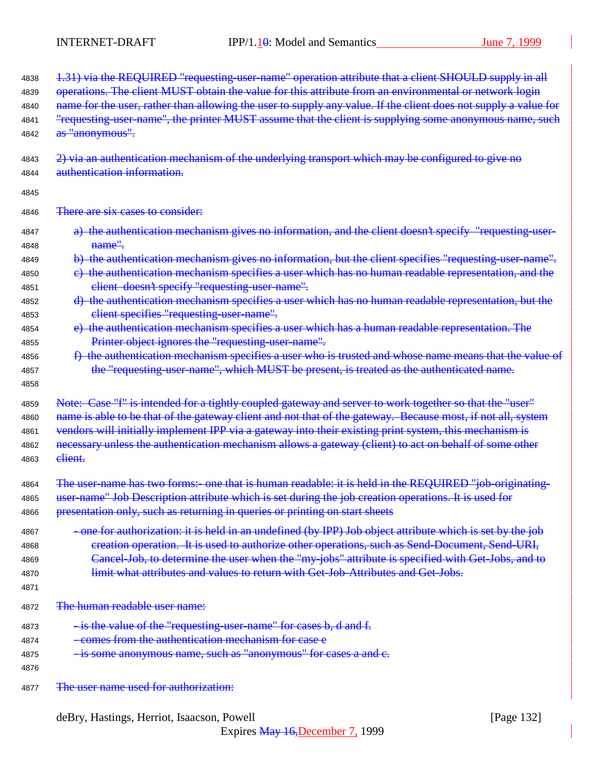| 4838                                 | 1.31) via the REQUIRED "requesting-user-name" operation attribute that a client SHOULD supply in all                                                                                                                                                                                                                                                                                                |
|--------------------------------------|-----------------------------------------------------------------------------------------------------------------------------------------------------------------------------------------------------------------------------------------------------------------------------------------------------------------------------------------------------------------------------------------------------|
| 4839                                 | operations. The client MUST obtain the value for this attribute from an environmental or network login                                                                                                                                                                                                                                                                                              |
| 4840                                 | name for the user, rather than allowing the user to supply any value. If the client does not supply a value for                                                                                                                                                                                                                                                                                     |
| 4841                                 | "requesting user name", the printer MUST assume that the client is supplying some anonymous name, such                                                                                                                                                                                                                                                                                              |
| 4842                                 | as "anonymous".                                                                                                                                                                                                                                                                                                                                                                                     |
| 4843                                 | 2) via an authentication mechanism of the underlying transport which may be configured to give no                                                                                                                                                                                                                                                                                                   |
| 4844                                 | authentication information.                                                                                                                                                                                                                                                                                                                                                                         |
| 4845                                 |                                                                                                                                                                                                                                                                                                                                                                                                     |
| 4846                                 | There are six cases to consider:                                                                                                                                                                                                                                                                                                                                                                    |
| 4847                                 | a) the authentication mechanism gives no information, and the client doesn't specify "requesting-user-                                                                                                                                                                                                                                                                                              |
| 4848                                 | <del>name".</del>                                                                                                                                                                                                                                                                                                                                                                                   |
| 4849                                 | b) the authentication mechanism gives no information, but the client specifies "requesting-user-name".                                                                                                                                                                                                                                                                                              |
| 4850                                 | e) the authentication mechanism specifies a user which has no human readable representation, and the                                                                                                                                                                                                                                                                                                |
| 4851                                 | elient doesn't specify "requesting-user-name".                                                                                                                                                                                                                                                                                                                                                      |
| 4852                                 | d) the authentication mechanism specifies a user which has no human readable representation, but the                                                                                                                                                                                                                                                                                                |
| 4853                                 | client specifies "requesting-user-name".                                                                                                                                                                                                                                                                                                                                                            |
| 4854                                 | e) the authentication mechanism specifies a user which has a human readable representation. The                                                                                                                                                                                                                                                                                                     |
| 4855                                 | Printer object ignores the "requesting-user-name".                                                                                                                                                                                                                                                                                                                                                  |
| 4856<br>4857<br>4858                 | f) the authentication mechanism specifies a user who is trusted and whose name means that the value of<br>the "requesting-user-name", which MUST be present, is treated as the authenticated name.                                                                                                                                                                                                  |
| 4859                                 | Note: Case "f" is intended for a tightly coupled gateway and server to work together so that the "user"                                                                                                                                                                                                                                                                                             |
| 4860                                 | name is able to be that of the gateway client and not that of the gateway. Because most, if not all, system                                                                                                                                                                                                                                                                                         |
| 4861                                 | vendors will initially implement IPP via a gateway into their existing print system, this mechanism is                                                                                                                                                                                                                                                                                              |
| 4862                                 | necessary unless the authentication mechanism allows a gateway (client) to act on behalf of some other                                                                                                                                                                                                                                                                                              |
| 4863                                 | elient.                                                                                                                                                                                                                                                                                                                                                                                             |
| 4864                                 | The user-name has two forms:- one that is human readable: it is held in the REQUIRED "job-originating-                                                                                                                                                                                                                                                                                              |
| 4865                                 | user-name" Job Description attribute which is set during the job creation operations. It is used for                                                                                                                                                                                                                                                                                                |
| 4866                                 | presentation only, such as returning in queries or printing on start sheets                                                                                                                                                                                                                                                                                                                         |
| 4867<br>4868<br>4869<br>4870<br>4871 | -one for authorization: it is held in an undefined (by IPP) Job object attribute which is set by the job<br>creation operation. It is used to authorize other operations, such as Send-Document, Send-URI,<br>Cancel-Job, to determine the user when the "my-jobs" attribute is specified with Get-Jobs, and to<br>limit what attributes and values to return with Get Job Attributes and Get Jobs. |
| 4872                                 | The human readable user name:                                                                                                                                                                                                                                                                                                                                                                       |
| 4873                                 | - is the value of the "requesting-user-name" for cases b, d and f.                                                                                                                                                                                                                                                                                                                                  |
| 4874                                 | -comes from the authentication mechanism for case e                                                                                                                                                                                                                                                                                                                                                 |
| 4875                                 | - is some anonymous name, such as "anonymous" for cases a and c.                                                                                                                                                                                                                                                                                                                                    |
| 4876                                 |                                                                                                                                                                                                                                                                                                                                                                                                     |
| 4877                                 | The user name used for authorization:                                                                                                                                                                                                                                                                                                                                                               |

deBry, Hastings, Herriot, Isaacson, Powell [Page 132]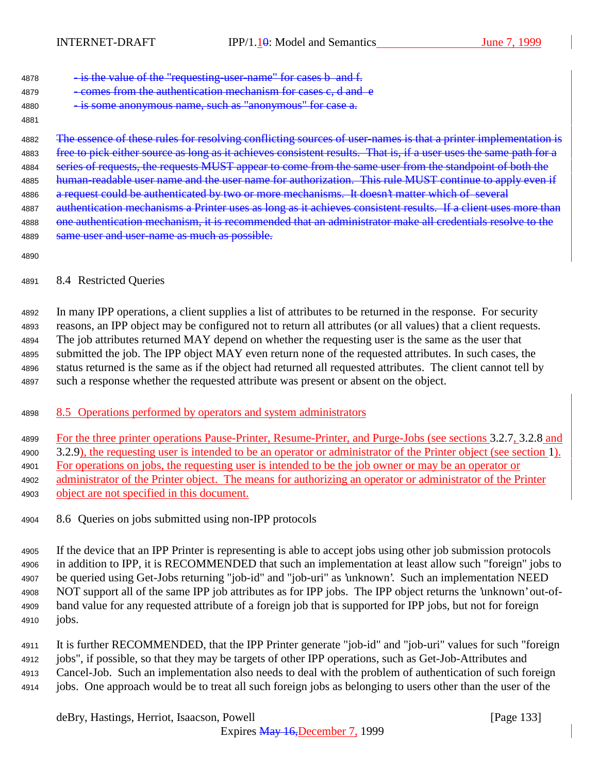4878 - is the value of the "requesting-user-name" for cases b and f.

- 4879 comes from the authentication mechanism for cases c, d and e
- 4880 is some anonymous name, such as "anonymous" for case a.
- 

4882 The essence of these rules for resolving conflicting sources of user-names is that a printer implementation is 4883 free to pick either source as long as it achieves consistent results. That is, if a user uses the same path for a 4884 series of requests, the requests MUST appear to come from the same user from the standpoint of both the 4885 human-readable user name and the user name for authorization. This rule MUST continue to apply even if 4886 a request could be authenticated by two or more mechanisms. It doesn't matter which of several 4887 authentication mechanisms a Printer uses as long as it achieves consistent results. If a client uses more than 4888 one authentication mechanism, it is recommended that an administrator make all credentials resolve to the 4889 same user and user-name as much as possible.

## 8.4 Restricted Queries

 In many IPP operations, a client supplies a list of attributes to be returned in the response. For security reasons, an IPP object may be configured not to return all attributes (or all values) that a client requests. The job attributes returned MAY depend on whether the requesting user is the same as the user that submitted the job. The IPP object MAY even return none of the requested attributes. In such cases, the status returned is the same as if the object had returned all requested attributes. The client cannot tell by such a response whether the requested attribute was present or absent on the object.

# 4898 8.5 Operations performed by operators and system administrators

For the three printer operations Pause-Printer, Resume-Printer, and Purge-Jobs (see sections 3.2.7, 3.2.8 and

3.2.9), the requesting user is intended to be an operator or administrator of the Printer object (see section 1).

For operations on jobs, the requesting user is intended to be the job owner or may be an operator or

- administrator of the Printer object. The means for authorizing an operator or administrator of the Printer object are not specified in this document.
- 8.6 Queries on jobs submitted using non-IPP protocols

 If the device that an IPP Printer is representing is able to accept jobs using other job submission protocols in addition to IPP, it is RECOMMENDED that such an implementation at least allow such "foreign" jobs to be queried using Get-Jobs returning "job-id" and "job-uri" as 'unknown'. Such an implementation NEED NOT support all of the same IPP job attributes as for IPP jobs. The IPP object returns the 'unknown' out-of- band value for any requested attribute of a foreign job that is supported for IPP jobs, but not for foreign jobs.

 It is further RECOMMENDED, that the IPP Printer generate "job-id" and "job-uri" values for such "foreign jobs", if possible, so that they may be targets of other IPP operations, such as Get-Job-Attributes and Cancel-Job. Such an implementation also needs to deal with the problem of authentication of such foreign

jobs. One approach would be to treat all such foreign jobs as belonging to users other than the user of the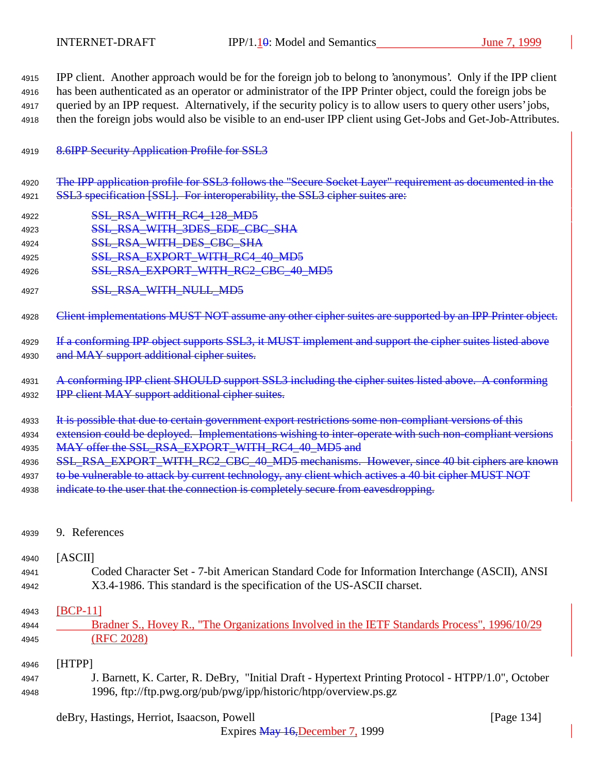IPP client. Another approach would be for the foreign job to belong to 'anonymous'. Only if the IPP client has been authenticated as an operator or administrator of the IPP Printer object, could the foreign jobs be queried by an IPP request. Alternatively, if the security policy is to allow users to query other users' jobs, then the foreign jobs would also be visible to an end-user IPP client using Get-Jobs and Get-Job-Attributes.

### 4919 8.6IPP Security Application Profile for SSL3

- 4920 The IPP application profile for SSL3 follows the "Secure Socket Layer" requirement as documented in the 4921 SSL3 specification [SSL]. For interoperability, the SSL3 cipher suites are:
- 4922 **SSL RSA\_WITH\_RC4\_128\_MD5**
- 4923 **SSL RSA\_WITH\_3DES\_EDE\_CBC\_SHA**
- 4924 **SSL RSA WITH DES CBC SHA**
- 4925 SSL RSA EXPORT WITH RC4 40 MD5
- 4926 SSL\_RSA\_EXPORT\_WITH\_RC2\_CBC\_40\_MD5
- 4927 SSL\_RSA\_WITH\_NULL\_MD5

4928 Client implementations MUST NOT assume any other cipher suites are supported by an IPP Printer object.

- 4929 If a conforming IPP object supports SSL3, it MUST implement and support the cipher suites listed above 4930 and MAY support additional cipher suites.
- <sup>4931</sup> A conforming IPP client SHOULD support SSL3 including the cipher suites listed above. A conforming 4932 IPP client MAY support additional cipher suites.
- 4933 It is possible that due to certain government export restrictions some non-compliant versions of this
- 4934 extension could be deployed. Implementations wishing to inter-operate with such non-compliant versions 4935 MAY offer the SSL\_RSA\_EXPORT\_WITH\_RC4\_40\_MD5 and
- 4936 SSL RSA EXPORT WITH RC2 CBC 40 MD5 mechanisms. However, since 40 bit ciphers are known
- 4937 to be vulnerable to attack by current technology, any client which actives a 40 bit cipher MUST NOT
- 4938 indicate to the user that the connection is completely secure from eavesdropping.
- <sup>4939</sup> 9. References

#### <sup>4940</sup> [ASCII]

<sup>4941</sup> Coded Character Set - 7-bit American Standard Code for Information Interchange (ASCII), ANSI <sup>4942</sup> X3.4-1986. This standard is the specification of the US-ASCII charset.

#### <sup>4943</sup> [BCP-11]

<sup>4944</sup> Bradner S., Hovey R., "The Organizations Involved in the IETF Standards Process", 1996/10/29 <sup>4945</sup> (RFC 2028)

#### <sup>4946</sup> [HTPP]

<sup>4947</sup> J. Barnett, K. Carter, R. DeBry, "Initial Draft - Hypertext Printing Protocol - HTPP/1.0", October <sup>4948</sup> 1996, ftp://ftp.pwg.org/pub/pwg/ipp/historic/htpp/overview.ps.gz

# deBry, Hastings, Herriot, Isaacson, Powell [Page 134]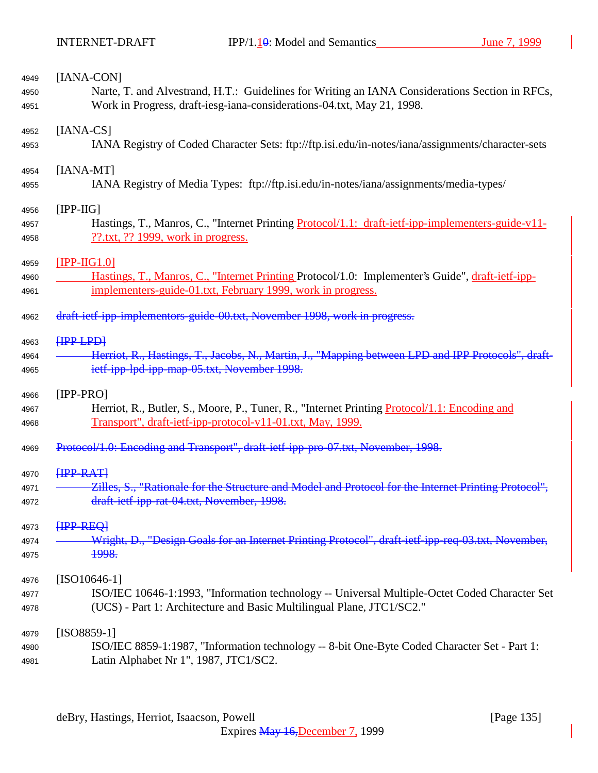| 4949         | [IANA-CON]                                                                                                                                 |
|--------------|--------------------------------------------------------------------------------------------------------------------------------------------|
| 4950         | Narte, T. and Alvestrand, H.T.: Guidelines for Writing an IANA Considerations Section in RFCs,                                             |
| 4951         | Work in Progress, draft-iesg-iana-considerations-04.txt, May 21, 1998.                                                                     |
| 4952         | $[IANA-CS]$                                                                                                                                |
| 4953         | IANA Registry of Coded Character Sets: ftp://ftp.isi.edu/in-notes/iana/assignments/character-sets                                          |
| 4954         | $[IANA-MT]$                                                                                                                                |
| 4955         | IANA Registry of Media Types: ftp://ftp.isi.edu/in-notes/iana/assignments/media-types/                                                     |
| 4956         | $[IPP-HG]$                                                                                                                                 |
| 4957<br>4958 | Hastings, T., Manros, C., "Internet Printing Protocol/1.1: draft-ietf-ipp-implementers-guide-v11-<br>$??$ .txt, ?? 1999, work in progress. |
| 4959         | $[IPP-HG1.0]$                                                                                                                              |
| 4960         | Hastings, T., Manros, C., "Internet Printing Protocol/1.0: Implementer's Guide", draft-jetf-ipp-                                           |
| 4961         | implementers-guide-01.txt, February 1999, work in progress.                                                                                |
| 4962         | draft-ietf-ipp-implementors-guide-00.txt, November 1998, work in progress.                                                                 |
| 4963         | HPP LPD                                                                                                                                    |
| 4964         | Herriot, R., Hastings, T., Jacobs, N., Martin, J., "Mapping between LPD and IPP Protocols", draft-                                         |
| 4965         | ietf-ipp-lpd-ipp-map-05.txt, November 1998.                                                                                                |
| 4966         | $[IPP-PRO]$                                                                                                                                |
| 4967         | Herriot, R., Butler, S., Moore, P., Tuner, R., "Internet Printing <i>Protocol</i> /1.1: Encoding and                                       |
| 4968         | Transport", draft-ietf-ipp-protocol-v11-01.txt, May, 1999.                                                                                 |
| 4969         | Protocol/1.0: Encoding and Transport", draft-ietf-ipp-pro-07.txt, November, 1998.                                                          |
| 4970         | <b>HPP-RATH</b>                                                                                                                            |
| 4971         | Zilles, S., "Rationale for the Structure and Model and Protocol for the Internet Printing Protocol",                                       |
| 4972         | draft-ietf-ipp-rat-04.txt, November, 1998.                                                                                                 |
| 4973         | HPP REQ                                                                                                                                    |
| 4974         | Wright, D., "Design Goals for an Internet Printing Protocol", draft-ietf-ipp-req-03.txt, November,                                         |
| 4975         | <b>1998.</b>                                                                                                                               |
| 4976         | $[ISO10646-1]$                                                                                                                             |
| 4977         | ISO/IEC 10646-1:1993, "Information technology -- Universal Multiple-Octet Coded Character Set                                              |
| 4978         | (UCS) - Part 1: Architecture and Basic Multilingual Plane, JTC1/SC2."                                                                      |
| 4979         | $[ISO8859-1]$                                                                                                                              |
| 4980         | ISO/IEC 8859-1:1987, "Information technology -- 8-bit One-Byte Coded Character Set - Part 1:                                               |
| 4981         | Latin Alphabet Nr 1", 1987, JTC1/SC2.                                                                                                      |
|              |                                                                                                                                            |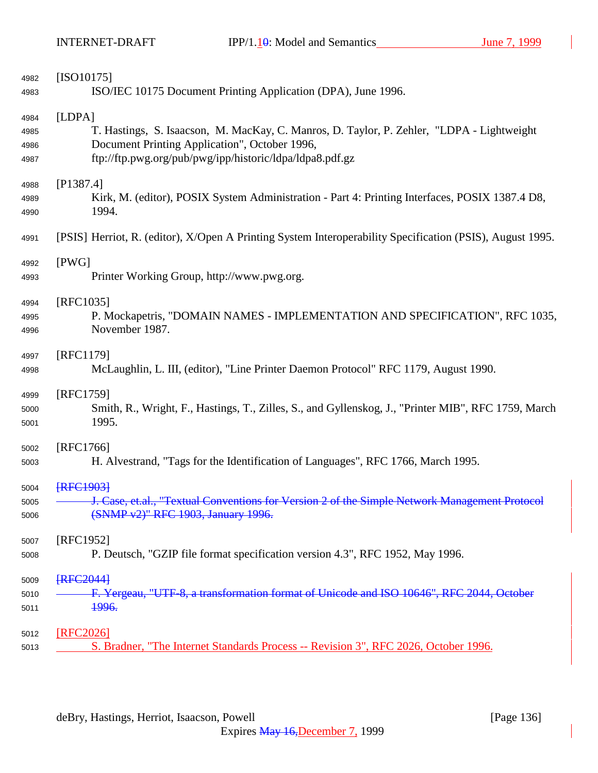| 4982 | $[ISO10175]$                                                                                              |
|------|-----------------------------------------------------------------------------------------------------------|
| 4983 | ISO/IEC 10175 Document Printing Application (DPA), June 1996.                                             |
| 4984 | [LDPA]                                                                                                    |
| 4985 | T. Hastings, S. Isaacson, M. MacKay, C. Manros, D. Taylor, P. Zehler, "LDPA - Lightweight                 |
| 4986 | Document Printing Application", October 1996,                                                             |
| 4987 | ftp://ftp.pwg.org/pub/pwg/ipp/historic/ldpa/ldpa8.pdf.gz                                                  |
| 4988 | [P1387.4]                                                                                                 |
| 4989 | Kirk, M. (editor), POSIX System Administration - Part 4: Printing Interfaces, POSIX 1387.4 D8,            |
| 4990 | 1994.                                                                                                     |
| 4991 | [PSIS] Herriot, R. (editor), X/Open A Printing System Interoperability Specification (PSIS), August 1995. |
| 4992 | [PWG]                                                                                                     |
| 4993 | Printer Working Group, http://www.pwg.org.                                                                |
| 4994 | [RFC1035]                                                                                                 |
| 4995 | P. Mockapetris, "DOMAIN NAMES - IMPLEMENTATION AND SPECIFICATION", RFC 1035,                              |
| 4996 | November 1987.                                                                                            |
| 4997 | [RFC1179]                                                                                                 |
| 4998 | McLaughlin, L. III, (editor), "Line Printer Daemon Protocol" RFC 1179, August 1990.                       |
| 4999 | [RFC1759]                                                                                                 |
| 5000 | Smith, R., Wright, F., Hastings, T., Zilles, S., and Gyllenskog, J., "Printer MIB", RFC 1759, March       |
| 5001 | 1995.                                                                                                     |
| 5002 | [RFC1766]                                                                                                 |
| 5003 | H. Alvestrand, "Tags for the Identification of Languages", RFC 1766, March 1995.                          |
| 5004 | <b>FRFC19031</b>                                                                                          |
| 5005 | J. Case, et.al., "Textual Conventions for Version 2 of the Simple Network Management Protocol             |
| 5006 | (SNMP v2)" RFC 1903, January 1996.                                                                        |
| 5007 | [RFC1952]                                                                                                 |
| 5008 | P. Deutsch, "GZIP file format specification version 4.3", RFC 1952, May 1996.                             |
| 5009 | <b>FRFC2044</b>                                                                                           |
| 5010 | F. Yergeau, "UTF-8, a transformation format of Unicode and ISO 10646", RFC 2044, October                  |
| 5011 | 1996.                                                                                                     |
| 5012 | [RFC2026]                                                                                                 |
| 5013 | S. Bradner, "The Internet Standards Process -- Revision 3", RFC 2026, October 1996.                       |
|      |                                                                                                           |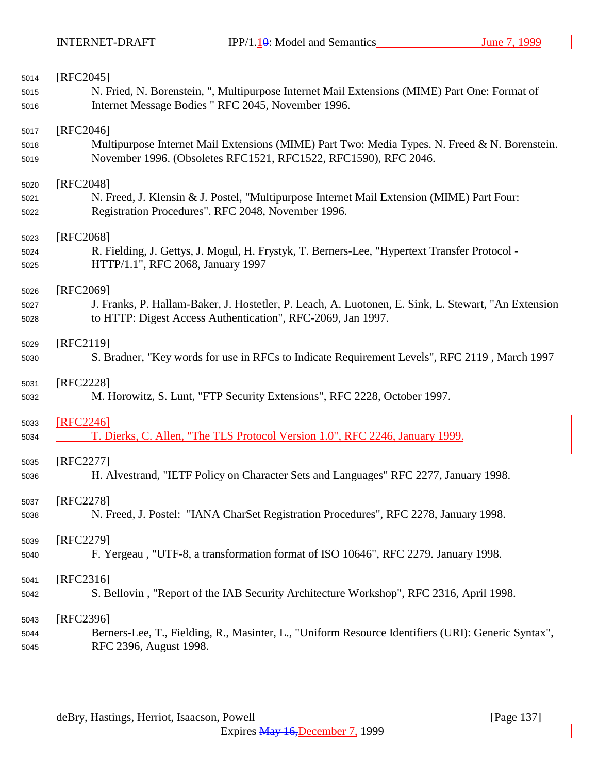| 5014 | $[RFC2045]$                                                                                         |
|------|-----------------------------------------------------------------------------------------------------|
| 5015 | N. Fried, N. Borenstein, ", Multipurpose Internet Mail Extensions (MIME) Part One: Format of        |
| 5016 | Internet Message Bodies " RFC 2045, November 1996.                                                  |
| 5017 | $[RFC2046]$                                                                                         |
| 5018 | Multipurpose Internet Mail Extensions (MIME) Part Two: Media Types. N. Freed & N. Borenstein.       |
| 5019 | November 1996. (Obsoletes RFC1521, RFC1522, RFC1590), RFC 2046.                                     |
| 5020 | [RFC2048]                                                                                           |
| 5021 | N. Freed, J. Klensin & J. Postel, "Multipurpose Internet Mail Extension (MIME) Part Four:           |
| 5022 | Registration Procedures". RFC 2048, November 1996.                                                  |
| 5023 | [RFC2068]                                                                                           |
| 5024 | R. Fielding, J. Gettys, J. Mogul, H. Frystyk, T. Berners-Lee, "Hypertext Transfer Protocol -        |
| 5025 | HTTP/1.1", RFC 2068, January 1997                                                                   |
| 5026 | [RFC2069]                                                                                           |
| 5027 | J. Franks, P. Hallam-Baker, J. Hostetler, P. Leach, A. Luotonen, E. Sink, L. Stewart, "An Extension |
| 5028 | to HTTP: Digest Access Authentication", RFC-2069, Jan 1997.                                         |
| 5029 | [RFC2119]                                                                                           |
| 5030 | S. Bradner, "Key words for use in RFCs to Indicate Requirement Levels", RFC 2119, March 1997        |
| 5031 | [RFC2228]                                                                                           |
| 5032 | M. Horowitz, S. Lunt, "FTP Security Extensions", RFC 2228, October 1997.                            |
| 5033 | [RFC2246]                                                                                           |
| 5034 | T. Dierks, C. Allen, "The TLS Protocol Version 1.0", RFC 2246, January 1999.                        |
| 5035 | [RFC2277]                                                                                           |
| 5036 | H. Alvestrand, "IETF Policy on Character Sets and Languages" RFC 2277, January 1998.                |
| 5037 | RFC2278]                                                                                            |
| 5038 | N. Freed, J. Postel: "IANA CharSet Registration Procedures", RFC 2278, January 1998.                |
| 5039 | [RFC2279]                                                                                           |
| 5040 | F. Yergeau, "UTF-8, a transformation format of ISO 10646", RFC 2279. January 1998.                  |
| 5041 | [RFC2316]                                                                                           |
| 5042 | S. Bellovin, "Report of the IAB Security Architecture Workshop", RFC 2316, April 1998.              |
| 5043 | [RFC2396]                                                                                           |
| 5044 | Berners-Lee, T., Fielding, R., Masinter, L., "Uniform Resource Identifiers (URI): Generic Syntax",  |
| 5045 | RFC 2396, August 1998.                                                                              |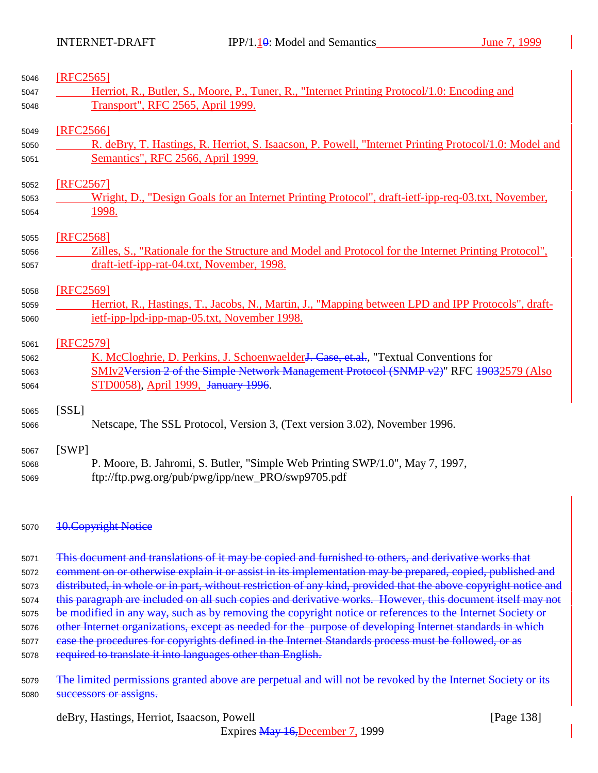| 5046 | [RFC2565]                                                                                                       |  |  |
|------|-----------------------------------------------------------------------------------------------------------------|--|--|
| 5047 | Herriot, R., Butler, S., Moore, P., Tuner, R., "Internet Printing Protocol/1.0: Encoding and                    |  |  |
| 5048 | Transport", RFC 2565, April 1999.                                                                               |  |  |
| 5049 | [RFC2566]                                                                                                       |  |  |
| 5050 | R. deBry, T. Hastings, R. Herriot, S. Isaacson, P. Powell, "Internet Printing Protocol/1.0: Model and           |  |  |
| 5051 | Semantics", RFC 2566, April 1999.                                                                               |  |  |
| 5052 | [RFC2567]                                                                                                       |  |  |
| 5053 | Wright, D., "Design Goals for an Internet Printing Protocol", draft-ietf-ipp-req-03.txt, November,              |  |  |
| 5054 | 1998.                                                                                                           |  |  |
| 5055 | [RFC2568]                                                                                                       |  |  |
| 5056 | Zilles, S., "Rationale for the Structure and Model and Protocol for the Internet Printing Protocol",            |  |  |
| 5057 | draft-ietf-ipp-rat-04.txt, November, 1998.                                                                      |  |  |
| 5058 | [RFC2569]                                                                                                       |  |  |
| 5059 | Herriot, R., Hastings, T., Jacobs, N., Martin, J., "Mapping between LPD and IPP Protocols", draft-              |  |  |
| 5060 | ietf-ipp-lpd-ipp-map-05.txt, November 1998.                                                                     |  |  |
| 5061 | [RFC2579]                                                                                                       |  |  |
| 5062 | K. McCloghrie, D. Perkins, J. Schoenwaelder <del>J. Case, et.al.</del> , "Textual Conventions for               |  |  |
| 5063 | SMIv2Version 2 of the Simple Network Management Protocol (SNMP v2)" RFC 19032579 (Also                          |  |  |
| 5064 | STD0058), April 1999, January 1996.                                                                             |  |  |
| 5065 | [SSL]                                                                                                           |  |  |
| 5066 | Netscape, The SSL Protocol, Version 3, (Text version 3.02), November 1996.                                      |  |  |
| 5067 | [SWP]                                                                                                           |  |  |
| 5068 | P. Moore, B. Jahromi, S. Butler, "Simple Web Printing SWP/1.0", May 7, 1997,                                    |  |  |
| 5069 | ftp://ftp.pwg.org/pub/pwg/ipp/new_PRO/swp9705.pdf                                                               |  |  |
| 5070 | <b>10. Copyright Notice</b>                                                                                     |  |  |
| 5071 | This document and translations of it may be copied and furnished to others, and derivative works that           |  |  |
| 5072 | comment on or otherwise explain it or assist in its implementation may be prepared, copied, published and       |  |  |
| 5073 | distributed, in whole or in part, without restriction of any kind, provided that the above copyright notice and |  |  |
| 5074 | this paragraph are included on all such copies and derivative works. However, this document itself may not      |  |  |
| 5075 | be modified in any way, such as by removing the copyright notice or references to the Internet Society or       |  |  |
| 5076 | other Internet organizations, except as needed for the purpose of developing Internet standards in which        |  |  |
| 5077 | ease the procedures for copyrights defined in the Internet Standards process must be followed, or as            |  |  |

- required to translate it into languages other than English.
- 5079 The limited permissions granted above are perpetual and will not be revoked by the Internet Society or its **successors or assigns.**

deBry, Hastings, Herriot, Isaacson, Powell [Page 138]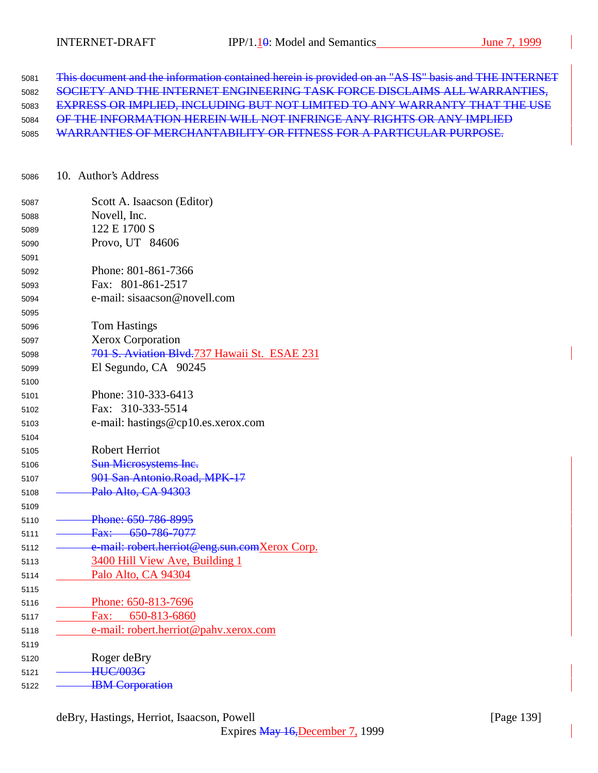| 5081 | This document and the information contained herein is provided on an "AS IS" basis and THE INTERNET |
|------|-----------------------------------------------------------------------------------------------------|
| 5082 | SOCIETY AND THE INTERNET ENGINEERING TASK FORCE DISCLAIMS ALL WARRANTIES,                           |
| 5083 | <b>EXPRESS OR IMPLIED, INCLUDING BUT NOT LIMITED TO ANY WARRANTY THAT THE USE</b>                   |
| 5084 | OF THE INFORMATION HEREIN WILL NOT INFRINGE ANY RIGHTS OR ANY IMPLIED                               |
| 5085 | WARRANTIES OF MERCHANTABILITY OR FITNESS FOR A PARTICULAR PURPOSE.                                  |

| 5086 |  | 10. Author's Address |
|------|--|----------------------|
|------|--|----------------------|

| 5087 | Scott A. Isaacson (Editor)                    |
|------|-----------------------------------------------|
| 5088 | Novell, Inc.                                  |
| 5089 | 122 E 1700 S                                  |
| 5090 | Provo, UT 84606                               |
| 5091 |                                               |
| 5092 | Phone: 801-861-7366                           |
| 5093 | Fax: 801-861-2517                             |
| 5094 | e-mail: sisaacson@novell.com                  |
| 5095 |                                               |
| 5096 | <b>Tom Hastings</b>                           |
| 5097 | <b>Xerox Corporation</b>                      |
| 5098 | 701 S. Aviation Blvd.737 Hawaii St. ESAE 231  |
| 5099 | El Segundo, CA 90245                          |
| 5100 |                                               |
| 5101 | Phone: 310-333-6413                           |
| 5102 | Fax: 310-333-5514                             |
| 5103 | e-mail: hastings@cp10.es.xerox.com            |
| 5104 |                                               |
| 5105 | <b>Robert Herriot</b>                         |
| 5106 | Sun Microsystems Inc.                         |
| 5107 | 901 San Antonio.Road, MPK-17                  |
| 5108 | Palo Alto, CA 94303                           |
| 5109 |                                               |
| 5110 | Phone: 650-786-8995                           |
| 5111 | Fax: 650-786-7077                             |
| 5112 | e-mail: robert.herriot@eng.sun.comXerox Corp. |
| 5113 | 3400 Hill View Ave, Building 1                |
| 5114 | Palo Alto, CA 94304                           |
| 5115 |                                               |
| 5116 | Phone: 650-813-7696                           |
| 5117 | 650-813-6860<br>Fax:                          |
| 5118 | e-mail: robert.herriot@pahv.xerox.com         |
| 5119 |                                               |
| 5120 | Roger deBry                                   |
| 5121 | <b>HUC/003G</b>                               |
| 5122 | <b>IBM</b> Corporation                        |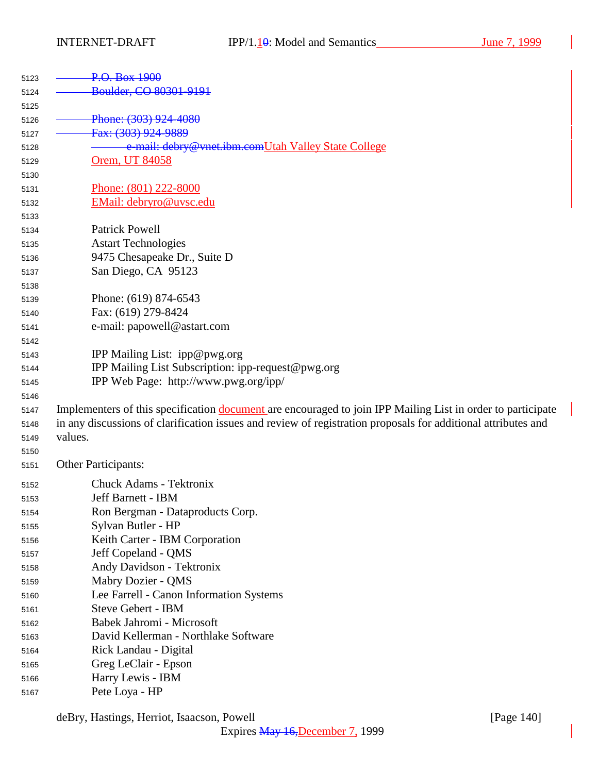| 5123 | P.O. Box 1900                                                                                                 |
|------|---------------------------------------------------------------------------------------------------------------|
| 5124 | Boulder, CO 80301-9191                                                                                        |
| 5125 |                                                                                                               |
| 5126 | Phone: (303) 924-4080                                                                                         |
| 5127 | Fax: (303) 924-9889                                                                                           |
| 5128 | e-mail: debry@vnet.ibm.comUtah Valley State College                                                           |
| 5129 | Orem, UT 84058                                                                                                |
| 5130 |                                                                                                               |
| 5131 | Phone: (801) 222-8000                                                                                         |
| 5132 | EMail: debryro@uvsc.edu                                                                                       |
| 5133 |                                                                                                               |
| 5134 | <b>Patrick Powell</b>                                                                                         |
| 5135 | <b>Astart Technologies</b>                                                                                    |
| 5136 | 9475 Chesapeake Dr., Suite D                                                                                  |
| 5137 | San Diego, CA 95123                                                                                           |
| 5138 |                                                                                                               |
| 5139 | Phone: (619) 874-6543                                                                                         |
| 5140 | Fax: (619) 279-8424                                                                                           |
| 5141 | e-mail: papowell@astart.com                                                                                   |
| 5142 |                                                                                                               |
| 5143 | IPP Mailing List: ipp@pwg.org                                                                                 |
| 5144 | IPP Mailing List Subscription: ipp-request@pwg.org                                                            |
| 5145 | IPP Web Page: http://www.pwg.org/ipp/                                                                         |
| 5146 |                                                                                                               |
| 5147 | Implementers of this specification document are encouraged to join IPP Mailing List in order to participate   |
| 5148 | in any discussions of clarification issues and review of registration proposals for additional attributes and |
| 5149 | values.                                                                                                       |
| 5150 |                                                                                                               |
| 5151 | Other Participants:                                                                                           |
| 5152 | <b>Chuck Adams - Tektronix</b>                                                                                |
| 5153 | Jeff Barnett - IBM                                                                                            |
| 5154 | Ron Bergman - Dataproducts Corp.                                                                              |
| 5155 | Sylvan Butler - HP                                                                                            |
| 5156 | Keith Carter - IBM Corporation                                                                                |
| 5157 | Jeff Copeland - QMS                                                                                           |
| 5158 | Andy Davidson - Tektronix                                                                                     |
| 5159 | Mabry Dozier - QMS                                                                                            |
| 5160 | Lee Farrell - Canon Information Systems                                                                       |
| 5161 | Steve Gebert - IBM                                                                                            |
| 5162 | Babek Jahromi - Microsoft                                                                                     |
| 5163 | David Kellerman - Northlake Software                                                                          |
| 5164 | Rick Landau - Digital                                                                                         |
| 5165 | Greg LeClair - Epson                                                                                          |
| 5166 | Harry Lewis - IBM                                                                                             |
| 5167 | Pete Loya - HP                                                                                                |

deBry, Hastings, Herriot, Isaacson, Powell [Page 140]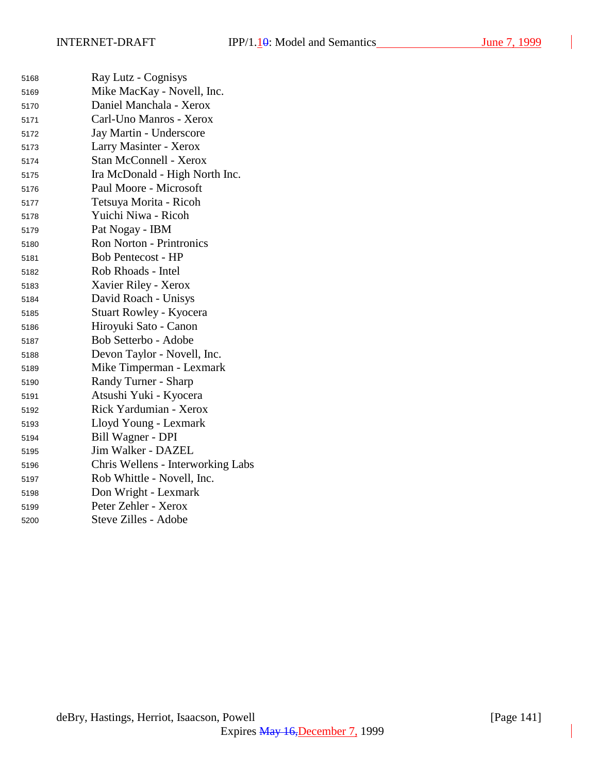$\overline{\phantom{a}}$ 

| 5168 | Ray Lutz - Cognisys               |
|------|-----------------------------------|
| 5169 | Mike MacKay - Novell, Inc.        |
| 5170 | Daniel Manchala - Xerox           |
| 5171 | Carl-Uno Manros - Xerox           |
| 5172 | Jay Martin - Underscore           |
| 5173 | Larry Masinter - Xerox            |
| 5174 | <b>Stan McConnell - Xerox</b>     |
| 5175 | Ira McDonald - High North Inc.    |
| 5176 | Paul Moore - Microsoft            |
| 5177 | Tetsuya Morita - Ricoh            |
| 5178 | Yuichi Niwa - Ricoh               |
| 5179 | Pat Nogay - IBM                   |
| 5180 | <b>Ron Norton - Printronics</b>   |
| 5181 | <b>Bob Pentecost - HP</b>         |
| 5182 | Rob Rhoads - Intel                |
| 5183 | Xavier Riley - Xerox              |
| 5184 | David Roach - Unisys              |
| 5185 | Stuart Rowley - Kyocera           |
| 5186 | Hiroyuki Sato - Canon             |
| 5187 | Bob Setterbo - Adobe              |
| 5188 | Devon Taylor - Novell, Inc.       |
| 5189 | Mike Timperman - Lexmark          |
| 5190 | Randy Turner - Sharp              |
| 5191 | Atsushi Yuki - Kyocera            |
| 5192 | Rick Yardumian - Xerox            |
| 5193 | Lloyd Young - Lexmark             |
| 5194 | Bill Wagner - DPI                 |
| 5195 | Jim Walker - DAZEL                |
| 5196 | Chris Wellens - Interworking Labs |
| 5197 | Rob Whittle - Novell, Inc.        |
| 5198 | Don Wright - Lexmark              |
| 5199 | Peter Zehler - Xerox              |
| 5200 | Steve Zilles - Adobe              |
|      |                                   |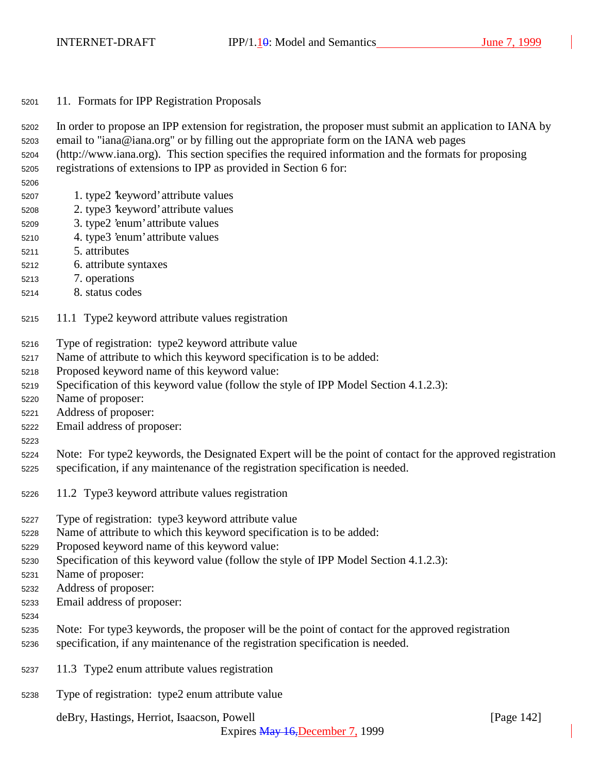11. Formats for IPP Registration Proposals

 In order to propose an IPP extension for registration, the proposer must submit an application to IANA by email to "iana@iana.org" or by filling out the appropriate form on the IANA web pages

- (http://www.iana.org). This section specifies the required information and the formats for proposing
- registrations of extensions to IPP as provided in Section 6 for:
- 
- 1. type2 'keyword' attribute values
- 2. type3 'keyword' attribute values
- 3. type2 'enum' attribute values
- 4. type3 'enum' attribute values
- 5. attributes
- 6. attribute syntaxes
- 7. operations
- 8. status codes
- 11.1 Type2 keyword attribute values registration
- Type of registration: type2 keyword attribute value
- Name of attribute to which this keyword specification is to be added:
- Proposed keyword name of this keyword value:
- Specification of this keyword value (follow the style of IPP Model Section 4.1.2.3):
- Name of proposer:
- Address of proposer:
- Email address of proposer:
- 

 Note: For type2 keywords, the Designated Expert will be the point of contact for the approved registration specification, if any maintenance of the registration specification is needed.

- 11.2 Type3 keyword attribute values registration
- Type of registration: type3 keyword attribute value
- Name of attribute to which this keyword specification is to be added:
- Proposed keyword name of this keyword value:
- Specification of this keyword value (follow the style of IPP Model Section 4.1.2.3):
- Name of proposer:
- Address of proposer:
- Email address of proposer:
- 
- Note: For type3 keywords, the proposer will be the point of contact for the approved registration
- specification, if any maintenance of the registration specification is needed.
- 11.3 Type2 enum attribute values registration
- Type of registration: type2 enum attribute value

deBry, Hastings, Herriot, Isaacson, Powell [Page 142]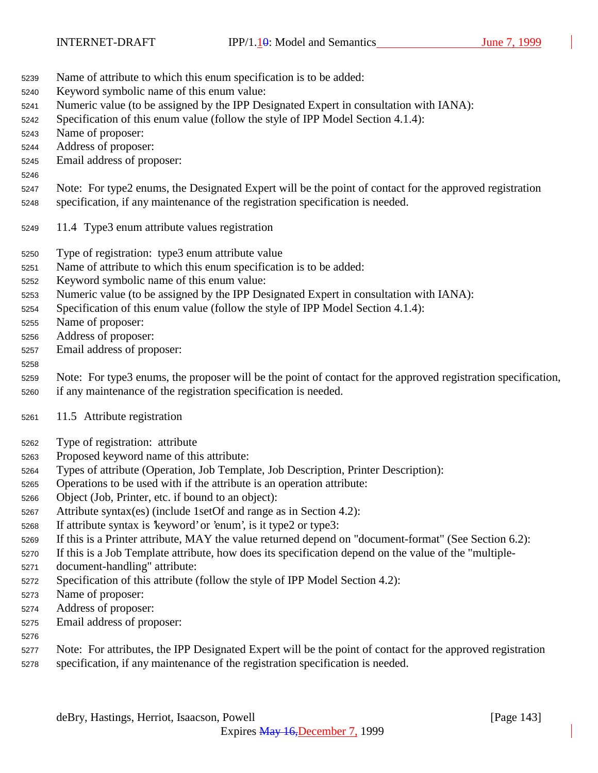- Name of attribute to which this enum specification is to be added:
- Keyword symbolic name of this enum value:
- Numeric value (to be assigned by the IPP Designated Expert in consultation with IANA):
- Specification of this enum value (follow the style of IPP Model Section 4.1.4):
- Name of proposer:
- Address of proposer:
- Email address of proposer:
- 

 Note: For type2 enums, the Designated Expert will be the point of contact for the approved registration specification, if any maintenance of the registration specification is needed.

- 11.4 Type3 enum attribute values registration
- Type of registration: type3 enum attribute value
- Name of attribute to which this enum specification is to be added:
- Keyword symbolic name of this enum value:
- Numeric value (to be assigned by the IPP Designated Expert in consultation with IANA):
- Specification of this enum value (follow the style of IPP Model Section 4.1.4):
- Name of proposer:
- Address of proposer:
- Email address of proposer:

#### 

 Note: For type3 enums, the proposer will be the point of contact for the approved registration specification, if any maintenance of the registration specification is needed.

- 
- 11.5 Attribute registration
- Type of registration: attribute
- Proposed keyword name of this attribute:
- Types of attribute (Operation, Job Template, Job Description, Printer Description):
- Operations to be used with if the attribute is an operation attribute:
- Object (Job, Printer, etc. if bound to an object):
- Attribute syntax(es) (include 1setOf and range as in Section 4.2):
- If attribute syntax is 'keyword' or 'enum', is it type2 or type3:
- If this is a Printer attribute, MAY the value returned depend on "document-format" (See Section 6.2):
- If this is a Job Template attribute, how does its specification depend on the value of the "multiple-
- document-handling" attribute:
- Specification of this attribute (follow the style of IPP Model Section 4.2):
- Name of proposer:
- Address of proposer:
- Email address of proposer:
- 
- Note: For attributes, the IPP Designated Expert will be the point of contact for the approved registration specification, if any maintenance of the registration specification is needed.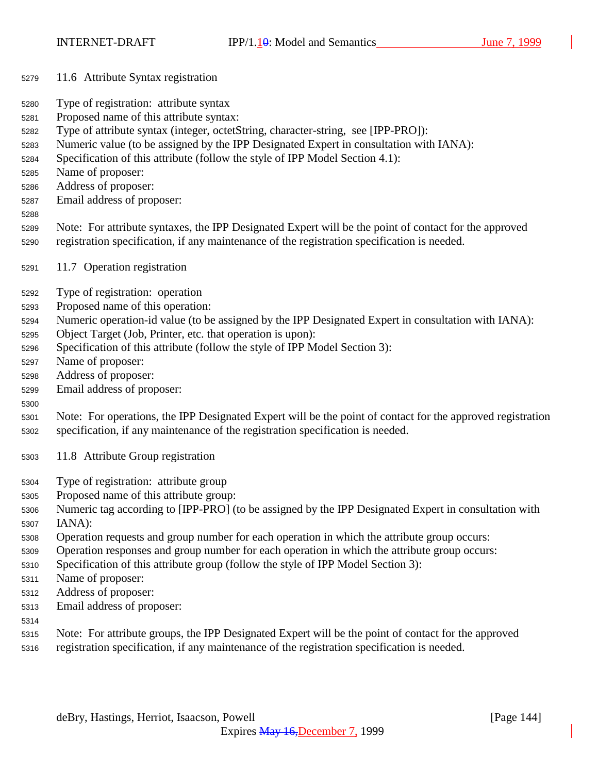- 11.6 Attribute Syntax registration
- Type of registration: attribute syntax
- Proposed name of this attribute syntax:
- Type of attribute syntax (integer, octetString, character-string, see [IPP-PRO]):
- Numeric value (to be assigned by the IPP Designated Expert in consultation with IANA):
- Specification of this attribute (follow the style of IPP Model Section 4.1):
- Name of proposer:
- Address of proposer:
- Email address of proposer:
- 
- Note: For attribute syntaxes, the IPP Designated Expert will be the point of contact for the approved registration specification, if any maintenance of the registration specification is needed.
- 11.7 Operation registration
- Type of registration: operation
- Proposed name of this operation:
- Numeric operation-id value (to be assigned by the IPP Designated Expert in consultation with IANA):
- Object Target (Job, Printer, etc. that operation is upon):
- Specification of this attribute (follow the style of IPP Model Section 3):
- Name of proposer:
- Address of proposer:
- Email address of proposer:
- Note: For operations, the IPP Designated Expert will be the point of contact for the approved registration specification, if any maintenance of the registration specification is needed.
- 11.8 Attribute Group registration
- Type of registration: attribute group
- Proposed name of this attribute group:
- Numeric tag according to [IPP-PRO] (to be assigned by the IPP Designated Expert in consultation with IANA):
- Operation requests and group number for each operation in which the attribute group occurs:
- Operation responses and group number for each operation in which the attribute group occurs:
- Specification of this attribute group (follow the style of IPP Model Section 3):
- Name of proposer:
- Address of proposer:
- Email address of proposer:
- 
- Note: For attribute groups, the IPP Designated Expert will be the point of contact for the approved
- registration specification, if any maintenance of the registration specification is needed.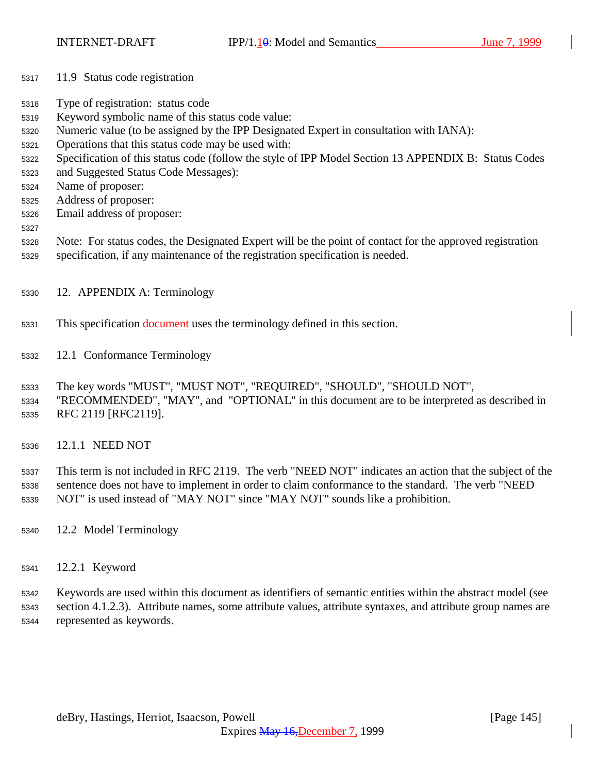- 11.9 Status code registration
- Type of registration: status code
- Keyword symbolic name of this status code value:
- Numeric value (to be assigned by the IPP Designated Expert in consultation with IANA):
- Operations that this status code may be used with:
- Specification of this status code (follow the style of IPP Model Section 13 APPENDIX B: Status Codes
- and Suggested Status Code Messages):
- Name of proposer:
- Address of proposer:
- Email address of proposer:
- 
- Note: For status codes, the Designated Expert will be the point of contact for the approved registration specification, if any maintenance of the registration specification is needed.
- 12. APPENDIX A: Terminology
- This specification document uses the terminology defined in this section.
- 12.1 Conformance Terminology
- The key words "MUST", "MUST NOT", "REQUIRED", "SHOULD", "SHOULD NOT",
- "RECOMMENDED", "MAY", and "OPTIONAL" in this document are to be interpreted as described in RFC 2119 [RFC2119].
- 12.1.1 NEED NOT

 This term is not included in RFC 2119. The verb "NEED NOT" indicates an action that the subject of the sentence does not have to implement in order to claim conformance to the standard. The verb "NEED NOT" is used instead of "MAY NOT" since "MAY NOT" sounds like a prohibition.

- 12.2 Model Terminology
- 12.2.1 Keyword

 Keywords are used within this document as identifiers of semantic entities within the abstract model (see section 4.1.2.3). Attribute names, some attribute values, attribute syntaxes, and attribute group names are represented as keywords.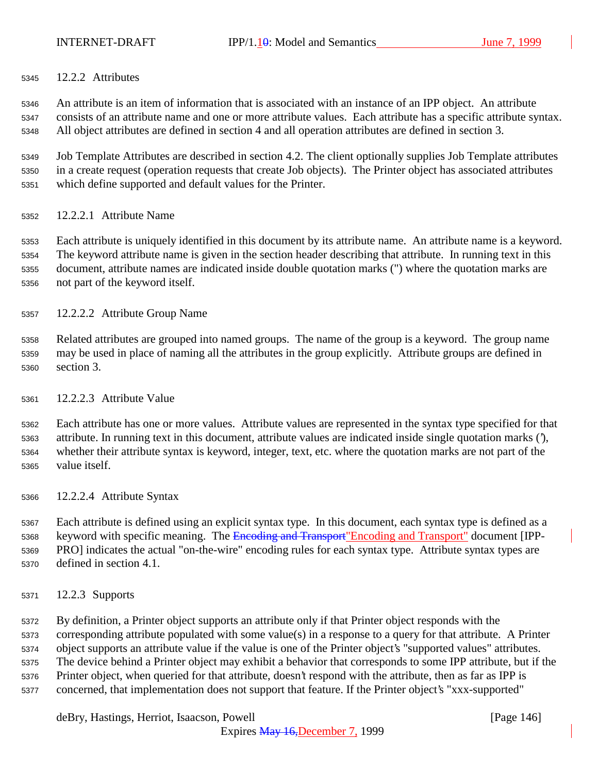12.2.2 Attributes

 An attribute is an item of information that is associated with an instance of an IPP object. An attribute consists of an attribute name and one or more attribute values. Each attribute has a specific attribute syntax. All object attributes are defined in section 4 and all operation attributes are defined in section 3.

 Job Template Attributes are described in section 4.2. The client optionally supplies Job Template attributes in a create request (operation requests that create Job objects). The Printer object has associated attributes which define supported and default values for the Printer.

12.2.2.1 Attribute Name

 Each attribute is uniquely identified in this document by its attribute name. An attribute name is a keyword. The keyword attribute name is given in the section header describing that attribute. In running text in this document, attribute names are indicated inside double quotation marks (") where the quotation marks are not part of the keyword itself.

12.2.2.2 Attribute Group Name

 Related attributes are grouped into named groups. The name of the group is a keyword. The group name may be used in place of naming all the attributes in the group explicitly. Attribute groups are defined in section 3.

12.2.2.3 Attribute Value

 Each attribute has one or more values. Attribute values are represented in the syntax type specified for that attribute. In running text in this document, attribute values are indicated inside single quotation marks ('), whether their attribute syntax is keyword, integer, text, etc. where the quotation marks are not part of the value itself.

12.2.2.4 Attribute Syntax

 Each attribute is defined using an explicit syntax type. In this document, each syntax type is defined as a 5368 keyword with specific meaning. The Encoding and Transport" Encoding and Transport" document [IPP- PRO] indicates the actual "on-the-wire" encoding rules for each syntax type. Attribute syntax types are defined in section 4.1.

12.2.3 Supports

 By definition, a Printer object supports an attribute only if that Printer object responds with the corresponding attribute populated with some value(s) in a response to a query for that attribute. A Printer object supports an attribute value if the value is one of the Printer object's "supported values" attributes. The device behind a Printer object may exhibit a behavior that corresponds to some IPP attribute, but if the Printer object, when queried for that attribute, doesn't respond with the attribute, then as far as IPP is concerned, that implementation does not support that feature. If the Printer object's "xxx-supported"

deBry, Hastings, Herriot, Isaacson, Powell **company** and the company of the company in the company of the company of the company of the company of the company of the company of the company of the company of the company of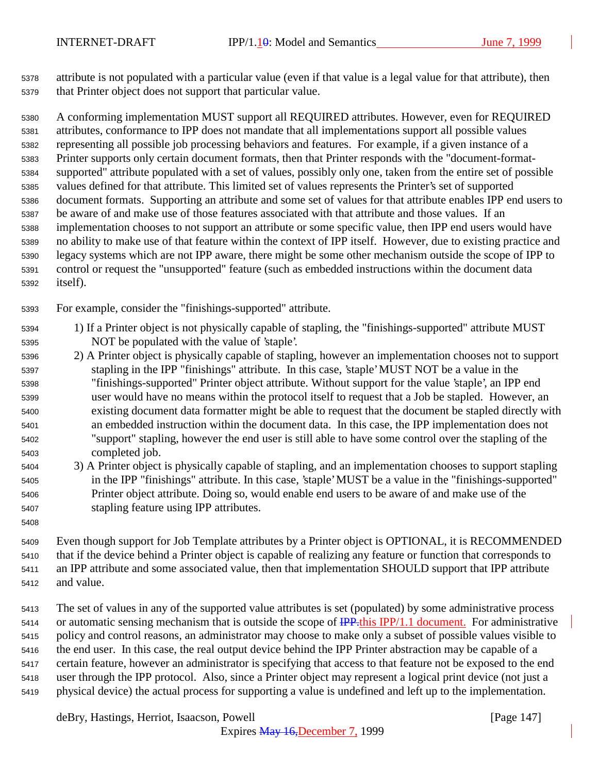attribute is not populated with a particular value (even if that value is a legal value for that attribute), then that Printer object does not support that particular value.

 A conforming implementation MUST support all REQUIRED attributes. However, even for REQUIRED attributes, conformance to IPP does not mandate that all implementations support all possible values representing all possible job processing behaviors and features. For example, if a given instance of a Printer supports only certain document formats, then that Printer responds with the "document-format- supported" attribute populated with a set of values, possibly only one, taken from the entire set of possible values defined for that attribute. This limited set of values represents the Printer's set of supported document formats. Supporting an attribute and some set of values for that attribute enables IPP end users to be aware of and make use of those features associated with that attribute and those values. If an implementation chooses to not support an attribute or some specific value, then IPP end users would have no ability to make use of that feature within the context of IPP itself. However, due to existing practice and legacy systems which are not IPP aware, there might be some other mechanism outside the scope of IPP to control or request the "unsupported" feature (such as embedded instructions within the document data itself).

For example, consider the "finishings-supported" attribute.

- 1) If a Printer object is not physically capable of stapling, the "finishings-supported" attribute MUST NOT be populated with the value of 'staple'.
- 2) A Printer object is physically capable of stapling, however an implementation chooses not to support stapling in the IPP "finishings" attribute. In this case, 'staple' MUST NOT be a value in the "finishings-supported" Printer object attribute. Without support for the value 'staple', an IPP end user would have no means within the protocol itself to request that a Job be stapled. However, an existing document data formatter might be able to request that the document be stapled directly with an embedded instruction within the document data. In this case, the IPP implementation does not "support" stapling, however the end user is still able to have some control over the stapling of the completed job.
- 3) A Printer object is physically capable of stapling, and an implementation chooses to support stapling in the IPP "finishings" attribute. In this case, 'staple' MUST be a value in the "finishings-supported" Printer object attribute. Doing so, would enable end users to be aware of and make use of the stapling feature using IPP attributes.
- 

 Even though support for Job Template attributes by a Printer object is OPTIONAL, it is RECOMMENDED that if the device behind a Printer object is capable of realizing any feature or function that corresponds to an IPP attribute and some associated value, then that implementation SHOULD support that IPP attribute and value.

 The set of values in any of the supported value attributes is set (populated) by some administrative process 5414 or automatic sensing mechanism that is outside the scope of **IPP**. this IPP/1.1 document. For administrative policy and control reasons, an administrator may choose to make only a subset of possible values visible to the end user. In this case, the real output device behind the IPP Printer abstraction may be capable of a certain feature, however an administrator is specifying that access to that feature not be exposed to the end user through the IPP protocol. Also, since a Printer object may represent a logical print device (not just a physical device) the actual process for supporting a value is undefined and left up to the implementation.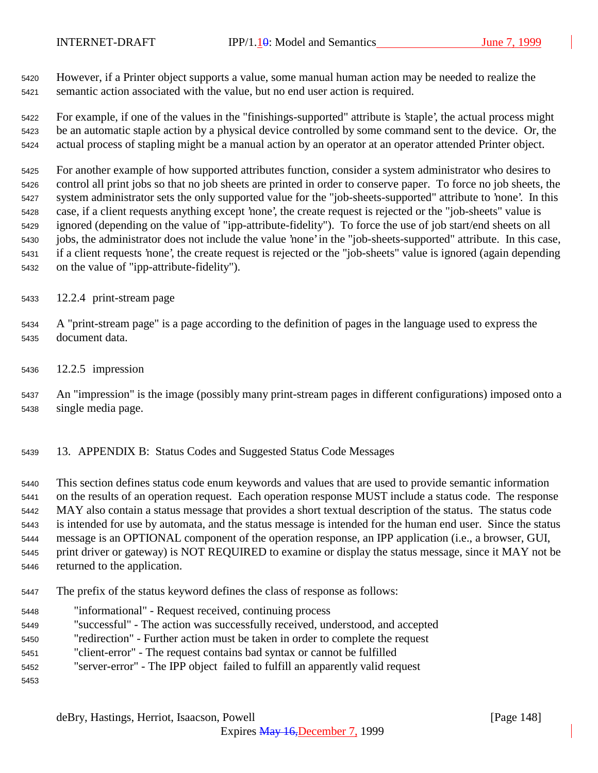However, if a Printer object supports a value, some manual human action may be needed to realize the semantic action associated with the value, but no end user action is required.

 For example, if one of the values in the "finishings-supported" attribute is 'staple', the actual process might be an automatic staple action by a physical device controlled by some command sent to the device. Or, the actual process of stapling might be a manual action by an operator at an operator attended Printer object.

 For another example of how supported attributes function, consider a system administrator who desires to control all print jobs so that no job sheets are printed in order to conserve paper. To force no job sheets, the system administrator sets the only supported value for the "job-sheets-supported" attribute to 'none'. In this case, if a client requests anything except 'none', the create request is rejected or the "job-sheets" value is ignored (depending on the value of "ipp-attribute-fidelity"). To force the use of job start/end sheets on all jobs, the administrator does not include the value 'none' in the "job-sheets-supported" attribute. In this case, if a client requests 'none', the create request is rejected or the "job-sheets" value is ignored (again depending on the value of "ipp-attribute-fidelity").

- 12.2.4 print-stream page
- A "print-stream page" is a page according to the definition of pages in the language used to express the document data.
- 12.2.5 impression

 An "impression" is the image (possibly many print-stream pages in different configurations) imposed onto a single media page.

13. APPENDIX B: Status Codes and Suggested Status Code Messages

 This section defines status code enum keywords and values that are used to provide semantic information on the results of an operation request. Each operation response MUST include a status code. The response MAY also contain a status message that provides a short textual description of the status. The status code is intended for use by automata, and the status message is intended for the human end user. Since the status message is an OPTIONAL component of the operation response, an IPP application (i.e., a browser, GUI, print driver or gateway) is NOT REQUIRED to examine or display the status message, since it MAY not be returned to the application.

- The prefix of the status keyword defines the class of response as follows:
- "informational" Request received, continuing process
- "successful" The action was successfully received, understood, and accepted
- "redirection" Further action must be taken in order to complete the request
- "client-error" The request contains bad syntax or cannot be fulfilled
- "server-error" The IPP object failed to fulfill an apparently valid request
-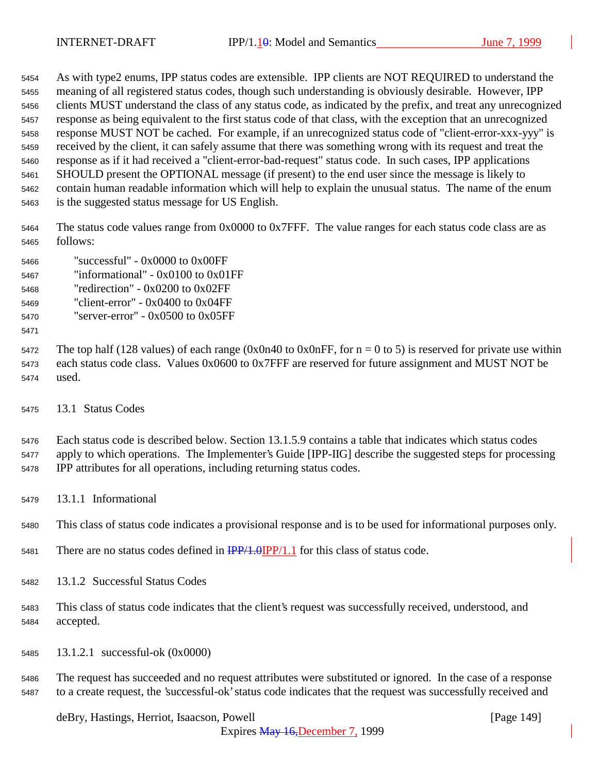As with type2 enums, IPP status codes are extensible. IPP clients are NOT REQUIRED to understand the meaning of all registered status codes, though such understanding is obviously desirable. However, IPP clients MUST understand the class of any status code, as indicated by the prefix, and treat any unrecognized response as being equivalent to the first status code of that class, with the exception that an unrecognized response MUST NOT be cached. For example, if an unrecognized status code of "client-error-xxx-yyy" is received by the client, it can safely assume that there was something wrong with its request and treat the response as if it had received a "client-error-bad-request" status code. In such cases, IPP applications SHOULD present the OPTIONAL message (if present) to the end user since the message is likely to contain human readable information which will help to explain the unusual status. The name of the enum is the suggested status message for US English.

 The status code values range from 0x0000 to 0x7FFF. The value ranges for each status code class are as follows:

- "successful" 0x0000 to 0x00FF "informational" - 0x0100 to 0x01FF
- "redirection" 0x0200 to 0x02FF
- "client-error" 0x0400 to 0x04FF
- "server-error" 0x0500 to 0x05FF
- 

5472 The top half (128 values) of each range (0x0n40 to 0x0nFF, for  $n = 0$  to 5) is reserved for private use within each status code class. Values 0x0600 to 0x7FFF are reserved for future assignment and MUST NOT be used.

13.1 Status Codes

 Each status code is described below. Section 13.1.5.9 contains a table that indicates which status codes apply to which operations. The Implementer's Guide [IPP-IIG] describe the suggested steps for processing IPP attributes for all operations, including returning status codes.

13.1.1 Informational

This class of status code indicates a provisional response and is to be used for informational purposes only.

- 5481 There are no status codes defined in  $\frac{IPP}{1.0}IPP/1.1$  for this class of status code.
- 13.1.2 Successful Status Codes
- This class of status code indicates that the client's request was successfully received, understood, and accepted.
- 13.1.2.1 successful-ok (0x0000)

 The request has succeeded and no request attributes were substituted or ignored. In the case of a response to a create request, the 'successful-ok' status code indicates that the request was successfully received and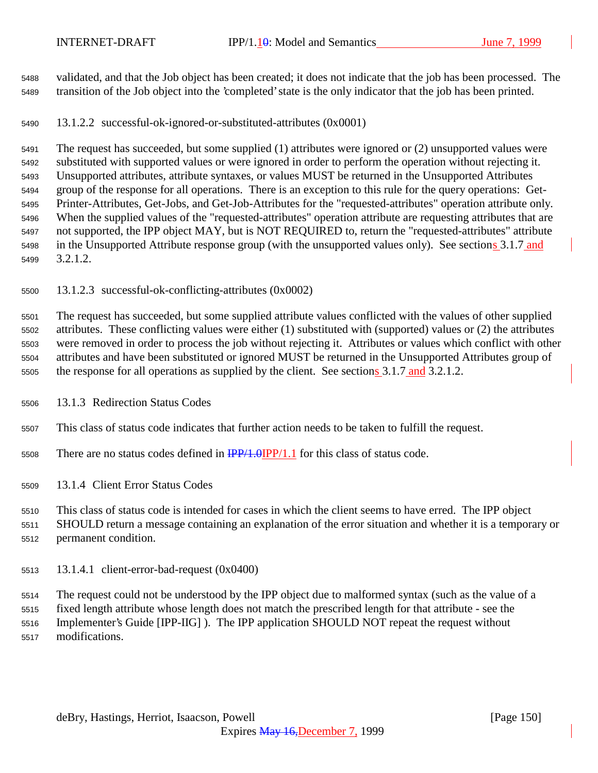validated, and that the Job object has been created; it does not indicate that the job has been processed. The transition of the Job object into the 'completed' state is the only indicator that the job has been printed.

13.1.2.2 successful-ok-ignored-or-substituted-attributes (0x0001)

 The request has succeeded, but some supplied (1) attributes were ignored or (2) unsupported values were substituted with supported values or were ignored in order to perform the operation without rejecting it. Unsupported attributes, attribute syntaxes, or values MUST be returned in the Unsupported Attributes group of the response for all operations. There is an exception to this rule for the query operations: Get- Printer-Attributes, Get-Jobs, and Get-Job-Attributes for the "requested-attributes" operation attribute only. When the supplied values of the "requested-attributes" operation attribute are requesting attributes that are not supported, the IPP object MAY, but is NOT REQUIRED to, return the "requested-attributes" attribute in the Unsupported Attribute response group (with the unsupported values only). See sections 3.1.7 and 3.2.1.2.

13.1.2.3 successful-ok-conflicting-attributes (0x0002)

 The request has succeeded, but some supplied attribute values conflicted with the values of other supplied attributes. These conflicting values were either (1) substituted with (supported) values or (2) the attributes were removed in order to process the job without rejecting it. Attributes or values which conflict with other attributes and have been substituted or ignored MUST be returned in the Unsupported Attributes group of 5505 the response for all operations as supplied by the client. See sections 3.1.7 and 3.2.1.2.

13.1.3 Redirection Status Codes

This class of status code indicates that further action needs to be taken to fulfill the request.

- 5508 There are no status codes defined in  $\frac{IPP}{1.0} \cdot \frac{IPP}{1.1}$  for this class of status code.
- 13.1.4 Client Error Status Codes

This class of status code is intended for cases in which the client seems to have erred. The IPP object

 SHOULD return a message containing an explanation of the error situation and whether it is a temporary or permanent condition.

13.1.4.1 client-error-bad-request (0x0400)

 The request could not be understood by the IPP object due to malformed syntax (such as the value of a fixed length attribute whose length does not match the prescribed length for that attribute - see the Implementer's Guide [IPP-IIG] ). The IPP application SHOULD NOT repeat the request without modifications.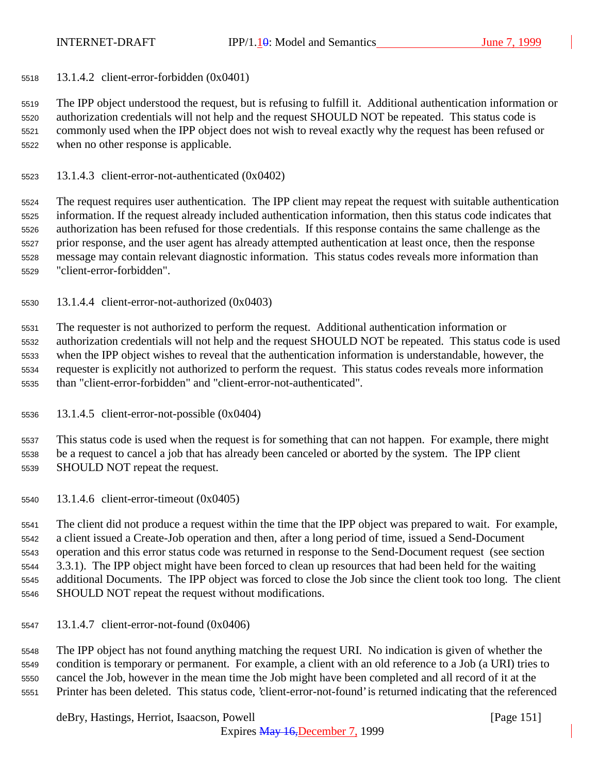13.1.4.2 client-error-forbidden (0x0401)

 The IPP object understood the request, but is refusing to fulfill it. Additional authentication information or authorization credentials will not help and the request SHOULD NOT be repeated. This status code is commonly used when the IPP object does not wish to reveal exactly why the request has been refused or when no other response is applicable.

13.1.4.3 client-error-not-authenticated (0x0402)

 The request requires user authentication. The IPP client may repeat the request with suitable authentication information. If the request already included authentication information, then this status code indicates that authorization has been refused for those credentials. If this response contains the same challenge as the prior response, and the user agent has already attempted authentication at least once, then the response message may contain relevant diagnostic information. This status codes reveals more information than "client-error-forbidden".

13.1.4.4 client-error-not-authorized (0x0403)

 The requester is not authorized to perform the request. Additional authentication information or authorization credentials will not help and the request SHOULD NOT be repeated. This status code is used when the IPP object wishes to reveal that the authentication information is understandable, however, the requester is explicitly not authorized to perform the request. This status codes reveals more information than "client-error-forbidden" and "client-error-not-authenticated".

13.1.4.5 client-error-not-possible (0x0404)

 This status code is used when the request is for something that can not happen. For example, there might be a request to cancel a job that has already been canceled or aborted by the system. The IPP client SHOULD NOT repeat the request.

13.1.4.6 client-error-timeout (0x0405)

 The client did not produce a request within the time that the IPP object was prepared to wait. For example, a client issued a Create-Job operation and then, after a long period of time, issued a Send-Document operation and this error status code was returned in response to the Send-Document request (see section 3.3.1). The IPP object might have been forced to clean up resources that had been held for the waiting additional Documents. The IPP object was forced to close the Job since the client took too long. The client SHOULD NOT repeat the request without modifications.

13.1.4.7 client-error-not-found (0x0406)

 The IPP object has not found anything matching the request URI. No indication is given of whether the condition is temporary or permanent. For example, a client with an old reference to a Job (a URI) tries to cancel the Job, however in the mean time the Job might have been completed and all record of it at the Printer has been deleted. This status code, 'client-error-not-found' is returned indicating that the referenced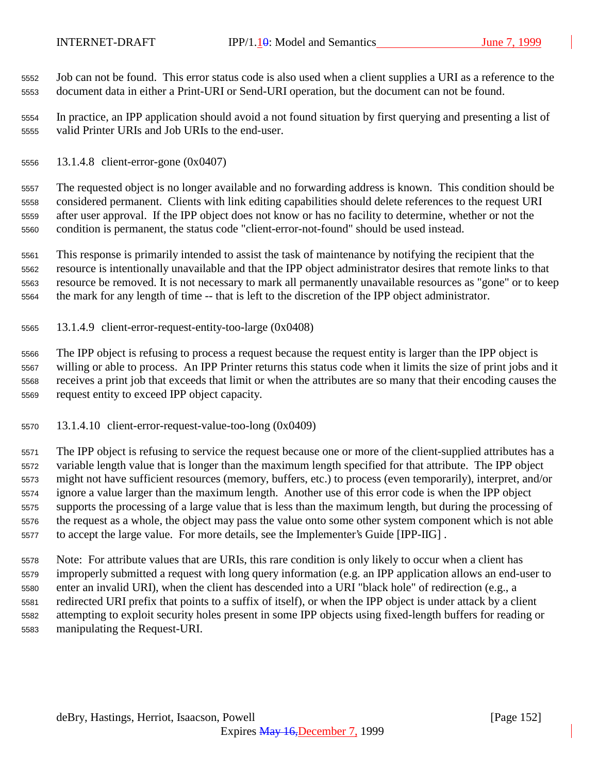Job can not be found. This error status code is also used when a client supplies a URI as a reference to the document data in either a Print-URI or Send-URI operation, but the document can not be found.

 In practice, an IPP application should avoid a not found situation by first querying and presenting a list of valid Printer URIs and Job URIs to the end-user.

13.1.4.8 client-error-gone (0x0407)

 The requested object is no longer available and no forwarding address is known. This condition should be considered permanent. Clients with link editing capabilities should delete references to the request URI after user approval. If the IPP object does not know or has no facility to determine, whether or not the condition is permanent, the status code "client-error-not-found" should be used instead.

 This response is primarily intended to assist the task of maintenance by notifying the recipient that the resource is intentionally unavailable and that the IPP object administrator desires that remote links to that resource be removed. It is not necessary to mark all permanently unavailable resources as "gone" or to keep the mark for any length of time -- that is left to the discretion of the IPP object administrator.

13.1.4.9 client-error-request-entity-too-large (0x0408)

 The IPP object is refusing to process a request because the request entity is larger than the IPP object is willing or able to process. An IPP Printer returns this status code when it limits the size of print jobs and it receives a print job that exceeds that limit or when the attributes are so many that their encoding causes the request entity to exceed IPP object capacity.

13.1.4.10 client-error-request-value-too-long (0x0409)

 The IPP object is refusing to service the request because one or more of the client-supplied attributes has a variable length value that is longer than the maximum length specified for that attribute. The IPP object might not have sufficient resources (memory, buffers, etc.) to process (even temporarily), interpret, and/or ignore a value larger than the maximum length. Another use of this error code is when the IPP object supports the processing of a large value that is less than the maximum length, but during the processing of the request as a whole, the object may pass the value onto some other system component which is not able to accept the large value. For more details, see the Implementer's Guide [IPP-IIG] .

 Note: For attribute values that are URIs, this rare condition is only likely to occur when a client has improperly submitted a request with long query information (e.g. an IPP application allows an end-user to enter an invalid URI), when the client has descended into a URI "black hole" of redirection (e.g., a redirected URI prefix that points to a suffix of itself), or when the IPP object is under attack by a client attempting to exploit security holes present in some IPP objects using fixed-length buffers for reading or manipulating the Request-URI.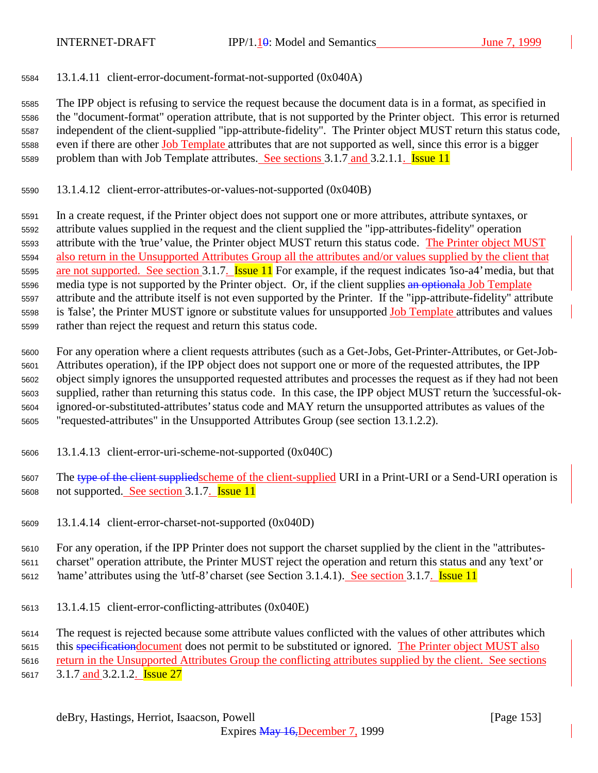13.1.4.11 client-error-document-format-not-supported (0x040A)

 The IPP object is refusing to service the request because the document data is in a format, as specified in the "document-format" operation attribute, that is not supported by the Printer object. This error is returned independent of the client-supplied "ipp-attribute-fidelity". The Printer object MUST return this status code, 5588 even if there are other Job Template attributes that are not supported as well, since this error is a bigger 5589 problem than with Job Template attributes. See sections 3.1.7 and 3.2.1.1. **Issue 11** 

13.1.4.12 client-error-attributes-or-values-not-supported (0x040B)

 In a create request, if the Printer object does not support one or more attributes, attribute syntaxes, or attribute values supplied in the request and the client supplied the "ipp-attributes-fidelity" operation attribute with the 'true' value, the Printer object MUST return this status code. The Printer object MUST also return in the Unsupported Attributes Group all the attributes and/or values supplied by the client that 5595 are not supported. See section 3.1.7. **Issue 11** For example, if the request indicates 'iso-a4' media, but that 5596 media type is not supported by the Printer object. Or, if the client supplies an optionala Job Template attribute and the attribute itself is not even supported by the Printer. If the "ipp-attribute-fidelity" attribute is 'false', the Printer MUST ignore or substitute values for unsupported Job Template attributes and values rather than reject the request and return this status code.

 For any operation where a client requests attributes (such as a Get-Jobs, Get-Printer-Attributes, or Get-Job- Attributes operation), if the IPP object does not support one or more of the requested attributes, the IPP object simply ignores the unsupported requested attributes and processes the request as if they had not been supplied, rather than returning this status code. In this case, the IPP object MUST return the 'successful-ok- ignored-or-substituted-attributes' status code and MAY return the unsupported attributes as values of the "requested-attributes" in the Unsupported Attributes Group (see section 13.1.2.2).

- 13.1.4.13 client-error-uri-scheme-not-supported (0x040C)
- 5607 The type of the client suppliedscheme of the client-supplied URI in a Print-URI or a Send-URI operation is not supported. See section 3.1.7. Issue 11
- 13.1.4.14 client-error-charset-not-supported (0x040D)

 For any operation, if the IPP Printer does not support the charset supplied by the client in the "attributes- charset" operation attribute, the Printer MUST reject the operation and return this status and any 'text' or 5612 name' attributes using the 'utf-8' charset (see Section 3.1.4.1). See section 3.1.7. **Issue 11** 

13.1.4.15 client-error-conflicting-attributes (0x040E)

The request is rejected because some attribute values conflicted with the values of other attributes which

5615 this specification document does not permit to be substituted or ignored. The Printer object MUST also

 return in the Unsupported Attributes Group the conflicting attributes supplied by the client. See sections 5617 3.1.7 and 3.2.1.2. **Issue 27**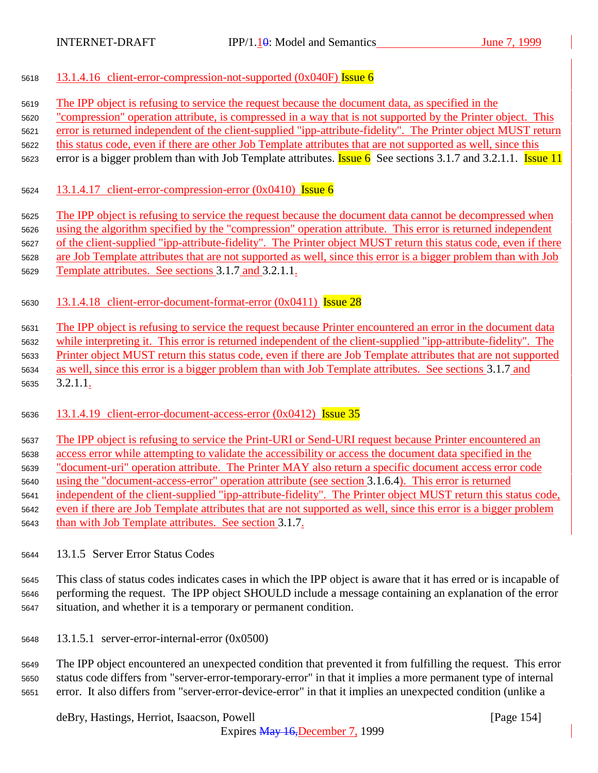- 5618 13.1.4.16 client-error-compression-not-supported  $(0x040F)$  Issue 6
- The IPP object is refusing to service the request because the document data, as specified in the

"compression" operation attribute, is compressed in a way that is not supported by the Printer object. This

error is returned independent of the client-supplied "ipp-attribute-fidelity". The Printer object MUST return

- this status code, even if there are other Job Template attributes that are not supported as well, since this
- 5623 error is a bigger problem than with Job Template attributes. **Issue 6** See sections 3.1.7 and 3.2.1.1. **Issue 11**
- 5624 13.1.4.17 client-error-compression-error  $(0x0410)$  Issue 6
- The IPP object is refusing to service the request because the document data cannot be decompressed when

using the algorithm specified by the "compression" operation attribute. This error is returned independent

of the client-supplied "ipp-attribute-fidelity". The Printer object MUST return this status code, even if there

are Job Template attributes that are not supported as well, since this error is a bigger problem than with Job

- Template attributes. See sections 3.1.7 and 3.2.1.1.
- 13.1.4.18 client-error-document-format-error (0x0411) Issue 28

 The IPP object is refusing to service the request because Printer encountered an error in the document data while interpreting it. This error is returned independent of the client-supplied "ipp-attribute-fidelity". The Printer object MUST return this status code, even if there are Job Template attributes that are not supported as well, since this error is a bigger problem than with Job Template attributes. See sections 3.1.7 and 3.2.1.1.

13.1.4.19 client-error-document-access-error (0x0412) Issue 35

 The IPP object is refusing to service the Print-URI or Send-URI request because Printer encountered an access error while attempting to validate the accessibility or access the document data specified in the "document-uri" operation attribute. The Printer MAY also return a specific document access error code using the "document-access-error" operation attribute (see section 3.1.6.4). This error is returned independent of the client-supplied "ipp-attribute-fidelity". The Printer object MUST return this status code, even if there are Job Template attributes that are not supported as well, since this error is a bigger problem than with Job Template attributes. See section 3.1.7.

13.1.5 Server Error Status Codes

 This class of status codes indicates cases in which the IPP object is aware that it has erred or is incapable of performing the request. The IPP object SHOULD include a message containing an explanation of the error situation, and whether it is a temporary or permanent condition.

13.1.5.1 server-error-internal-error (0x0500)

 The IPP object encountered an unexpected condition that prevented it from fulfilling the request. This error status code differs from "server-error-temporary-error" in that it implies a more permanent type of internal error. It also differs from "server-error-device-error" in that it implies an unexpected condition (unlike a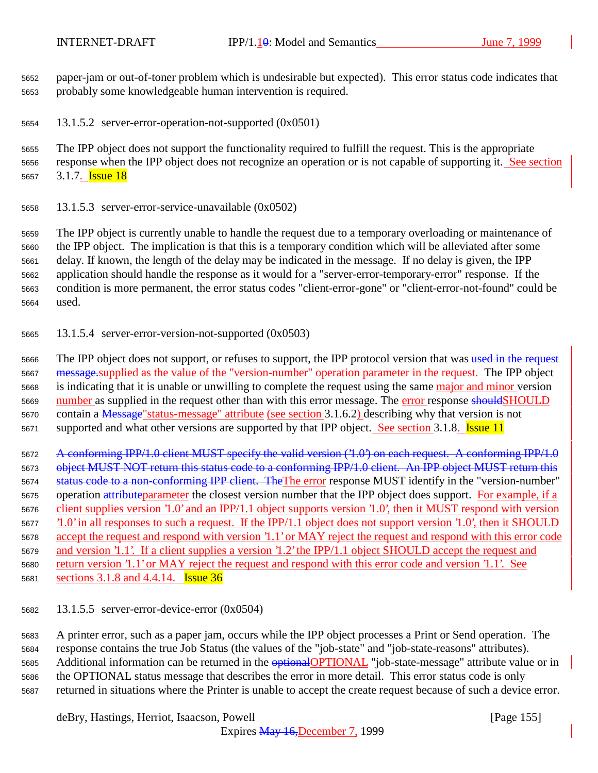paper-jam or out-of-toner problem which is undesirable but expected). This error status code indicates that probably some knowledgeable human intervention is required.

13.1.5.2 server-error-operation-not-supported (0x0501)

 The IPP object does not support the functionality required to fulfill the request. This is the appropriate response when the IPP object does not recognize an operation or is not capable of supporting it. See section 5657 3.1.7. **Issue 18** 

13.1.5.3 server-error-service-unavailable (0x0502)

 The IPP object is currently unable to handle the request due to a temporary overloading or maintenance of the IPP object. The implication is that this is a temporary condition which will be alleviated after some delay. If known, the length of the delay may be indicated in the message. If no delay is given, the IPP application should handle the response as it would for a "server-error-temporary-error" response. If the condition is more permanent, the error status codes "client-error-gone" or "client-error-not-found" could be used.

13.1.5.4 server-error-version-not-supported (0x0503)

5666 The IPP object does not support, or refuses to support, the IPP protocol version that was used in the request message.supplied as the value of the "version-number" operation parameter in the request. The IPP object 5668 is indicating that it is unable or unwilling to complete the request using the same major and minor version 5669 number as supplied in the request other than with this error message. The error response should SHOULD contain a Message"status-message" attribute (see section 3.1.6.2) describing why that version is not 5671 supported and what other versions are supported by that IPP object. See section 3.1.8. Issue 11

5672 A conforming IPP/1.0 client MUST specify the valid version ('1.0') on each request. A conforming IPP/1.0 5673 object MUST NOT return this status code to a conforming IPP/1.0 client. An IPP object MUST return this 5674 status code to a non-conforming IPP client. The The error response MUST identify in the "version-number" 5675 operation attributeparameter the closest version number that the IPP object does support. For example, if a client supplies version '1.0' and an IPP/1.1 object supports version '1.0', then it MUST respond with version '1.0' in all responses to such a request. If the IPP/1.1 object does not support version '1.0', then it SHOULD accept the request and respond with version '1.1' or MAY reject the request and respond with this error code and version '1.1'. If a client supplies a version '1.2' the IPP/1.1 object SHOULD accept the request and return version '1.1' or MAY reject the request and respond with this error code and version '1.1'. See 5681 sections 3.1.8 and 4.4.14. **Issue 36** 

13.1.5.5 server-error-device-error (0x0504)

 A printer error, such as a paper jam, occurs while the IPP object processes a Print or Send operation. The response contains the true Job Status (the values of the "job-state" and "job-state-reasons" attributes). 5685 Additional information can be returned in the **optional OPTIONAL** "job-state-message" attribute value or in the OPTIONAL status message that describes the error in more detail. This error status code is only returned in situations where the Printer is unable to accept the create request because of such a device error.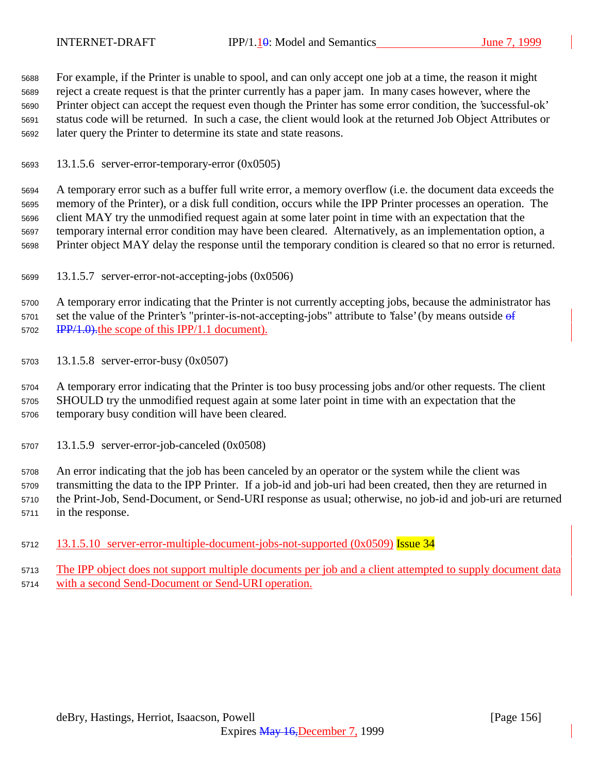For example, if the Printer is unable to spool, and can only accept one job at a time, the reason it might reject a create request is that the printer currently has a paper jam. In many cases however, where the Printer object can accept the request even though the Printer has some error condition, the 'successful-ok' status code will be returned. In such a case, the client would look at the returned Job Object Attributes or later query the Printer to determine its state and state reasons.

13.1.5.6 server-error-temporary-error (0x0505)

 A temporary error such as a buffer full write error, a memory overflow (i.e. the document data exceeds the memory of the Printer), or a disk full condition, occurs while the IPP Printer processes an operation. The client MAY try the unmodified request again at some later point in time with an expectation that the temporary internal error condition may have been cleared. Alternatively, as an implementation option, a Printer object MAY delay the response until the temporary condition is cleared so that no error is returned.

13.1.5.7 server-error-not-accepting-jobs (0x0506)

 A temporary error indicating that the Printer is not currently accepting jobs, because the administrator has 5701 set the value of the Printer's "printer-is-not-accepting-jobs" attribute to 'false' (by means outside of 5702 IPP/1.0). the scope of this IPP/1.1 document).

13.1.5.8 server-error-busy (0x0507)

 A temporary error indicating that the Printer is too busy processing jobs and/or other requests. The client SHOULD try the unmodified request again at some later point in time with an expectation that the temporary busy condition will have been cleared.

13.1.5.9 server-error-job-canceled (0x0508)

 An error indicating that the job has been canceled by an operator or the system while the client was transmitting the data to the IPP Printer. If a job-id and job-uri had been created, then they are returned in the Print-Job, Send-Document, or Send-URI response as usual; otherwise, no job-id and job-uri are returned in the response.

- 5712 13.1.5.10 server-error-multiple-document-jobs-not-supported (0x0509) Issue 34
- The IPP object does not support multiple documents per job and a client attempted to supply document data with a second Send-Document or Send-URI operation.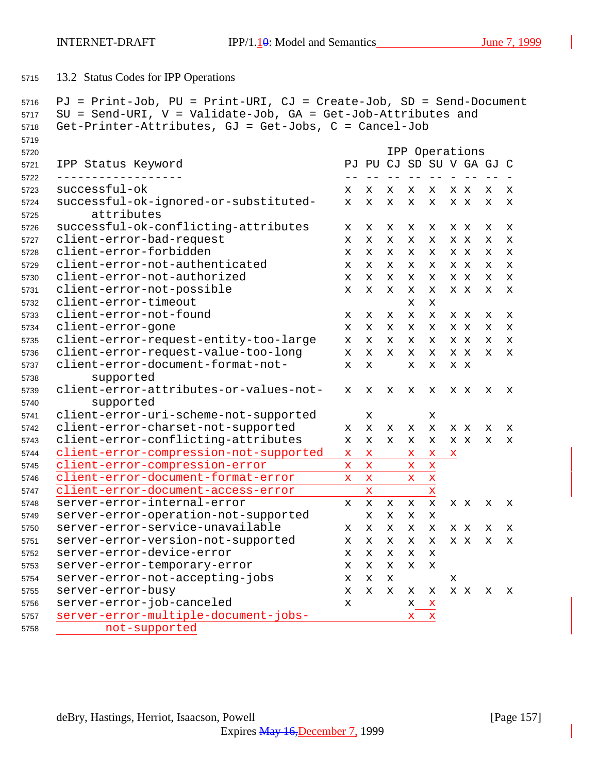13.2 Status Codes for IPP Operations

```
5716 PJ = Print-Job, PU = Print-URI, CJ = Create-Job, SD = Send-Document
5717 SU = Send-URI, V = Validate-Job, GA = Get-Job-Attributes and
5718 Get-Printer-Attributes, GJ = Get-Jobs, C = Cancel-Job
5719
5720 IPP Operations
5721 IPP Status Keyword PJ PU CJ SD SU V GA GJ C
5722 ------------------ -- -- -- -- -- - -- -- -
5723 successful-ok x x x x x x x x x
5724 successful-ok-ignored-or-substituted- x x x x x x x x x
5725 attributes
5726 successful-ok-conflicting-attributes x x x x x x x x x
5727 client-error-bad-request x x x x x x x x x
5728 client-error-forbidden x x x x x x x x x
5729 client-error-not-authenticated x x x x x x x x x
5730 client-error-not-authorized x x x x x x x x x
5731 client-error-not-possible x x x x x x x x x
5732 client-error-timeout x x
5733 client-error-not-found x x x x x x x x x
5734 client-error-gone x x x x x x x x x
5735 client-error-request-entity-too-large x x x x x x x x x
5736 client-error-request-value-too-long x x x x x x x x x
5737 client-error-document-format-not- x x x x x x
5738 supported
5739 client-error-attributes-or-values-not- x x x x x x x x x
5740 supported
5741 client-error-uri-scheme-not-supported x x
5742 client-error-charset-not-supported x x x x x x x x x
5743 client-error-conflicting-attributes x x x x x x x x x
5744 client-error-compression-not-supported x x x x x
5745 client-error-compression-error x x x x
5746 client-error-document-format-error x x x x
5747 client-error-document-access-error x x
5748 server-error-internal-error x x x x x x x x x
5749 server-error-operation-not-supported x x x x
5750 server-error-service-unavailable x x x x x x x x x
5751 server-error-version-not-supported x x x x x x x x x
5752 server-error-device-error x x x x x
5753 server-error-temporary-error x x x x x
5754 server-error-not-accepting-jobs x x x x
5755 server-error-busy x x x x x x x x x
5756 server-error-job-canceled x x x
5757 server-error-multiple-document-jobs- x x
5758 not-supported
```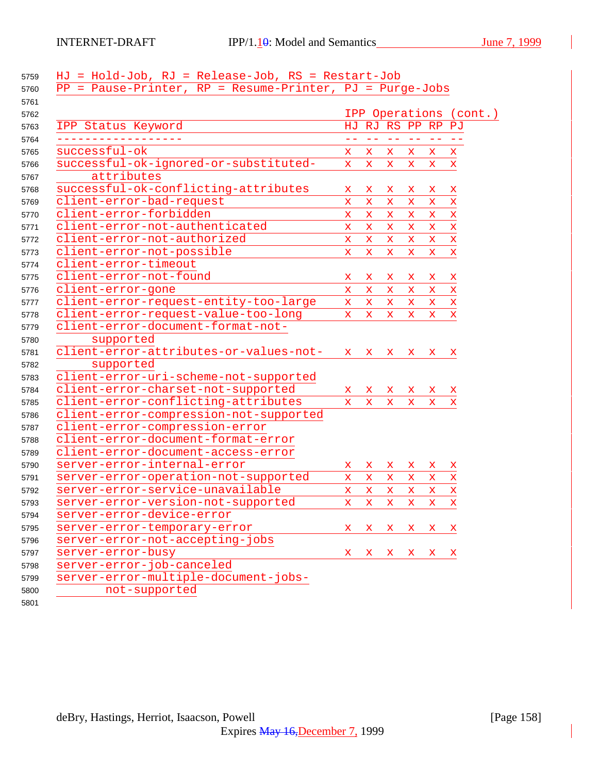| 5759 | HJ = Hold-Job, RJ = Release-Job, RS = Restart-Job          |                           |                   |                   |              |              |                        |
|------|------------------------------------------------------------|---------------------------|-------------------|-------------------|--------------|--------------|------------------------|
| 5760 | $PP = Pause-Printer, RP = Resume-Printer, PJ = Purge-Jobs$ |                           |                   |                   |              |              |                        |
| 5761 |                                                            |                           |                   |                   |              |              |                        |
| 5762 |                                                            |                           |                   |                   |              |              | IPP Operations (cont.) |
| 5763 | IPP Status Keyword                                         |                           | HJ RJ RS PP RP PJ |                   |              |              |                        |
| 5764 |                                                            | $- -$                     | $\equiv$ $\equiv$ | $\equiv$ $\equiv$ | $ -$         | $\sim$ $-$   |                        |
| 5765 | successful-ok                                              | X.                        | X.                | X.                | X.           | X.           | x                      |
| 5766 | successful-ok-ignored-or-substituted-                      | $\mathbf x$               | $\mathbf x$       | $\mathbf{x}$      | $\mathbf x$  | $\mathbf x$  | $\mathbf x$            |
| 5767 | attributes                                                 |                           |                   |                   |              |              |                        |
| 5768 | successful-ok-conflicting-attributes                       | $\mathbf x$               | x                 | x                 | x            | X.           | X                      |
| 5769 | client-error-bad-request                                   | $\mathbf x$               | $\mathbf x$       | $\mathbf{x}$      | x            | $\mathbf x$  | $\mathbf x$            |
| 5770 | client-error-forbidden                                     | $\mathbf x$               | $\mathbf x$       | X.                | X.           | X.           | $\mathbf x$            |
| 5771 | client-error-not-authenticated                             | $\mathbf x$               | $\mathbf x$       | $\mathbf{x}$      | $\mathbf x$  | $\mathbf x$  | $\mathbf x$            |
| 5772 | client-error-not-authorized                                | $\mathbf x$               | $\mathbf x$       | $\mathbf{x}$      | $\mathbf x$  | $\mathbf x$  | $\mathbf x$            |
| 5773 | client-error-not-possible                                  | $\mathbf{x}$              | $\mathbf x$       | $\mathbf{x}$      | $\mathbf x$  | $\mathbf{x}$ | $\mathbf x$            |
| 5774 | client-error-timeout                                       |                           |                   |                   |              |              |                        |
| 5775 | client-error-not-found                                     | x                         | $\mathbf x$       | X                 | x            | X            | $\mathbf x$            |
| 5776 | client-error-gone                                          | $\mathbf{x}$              | $\mathbf x$       | $\mathbf{x}$      | X.           | $\mathbf x$  | $\mathbf x$            |
| 5777 | client-error-request-entity-too-large                      | $\mathbf{x} - \mathbf{x}$ |                   | $\mathbf x$       | X.           | X.           | $\mathbf x$            |
| 5778 | client-error-request-value-too-long                        | $\mathbf{x}$              | $\mathbf{x}$      | $\mathbf{x}$      | $\mathbf x$  | X.           | $\mathbf x$            |
| 5779 | client-error-document-format-not-                          |                           |                   |                   |              |              |                        |
| 5780 | supported                                                  |                           |                   |                   |              |              |                        |
| 5781 | client-error-attributes-or-values-not-                     | $\mathbf x$               | $\mathbf x$       |                   | $X = X$      | X X          |                        |
| 5782 | supported                                                  |                           |                   |                   |              |              |                        |
| 5783 | client-error-uri-scheme-not-supported                      |                           |                   |                   |              |              |                        |
| 5784 | client-error-charset-not-supported                         | X.                        | x                 | X.                | X.           | X.           | $\mathbf x$            |
| 5785 | client-error-conflicting-attributes                        | X.                        | $\mathbf{x}$      | $\mathbf{x}$      | X.           | X.           | x                      |
| 5786 | client-error-compression-not-supported                     |                           |                   |                   |              |              |                        |
| 5787 | client-error-compression-error                             |                           |                   |                   |              |              |                        |
| 5788 | client-error-document-format-error                         |                           |                   |                   |              |              |                        |
| 5789 | client-error-document-access-error                         |                           |                   |                   |              |              |                        |
| 5790 | server-error-internal-error                                | x                         | X                 | X.                | x            | X.           | X                      |
| 5791 | server-error-operation-not-supported                       | $\mathbf x$               | X.                | X.                | X.           | X.           | x                      |
| 5792 | server-error-service-unavailable                           | $\mathbf x$               | $\mathbf x$       | $\mathbf{x}$      | $\mathbf x$  | X.           | X                      |
| 5793 | server-error-version-not-supported                         | X.                        | $\mathbf x$       | $\mathbf x$       | X.           | X.           | $\mathbf x$            |
| 5794 | server-error-device-error                                  |                           |                   |                   |              |              |                        |
| 5795 | server-error-temporary-error                               | x                         | X.                | X.                | x            | X X          |                        |
| 5796 | server-error-not-accepting-jobs                            |                           |                   |                   |              |              |                        |
| 5797 | server-error-busy                                          | X.                        | X.                | $\mathbf{x}$      | $\mathbf{x}$ | $X - X$      |                        |
| 5798 | server-error-job-canceled                                  |                           |                   |                   |              |              |                        |
| 5799 | server-error-multiple-document-jobs-                       |                           |                   |                   |              |              |                        |
| 5800 | not-supported                                              |                           |                   |                   |              |              |                        |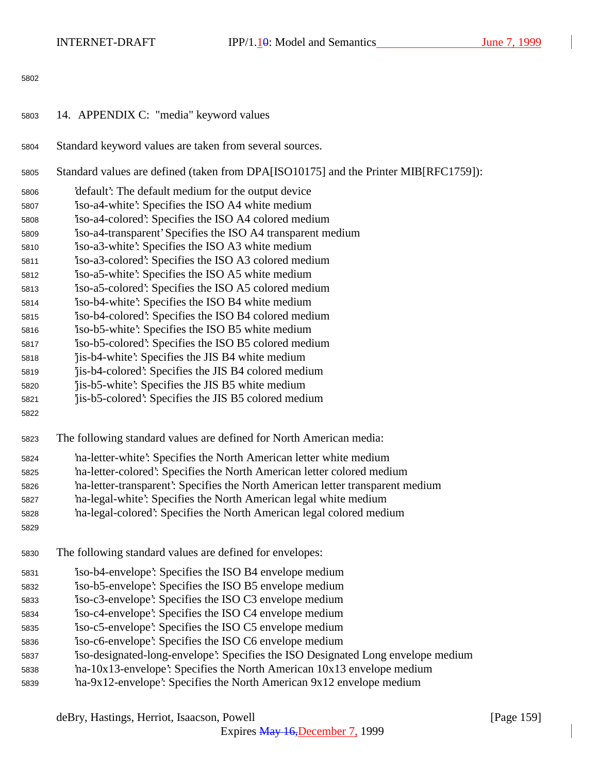| 5803 | 14. APPENDIX C: "media" keyword values |  |  |
|------|----------------------------------------|--|--|
|      |                                        |  |  |

- Standard keyword values are taken from several sources.
- Standard values are defined (taken from DPA[ISO10175] and the Printer MIB[RFC1759]):
- 'default': The default medium for the output device
- 'iso-a4-white': Specifies the ISO A4 white medium
- 'iso-a4-colored': Specifies the ISO A4 colored medium
- 'iso-a4-transparent' Specifies the ISO A4 transparent medium
- 'iso-a3-white': Specifies the ISO A3 white medium
- 'iso-a3-colored': Specifies the ISO A3 colored medium
- 'iso-a5-white': Specifies the ISO A5 white medium
- 'iso-a5-colored': Specifies the ISO A5 colored medium
- 'iso-b4-white': Specifies the ISO B4 white medium
- 'iso-b4-colored': Specifies the ISO B4 colored medium
- 'iso-b5-white': Specifies the ISO B5 white medium
- 'iso-b5-colored': Specifies the ISO B5 colored medium
- 'jis-b4-white': Specifies the JIS B4 white medium
- 'jis-b4-colored': Specifies the JIS B4 colored medium
- 'jis-b5-white': Specifies the JIS B5 white medium
- 'jis-b5-colored': Specifies the JIS B5 colored medium
- 
- The following standard values are defined for North American media:
- 'na-letter-white': Specifies the North American letter white medium
- 'na-letter-colored': Specifies the North American letter colored medium
- 'na-letter-transparent': Specifies the North American letter transparent medium
- 'na-legal-white': Specifies the North American legal white medium
- 'na-legal-colored': Specifies the North American legal colored medium
- 
- The following standard values are defined for envelopes:
- 'iso-b4-envelope': Specifies the ISO B4 envelope medium
- 'iso-b5-envelope': Specifies the ISO B5 envelope medium
- 'iso-c3-envelope': Specifies the ISO C3 envelope medium
- 'iso-c4-envelope': Specifies the ISO C4 envelope medium
- 'iso-c5-envelope': Specifies the ISO C5 envelope medium
- 'iso-c6-envelope': Specifies the ISO C6 envelope medium
- 'iso-designated-long-envelope': Specifies the ISO Designated Long envelope medium
- 'na-10x13-envelope': Specifies the North American 10x13 envelope medium
- 'na-9x12-envelope': Specifies the North American 9x12 envelope medium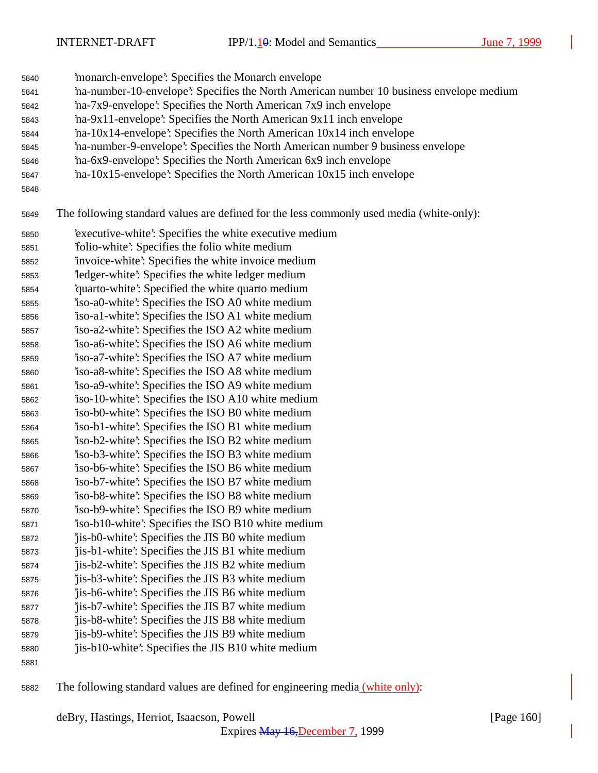INTERNET-DRAFT IPP/1. $\frac{1}{9}$ : Model and Semantics June 7, 1999

'monarch-envelope': Specifies the Monarch envelope

- 'na-number-10-envelope': Specifies the North American number 10 business envelope medium
- 'na-7x9-envelope': Specifies the North American 7x9 inch envelope
- 'na-9x11-envelope': Specifies the North American 9x11 inch envelope
- 'na-10x14-envelope': Specifies the North American 10x14 inch envelope
- 'na-number-9-envelope': Specifies the North American number 9 business envelope
- 'na-6x9-envelope': Specifies the North American 6x9 inch envelope
- 'na-10x15-envelope': Specifies the North American 10x15 inch envelope
- 

The following standard values are defined for the less commonly used media (white-only):

- 'executive-white': Specifies the white executive medium 'folio-white': Specifies the folio white medium 'invoice-white': Specifies the white invoice medium 'ledger-white': Specifies the white ledger medium 'quarto-white': Specified the white quarto medium 'iso-a0-white': Specifies the ISO A0 white medium 'iso-a1-white': Specifies the ISO A1 white medium 'iso-a2-white': Specifies the ISO A2 white medium 'iso-a6-white': Specifies the ISO A6 white medium 'iso-a7-white': Specifies the ISO A7 white medium 'iso-a8-white': Specifies the ISO A8 white medium 'iso-a9-white': Specifies the ISO A9 white medium 'iso-10-white': Specifies the ISO A10 white medium 'iso-b0-white': Specifies the ISO B0 white medium 'iso-b1-white': Specifies the ISO B1 white medium 'iso-b2-white': Specifies the ISO B2 white medium
- 'iso-b3-white': Specifies the ISO B3 white medium
- 'iso-b6-white': Specifies the ISO B6 white medium 'iso-b7-white': Specifies the ISO B7 white medium
- 'iso-b8-white': Specifies the ISO B8 white medium
- 'iso-b9-white': Specifies the ISO B9 white medium
- 'iso-b10-white': Specifies the ISO B10 white medium
- 'jis-b0-white': Specifies the JIS B0 white medium
- 'jis-b1-white': Specifies the JIS B1 white medium 'jis-b2-white': Specifies the JIS B2 white medium
- 'jis-b3-white': Specifies the JIS B3 white medium
- 'jis-b6-white': Specifies the JIS B6 white medium
- 'jis-b7-white': Specifies the JIS B7 white medium
- 'jis-b8-white': Specifies the JIS B8 white medium
- 'jis-b9-white': Specifies the JIS B9 white medium 'jis-b10-white': Specifies the JIS B10 white medium
- 

The following standard values are defined for engineering media (white only):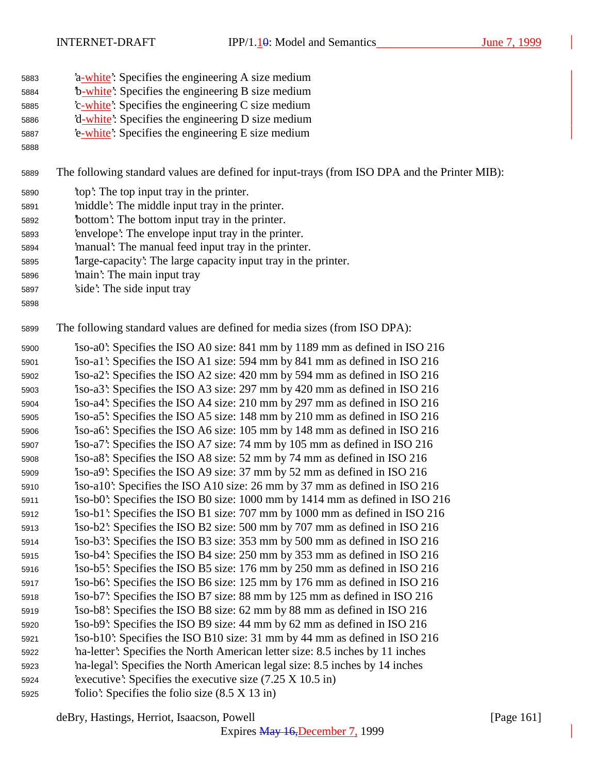- 5883 <sup>2</sup> a-white': Specifies the engineering A size medium
- 5884 <sup>b</sup>-white<sup>2</sup>: Specifies the engineering B size medium
- 5885 <sup>'</sup>c-white': Specifies the engineering C size medium
- 'd-white': Specifies the engineering D size medium 'e-white': Specifies the engineering E size medium
- 

The following standard values are defined for input-trays (from ISO DPA and the Printer MIB):

- 'top': The top input tray in the printer.
- 'middle': The middle input tray in the printer.
- 'bottom': The bottom input tray in the printer.
- 'envelope': The envelope input tray in the printer.
- 'manual': The manual feed input tray in the printer.
- 'large-capacity': The large capacity input tray in the printer.
- 'main': The main input tray
- 'side': The side input tray
- 

The following standard values are defined for media sizes (from ISO DPA):

 'iso-a0': Specifies the ISO A0 size: 841 mm by 1189 mm as defined in ISO 216 'iso-a1': Specifies the ISO A1 size: 594 mm by 841 mm as defined in ISO 216 'iso-a2': Specifies the ISO A2 size: 420 mm by 594 mm as defined in ISO 216 'iso-a3': Specifies the ISO A3 size: 297 mm by 420 mm as defined in ISO 216 'iso-a4': Specifies the ISO A4 size: 210 mm by 297 mm as defined in ISO 216 'iso-a5': Specifies the ISO A5 size: 148 mm by 210 mm as defined in ISO 216 'iso-a6': Specifies the ISO A6 size: 105 mm by 148 mm as defined in ISO 216 'iso-a7': Specifies the ISO A7 size: 74 mm by 105 mm as defined in ISO 216 'iso-a8': Specifies the ISO A8 size: 52 mm by 74 mm as defined in ISO 216 'iso-a9': Specifies the ISO A9 size: 37 mm by 52 mm as defined in ISO 216 'iso-a10': Specifies the ISO A10 size: 26 mm by 37 mm as defined in ISO 216 'iso-b0': Specifies the ISO B0 size: 1000 mm by 1414 mm as defined in ISO 216 'iso-b1': Specifies the ISO B1 size: 707 mm by 1000 mm as defined in ISO 216 'iso-b2': Specifies the ISO B2 size: 500 mm by 707 mm as defined in ISO 216 'iso-b3': Specifies the ISO B3 size: 353 mm by 500 mm as defined in ISO 216 'iso-b4': Specifies the ISO B4 size: 250 mm by 353 mm as defined in ISO 216 'iso-b5': Specifies the ISO B5 size: 176 mm by 250 mm as defined in ISO 216 'iso-b6': Specifies the ISO B6 size: 125 mm by 176 mm as defined in ISO 216 'iso-b7': Specifies the ISO B7 size: 88 mm by 125 mm as defined in ISO 216 'iso-b8': Specifies the ISO B8 size: 62 mm by 88 mm as defined in ISO 216 'iso-b9': Specifies the ISO B9 size: 44 mm by 62 mm as defined in ISO 216 'iso-b10': Specifies the ISO B10 size: 31 mm by 44 mm as defined in ISO 216 'na-letter': Specifies the North American letter size: 8.5 inches by 11 inches 'na-legal': Specifies the North American legal size: 8.5 inches by 14 inches 'executive': Specifies the executive size (7.25 X 10.5 in) 'folio': Specifies the folio size (8.5 X 13 in)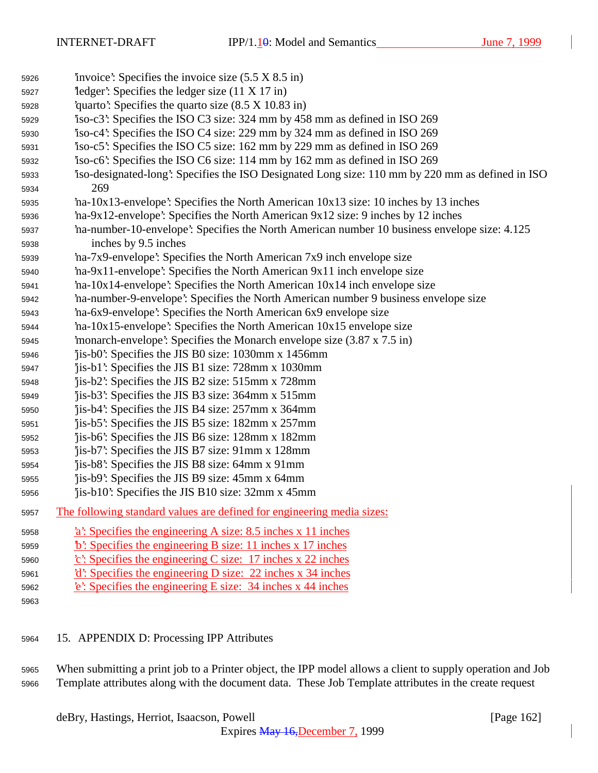| 5926 | 'invoice': Specifies the invoice size $(5.5 \times 8.5 \text{ in})$                             |
|------|-------------------------------------------------------------------------------------------------|
| 5927 | $\text{`ledge'}$ : Specifies the ledger size (11 X 17 in)                                       |
| 5928 | quarto: Specifies the quarto size $(8.5 \times 10.83 \text{ in})$                               |
| 5929 | iso-c3: Specifies the ISO C3 size: 324 mm by 458 mm as defined in ISO 269                       |
| 5930 | iso-c4: Specifies the ISO C4 size: 229 mm by 324 mm as defined in ISO 269                       |
| 5931 | iso-c5: Specifies the ISO C5 size: 162 mm by 229 mm as defined in ISO 269                       |
| 5932 | iso-c6: Specifies the ISO C6 size: 114 mm by 162 mm as defined in ISO 269                       |
| 5933 | iso-designated-long: Specifies the ISO Designated Long size: 110 mm by 220 mm as defined in ISO |
| 5934 | 269                                                                                             |
| 5935 | ha-10x13-envelope': Specifies the North American 10x13 size: 10 inches by 13 inches             |
| 5936 | ha-9x12-envelope': Specifies the North American 9x12 size: 9 inches by 12 inches                |
| 5937 | ha-number-10-envelope': Specifies the North American number 10 business envelope size: 4.125    |
| 5938 | inches by 9.5 inches                                                                            |
| 5939 | 'ha-7x9-envelope': Specifies the North American 7x9 inch envelope size                          |
| 5940 | 'na-9x11-envelope': Specifies the North American 9x11 inch envelope size                        |
| 5941 | $'$ na-10x14-envelope': Specifies the North American $10x14$ inch envelope size                 |
| 5942 | na-number-9-envelope': Specifies the North American number 9 business envelope size             |
| 5943 | 'na-6x9-envelope': Specifies the North American 6x9 envelope size                               |
| 5944 | 'na-10x15-envelope': Specifies the North American 10x15 envelope size                           |
| 5945 | 'monarch-envelope': Specifies the Monarch envelope size $(3.87 \times 7.5 \text{ in})$          |
| 5946 | jis-b0: Specifies the JIS B0 size: 1030mm x 1456mm                                              |
| 5947 | 'jis-b1': Specifies the JIS B1 size: 728mm x 1030mm                                             |
| 5948 | jis-b2: Specifies the JIS B2 size: 515mm x 728mm                                                |
| 5949 | 'jis-b3': Specifies the JIS B3 size: 364mm x 515mm                                              |
| 5950 | jis-b4: Specifies the JIS B4 size: 257mm x 364mm                                                |
| 5951 | jis-b5: Specifies the JIS B5 size: 182mm x 257mm                                                |
| 5952 | 'jis-b6': Specifies the JIS B6 size: 128mm x 182mm                                              |
| 5953 | jis-b7: Specifies the JIS B7 size: 91mm x 128mm                                                 |
| 5954 | jis-b8: Specifies the JIS B8 size: 64mm x 91mm                                                  |
| 5955 | 'jis-b9': Specifies the JIS B9 size: 45mm x 64mm                                                |
| 5956 | 'jis-b10': Specifies the JIS B10 size: 32mm x 45mm                                              |
| 5957 | The following standard values are defined for engineering media sizes:                          |
| 5958 | $a$ : Specifies the engineering A size: 8.5 inches x 11 inches                                  |
| 5959 | b: Specifies the engineering B size: 11 inches x 17 inches                                      |
| 5960 | $c$ : Specifies the engineering C size: 17 inches x 22 inches                                   |
| 5961 | $d'$ : Specifies the engineering D size: 22 inches x 34 inches                                  |
| 5962 | $\text{\textcolor{red}{\dot{e}}}$ : Specifies the engineering E size: 34 inches x 44 inches     |
| 5963 |                                                                                                 |
|      |                                                                                                 |

## 15. APPENDIX D: Processing IPP Attributes

 When submitting a print job to a Printer object, the IPP model allows a client to supply operation and Job Template attributes along with the document data. These Job Template attributes in the create request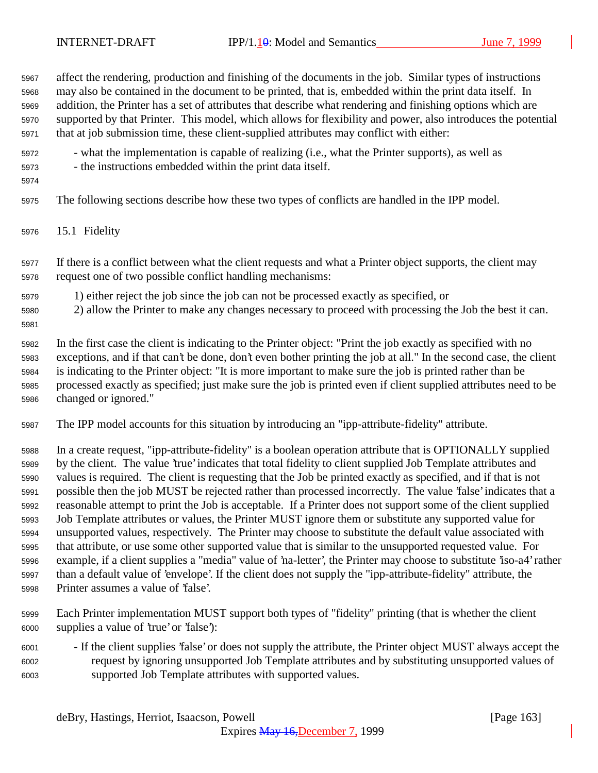affect the rendering, production and finishing of the documents in the job. Similar types of instructions may also be contained in the document to be printed, that is, embedded within the print data itself. In addition, the Printer has a set of attributes that describe what rendering and finishing options which are supported by that Printer. This model, which allows for flexibility and power, also introduces the potential that at job submission time, these client-supplied attributes may conflict with either:

- what the implementation is capable of realizing (i.e., what the Printer supports), as well as - the instructions embedded within the print data itself.
- 

The following sections describe how these two types of conflicts are handled in the IPP model.

15.1 Fidelity

 If there is a conflict between what the client requests and what a Printer object supports, the client may request one of two possible conflict handling mechanisms:

- 1) either reject the job since the job can not be processed exactly as specified, or
- 2) allow the Printer to make any changes necessary to proceed with processing the Job the best it can.
- 

 In the first case the client is indicating to the Printer object: "Print the job exactly as specified with no exceptions, and if that can't be done, don't even bother printing the job at all." In the second case, the client is indicating to the Printer object: "It is more important to make sure the job is printed rather than be processed exactly as specified; just make sure the job is printed even if client supplied attributes need to be changed or ignored."

The IPP model accounts for this situation by introducing an "ipp-attribute-fidelity" attribute.

 In a create request, "ipp-attribute-fidelity" is a boolean operation attribute that is OPTIONALLY supplied by the client. The value 'true' indicates that total fidelity to client supplied Job Template attributes and values is required. The client is requesting that the Job be printed exactly as specified, and if that is not possible then the job MUST be rejected rather than processed incorrectly. The value 'false' indicates that a reasonable attempt to print the Job is acceptable. If a Printer does not support some of the client supplied Job Template attributes or values, the Printer MUST ignore them or substitute any supported value for unsupported values, respectively. The Printer may choose to substitute the default value associated with that attribute, or use some other supported value that is similar to the unsupported requested value. For example, if a client supplies a "media" value of 'na-letter', the Printer may choose to substitute 'iso-a4' rather than a default value of 'envelope'. If the client does not supply the "ipp-attribute-fidelity" attribute, the Printer assumes a value of 'false'.

- Each Printer implementation MUST support both types of "fidelity" printing (that is whether the client supplies a value of 'true' or 'false'):
- If the client supplies 'false' or does not supply the attribute, the Printer object MUST always accept the request by ignoring unsupported Job Template attributes and by substituting unsupported values of supported Job Template attributes with supported values.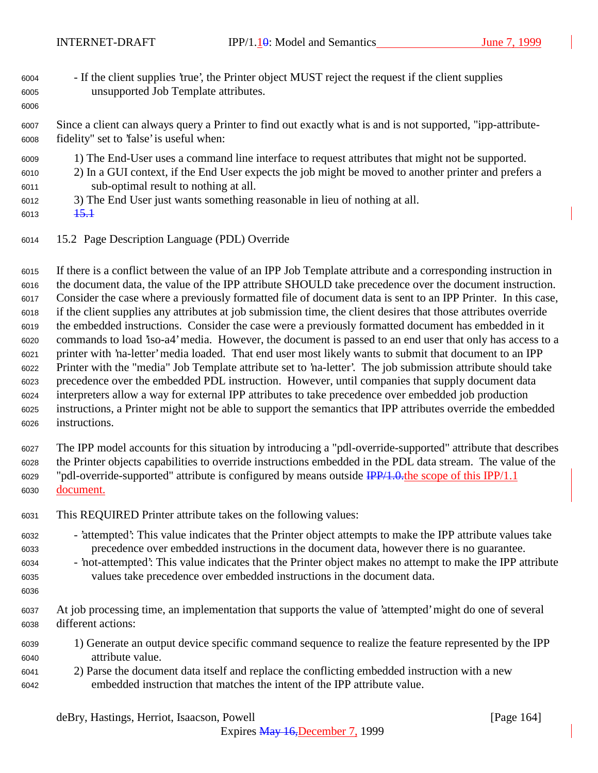- If the client supplies 'true', the Printer object MUST reject the request if the client supplies unsupported Job Template attributes.
- Since a client can always query a Printer to find out exactly what is and is not supported, "ipp-attribute-fidelity" set to 'false' is useful when:
- 1) The End-User uses a command line interface to request attributes that might not be supported.
- 2) In a GUI context, if the End User expects the job might be moved to another printer and prefers a sub-optimal result to nothing at all.
- 3) The End User just wants something reasonable in lieu of nothing at all.
- 6013  $\frac{15.1}{15.1}$

15.2 Page Description Language (PDL) Override

 If there is a conflict between the value of an IPP Job Template attribute and a corresponding instruction in the document data, the value of the IPP attribute SHOULD take precedence over the document instruction. Consider the case where a previously formatted file of document data is sent to an IPP Printer. In this case, if the client supplies any attributes at job submission time, the client desires that those attributes override the embedded instructions. Consider the case were a previously formatted document has embedded in it commands to load 'iso-a4' media. However, the document is passed to an end user that only has access to a printer with 'na-letter' media loaded. That end user most likely wants to submit that document to an IPP Printer with the "media" Job Template attribute set to 'na-letter'. The job submission attribute should take precedence over the embedded PDL instruction. However, until companies that supply document data interpreters allow a way for external IPP attributes to take precedence over embedded job production instructions, a Printer might not be able to support the semantics that IPP attributes override the embedded instructions.

 The IPP model accounts for this situation by introducing a "pdl-override-supported" attribute that describes the Printer objects capabilities to override instructions embedded in the PDL data stream. The value of the "pdl-override-supported" attribute is configured by means outside IPP/1.0.the scope of this IPP/1.1 document.

- This REQUIRED Printer attribute takes on the following values:
- 'attempted': This value indicates that the Printer object attempts to make the IPP attribute values take precedence over embedded instructions in the document data, however there is no guarantee.
- 'not-attempted': This value indicates that the Printer object makes no attempt to make the IPP attribute values take precedence over embedded instructions in the document data.
- 
- At job processing time, an implementation that supports the value of 'attempted' might do one of several different actions:
- 1) Generate an output device specific command sequence to realize the feature represented by the IPP attribute value.
- 2) Parse the document data itself and replace the conflicting embedded instruction with a new embedded instruction that matches the intent of the IPP attribute value.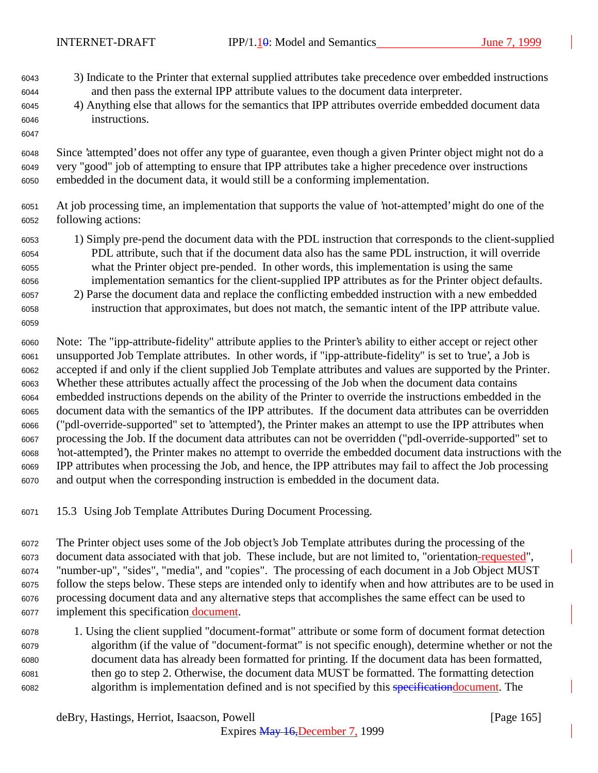- 3) Indicate to the Printer that external supplied attributes take precedence over embedded instructions and then pass the external IPP attribute values to the document data interpreter.
- 4) Anything else that allows for the semantics that IPP attributes override embedded document data instructions.
- Since 'attempted' does not offer any type of guarantee, even though a given Printer object might not do a very "good" job of attempting to ensure that IPP attributes take a higher precedence over instructions embedded in the document data, it would still be a conforming implementation.
- At job processing time, an implementation that supports the value of 'not-attempted' might do one of the following actions:
- 1) Simply pre-pend the document data with the PDL instruction that corresponds to the client-supplied PDL attribute, such that if the document data also has the same PDL instruction, it will override what the Printer object pre-pended. In other words, this implementation is using the same implementation semantics for the client-supplied IPP attributes as for the Printer object defaults.
- 2) Parse the document data and replace the conflicting embedded instruction with a new embedded instruction that approximates, but does not match, the semantic intent of the IPP attribute value.

 Note: The "ipp-attribute-fidelity" attribute applies to the Printer's ability to either accept or reject other unsupported Job Template attributes. In other words, if "ipp-attribute-fidelity" is set to 'true', a Job is accepted if and only if the client supplied Job Template attributes and values are supported by the Printer. Whether these attributes actually affect the processing of the Job when the document data contains embedded instructions depends on the ability of the Printer to override the instructions embedded in the document data with the semantics of the IPP attributes. If the document data attributes can be overridden ("pdl-override-supported" set to 'attempted'), the Printer makes an attempt to use the IPP attributes when processing the Job. If the document data attributes can not be overridden ("pdl-override-supported" set to 'not-attempted'), the Printer makes no attempt to override the embedded document data instructions with the IPP attributes when processing the Job, and hence, the IPP attributes may fail to affect the Job processing and output when the corresponding instruction is embedded in the document data.

15.3 Using Job Template Attributes During Document Processing.

 The Printer object uses some of the Job object's Job Template attributes during the processing of the document data associated with that job. These include, but are not limited to, "orientation-requested", "number-up", "sides", "media", and "copies". The processing of each document in a Job Object MUST follow the steps below. These steps are intended only to identify when and how attributes are to be used in processing document data and any alternative steps that accomplishes the same effect can be used to 6077 implement this specification document.

 1. Using the client supplied "document-format" attribute or some form of document format detection algorithm (if the value of "document-format" is not specific enough), determine whether or not the document data has already been formatted for printing. If the document data has been formatted, then go to step 2. Otherwise, the document data MUST be formatted. The formatting detection algorithm is implementation defined and is not specified by this specificationdocument. The

deBry, Hastings, Herriot, Isaacson, Powell [Page 165]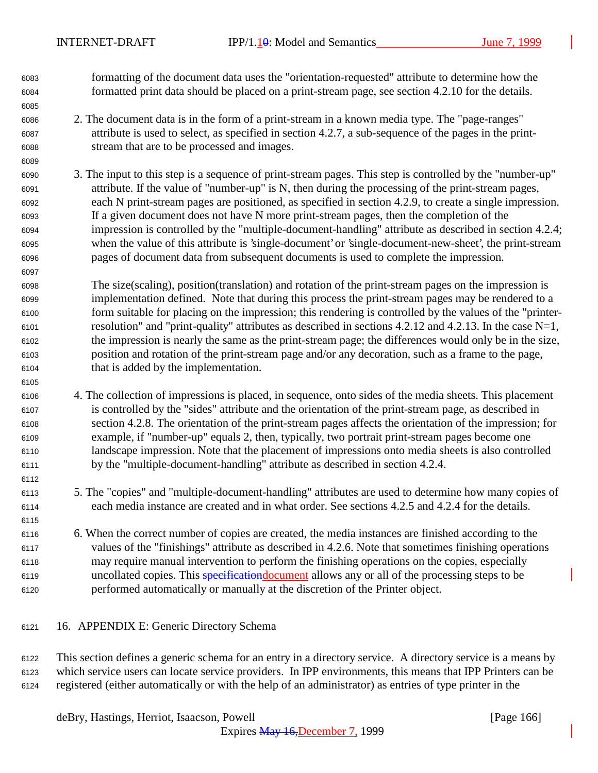formatting of the document data uses the "orientation-requested" attribute to determine how the formatted print data should be placed on a print-stream page, see section 4.2.10 for the details.

- 2. The document data is in the form of a print-stream in a known media type. The "page-ranges" attribute is used to select, as specified in section 4.2.7, a sub-sequence of the pages in the print-stream that are to be processed and images.
- 3. The input to this step is a sequence of print-stream pages. This step is controlled by the "number-up" attribute. If the value of "number-up" is N, then during the processing of the print-stream pages, each N print-stream pages are positioned, as specified in section 4.2.9, to create a single impression. If a given document does not have N more print-stream pages, then the completion of the impression is controlled by the "multiple-document-handling" attribute as described in section 4.2.4; when the value of this attribute is 'single-document' or 'single-document-new-sheet', the print-stream pages of document data from subsequent documents is used to complete the impression.
- The size(scaling), position(translation) and rotation of the print-stream pages on the impression is implementation defined. Note that during this process the print-stream pages may be rendered to a form suitable for placing on the impression; this rendering is controlled by the values of the "printer- resolution" and "print-quality" attributes as described in sections 4.2.12 and 4.2.13. In the case N=1, the impression is nearly the same as the print-stream page; the differences would only be in the size, position and rotation of the print-stream page and/or any decoration, such as a frame to the page, that is added by the implementation.
- 4. The collection of impressions is placed, in sequence, onto sides of the media sheets. This placement is controlled by the "sides" attribute and the orientation of the print-stream page, as described in section 4.2.8. The orientation of the print-stream pages affects the orientation of the impression; for example, if "number-up" equals 2, then, typically, two portrait print-stream pages become one landscape impression. Note that the placement of impressions onto media sheets is also controlled by the "multiple-document-handling" attribute as described in section 4.2.4.
- 5. The "copies" and "multiple-document-handling" attributes are used to determine how many copies of each media instance are created and in what order. See sections 4.2.5 and 4.2.4 for the details.
- 6. When the correct number of copies are created, the media instances are finished according to the values of the "finishings" attribute as described in 4.2.6. Note that sometimes finishing operations may require manual intervention to perform the finishing operations on the copies, especially uncollated copies. This specificationdocument allows any or all of the processing steps to be performed automatically or manually at the discretion of the Printer object.
- 16. APPENDIX E: Generic Directory Schema

 This section defines a generic schema for an entry in a directory service. A directory service is a means by which service users can locate service providers. In IPP environments, this means that IPP Printers can be registered (either automatically or with the help of an administrator) as entries of type printer in the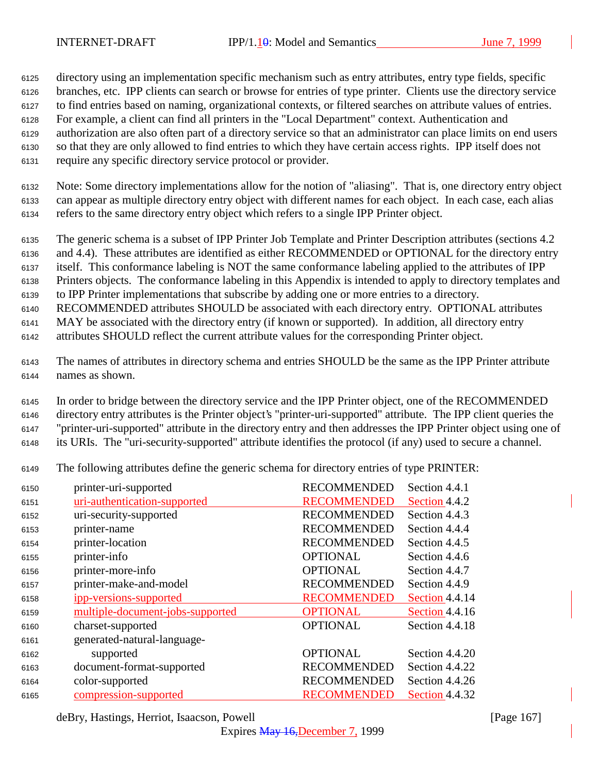directory using an implementation specific mechanism such as entry attributes, entry type fields, specific branches, etc. IPP clients can search or browse for entries of type printer. Clients use the directory service to find entries based on naming, organizational contexts, or filtered searches on attribute values of entries. For example, a client can find all printers in the "Local Department" context. Authentication and authorization are also often part of a directory service so that an administrator can place limits on end users so that they are only allowed to find entries to which they have certain access rights. IPP itself does not require any specific directory service protocol or provider.

 Note: Some directory implementations allow for the notion of "aliasing". That is, one directory entry object can appear as multiple directory entry object with different names for each object. In each case, each alias refers to the same directory entry object which refers to a single IPP Printer object.

 The generic schema is a subset of IPP Printer Job Template and Printer Description attributes (sections 4.2 and 4.4). These attributes are identified as either RECOMMENDED or OPTIONAL for the directory entry itself. This conformance labeling is NOT the same conformance labeling applied to the attributes of IPP

Printers objects. The conformance labeling in this Appendix is intended to apply to directory templates and

to IPP Printer implementations that subscribe by adding one or more entries to a directory.

RECOMMENDED attributes SHOULD be associated with each directory entry. OPTIONAL attributes

MAY be associated with the directory entry (if known or supported). In addition, all directory entry

attributes SHOULD reflect the current attribute values for the corresponding Printer object.

 The names of attributes in directory schema and entries SHOULD be the same as the IPP Printer attribute names as shown.

 In order to bridge between the directory service and the IPP Printer object, one of the RECOMMENDED directory entry attributes is the Printer object's "printer-uri-supported" attribute. The IPP client queries the "printer-uri-supported" attribute in the directory entry and then addresses the IPP Printer object using one of its URIs. The "uri-security-supported" attribute identifies the protocol (if any) used to secure a channel.

The following attributes define the generic schema for directory entries of type PRINTER:

| 6150 | printer-uri-supported            | <b>RECOMMENDED</b> | Section 4.4.1  |
|------|----------------------------------|--------------------|----------------|
| 6151 | uri-authentication-supported     | <b>RECOMMENDED</b> | Section 4.4.2  |
| 6152 | uri-security-supported           | <b>RECOMMENDED</b> | Section 4.4.3  |
| 6153 | printer-name                     | <b>RECOMMENDED</b> | Section 4.4.4  |
| 6154 | printer-location                 | <b>RECOMMENDED</b> | Section 4.4.5  |
| 6155 | printer-info                     | <b>OPTIONAL</b>    | Section 4.4.6  |
| 6156 | printer-more-info                | <b>OPTIONAL</b>    | Section 4.4.7  |
| 6157 | printer-make-and-model           | <b>RECOMMENDED</b> | Section 4.4.9  |
| 6158 | ipp-versions-supported           | <b>RECOMMENDED</b> | Section 4.4.14 |
| 6159 | multiple-document-jobs-supported | <b>OPTIONAL</b>    | Section 4.4.16 |
| 6160 | charset-supported                | <b>OPTIONAL</b>    | Section 4.4.18 |
| 6161 | generated-natural-language-      |                    |                |
| 6162 | supported                        | <b>OPTIONAL</b>    | Section 4.4.20 |
| 6163 | document-format-supported        | <b>RECOMMENDED</b> | Section 4.4.22 |
| 6164 | color-supported                  | <b>RECOMMENDED</b> | Section 4.4.26 |
| 6165 | compression-supported            | <b>RECOMMENDED</b> | Section 4.4.32 |
|      |                                  |                    |                |

deBry, Hastings, Herriot, Isaacson, Powell **contract and the Contract Contract Contract Contract Contract Contract Contract Contract Contract Contract Contract Contract Contract Contract Contract Contract Contract Contract**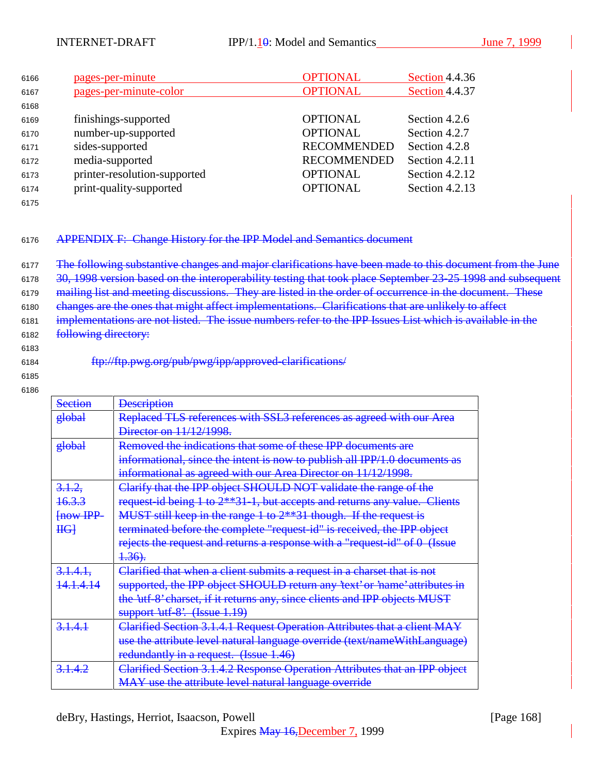| 6166 | pages-per-minute             | <b>OPTIONAL</b>    | Section 4.4.36 |
|------|------------------------------|--------------------|----------------|
| 6167 | pages-per-minute-color       | <b>OPTIONAL</b>    | Section 4.4.37 |
| 6168 |                              |                    |                |
| 6169 | finishings-supported         | <b>OPTIONAL</b>    | Section 4.2.6  |
| 6170 | number-up-supported          | <b>OPTIONAL</b>    | Section 4.2.7  |
| 6171 | sides-supported              | <b>RECOMMENDED</b> | Section 4.2.8  |
| 6172 | media-supported              | <b>RECOMMENDED</b> | Section 4.2.11 |
| 6173 | printer-resolution-supported | <b>OPTIONAL</b>    | Section 4.2.12 |
| 6174 | print-quality-supported      | <b>OPTIONAL</b>    | Section 4.2.13 |
|      |                              |                    |                |

## <sup>6176</sup> APPENDIX F: Change History for the IPP Model and Semantics document

6177 The following substantive changes and major clarifications have been made to this document from the June 6178 30, 1998 version based on the interoperability testing that took place September 23-25 1998 and subsequent 6179 mailing list and meeting discussions. They are listed in the order of occurrence in the document. These 6180 changes are the ones that might affect implementations. Clarifications that are unlikely to affect 6181 implementations are not listed. The issue numbers refer to the IPP Issues List which is available in the 6182 following directory:

6183

<sup>6184</sup> ftp://ftp.pwg.org/pub/pwg/ipp/approved-clarifications/

6185 6186

Section **Description** global Replaced TLS references with SSL3 references as agreed with our Area **Director on 11/12/1998.** global Removed the indications that some of these IPP documents are informational, since the intent is now to publish all IPP/1.0 documents as informational as agreed with our Area Director on 11/12/1998. 3.1.2, 16.3.3 [now IPP- $H<sub>G</sub>$ Clarify that the IPP object SHOULD NOT validate the range of the request-id being 1 to 2\*\*31-1, but accepts and returns any value. Clients MUST still keep in the range 1 to 2\*\*31 though. If the request is terminated before the complete "request-id" is received, the IPP object rejects the request and returns a response with a "request-id" of 0 (Issue  $4.36$ .  $3.141$ 14.1.4.14 Clarified that when a client submits a request in a charset that is not supported, the IPP object SHOULD return any 'text' or 'name' attributes in the 'utf-8' charset, if it returns any, since clients and IPP objects MUST support 'utf-8'. (Issue 1.19) 3.1.4.1 Clarified Section 3.1.4.1 Request Operation Attributes that a client MAY use the attribute level natural language override (text/nameWithLanguage) redundantly in a request. (Issue 1.46) 3.1.4.2 Clarified Section 3.1.4.2 Response Operation Attributes that an IPP object MAY use the attribute level natural language override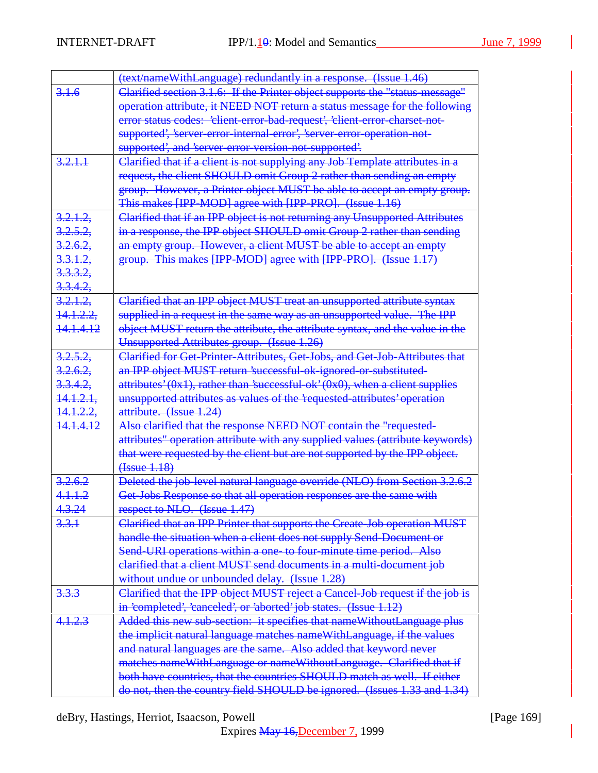|                      | (text/nameWithLanguage) redundantly in a response. (Issue 1.46)                            |
|----------------------|--------------------------------------------------------------------------------------------|
| 3.1.6                | <b>Clarified section 3.1.6: If the Printer object supports the "status message"</b>        |
|                      | operation attribute, it NEED NOT return a status message for the following                 |
|                      | error status codes: 'client-error-bad-request', 'client-error-charset-not-                 |
|                      | supported', 'server-error-internal-error', 'server-error-operation-not-                    |
|                      | supported', and 'server-error-version-not-supported'.                                      |
| 3.2.1.1              | Clarified that if a client is not supplying any Job Template attributes in a               |
|                      | request, the client SHOULD omit Group 2 rather than sending an empty                       |
|                      | group. However, a Printer object MUST be able to accept an empty group.                    |
|                      | This makes [IPP-MOD] agree with [IPP-PRO]. (Issue 1.16)                                    |
| 3.2.1.2,             | Clarified that if an IPP object is not returning any Unsupported Attributes                |
| 3.2.5.2              | in a response, the IPP object SHOULD omit Group 2 rather than sending                      |
| 3.2.6.2.             | an empty group. However, a client MUST be able to accept an empty                          |
| 3.3.1.2,             | group. This makes [IPP-MOD] agree with [IPP-PRO]. (Issue 1.17)                             |
| 3.3.3.2              |                                                                                            |
| 3.3.4.2.             |                                                                                            |
| 3.2.1.2.             | Clarified that an IPP object MUST treat an unsupported attribute syntax                    |
| 14.1.2.2.            | supplied in a request in the same way as an unsupported value. The IPP                     |
| 141412               | object MUST return the attribute, the attribute syntax, and the value in the               |
|                      | Unsupported Attributes group. (Issue 1.26)                                                 |
| 3.2.5.2              | Clarified for Get-Printer-Attributes, Get-Jobs, and Get-Job-Attributes that                |
| 3.2.6.2              | an IPP object MUST return 'successful-ok-ignored-or-substituted-                           |
| 3.3.4.2              | $\frac{1}{2}$ attributes' (0x1), rather than 'successful-ok' (0x0), when a client supplies |
| <del>14.1.2.1.</del> | unsupported attributes as values of the requested attributes' operation                    |
| <del>14.1.2.2.</del> | attribute. (Issue 1.24)                                                                    |
| <del>14.1.4.12</del> | Also clarified that the response NEED NOT contain the "requested-                          |
|                      | attributes" operation attribute with any supplied values (attribute keywords)              |
|                      | that were requested by the client but are not supported by the IPP object.                 |
|                      | <del>(Issue 1.18)</del>                                                                    |
| 3.2.6.2              | Deleted the job-level natural language override (NLO) from Section 3.2.6.2                 |
| 4.1.1.2              | Get-Jobs Response so that all operation responses are the same with                        |
| 4.3.24               | respect to NLO. (Issue 1.47)                                                               |
| 3.3.1                | Clarified that an IPP Printer that supports the Create-Job operation MUST                  |
|                      | handle the situation when a client does not supply Send-Document or                        |
|                      | Send-URI operations within a one to four-minute time period. Also                          |
|                      | elarified that a client MUST send documents in a multi-document job                        |
|                      | without undue or unbounded delay. (Issue 1.28)                                             |
| 3.3.3                | Clarified that the IPP object MUST reject a Cancel-Job request if the job is               |
|                      | in 'completed', 'canceled', or 'aborted' job states. (Issue 1.12)                          |
| 4.1.2.3              | Added this new sub-section: it specifies that nameWithoutLanguage plus                     |
|                      | the implicit natural language matches nameWithLanguage, if the values                      |
|                      | and natural languages are the same. Also added that keyword never                          |
|                      | matches nameWithLanguage or nameWithoutLanguage. Clarified that if                         |
|                      | both have countries, that the countries SHOULD match as well. If either                    |
|                      | do not, then the country field SHOULD be ignored. (Issues 1.33 and 1.34)                   |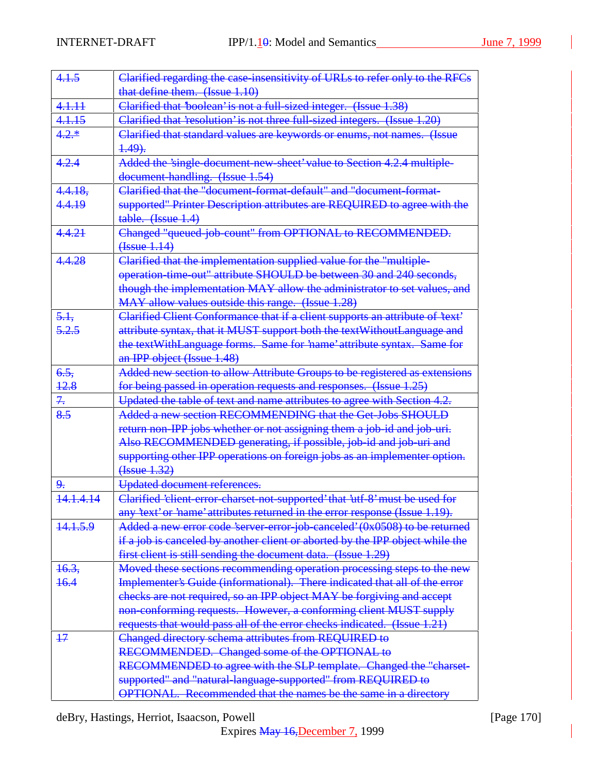| 4.1.5           | Clarified regarding the case insensitivity of URLs to refer only to the RFCs                                                                                                                                                                                                |
|-----------------|-----------------------------------------------------------------------------------------------------------------------------------------------------------------------------------------------------------------------------------------------------------------------------|
|                 | that define them. (Issue 1.10)                                                                                                                                                                                                                                              |
| 4.1.11          | Clarified that 'boolean' is not a full-sized integer. (Issue 1.38)                                                                                                                                                                                                          |
| 4.1.15          | Clarified that 'resolution' is not three full-sized integers. (Issue 1.20)                                                                                                                                                                                                  |
| $4.2.*$         | Clarified that standard values are keywords or enums, not names. (Issue<br><del>1.49).</del>                                                                                                                                                                                |
| 4.2.4           | Added the 'single-document-new-sheet' value to Section 4.2.4 multiple-<br>document-handling. (Issue 1.54)                                                                                                                                                                   |
| 4.4.18,         | Clarified that the "document-format-default" and "document-format-                                                                                                                                                                                                          |
| 4.4.19          | supported" Printer Description attributes are REQUIRED to agree with the<br>table. (Issue 1.4)                                                                                                                                                                              |
| 4.4.21          | Changed "queued-job-count" from OPTIONAL to RECOMMENDED.<br>(Issue 1.14)                                                                                                                                                                                                    |
| 4.4.28          | Clarified that the implementation supplied value for the "multiple-<br>operation-time-out" attribute SHOULD be between 30 and 240 seconds,<br>though the implementation MAY allow the administrator to set values, and<br>MAY allow values outside this range. (Issue 1.28) |
| 5.1,            | Clarified Client Conformance that if a client supports an attribute of 'text'                                                                                                                                                                                               |
| 5.2.5           | attribute syntax, that it MUST support both the text Without Language and                                                                                                                                                                                                   |
|                 | the textWithLanguage forms. Same for 'name' attribute syntax. Same for<br>an IPP object (Issue 1.48)                                                                                                                                                                        |
| 6.5.            | Added new section to allow Attribute Groups to be registered as extensions                                                                                                                                                                                                  |
| <del>12.8</del> | for being passed in operation requests and responses. (Issue 1.25)                                                                                                                                                                                                          |
| 7.              | Updated the table of text and name attributes to agree with Section 4.2.                                                                                                                                                                                                    |
| 8.5             | Added a new section RECOMMENDING that the Get-Jobs SHOULD                                                                                                                                                                                                                   |
|                 | return non-IPP jobs whether or not assigning them a job-id and job-uri.<br>Also RECOMMENDED generating, if possible, job-id and job-uri and                                                                                                                                 |
|                 | supporting other IPP operations on foreign jobs as an implementer option.<br>(Issue 1.32)                                                                                                                                                                                   |
| 9.              | Updated document references.                                                                                                                                                                                                                                                |
| 14.1.4.14       | Clarified 'client-error-charset-not-supported' that 'utf-8' must be used for                                                                                                                                                                                                |
|                 | any 'text' or 'name' attributes returned in the error response (Issue 1.19).                                                                                                                                                                                                |
| 14.1.5.9        | Added a new error code 'server-error-job-canceled' (0x0508) to be returned                                                                                                                                                                                                  |
|                 | if a job is canceled by another client or aborted by the IPP object while the                                                                                                                                                                                               |
|                 | first client is still sending the document data. (Issue 1.29)                                                                                                                                                                                                               |
| 16.3,           | Moved these sections recommending operation processing steps to the new                                                                                                                                                                                                     |
| 16.4            | Implementer's Guide (informational). There indicated that all of the error                                                                                                                                                                                                  |
|                 | checks are not required, so an IPP object MAY be forgiving and accept                                                                                                                                                                                                       |
|                 | non-conforming requests. However, a conforming client MUST supply                                                                                                                                                                                                           |
|                 | requests that would pass all of the error checks indicated. (Issue 1.21)                                                                                                                                                                                                    |
| $+7$            | Changed directory schema attributes from REQUIRED to                                                                                                                                                                                                                        |
|                 | RECOMMENDED. Changed some of the OPTIONAL to                                                                                                                                                                                                                                |
|                 | RECOMMENDED to agree with the SLP template. Changed the "charset-                                                                                                                                                                                                           |
|                 | supported" and "natural-language-supported" from REQUIRED to<br>OPTIONAL. Recommended that the names be the same in a directory                                                                                                                                             |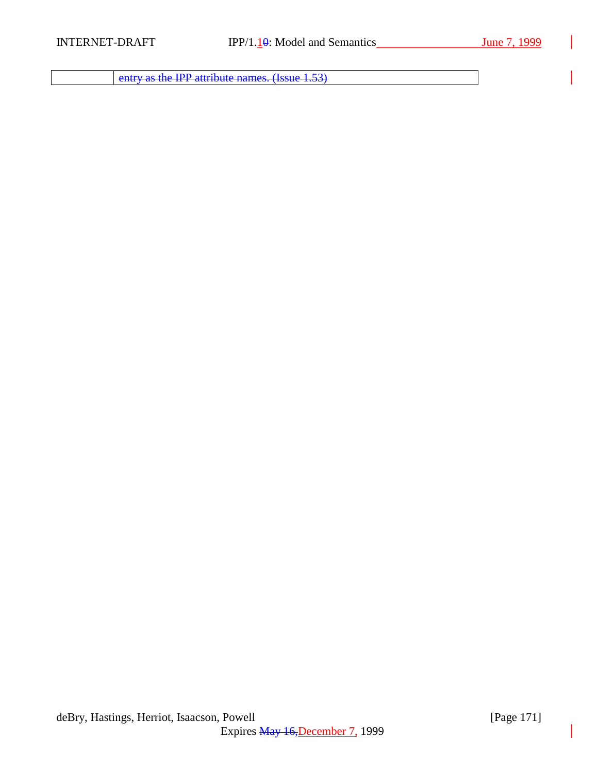entry as the IPP attribute names. (Issue 1.53)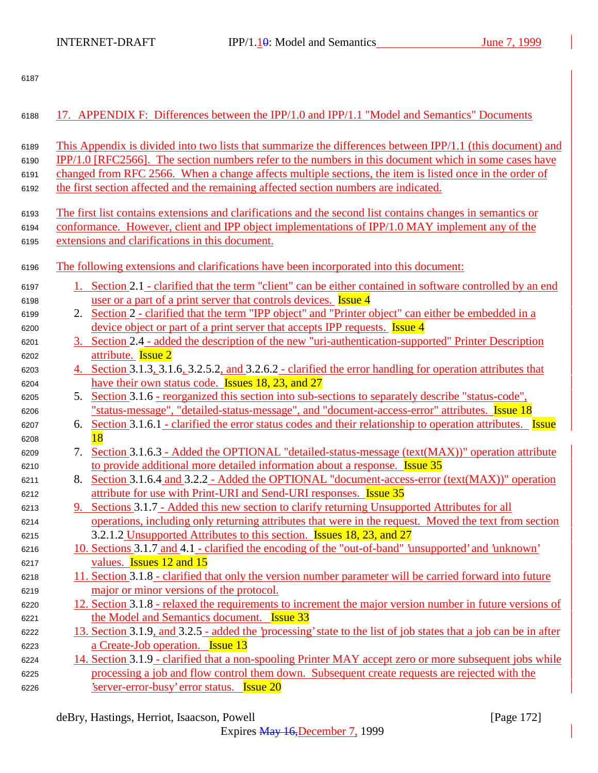| 6188 |    | 17. APPENDIX F: Differences between the IPP/1.0 and IPP/1.1 "Model and Semantics" Documents                      |
|------|----|------------------------------------------------------------------------------------------------------------------|
| 6189 |    | This Appendix is divided into two lists that summarize the differences between IPP/1.1 (this document) and       |
| 6190 |    | IPP/1.0 [RFC2566]. The section numbers refer to the numbers in this document which in some cases have            |
| 6191 |    | changed from RFC 2566. When a change affects multiple sections, the item is listed once in the order of          |
| 6192 |    | the first section affected and the remaining affected section numbers are indicated.                             |
|      |    |                                                                                                                  |
| 6193 |    | The first list contains extensions and clarifications and the second list contains changes in semantics or       |
| 6194 |    | conformance. However, client and IPP object implementations of IPP/1.0 MAY implement any of the                  |
| 6195 |    | extensions and clarifications in this document.                                                                  |
| 6196 |    | The following extensions and clarifications have been incorporated into this document:                           |
| 6197 |    | 1. Section 2.1 - clarified that the term "client" can be either contained in software controlled by an end       |
| 6198 |    | user or a part of a print server that controls devices. <b>Issue 4</b>                                           |
| 6199 |    | 2. Section 2 - clarified that the term "IPP object" and "Printer object" can either be embedded in a             |
| 6200 |    | device object or part of a print server that accepts IPP requests. <b>Issue 4</b>                                |
| 6201 |    | 3. Section 2.4 - added the description of the new "uri-authentication-supported" Printer Description             |
| 6202 |    | attribute. Issue 2                                                                                               |
| 6203 |    | 4. Section 3.1.3, 3.1.6, 3.2.5.2, and 3.2.6.2 - clarified the error handling for operation attributes that       |
| 6204 |    | have their own status code. Issues 18, 23, and 27                                                                |
| 6205 |    | 5. Section 3.1.6 - reorganized this section into sub-sections to separately describe "status-code",              |
| 6206 |    | "status-message", "detailed-status-message", and "document-access-error" attributes. Issue 18                    |
| 6207 |    | 6. Section 3.1.6.1 - clarified the error status codes and their relationship to operation attributes. Issue      |
| 6208 |    | 18                                                                                                               |
| 6209 | 7. | Section 3.1.6.3 - Added the OPTIONAL "detailed-status-message (text(MAX))" operation attribute                   |
| 6210 |    | to provide additional more detailed information about a response. <b>Issue 35</b>                                |
| 6211 |    | 8. Section 3.1.6.4 and 3.2.2 - Added the OPTIONAL "document-access-error (text(MAX))" operation                  |
| 6212 |    | attribute for use with Print-URI and Send-URI responses. Issue 35                                                |
| 6213 |    | 9. Sections 3.1.7 - Added this new section to clarify returning Unsupported Attributes for all                   |
| 6214 |    | operations, including only returning attributes that were in the request. Moved the text from section            |
| 6215 |    | 3.2.1.2 Unsupported Attributes to this section. <b>Issues 18, 23, and 27</b>                                     |
| 6216 |    | 10. Sections 3.1.7 and 4.1 - clarified the encoding of the "out-of-band" 'unsupported' and 'unknown'             |
| 6217 |    | values. <b>Issues</b> 12 and 15                                                                                  |
| 6218 |    | 11. Section 3.1.8 - clarified that only the version number parameter will be carried forward into future         |
| 6219 |    | major or minor versions of the protocol.                                                                         |
| 6220 |    | 12. Section 3.1.8 - relaxed the requirements to increment the major version number in future versions of         |
| 6221 |    | the Model and Semantics document. <b>Issue 33</b>                                                                |
| 6222 |    | 13. Section 3.1.9, and 3.2.5 - added the 'processing' state to the list of job states that a job can be in after |
| 6223 |    | a Create-Job operation. Issue 13                                                                                 |
| 6224 |    | 14. Section 3.1.9 - clarified that a non-spooling Printer MAY accept zero or more subsequent jobs while          |
| 6225 |    | processing a job and flow control them down. Subsequent create requests are rejected with the                    |
| 6226 |    | <u>'server-error-busy' error status. Issue 20</u>                                                                |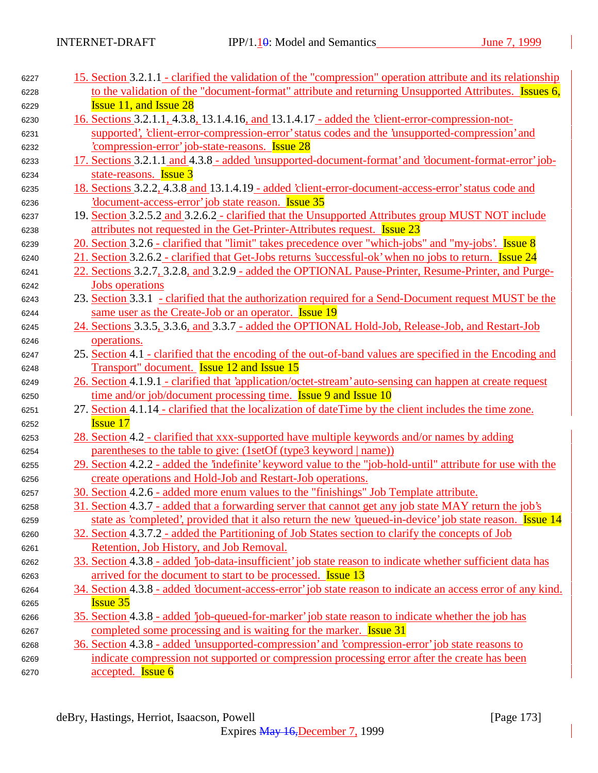| 6227 | 15. Section 3.2.1.1 - clarified the validation of the "compression" operation attribute and its relationship |
|------|--------------------------------------------------------------------------------------------------------------|
| 6228 | to the validation of the "document-format" attribute and returning Unsupported Attributes. Issues 6,         |
| 6229 | <b>Issue 11, and Issue 28</b>                                                                                |
| 6230 | <u>16. Sections 3.2.1.1, 4.3.8, 13.1.4.16, and 13.1.4.17 - added the 'client-error-compression-not-</u>      |
| 6231 | supported', 'client-error-compression-error' status codes and the 'unsupported-compression' and              |
| 6232 | compression-error iob-state-reasons. Issue 28                                                                |
| 6233 | 17. Sections 3.2.1.1 and 4.3.8 - added 'unsupported-document-format' and 'document-format-error' job-        |
| 6234 | state-reasons. <b>Issue 3</b>                                                                                |
| 6235 | 18. Sections 3.2.2, 4.3.8 and 13.1.4.19 - added 'client-error-document-access-error' status code and         |
| 6236 | document-access-error' job state reason. Issue 35                                                            |
| 6237 | 19. Section 3.2.5.2 and 3.2.6.2 - clarified that the Unsupported Attributes group MUST NOT include           |
| 6238 | attributes not requested in the Get-Printer-Attributes request. Issue 23                                     |
| 6239 | 20. Section 3.2.6 - clarified that "limit" takes precedence over "which-jobs" and "my-jobs'. Issue 8         |
| 6240 | 21. Section 3.2.6.2 - clarified that Get-Jobs returns 'successful-ok' when no jobs to return. Issue 24       |
| 6241 | 22. Sections 3.2.7, 3.2.8, and 3.2.9 - added the OPTIONAL Pause-Printer, Resume-Printer, and Purge-          |
| 6242 | <b>Jobs</b> operations                                                                                       |
| 6243 | 23. Section 3.3.1 - clarified that the authorization required for a Send-Document request MUST be the        |
| 6244 | same user as the Create-Job or an operator. <b>Issue 19</b>                                                  |
| 6245 | 24. Sections 3.3.5, 3.3.6, and 3.3.7 - added the OPTIONAL Hold-Job, Release-Job, and Restart-Job             |
| 6246 | operations.                                                                                                  |
| 6247 | 25. Section 4.1 - clarified that the encoding of the out-of-band values are specified in the Encoding and    |
| 6248 | Transport" document. <b>Issue 12 and Issue 15</b>                                                            |
| 6249 | 26. Section 4.1.9.1 - clarified that 'application/octet-stream' auto-sensing can happen at create request    |
| 6250 | time and/or job/document processing time. <b>Issue 9 and Issue 10</b>                                        |
| 6251 | 27. Section 4.1.14 - clarified that the localization of dateTime by the client includes the time zone.       |
| 6252 | <b>Issue 17</b>                                                                                              |
| 6253 | 28. Section 4.2 - clarified that xxx-supported have multiple keywords and/or names by adding                 |
| 6254 | parentheses to the table to give: (1setOf (type3 keyword   name))                                            |
| 6255 | 29. Section 4.2.2 - added the 'indefinite' keyword value to the "job-hold-until" attribute for use with the  |
| 6256 | create operations and Hold-Job and Restart-Job operations.                                                   |
| 6257 | 30. Section 4.2.6 - added more enum values to the "finishings" Job Template attribute.                       |
| 6258 | 31. Section 4.3.7 - added that a forwarding server that cannot get any job state MAY return the job's        |
| 6259 | state as 'completed', provided that it also return the new 'queued-in-device' job state reason. Issue 14     |
| 6260 | 32. Section 4.3.7.2 - added the Partitioning of Job States section to clarify the concepts of Job            |
| 6261 | Retention, Job History, and Job Removal.                                                                     |
| 6262 | 33. Section 4.3.8 - added 'job-data-insufficient' job state reason to indicate whether sufficient data has   |
| 6263 | arrived for the document to start to be processed. <b>Issue 13</b>                                           |
| 6264 | 34. Section 4.3.8 - added 'document-access-error' job state reason to indicate an access error of any kind.  |
| 6265 | <b>Issue 35</b>                                                                                              |
| 6266 | 35. Section 4.3.8 - added 'job-queued-for-marker' job state reason to indicate whether the job has           |
| 6267 | completed some processing and is waiting for the marker. <b>Issue 31</b>                                     |
| 6268 | 36. Section 4.3.8 - added 'unsupported-compression' and 'compression-error' job state reasons to             |
| 6269 | indicate compression not supported or compression processing error after the create has been                 |
| 6270 | accepted. <b>Issue 6</b>                                                                                     |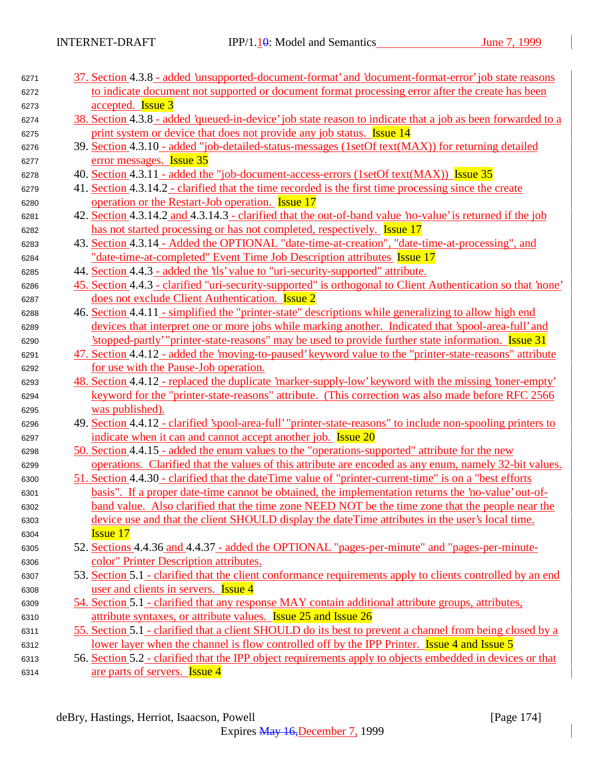| 6271 | 37. Section 4.3.8 - added 'unsupported-document-format' and 'document-format-error' job state reasons        |
|------|--------------------------------------------------------------------------------------------------------------|
| 6272 | to indicate document not supported or document format processing error after the create has been             |
| 6273 | accepted. <b>Issue 3</b>                                                                                     |
| 6274 | 38. Section 4.3.8 - added 'queued-in-device' job state reason to indicate that a job as been forwarded to a  |
| 6275 | print system or device that does not provide any job status. Issue 14                                        |
| 6276 | 39. Section 4.3.10 - added "job-detailed-status-messages (1setOf text(MAX)) for returning detailed           |
| 6277 | error messages. Issue 35                                                                                     |
| 6278 | 40. Section 4.3.11 - added the "job-document-access-errors (1setOf text(MAX)) Issue 35                       |
| 6279 | 41. Section 4.3.14.2 - clarified that the time recorded is the first time processing since the create        |
| 6280 | operation or the Restart-Job operation. <b>Issue 17</b>                                                      |
| 6281 | 42. Section 4.3.14.2 and 4.3.14.3 - clarified that the out-of-band value 'no-value' is returned if the job   |
| 6282 | has not started processing or has not completed, respectively. <b>Issue 17</b>                               |
| 6283 | 43. Section 4.3.14 - Added the OPTIONAL "date-time-at-creation", "date-time-at-processing", and              |
| 6284 | "date-time-at-completed" Event Time Job Description attributes Issue 17                                      |
| 6285 | 44. Section 4.4.3 - added the 'tls' value to "uri-security-supported" attribute.                             |
| 6286 | 45. Section 4.4.3 - clarified "uri-security-supported" is orthogonal to Client Authentication so that 'none' |
| 6287 | does not exclude Client Authentication. <b>Issue 2</b>                                                       |
| 6288 | 46. Section 4.4.11 - simplified the "printer-state" descriptions while generalizing to allow high end        |
| 6289 | devices that interpret one or more jobs while marking another. Indicated that 'spool-area-full' and          |
| 6290 | stopped-partly "printer-state-reasons" may be used to provide further state information. <b>Issue 31</b>     |
| 6291 | 47. Section 4.4.12 - added the 'moving-to-paused' keyword value to the "printer-state-reasons" attribute     |
| 6292 | for use with the Pause-Job operation.                                                                        |
| 6293 | 48. Section 4.4.12 - replaced the duplicate 'marker-supply-low' keyword with the missing 'toner-empty'       |
| 6294 | keyword for the "printer-state-reasons" attribute. (This correction was also made before RFC 2566            |
| 6295 | was published).                                                                                              |
| 6296 | 49. Section 4.4.12 - clarified 'spool-area-full' "printer-state-reasons" to include non-spooling printers to |
| 6297 | indicate when it can and cannot accept another job. <b>Issue 20</b>                                          |
| 6298 | <u>50. Section</u> 4.4.15 - added the enum values to the "operations-supported" attribute for the new        |
| 6299 | operations. Clarified that the values of this attribute are encoded as any enum, namely 32-bit values.       |
| 6300 | 51. Section 4.4.30 - clarified that the date Time value of "printer-current-time" is on a "best efforts"     |
| 6301 | basis". If a proper date-time cannot be obtained, the implementation returns the 'no-value' out-of-          |
| 6302 | band value. Also clarified that the time zone NEED NOT be the time zone that the people near the             |
| 6303 | device use and that the client SHOULD display the date Time attributes in the user's local time.             |
| 6304 | <b>Issue 17</b>                                                                                              |
| 6305 | 52. Sections 4.4.36 and 4.4.37 - added the OPTIONAL "pages-per-minute" and "pages-per-minute-                |
| 6306 | color" Printer Description attributes.                                                                       |
| 6307 | 53. Section 5.1 - clarified that the client conformance requirements apply to clients controlled by an end   |
| 6308 | user and clients in servers. <b>Issue 4</b>                                                                  |
| 6309 | 54. Section 5.1 - clarified that any response MAY contain additional attribute groups, attributes,           |
| 6310 | attribute syntaxes, or attribute values. <b>Issue 25 and Issue 26</b>                                        |
| 6311 | 55. Section 5.1 - clarified that a client SHOULD do its best to prevent a channel from being closed by a     |
| 6312 | lower layer when the channel is flow controlled off by the IPP Printer. <b>Issue 4 and Issue 5</b>           |
| 6313 | 56. Section 5.2 - clarified that the IPP object requirements apply to objects embedded in devices or that    |
| 6314 | are parts of servers. <b>Issue 4</b>                                                                         |
|      |                                                                                                              |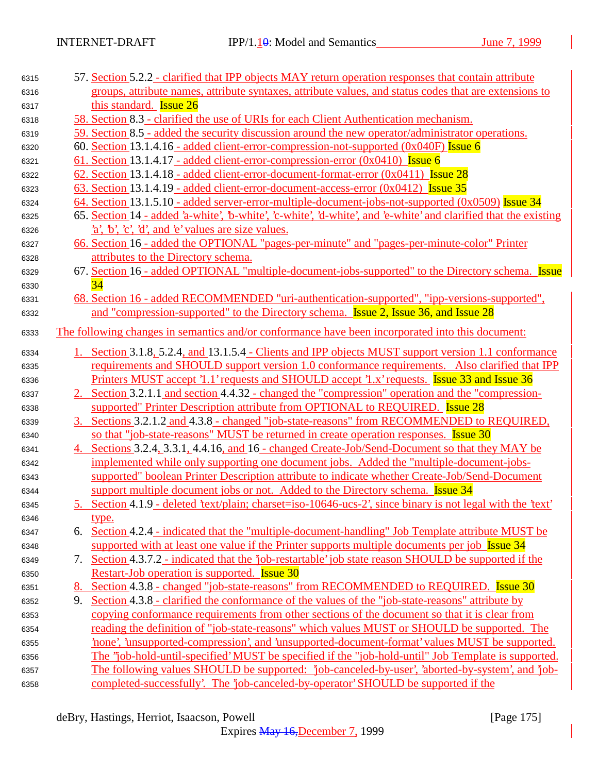| 6315 |    | 57. Section 5.2.2 - clarified that IPP objects MAY return operation responses that contain attribute             |
|------|----|------------------------------------------------------------------------------------------------------------------|
| 6316 |    | groups, attribute names, attribute syntaxes, attribute values, and status codes that are extensions to           |
| 6317 |    | this standard. <b>Issue 26</b>                                                                                   |
| 6318 |    | 58. Section 8.3 - clarified the use of URIs for each Client Authentication mechanism.                            |
| 6319 |    | 59. Section 8.5 - added the security discussion around the new operator/administrator operations.                |
| 6320 |    | 60. Section 13.1.4.16 - added client-error-compression-not-supported $(0x040F)$ Issue 6                          |
| 6321 |    | <u>61. Section 13.1.4.17 - added client-error-compression-error (0x0410)</u> Issue 6                             |
| 6322 |    | 62. Section 13.1.4.18 - added client-error-document-format-error (0x0411) <b>Issue 28</b>                        |
| 6323 |    | <u>63. Section 13.1.4.19 - added client-error-document-access-error (0x0412) Issue 35</u>                        |
| 6324 |    | 64. Section 13.1.5.10 - added server-error-multiple-document-jobs-not-supported (0x0509) Issue 34                |
| 6325 |    | 65. Section 14 - added 'a-white', 'b-white', 'c-white', 'd-white', and 'e-white' and clarified that the existing |
| 6326 |    | $a, b, c, d,$ and $e$ values are size values.                                                                    |
| 6327 |    | 66. Section 16 - added the OPTIONAL "pages-per-minute" and "pages-per-minute-color" Printer                      |
| 6328 |    | attributes to the Directory schema.                                                                              |
| 6329 |    | 67. Section 16 - added OPTIONAL "multiple-document-jobs-supported" to the Directory schema. Issue                |
| 6330 |    | 34                                                                                                               |
| 6331 |    | 68. Section 16 - added RECOMMENDED "uri-authentication-supported", "ipp-versions-supported",                     |
| 6332 |    | and "compression-supported" to the Directory schema. Issue 2, Issue 36, and Issue 28                             |
| 6333 |    | The following changes in semantics and/or conformance have been incorporated into this document:                 |
| 6334 |    | 1. Section 3.1.8, 5.2.4, and 13.1.5.4 - Clients and IPP objects MUST support version 1.1 conformance             |
| 6335 |    | requirements and SHOULD support version 1.0 conformance requirements. Also clarified that IPP                    |
| 6336 |    | <u>Printers MUST accept '1.1' requests and SHOULD accept '1.x' requests. Issue 33 and Issue 36</u>               |
| 6337 |    | 2. Section 3.2.1.1 and section 4.4.32 - changed the "compression" operation and the "compression-                |
| 6338 |    | supported" Printer Description attribute from OPTIONAL to REQUIRED. Issue 28                                     |
| 6339 |    | 3. Sections 3.2.1.2 and 4.3.8 - changed "job-state-reasons" from RECOMMENDED to REQUIRED,                        |
| 6340 |    | so that "job-state-reasons" MUST be returned in create operation responses. Issue 30                             |
| 6341 |    | 4. Sections 3.2.4, 3.3.1, 4.4.16, and 16 - changed Create-Job/Send-Document so that they MAY be                  |
| 6342 |    | implemented while only supporting one document jobs. Added the "multiple-document-jobs-                          |
| 6343 |    | supported" boolean Printer Description attribute to indicate whether Create-Job/Send-Document                    |
| 6344 |    | support multiple document jobs or not. Added to the Directory schema. <b>Issue 34</b>                            |
| 6345 |    | 5. Section 4.1.9 - deleted 'text/plain; charset=iso-10646-ucs-2', since binary is not legal with the 'text'      |
| 6346 |    | <u>type.</u>                                                                                                     |
| 6347 | 6. | Section 4.2.4 - indicated that the "multiple-document-handling" Job Template attribute MUST be                   |
| 6348 |    | supported with at least one value if the Printer supports multiple documents per job Issue 34                    |
| 6349 | 7. | Section 4.3.7.2 - indicated that the 'job-restartable' job state reason SHOULD be supported if the               |
| 6350 |    | Restart-Job operation is supported. <b>Issue 30</b>                                                              |
| 6351 | 8. | Section 4.3.8 - changed "job-state-reasons" from RECOMMENDED to REQUIRED. Issue 30                               |
| 6352 | 9. | Section 4.3.8 - clarified the conformance of the values of the "job-state-reasons" attribute by                  |
| 6353 |    | copying conformance requirements from other sections of the document so that it is clear from                    |
| 6354 |    | reading the definition of "job-state-reasons" which values MUST or SHOULD be supported. The                      |
| 6355 |    | none', 'unsupported-compression', and 'unsupported-document-format' values MUST be supported.                    |
| 6356 |    | The "job-hold-until-specified' MUST be specified if the "job-hold-until" Job Template is supported.              |
| 6357 |    | The following values SHOULD be supported: 'job-canceled-by-user', 'aborted-by-system', and 'job-                 |
| 6358 |    | completed-successfully'. The 'job-canceled-by-operator' SHOULD be supported if the                               |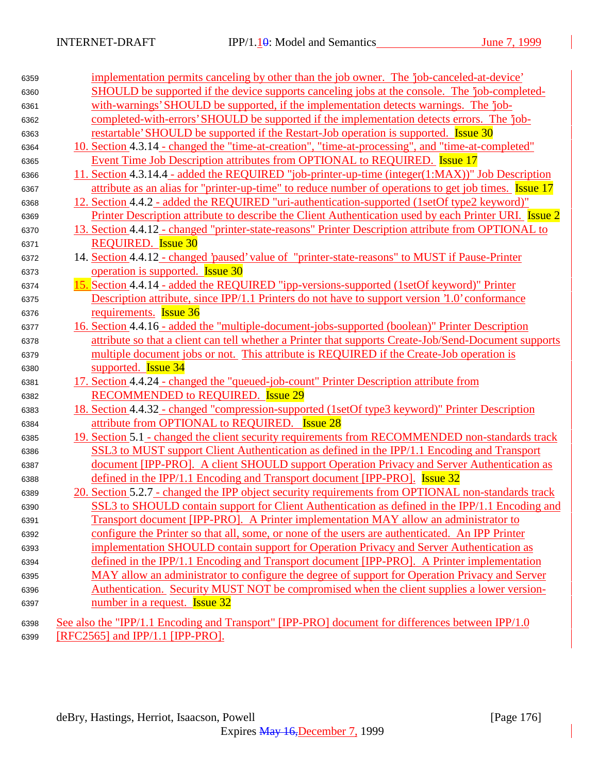| 6359 | implementation permits canceling by other than the job owner. The 'job-canceled-at-device'            |
|------|-------------------------------------------------------------------------------------------------------|
| 6360 | SHOULD be supported if the device supports canceling jobs at the console. The 'job-completed-         |
| 6361 | with-warnings' SHOULD be supported, if the implementation detects warnings. The 'job-                 |
| 6362 | completed-with-errors' SHOULD be supported if the implementation detects errors. The 'job-            |
| 6363 | restartable' SHOULD be supported if the Restart-Job operation is supported. Issue 30                  |
| 6364 | 10. Section 4.3.14 - changed the "time-at-creation", "time-at-processing", and "time-at-completed"    |
| 6365 | Event Time Job Description attributes from OPTIONAL to REQUIRED. Issue 17                             |
| 6366 | 11. Section 4.3.14.4 - added the REQUIRED "job-printer-up-time (integer(1:MAX))" Job Description      |
| 6367 | attribute as an alias for "printer-up-time" to reduce number of operations to get job times. Issue 17 |
| 6368 | 12. Section 4.4.2 - added the REQUIRED "uri-authentication-supported (1setOf type2 keyword)"          |
| 6369 | Printer Description attribute to describe the Client Authentication used by each Printer URI. Issue 2 |
| 6370 | 13. Section 4.4.12 - changed "printer-state-reasons" Printer Description attribute from OPTIONAL to   |
| 6371 | <b>REQUIRED.</b> Issue 30                                                                             |
| 6372 | 14. Section 4.4.12 - changed 'paused' value of "printer-state-reasons" to MUST if Pause-Printer       |
| 6373 | operation is supported. <b>Issue 30</b>                                                               |
| 6374 | 15. Section 4.4.14 - added the REQUIRED "ipp-versions-supported (1setOf keyword)" Printer             |
| 6375 | Description attribute, since IPP/1.1 Printers do not have to support version '1.0' conformance        |
| 6376 | requirements. <b>Issue 36</b>                                                                         |
| 6377 | 16. Section 4.4.16 - added the "multiple-document-jobs-supported (boolean)" Printer Description       |
| 6378 | attribute so that a client can tell whether a Printer that supports Create-Job/Send-Document supports |
| 6379 | multiple document jobs or not. This attribute is REQUIRED if the Create-Job operation is              |
| 6380 | supported. <b>Issue 34</b>                                                                            |
| 6381 | 17. Section 4.4.24 - changed the "queued-job-count" Printer Description attribute from                |
| 6382 | RECOMMENDED to REQUIRED. Issue 29                                                                     |
| 6383 | 18. Section 4.4.32 - changed "compression-supported (1setOf type3 keyword)" Printer Description       |
| 6384 | attribute from OPTIONAL to REQUIRED.<br><b>Issue 28</b>                                               |
| 6385 | 19. Section 5.1 - changed the client security requirements from RECOMMENDED non-standards track       |
| 6386 | SSL3 to MUST support Client Authentication as defined in the IPP/1.1 Encoding and Transport           |
| 6387 | document [IPP-PRO]. A client SHOULD support Operation Privacy and Server Authentication as            |
| 6388 | defined in the IPP/1.1 Encoding and Transport document [IPP-PRO]. Issue 32                            |
| 6389 | 20. Section 5.2.7 - changed the IPP object security requirements from OPTIONAL non-standards track    |
| 6390 | SSL3 to SHOULD contain support for Client Authentication as defined in the IPP/1.1 Encoding and       |
| 6391 | Transport document [IPP-PRO]. A Printer implementation MAY allow an administrator to                  |
| 6392 | configure the Printer so that all, some, or none of the users are authenticated. An IPP Printer       |
| 6393 | implementation SHOULD contain support for Operation Privacy and Server Authentication as              |
| 6394 | defined in the IPP/1.1 Encoding and Transport document [IPP-PRO]. A Printer implementation            |
| 6395 | MAY allow an administrator to configure the degree of support for Operation Privacy and Server        |
| 6396 | Authentication. Security MUST NOT be compromised when the client supplies a lower version-            |
| 6397 | number in a request. <b>Issue 32</b>                                                                  |
| 6398 | See also the "IPP/1.1 Encoding and Transport" [IPP-PRO] document for differences between IPP/1.0      |
| 6399 | [RFC2565] and IPP/1.1 [IPP-PRO].                                                                      |
|      |                                                                                                       |